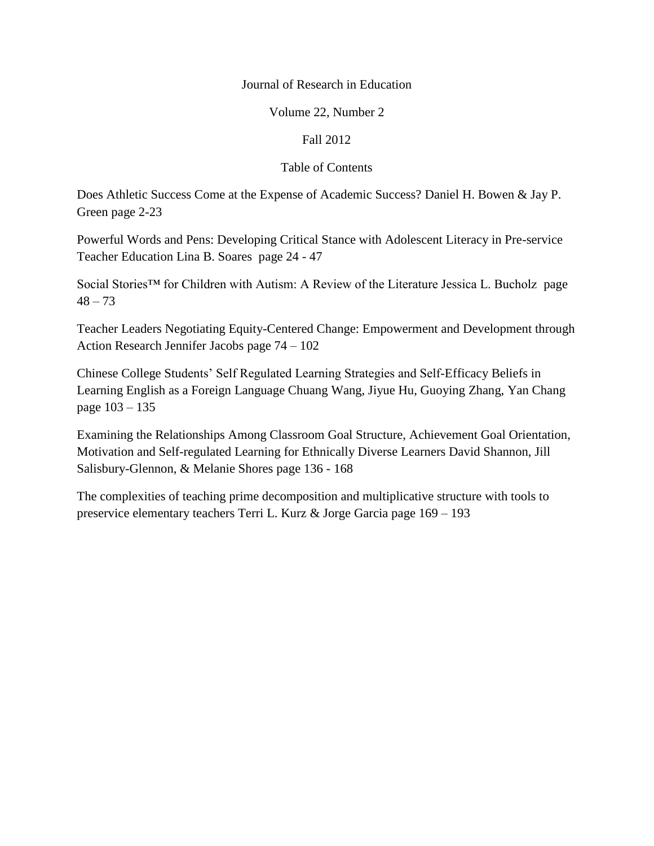## Journal of Research in Education

## Volume 22, Number 2

## Fall 2012

## Table of Contents

Does Athletic Success Come at the Expense of Academic Success? Daniel H. Bowen & Jay P. Green page 2-23

Powerful Words and Pens: Developing Critical Stance with Adolescent Literacy in Pre-service Teacher Education Lina B. Soares page 24 - 47

Social Stories<sup>™</sup> for Children with Autism: A Review of the Literature Jessica L. Bucholz page  $48 - 73$ 

Teacher Leaders Negotiating Equity-Centered Change: Empowerment and Development through Action Research Jennifer Jacobs page 74 – 102

Chinese College Students' Self Regulated Learning Strategies and Self-Efficacy Beliefs in Learning English as a Foreign Language Chuang Wang, Jiyue Hu, Guoying Zhang, Yan Chang page 103 – 135

Examining the Relationships Among Classroom Goal Structure, Achievement Goal Orientation, Motivation and Self-regulated Learning for Ethnically Diverse Learners David Shannon, Jill Salisbury-Glennon, & Melanie Shores page 136 - 168

The complexities of teaching prime decomposition and multiplicative structure with tools to preservice elementary teachers Terri L. Kurz & Jorge Garcia page 169 – 193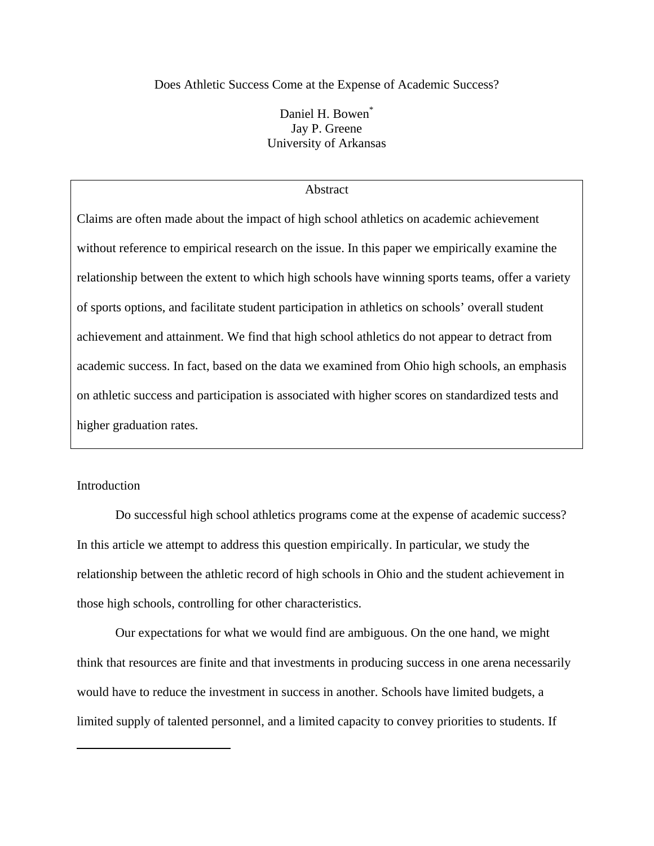Does Athletic Success Come at the Expense of Academic Success?

Daniel H. Bowen<sup>\*</sup> Jay P. Greene University of Arkansas

## Abstract

Claims are often made about the impact of high school athletics on academic achievement without reference to empirical research on the issue. In this paper we empirically examine the relationship between the extent to which high schools have winning sports teams, offer a variety of sports options, and facilitate student participation in athletics on schools' overall student achievement and attainment. We find that high school athletics do not appear to detract from academic success. In fact, based on the data we examined from Ohio high schools, an emphasis on athletic success and participation is associated with higher scores on standardized tests and higher graduation rates.

## **Introduction**

<u>.</u>

Do successful high school athletics programs come at the expense of academic success? In this article we attempt to address this question empirically. In particular, we study the relationship between the athletic record of high schools in Ohio and the student achievement in those high schools, controlling for other characteristics.

Our expectations for what we would find are ambiguous. On the one hand, we might think that resources are finite and that investments in producing success in one arena necessarily would have to reduce the investment in success in another. Schools have limited budgets, a limited supply of talented personnel, and a limited capacity to convey priorities to students. If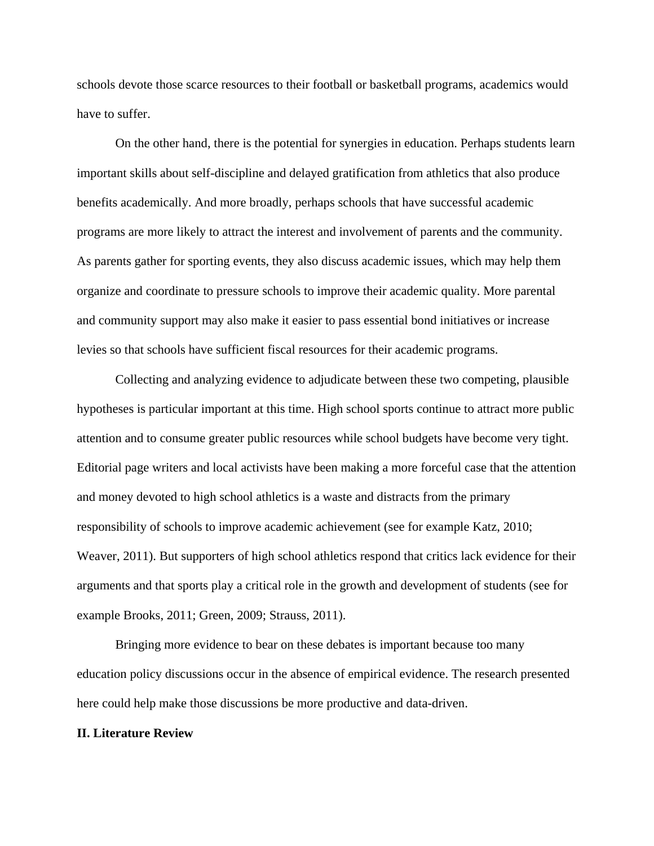schools devote those scarce resources to their football or basketball programs, academics would have to suffer.

On the other hand, there is the potential for synergies in education. Perhaps students learn important skills about self-discipline and delayed gratification from athletics that also produce benefits academically. And more broadly, perhaps schools that have successful academic programs are more likely to attract the interest and involvement of parents and the community. As parents gather for sporting events, they also discuss academic issues, which may help them organize and coordinate to pressure schools to improve their academic quality. More parental and community support may also make it easier to pass essential bond initiatives or increase levies so that schools have sufficient fiscal resources for their academic programs.

Collecting and analyzing evidence to adjudicate between these two competing, plausible hypotheses is particular important at this time. High school sports continue to attract more public attention and to consume greater public resources while school budgets have become very tight. Editorial page writers and local activists have been making a more forceful case that the attention and money devoted to high school athletics is a waste and distracts from the primary responsibility of schools to improve academic achievement (see for example Katz, 2010; Weaver, 2011). But supporters of high school athletics respond that critics lack evidence for their arguments and that sports play a critical role in the growth and development of students (see for example Brooks, 2011; Green, 2009; Strauss, 2011).

Bringing more evidence to bear on these debates is important because too many education policy discussions occur in the absence of empirical evidence. The research presented here could help make those discussions be more productive and data-driven.

#### **II. Literature Review**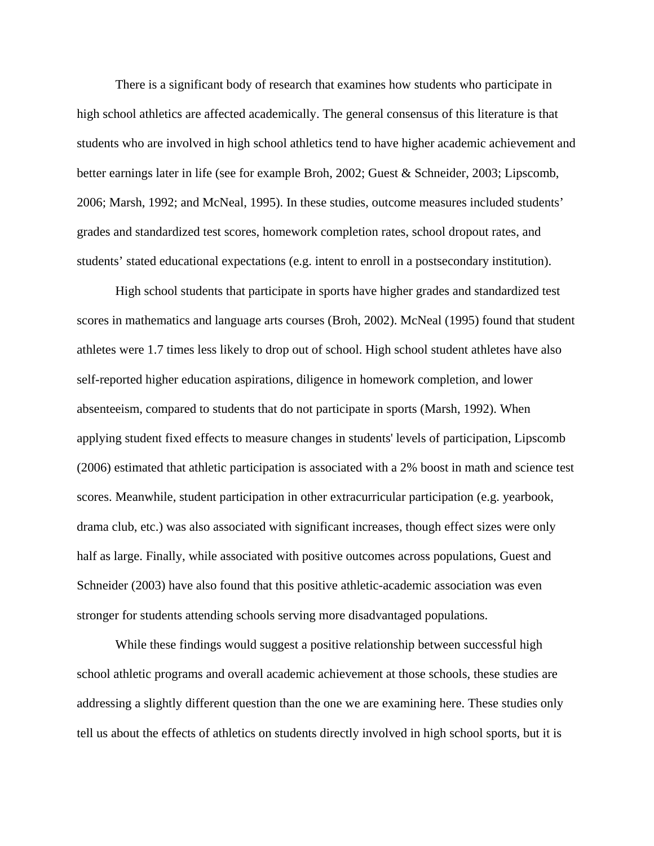There is a significant body of research that examines how students who participate in high school athletics are affected academically. The general consensus of this literature is that students who are involved in high school athletics tend to have higher academic achievement and better earnings later in life (see for example Broh, 2002; Guest & Schneider, 2003; Lipscomb, 2006; Marsh, 1992; and McNeal, 1995). In these studies, outcome measures included students' grades and standardized test scores, homework completion rates, school dropout rates, and students' stated educational expectations (e.g. intent to enroll in a postsecondary institution).

High school students that participate in sports have higher grades and standardized test scores in mathematics and language arts courses (Broh, 2002). McNeal (1995) found that student athletes were 1.7 times less likely to drop out of school. High school student athletes have also self-reported higher education aspirations, diligence in homework completion, and lower absenteeism, compared to students that do not participate in sports (Marsh, 1992). When applying student fixed effects to measure changes in students' levels of participation, Lipscomb (2006) estimated that athletic participation is associated with a 2% boost in math and science test scores. Meanwhile, student participation in other extracurricular participation (e.g. yearbook, drama club, etc.) was also associated with significant increases, though effect sizes were only half as large. Finally, while associated with positive outcomes across populations, Guest and Schneider (2003) have also found that this positive athletic-academic association was even stronger for students attending schools serving more disadvantaged populations.

While these findings would suggest a positive relationship between successful high school athletic programs and overall academic achievement at those schools, these studies are addressing a slightly different question than the one we are examining here. These studies only tell us about the effects of athletics on students directly involved in high school sports, but it is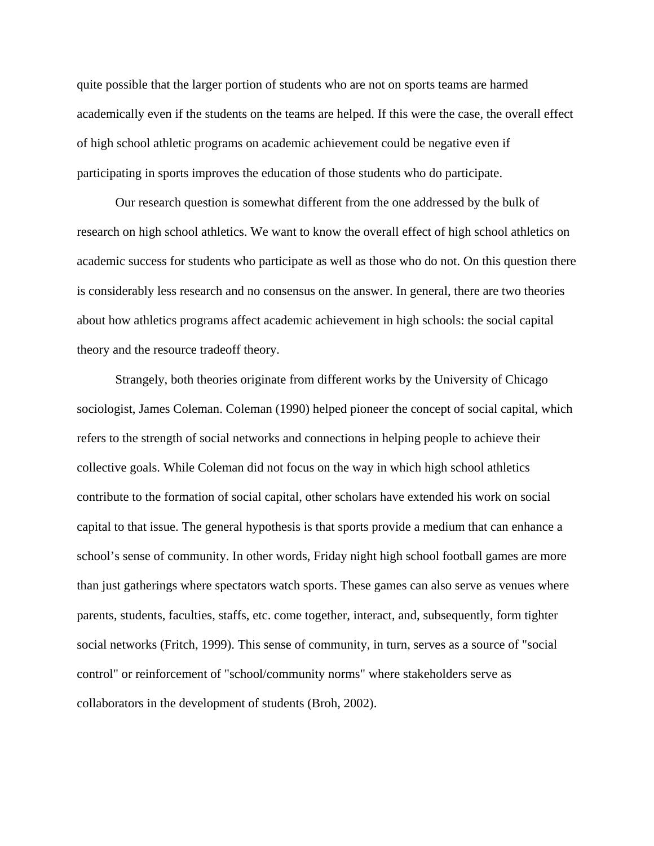quite possible that the larger portion of students who are not on sports teams are harmed academically even if the students on the teams are helped. If this were the case, the overall effect of high school athletic programs on academic achievement could be negative even if participating in sports improves the education of those students who do participate.

Our research question is somewhat different from the one addressed by the bulk of research on high school athletics. We want to know the overall effect of high school athletics on academic success for students who participate as well as those who do not. On this question there is considerably less research and no consensus on the answer. In general, there are two theories about how athletics programs affect academic achievement in high schools: the social capital theory and the resource tradeoff theory.

Strangely, both theories originate from different works by the University of Chicago sociologist, James Coleman. Coleman (1990) helped pioneer the concept of social capital, which refers to the strength of social networks and connections in helping people to achieve their collective goals. While Coleman did not focus on the way in which high school athletics contribute to the formation of social capital, other scholars have extended his work on social capital to that issue. The general hypothesis is that sports provide a medium that can enhance a school's sense of community. In other words, Friday night high school football games are more than just gatherings where spectators watch sports. These games can also serve as venues where parents, students, faculties, staffs, etc. come together, interact, and, subsequently, form tighter social networks (Fritch, 1999). This sense of community, in turn, serves as a source of "social control" or reinforcement of "school/community norms" where stakeholders serve as collaborators in the development of students (Broh, 2002).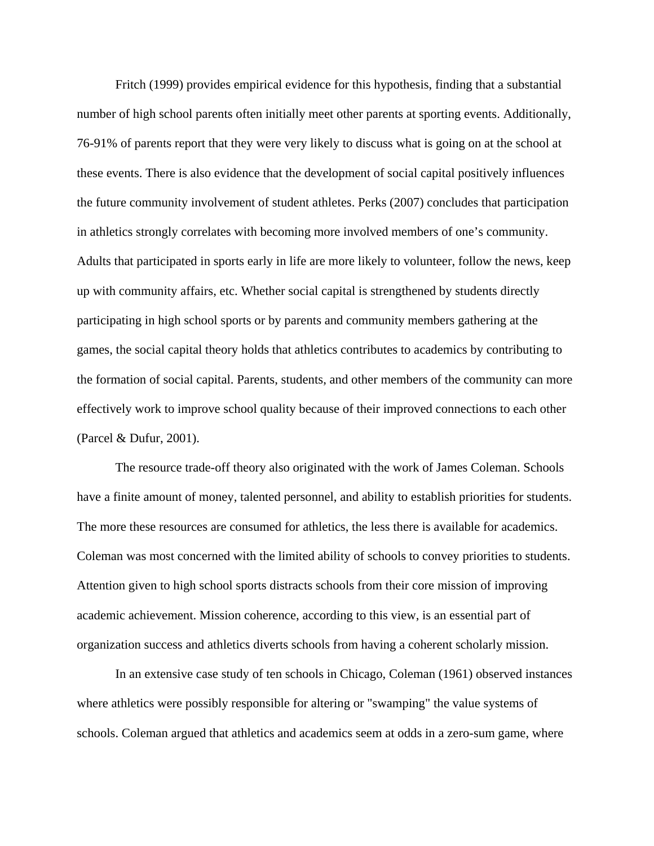Fritch (1999) provides empirical evidence for this hypothesis, finding that a substantial number of high school parents often initially meet other parents at sporting events. Additionally, 76-91% of parents report that they were very likely to discuss what is going on at the school at these events. There is also evidence that the development of social capital positively influences the future community involvement of student athletes. Perks (2007) concludes that participation in athletics strongly correlates with becoming more involved members of one's community. Adults that participated in sports early in life are more likely to volunteer, follow the news, keep up with community affairs, etc. Whether social capital is strengthened by students directly participating in high school sports or by parents and community members gathering at the games, the social capital theory holds that athletics contributes to academics by contributing to the formation of social capital. Parents, students, and other members of the community can more effectively work to improve school quality because of their improved connections to each other (Parcel & Dufur, 2001).

The resource trade-off theory also originated with the work of James Coleman. Schools have a finite amount of money, talented personnel, and ability to establish priorities for students. The more these resources are consumed for athletics, the less there is available for academics. Coleman was most concerned with the limited ability of schools to convey priorities to students. Attention given to high school sports distracts schools from their core mission of improving academic achievement. Mission coherence, according to this view, is an essential part of organization success and athletics diverts schools from having a coherent scholarly mission.

In an extensive case study of ten schools in Chicago, Coleman (1961) observed instances where athletics were possibly responsible for altering or "swamping" the value systems of schools. Coleman argued that athletics and academics seem at odds in a zero-sum game, where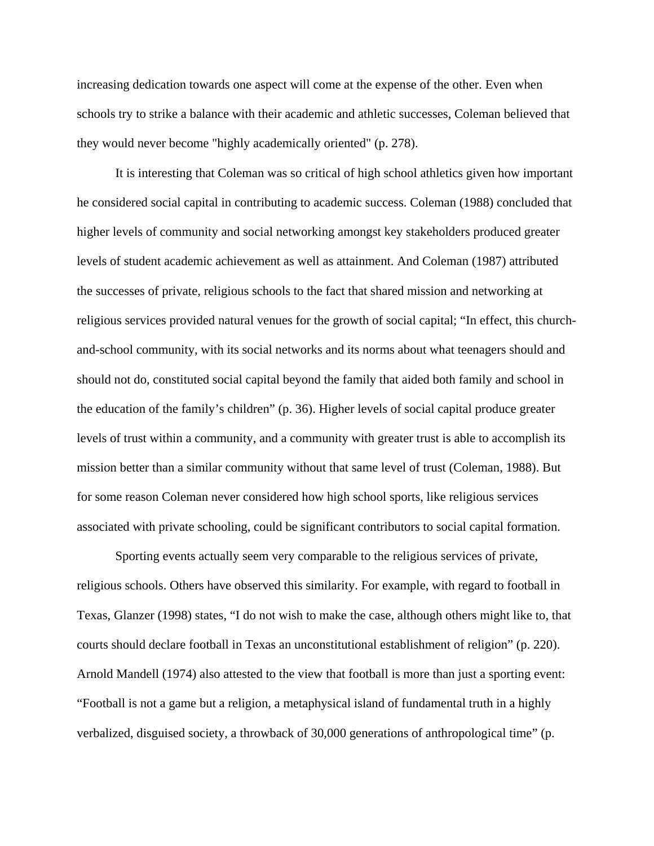increasing dedication towards one aspect will come at the expense of the other. Even when schools try to strike a balance with their academic and athletic successes, Coleman believed that they would never become "highly academically oriented" (p. 278).

It is interesting that Coleman was so critical of high school athletics given how important he considered social capital in contributing to academic success. Coleman (1988) concluded that higher levels of community and social networking amongst key stakeholders produced greater levels of student academic achievement as well as attainment. And Coleman (1987) attributed the successes of private, religious schools to the fact that shared mission and networking at religious services provided natural venues for the growth of social capital; "In effect, this churchand-school community, with its social networks and its norms about what teenagers should and should not do, constituted social capital beyond the family that aided both family and school in the education of the family's children" (p. 36). Higher levels of social capital produce greater levels of trust within a community, and a community with greater trust is able to accomplish its mission better than a similar community without that same level of trust (Coleman, 1988). But for some reason Coleman never considered how high school sports, like religious services associated with private schooling, could be significant contributors to social capital formation.

Sporting events actually seem very comparable to the religious services of private, religious schools. Others have observed this similarity. For example, with regard to football in Texas, Glanzer (1998) states, "I do not wish to make the case, although others might like to, that courts should declare football in Texas an unconstitutional establishment of religion" (p. 220). Arnold Mandell (1974) also attested to the view that football is more than just a sporting event: "Football is not a game but a religion, a metaphysical island of fundamental truth in a highly verbalized, disguised society, a throwback of 30,000 generations of anthropological time" (p.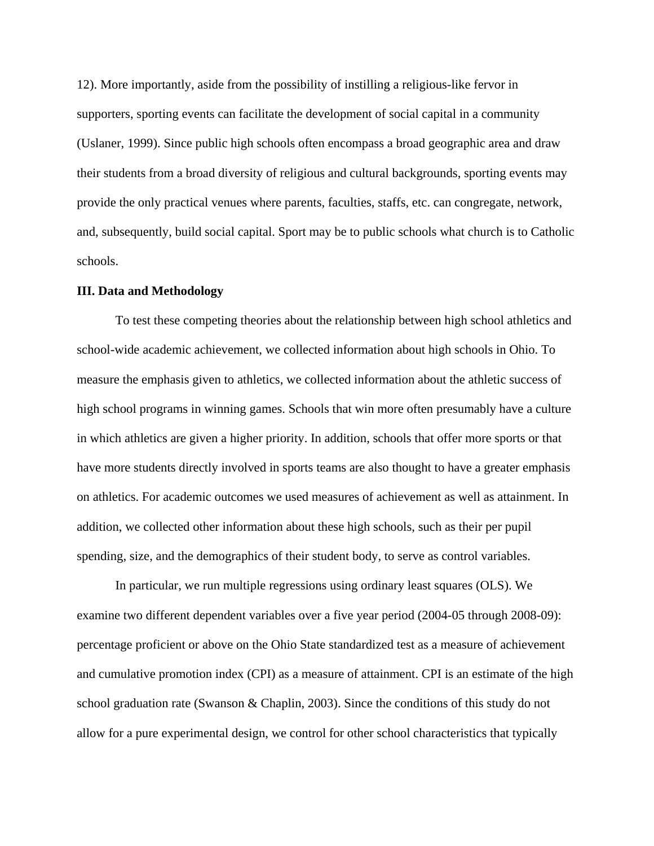12). More importantly, aside from the possibility of instilling a religious-like fervor in supporters, sporting events can facilitate the development of social capital in a community (Uslaner, 1999). Since public high schools often encompass a broad geographic area and draw their students from a broad diversity of religious and cultural backgrounds, sporting events may provide the only practical venues where parents, faculties, staffs, etc. can congregate, network, and, subsequently, build social capital. Sport may be to public schools what church is to Catholic schools.

#### **III. Data and Methodology**

To test these competing theories about the relationship between high school athletics and school-wide academic achievement, we collected information about high schools in Ohio. To measure the emphasis given to athletics, we collected information about the athletic success of high school programs in winning games. Schools that win more often presumably have a culture in which athletics are given a higher priority. In addition, schools that offer more sports or that have more students directly involved in sports teams are also thought to have a greater emphasis on athletics. For academic outcomes we used measures of achievement as well as attainment. In addition, we collected other information about these high schools, such as their per pupil spending, size, and the demographics of their student body, to serve as control variables.

In particular, we run multiple regressions using ordinary least squares (OLS). We examine two different dependent variables over a five year period (2004-05 through 2008-09): percentage proficient or above on the Ohio State standardized test as a measure of achievement and cumulative promotion index (CPI) as a measure of attainment. CPI is an estimate of the high school graduation rate (Swanson & Chaplin, 2003). Since the conditions of this study do not allow for a pure experimental design, we control for other school characteristics that typically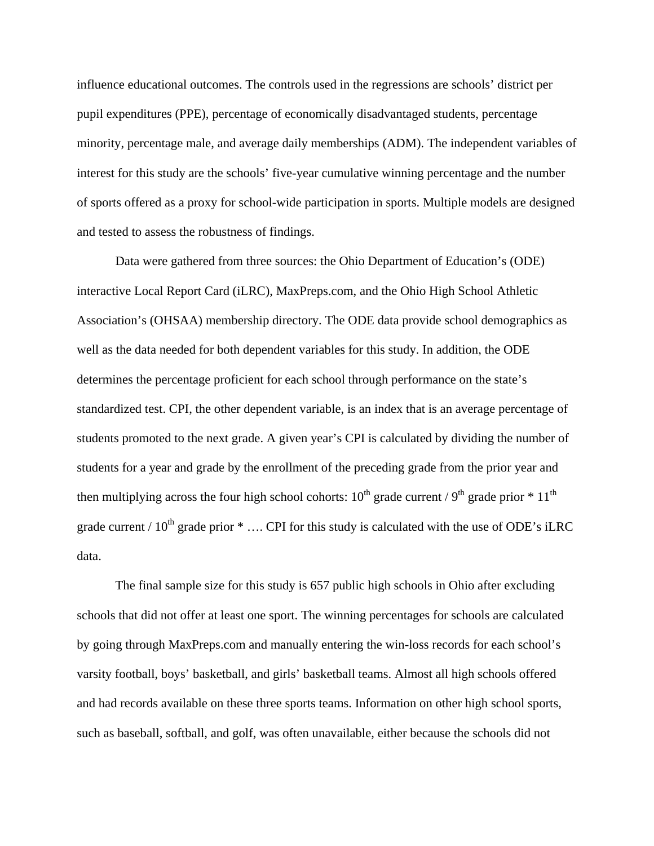influence educational outcomes. The controls used in the regressions are schools' district per pupil expenditures (PPE), percentage of economically disadvantaged students, percentage minority, percentage male, and average daily memberships (ADM). The independent variables of interest for this study are the schools' five-year cumulative winning percentage and the number of sports offered as a proxy for school-wide participation in sports. Multiple models are designed and tested to assess the robustness of findings.

Data were gathered from three sources: the Ohio Department of Education's (ODE) interactive Local Report Card (iLRC), MaxPreps.com, and the Ohio High School Athletic Association's (OHSAA) membership directory. The ODE data provide school demographics as well as the data needed for both dependent variables for this study. In addition, the ODE determines the percentage proficient for each school through performance on the state's standardized test. CPI, the other dependent variable, is an index that is an average percentage of students promoted to the next grade. A given year's CPI is calculated by dividing the number of students for a year and grade by the enrollment of the preceding grade from the prior year and then multiplying across the four high school cohorts:  $10^{th}$  grade current / 9<sup>th</sup> grade prior  $*$  11<sup>th</sup> grade current /  $10^{th}$  grade prior  $*$  .... CPI for this study is calculated with the use of ODE's iLRC data.

The final sample size for this study is 657 public high schools in Ohio after excluding schools that did not offer at least one sport. The winning percentages for schools are calculated by going through MaxPreps.com and manually entering the win-loss records for each school's varsity football, boys' basketball, and girls' basketball teams. Almost all high schools offered and had records available on these three sports teams. Information on other high school sports, such as baseball, softball, and golf, was often unavailable, either because the schools did not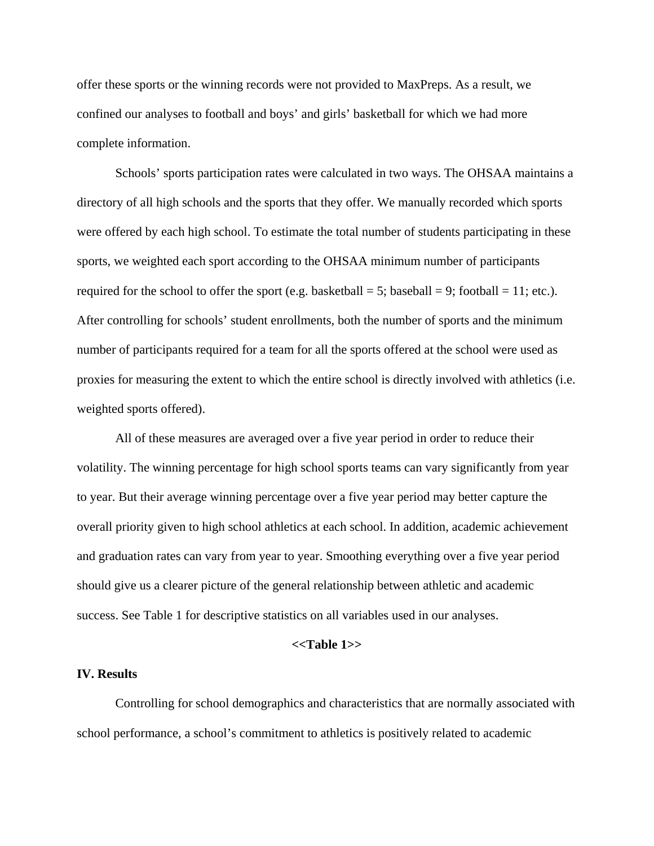offer these sports or the winning records were not provided to MaxPreps. As a result, we confined our analyses to football and boys' and girls' basketball for which we had more complete information.

Schools' sports participation rates were calculated in two ways. The OHSAA maintains a directory of all high schools and the sports that they offer. We manually recorded which sports were offered by each high school. To estimate the total number of students participating in these sports, we weighted each sport according to the OHSAA minimum number of participants required for the school to offer the sport (e.g. basketball = 5; baseball = 9; football = 11; etc.). After controlling for schools' student enrollments, both the number of sports and the minimum number of participants required for a team for all the sports offered at the school were used as proxies for measuring the extent to which the entire school is directly involved with athletics (i.e. weighted sports offered).

All of these measures are averaged over a five year period in order to reduce their volatility. The winning percentage for high school sports teams can vary significantly from year to year. But their average winning percentage over a five year period may better capture the overall priority given to high school athletics at each school. In addition, academic achievement and graduation rates can vary from year to year. Smoothing everything over a five year period should give us a clearer picture of the general relationship between athletic and academic success. See Table 1 for descriptive statistics on all variables used in our analyses.

#### **<<Table 1>>**

#### **IV. Results**

Controlling for school demographics and characteristics that are normally associated with school performance, a school's commitment to athletics is positively related to academic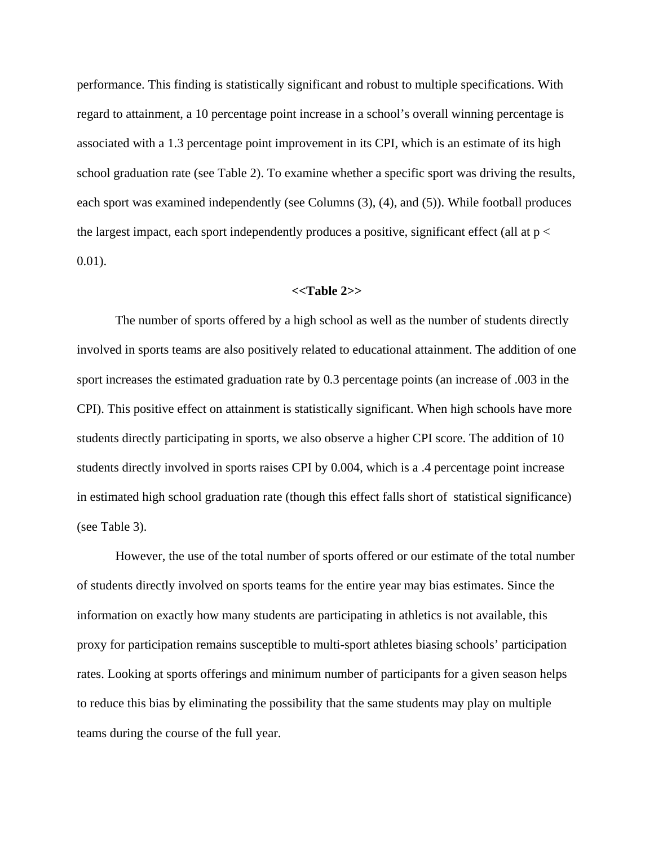performance. This finding is statistically significant and robust to multiple specifications. With regard to attainment, a 10 percentage point increase in a school's overall winning percentage is associated with a 1.3 percentage point improvement in its CPI, which is an estimate of its high school graduation rate (see Table 2). To examine whether a specific sport was driving the results, each sport was examined independently (see Columns (3), (4), and (5)). While football produces the largest impact, each sport independently produces a positive, significant effect (all at  $p <$ 0.01).

## **<<Table 2>>**

The number of sports offered by a high school as well as the number of students directly involved in sports teams are also positively related to educational attainment. The addition of one sport increases the estimated graduation rate by 0.3 percentage points (an increase of .003 in the CPI). This positive effect on attainment is statistically significant. When high schools have more students directly participating in sports, we also observe a higher CPI score. The addition of 10 students directly involved in sports raises CPI by 0.004, which is a .4 percentage point increase in estimated high school graduation rate (though this effect falls short of statistical significance) (see Table 3).

However, the use of the total number of sports offered or our estimate of the total number of students directly involved on sports teams for the entire year may bias estimates. Since the information on exactly how many students are participating in athletics is not available, this proxy for participation remains susceptible to multi-sport athletes biasing schools' participation rates. Looking at sports offerings and minimum number of participants for a given season helps to reduce this bias by eliminating the possibility that the same students may play on multiple teams during the course of the full year.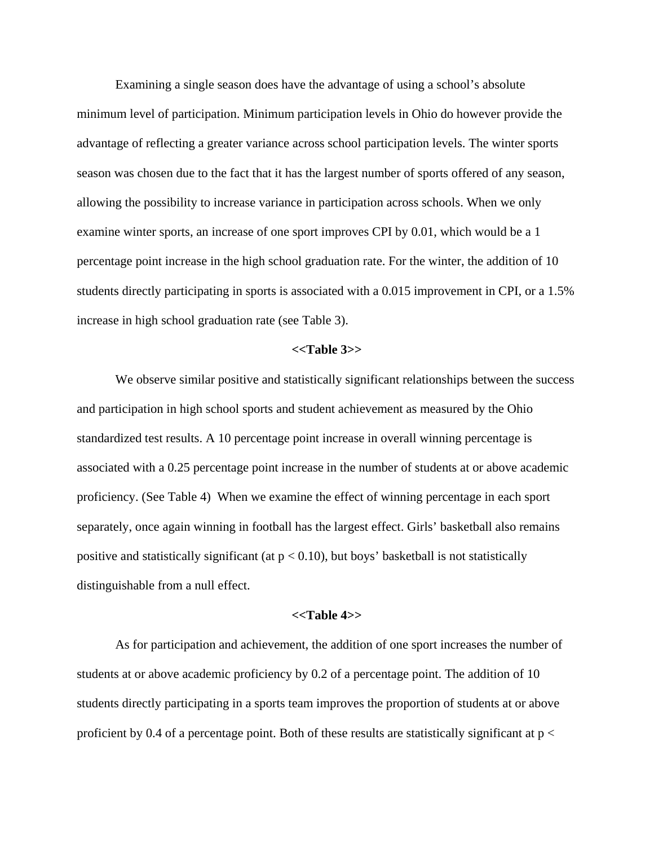Examining a single season does have the advantage of using a school's absolute minimum level of participation. Minimum participation levels in Ohio do however provide the advantage of reflecting a greater variance across school participation levels. The winter sports season was chosen due to the fact that it has the largest number of sports offered of any season, allowing the possibility to increase variance in participation across schools. When we only examine winter sports, an increase of one sport improves CPI by 0.01, which would be a 1 percentage point increase in the high school graduation rate. For the winter, the addition of 10 students directly participating in sports is associated with a 0.015 improvement in CPI, or a 1.5% increase in high school graduation rate (see Table 3).

## **<<Table 3>>**

We observe similar positive and statistically significant relationships between the success and participation in high school sports and student achievement as measured by the Ohio standardized test results. A 10 percentage point increase in overall winning percentage is associated with a 0.25 percentage point increase in the number of students at or above academic proficiency. (See Table 4) When we examine the effect of winning percentage in each sport separately, once again winning in football has the largest effect. Girls' basketball also remains positive and statistically significant (at  $p < 0.10$ ), but boys' basketball is not statistically distinguishable from a null effect.

## **<<Table 4>>**

As for participation and achievement, the addition of one sport increases the number of students at or above academic proficiency by 0.2 of a percentage point. The addition of 10 students directly participating in a sports team improves the proportion of students at or above proficient by 0.4 of a percentage point. Both of these results are statistically significant at  $p <$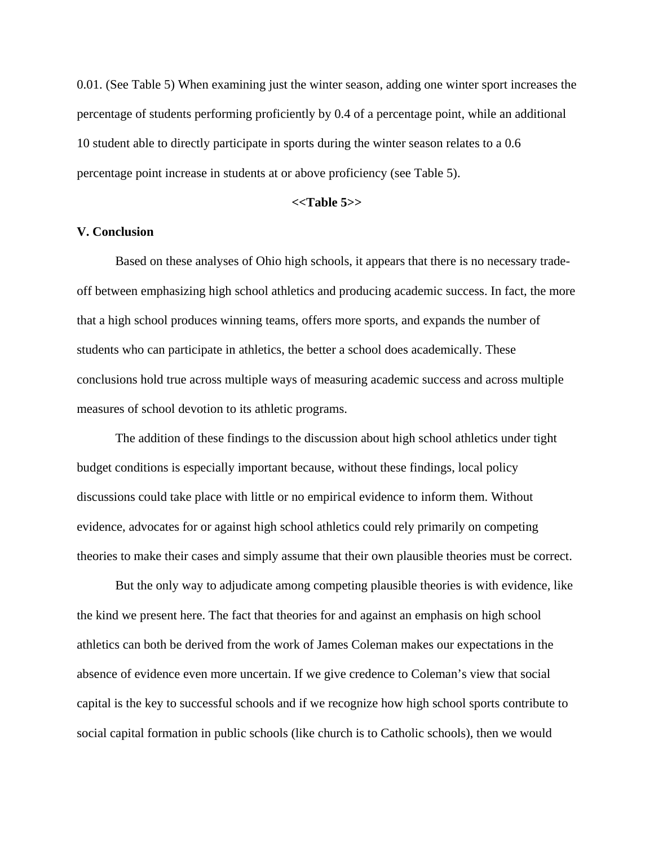0.01. (See Table 5) When examining just the winter season, adding one winter sport increases the percentage of students performing proficiently by 0.4 of a percentage point, while an additional 10 student able to directly participate in sports during the winter season relates to a 0.6 percentage point increase in students at or above proficiency (see Table 5).

## **<<Table 5>>**

## **V. Conclusion**

Based on these analyses of Ohio high schools, it appears that there is no necessary tradeoff between emphasizing high school athletics and producing academic success. In fact, the more that a high school produces winning teams, offers more sports, and expands the number of students who can participate in athletics, the better a school does academically. These conclusions hold true across multiple ways of measuring academic success and across multiple measures of school devotion to its athletic programs.

The addition of these findings to the discussion about high school athletics under tight budget conditions is especially important because, without these findings, local policy discussions could take place with little or no empirical evidence to inform them. Without evidence, advocates for or against high school athletics could rely primarily on competing theories to make their cases and simply assume that their own plausible theories must be correct.

But the only way to adjudicate among competing plausible theories is with evidence, like the kind we present here. The fact that theories for and against an emphasis on high school athletics can both be derived from the work of James Coleman makes our expectations in the absence of evidence even more uncertain. If we give credence to Coleman's view that social capital is the key to successful schools and if we recognize how high school sports contribute to social capital formation in public schools (like church is to Catholic schools), then we would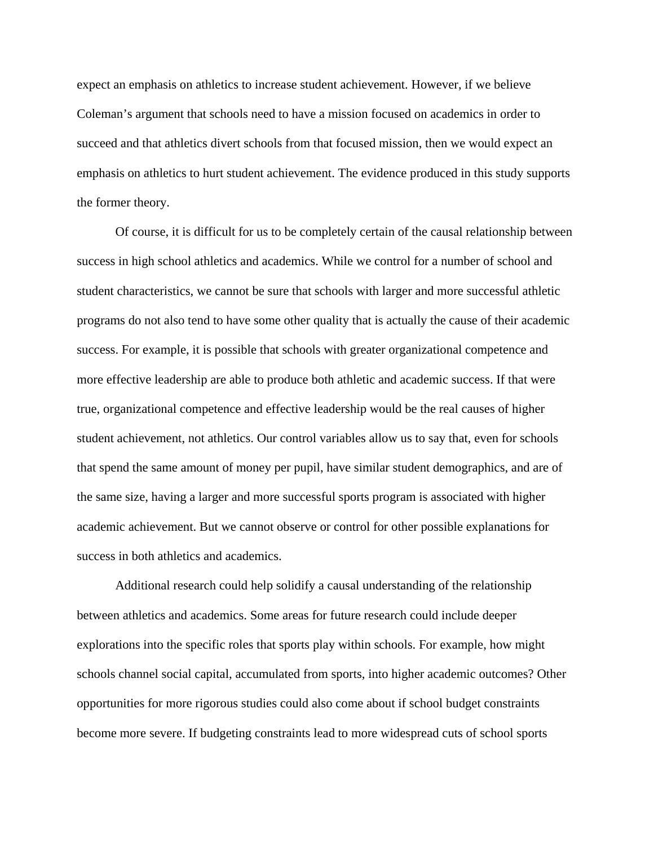expect an emphasis on athletics to increase student achievement. However, if we believe Coleman's argument that schools need to have a mission focused on academics in order to succeed and that athletics divert schools from that focused mission, then we would expect an emphasis on athletics to hurt student achievement. The evidence produced in this study supports the former theory.

Of course, it is difficult for us to be completely certain of the causal relationship between success in high school athletics and academics. While we control for a number of school and student characteristics, we cannot be sure that schools with larger and more successful athletic programs do not also tend to have some other quality that is actually the cause of their academic success. For example, it is possible that schools with greater organizational competence and more effective leadership are able to produce both athletic and academic success. If that were true, organizational competence and effective leadership would be the real causes of higher student achievement, not athletics. Our control variables allow us to say that, even for schools that spend the same amount of money per pupil, have similar student demographics, and are of the same size, having a larger and more successful sports program is associated with higher academic achievement. But we cannot observe or control for other possible explanations for success in both athletics and academics.

Additional research could help solidify a causal understanding of the relationship between athletics and academics. Some areas for future research could include deeper explorations into the specific roles that sports play within schools. For example, how might schools channel social capital, accumulated from sports, into higher academic outcomes? Other opportunities for more rigorous studies could also come about if school budget constraints become more severe. If budgeting constraints lead to more widespread cuts of school sports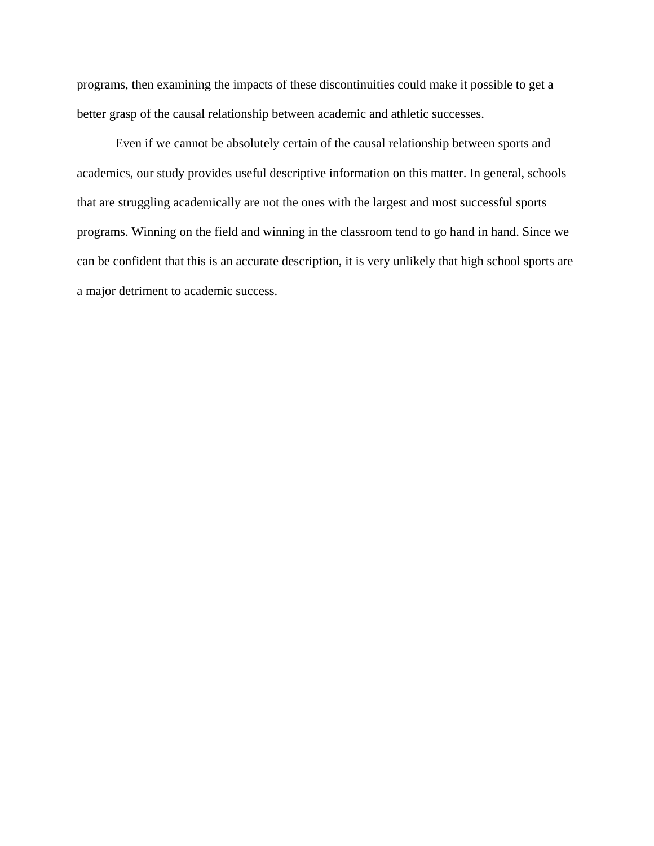programs, then examining the impacts of these discontinuities could make it possible to get a better grasp of the causal relationship between academic and athletic successes.

Even if we cannot be absolutely certain of the causal relationship between sports and academics, our study provides useful descriptive information on this matter. In general, schools that are struggling academically are not the ones with the largest and most successful sports programs. Winning on the field and winning in the classroom tend to go hand in hand. Since we can be confident that this is an accurate description, it is very unlikely that high school sports are a major detriment to academic success.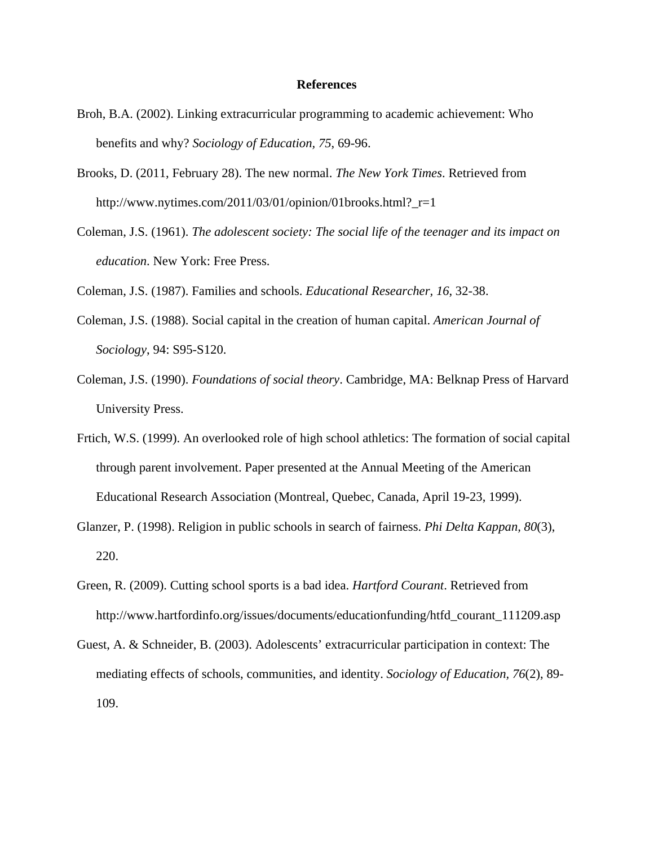#### **References**

- Broh, B.A. (2002). Linking extracurricular programming to academic achievement: Who benefits and why? *Sociology of Education, 75*, 69-96.
- Brooks, D. (2011, February 28). The new normal. *The New York Times*. Retrieved from http://www.nytimes.com/2011/03/01/opinion/01brooks.html? $r=1$
- Coleman, J.S. (1961). *The adolescent society: The social life of the teenager and its impact on education*. New York: Free Press.
- Coleman, J.S. (1987). Families and schools. *Educational Researcher, 16*, 32-38.
- Coleman, J.S. (1988). Social capital in the creation of human capital. *American Journal of Sociology*, 94: S95-S120.
- Coleman, J.S. (1990). *Foundations of social theory*. Cambridge, MA: Belknap Press of Harvard University Press.
- Frtich, W.S. (1999). An overlooked role of high school athletics: The formation of social capital through parent involvement. Paper presented at the Annual Meeting of the American Educational Research Association (Montreal, Quebec, Canada, April 19-23, 1999).
- Glanzer, P. (1998). Religion in public schools in search of fairness. *Phi Delta Kappan, 80*(3), 220.
- Green, R. (2009). Cutting school sports is a bad idea. *Hartford Courant*. Retrieved from http://www.hartfordinfo.org/issues/documents/educationfunding/htfd\_courant\_111209.asp
- Guest, A. & Schneider, B. (2003). Adolescents' extracurricular participation in context: The mediating effects of schools, communities, and identity. *Sociology of Education, 76*(2), 89- 109.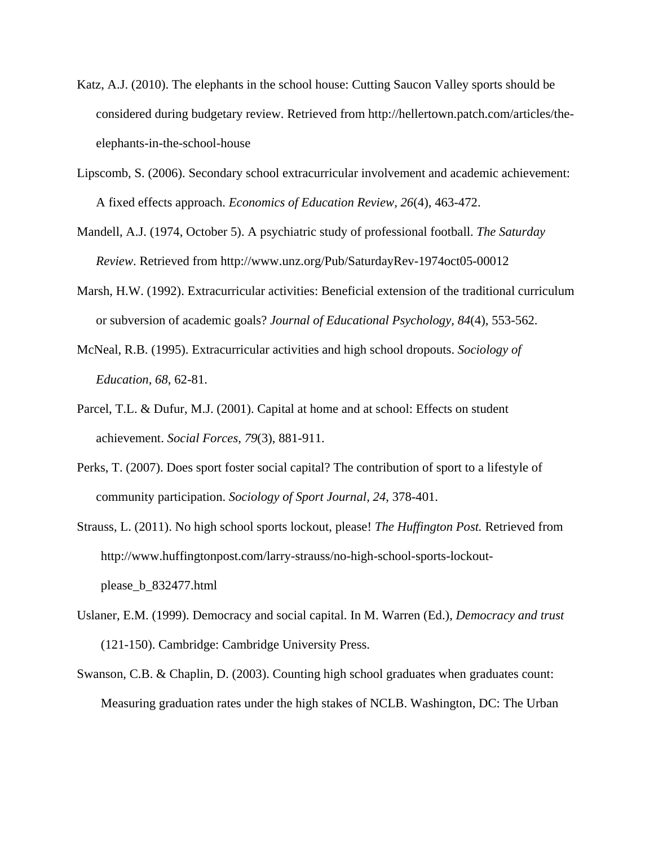- Katz, A.J. (2010). The elephants in the school house: Cutting Saucon Valley sports should be considered during budgetary review. Retrieved from http://hellertown.patch.com/articles/theelephants-in-the-school-house
- Lipscomb, S. (2006). Secondary school extracurricular involvement and academic achievement: A fixed effects approach. *Economics of Education Review, 26*(4), 463-472.
- Mandell, A.J. (1974, October 5). A psychiatric study of professional football. *The Saturday Review*. Retrieved from http://www.unz.org/Pub/SaturdayRev-1974oct05-00012
- Marsh, H.W. (1992). Extracurricular activities: Beneficial extension of the traditional curriculum or subversion of academic goals? *Journal of Educational Psychology, 84*(4), 553-562.
- McNeal, R.B. (1995). Extracurricular activities and high school dropouts. *Sociology of Education, 68*, 62-81.
- Parcel, T.L. & Dufur, M.J. (2001). Capital at home and at school: Effects on student achievement. *Social Forces, 79*(3), 881-911.
- Perks, T. (2007). Does sport foster social capital? The contribution of sport to a lifestyle of community participation. *Sociology of Sport Journal, 24*, 378-401.
- Strauss, L. (2011). No high school sports lockout, please! *The Huffington Post.* Retrieved from http://www.huffingtonpost.com/larry-strauss/no-high-school-sports-lockoutplease\_b\_832477.html
- Uslaner, E.M. (1999). Democracy and social capital. In M. Warren (Ed.), *Democracy and trust* (121-150). Cambridge: Cambridge University Press.
- Swanson, C.B. & Chaplin, D. (2003). Counting high school graduates when graduates count: Measuring graduation rates under the high stakes of NCLB. Washington, DC: The Urban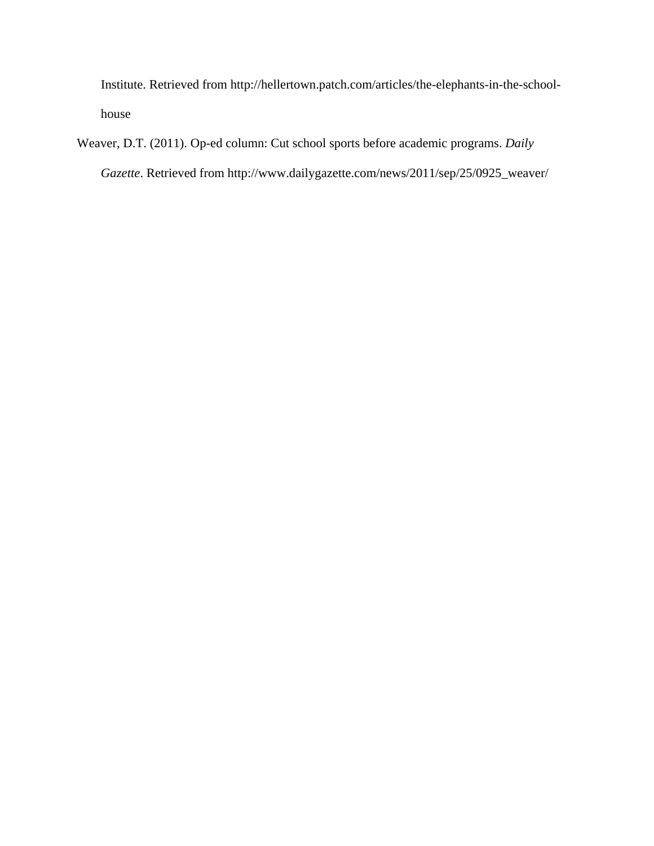Institute. Retrieved from http://hellertown.patch.com/articles/the-elephants-in-the-schoolhouse

Weaver, D.T. (2011). Op-ed column: Cut school sports before academic programs. *Daily Gazette*. Retrieved from http://www.dailygazette.com/news/2011/sep/25/0925\_weaver/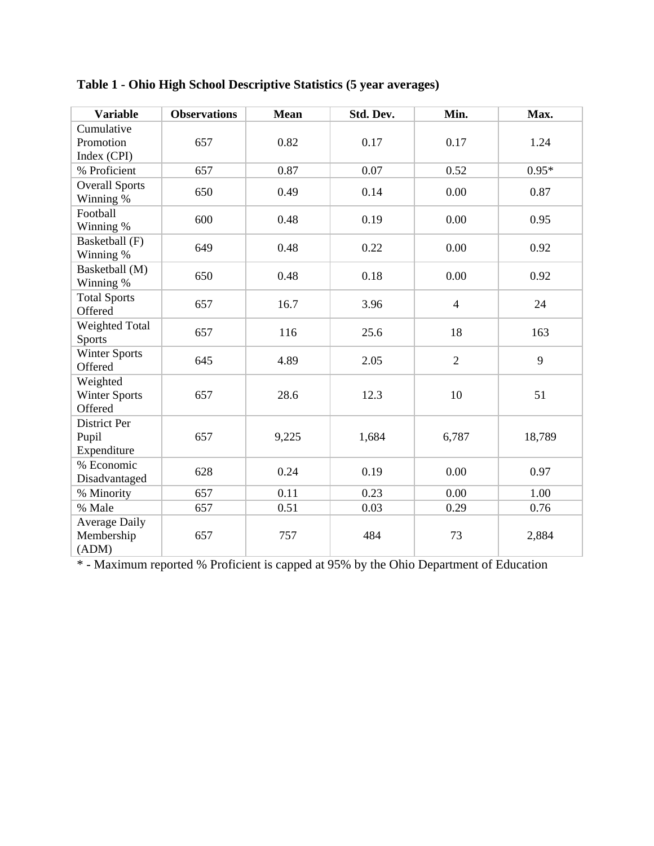| <b>Variable</b>                             | <b>Observations</b> | <b>Mean</b> | Std. Dev. | Min.           | Max.    |
|---------------------------------------------|---------------------|-------------|-----------|----------------|---------|
| Cumulative<br>Promotion<br>Index (CPI)      | 657                 | 0.82        | 0.17      | 0.17           | 1.24    |
| % Proficient                                | 657                 | 0.87        | 0.07      | 0.52           | $0.95*$ |
| <b>Overall Sports</b><br>Winning %          | 650                 | 0.49        | 0.14      | 0.00           | 0.87    |
| Football<br>Winning %                       | 600                 | 0.48        | 0.19      | 0.00           | 0.95    |
| Basketball (F)<br>Winning %                 | 649                 | 0.48        | 0.22      | 0.00           | 0.92    |
| Basketball (M)<br>Winning %                 | 650                 | 0.48        | 0.18      | 0.00           | 0.92    |
| <b>Total Sports</b><br>Offered              | 657                 | 16.7        | 3.96      | $\overline{4}$ | 24      |
| <b>Weighted Total</b><br><b>Sports</b>      | 657                 | 116         | 25.6      | 18             | 163     |
| <b>Winter Sports</b><br>Offered             | 645                 | 4.89        | 2.05      | $\overline{2}$ | 9       |
| Weighted<br><b>Winter Sports</b><br>Offered | 657                 | 28.6        | 12.3      | 10             | 51      |
| District Per<br>Pupil<br>Expenditure        | 657                 | 9,225       | 1,684     | 6,787          | 18,789  |
| % Economic<br>Disadvantaged                 | 628                 | 0.24        | 0.19      | 0.00           | 0.97    |
| % Minority                                  | 657                 | 0.11        | 0.23      | 0.00           | 1.00    |
| % Male                                      | 657                 | 0.51        | 0.03      | 0.29           | 0.76    |
| <b>Average Daily</b><br>Membership<br>(ADM) | 657                 | 757         | 484       | 73             | 2,884   |

**Table 1 - Ohio High School Descriptive Statistics (5 year averages)** 

\* - Maximum reported % Proficient is capped at 95% by the Ohio Department of Education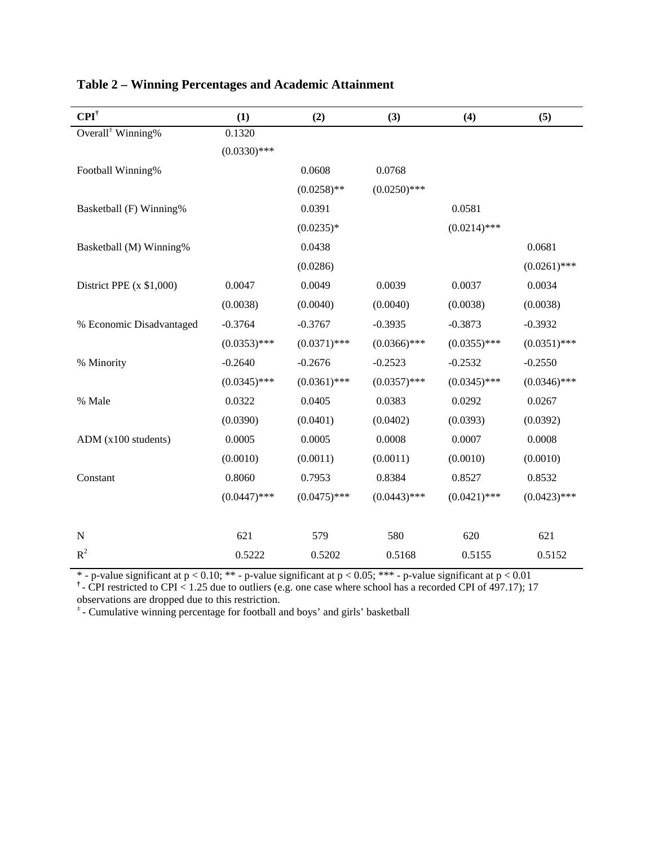| $\mathbf{CPI}^\dagger$        | (1)            | (2)            | (3)            | (4)            | (5)            |
|-------------------------------|----------------|----------------|----------------|----------------|----------------|
| Overall <sup>±</sup> Winning% | 0.1320         |                |                |                |                |
|                               | $(0.0330)$ *** |                |                |                |                |
| Football Winning%             |                | 0.0608         | 0.0768         |                |                |
|                               |                | $(0.0258)$ **  | $(0.0250)$ *** |                |                |
| Basketball (F) Winning%       |                | 0.0391         |                | 0.0581         |                |
|                               |                | $(0.0235)*$    |                | $(0.0214)$ *** |                |
| Basketball (M) Winning%       |                | 0.0438         |                |                | 0.0681         |
|                               |                | (0.0286)       |                |                | $(0.0261)$ *** |
| District PPE $(x $1,000)$     | 0.0047         | 0.0049         | 0.0039         | 0.0037         | 0.0034         |
|                               | (0.0038)       | (0.0040)       | (0.0040)       | (0.0038)       | (0.0038)       |
| % Economic Disadvantaged      | $-0.3764$      | $-0.3767$      | $-0.3935$      | $-0.3873$      | $-0.3932$      |
|                               | $(0.0353)$ *** | $(0.0371)$ *** | $(0.0366)$ *** | $(0.0355)$ *** | $(0.0351)$ *** |
| % Minority                    | $-0.2640$      | $-0.2676$      | $-0.2523$      | $-0.2532$      | $-0.2550$      |
|                               | $(0.0345)$ *** | $(0.0361)$ *** | $(0.0357)$ *** | $(0.0345)$ *** | $(0.0346)$ *** |
| % Male                        | 0.0322         | 0.0405         | 0.0383         | 0.0292         | 0.0267         |
|                               | (0.0390)       | (0.0401)       | (0.0402)       | (0.0393)       | (0.0392)       |
| ADM (x100 students)           | 0.0005         | 0.0005         | 0.0008         | 0.0007         | 0.0008         |
|                               | (0.0010)       | (0.0011)       | (0.0011)       | (0.0010)       | (0.0010)       |
| Constant                      | 0.8060         | 0.7953         | 0.8384         | 0.8527         | 0.8532         |
|                               | $(0.0447)$ *** | $(0.0475)$ *** | $(0.0443)$ *** | $(0.0421)$ *** | $(0.0423)$ *** |
|                               |                |                |                |                |                |
| ${\bf N}$                     | 621            | 579            | 580            | 620            | 621            |
| $R^2$                         | 0.5222         | 0.5202         | 0.5168         | 0.5155         | 0.5152         |

## **Table 2 – Winning Percentages and Academic Attainment**

\* - p-value significant at  $p < 0.10$ ; \*\* - p-value significant at  $p < 0.05$ ; \*\*\* - p-value significant at  $p < 0.01$ 

**†** - CPI restricted to CPI < 1.25 due to outliers (e.g. one case where school has a recorded CPI of 497.17); 17

observations are dropped due to this restriction.

± - Cumulative winning percentage for football and boys' and girls' basketball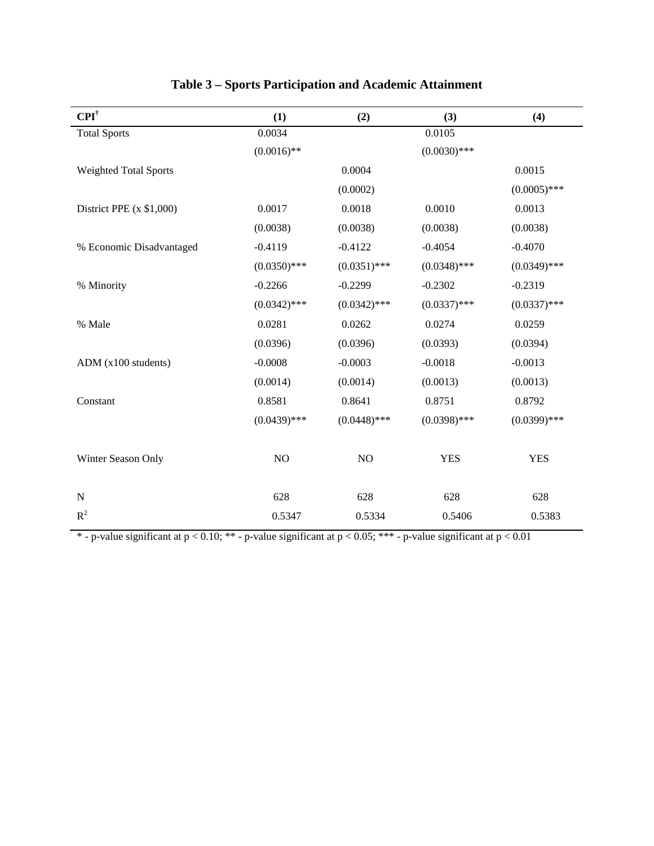| $\mathbf{CPI}^{\dagger}$     | (1)            | (2)            | (3)            | (4)            |
|------------------------------|----------------|----------------|----------------|----------------|
| <b>Total Sports</b>          | 0.0034         |                | 0.0105         |                |
|                              | $(0.0016)$ **  |                | $(0.0030)$ *** |                |
| <b>Weighted Total Sports</b> |                | 0.0004         |                | 0.0015         |
|                              |                | (0.0002)       |                | $(0.0005)$ *** |
| District PPE $(x $1,000)$    | 0.0017         | 0.0018         | 0.0010         | 0.0013         |
|                              | (0.0038)       | (0.0038)       | (0.0038)       | (0.0038)       |
| % Economic Disadvantaged     | $-0.4119$      | $-0.4122$      | $-0.4054$      | $-0.4070$      |
|                              | $(0.0350)$ *** | $(0.0351)$ *** | $(0.0348)$ *** | $(0.0349)$ *** |
| % Minority                   | $-0.2266$      | $-0.2299$      | $-0.2302$      | $-0.2319$      |
|                              | $(0.0342)$ *** | $(0.0342)$ *** | $(0.0337)$ *** | $(0.0337)$ *** |
| % Male                       | 0.0281         | 0.0262         | 0.0274         | 0.0259         |
|                              | (0.0396)       | (0.0396)       | (0.0393)       | (0.0394)       |
| $ADM$ ( $x100$ students)     | $-0.0008$      | $-0.0003$      | $-0.0018$      | $-0.0013$      |
|                              | (0.0014)       | (0.0014)       | (0.0013)       | (0.0013)       |
| Constant                     | 0.8581         | 0.8641         | 0.8751         | 0.8792         |
|                              | $(0.0439)$ *** | $(0.0448)$ *** | $(0.0398)$ *** | $(0.0399)$ *** |
| Winter Season Only           | NO             | NO             | <b>YES</b>     | <b>YES</b>     |
| ${\bf N}$                    | 628            | 628            | 628            | 628            |
| $R^2$                        | 0.5347         | 0.5334         | 0.5406         | 0.5383         |

# **Table 3 – Sports Participation and Academic Attainment**

\* - p-value significant at p < 0.10; \*\* - p-value significant at p < 0.05; \*\*\* - p-value significant at p < 0.01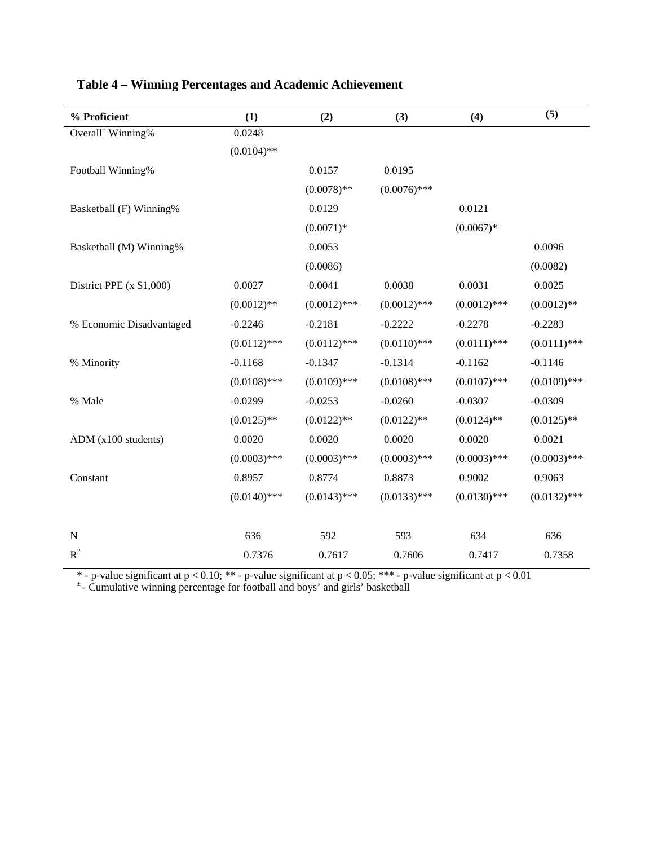| % Proficient                  | (1)            | (2)            | (3)            | (4)            | (5)            |
|-------------------------------|----------------|----------------|----------------|----------------|----------------|
| Overall <sup>±</sup> Winning% | 0.0248         |                |                |                |                |
|                               | $(0.0104)$ **  |                |                |                |                |
| Football Winning%             |                | 0.0157         | 0.0195         |                |                |
|                               |                | $(0.0078)$ **  | $(0.0076)$ *** |                |                |
| Basketball (F) Winning%       |                | 0.0129         |                | 0.0121         |                |
|                               |                | $(0.0071)*$    |                | $(0.0067)*$    |                |
| Basketball (M) Winning%       |                | 0.0053         |                |                | 0.0096         |
|                               |                | (0.0086)       |                |                | (0.0082)       |
| District PPE $(x $1,000)$     | 0.0027         | 0.0041         | 0.0038         | 0.0031         | 0.0025         |
|                               | $(0.0012)$ **  | $(0.0012)$ *** | $(0.0012)$ *** | $(0.0012)$ *** | $(0.0012)$ **  |
| % Economic Disadvantaged      | $-0.2246$      | $-0.2181$      | $-0.2222$      | $-0.2278$      | $-0.2283$      |
|                               | $(0.0112)$ *** | $(0.0112)$ *** | $(0.0110)$ *** | $(0.0111)$ *** | $(0.0111)$ *** |
| % Minority                    | $-0.1168$      | $-0.1347$      | $-0.1314$      | $-0.1162$      | $-0.1146$      |
|                               | $(0.0108)$ *** | $(0.0109)$ *** | $(0.0108)$ *** | $(0.0107)$ *** | $(0.0109)$ *** |
| % Male                        | $-0.0299$      | $-0.0253$      | $-0.0260$      | $-0.0307$      | $-0.0309$      |
|                               | $(0.0125)$ **  | $(0.0122)$ **  | $(0.0122)$ **  | $(0.0124)$ **  | $(0.0125)$ **  |
| ADM(x100 students)            | 0.0020         | 0.0020         | 0.0020         | 0.0020         | 0.0021         |
|                               | $(0.0003)$ *** | $(0.0003)$ *** | $(0.0003)$ *** | $(0.0003)$ *** | $(0.0003)$ *** |
| Constant                      | 0.8957         | 0.8774         | 0.8873         | 0.9002         | 0.9063         |
|                               | $(0.0140)$ *** | $(0.0143)$ *** | $(0.0133)$ *** | $(0.0130)$ *** | $(0.0132)$ *** |
|                               |                |                |                |                |                |
| $\mathbf N$                   | 636            | 592            | 593            | 634            | 636            |
| $R^2$                         | 0.7376         | 0.7617         | 0.7606         | 0.7417         | 0.7358         |

## **Table 4 – Winning Percentages and Academic Achievement**

\* - p-value significant at  $p < 0.10$ ; \*\* - p-value significant at  $p < 0.05$ ; \*\*\* - p-value significant at  $p < 0.01$ 

± - Cumulative winning percentage for football and boys' and girls' basketball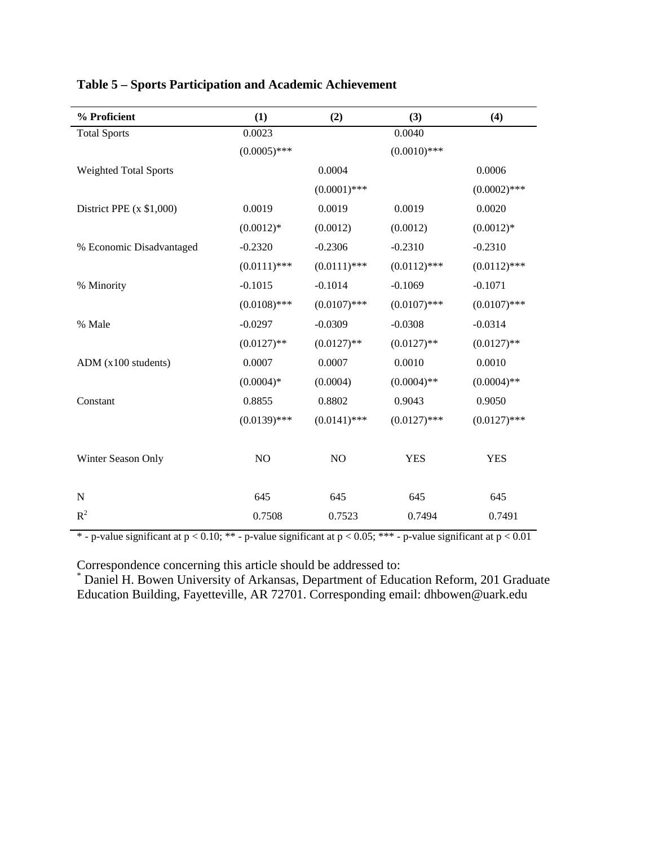| % Proficient                 | (1)            | (2)            | (3)            | (4)            |
|------------------------------|----------------|----------------|----------------|----------------|
| <b>Total Sports</b>          | 0.0023         |                | 0.0040         |                |
|                              | $(0.0005)$ *** |                | $(0.0010)$ *** |                |
| <b>Weighted Total Sports</b> |                | 0.0004         |                | 0.0006         |
|                              |                | $(0.0001)$ *** |                | $(0.0002)$ *** |
| District PPE $(x $1,000)$    | 0.0019         | 0.0019         | 0.0019         | 0.0020         |
|                              | $(0.0012)*$    | (0.0012)       | (0.0012)       | $(0.0012)*$    |
| % Economic Disadvantaged     | $-0.2320$      | $-0.2306$      | $-0.2310$      | $-0.2310$      |
|                              | $(0.0111)$ *** | $(0.0111)$ *** | $(0.0112)$ *** | $(0.0112)$ *** |
| % Minority                   | $-0.1015$      | $-0.1014$      | $-0.1069$      | $-0.1071$      |
|                              | $(0.0108)$ *** | $(0.0107)$ *** | $(0.0107)$ *** | $(0.0107)$ *** |
| % Male                       | $-0.0297$      | $-0.0309$      | $-0.0308$      | $-0.0314$      |
|                              | $(0.0127)$ **  | $(0.0127)$ **  | $(0.0127)$ **  | $(0.0127)$ **  |
| ADM(x100 students)           | 0.0007         | 0.0007         | 0.0010         | 0.0010         |
|                              | $(0.0004)*$    | (0.0004)       | $(0.0004)$ **  | $(0.0004)$ **  |
| Constant                     | 0.8855         | 0.8802         | 0.9043         | 0.9050         |
|                              | $(0.0139)$ *** | $(0.0141)$ *** | $(0.0127)$ *** | $(0.0127)$ *** |
| Winter Season Only           | NO             | NO             | <b>YES</b>     | <b>YES</b>     |
| N                            | 645            | 645            | 645            | 645            |
| $R^2$                        | 0.7508         | 0.7523         | 0.7494         | 0.7491         |

## **Table 5 – Sports Participation and Academic Achievement**

\* - p-value significant at  $p < 0.10$ ; \*\* - p-value significant at  $p < 0.05$ ; \*\*\* - p-value significant at  $p < 0.01$ 

Correspondence concerning this article should be addressed to: \* Daniel H. Bowen University of Arkansas, Department of Education Reform, 201 Graduate Education Building, Fayetteville, AR 72701. Corresponding email: dhbowen@uark.edu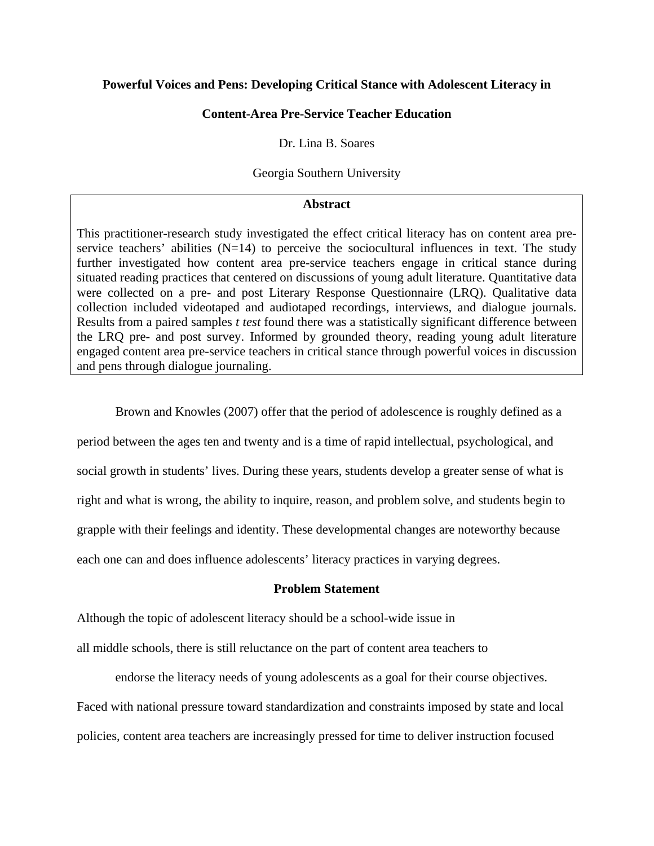## **Powerful Voices and Pens: Developing Critical Stance with Adolescent Literacy in**

## **Content-Area Pre-Service Teacher Education**

Dr. Lina B. Soares

## Georgia Southern University

### **Abstract**

This practitioner-research study investigated the effect critical literacy has on content area preservice teachers' abilities  $(N=14)$  to perceive the sociocultural influences in text. The study further investigated how content area pre-service teachers engage in critical stance during situated reading practices that centered on discussions of young adult literature. Quantitative data were collected on a pre- and post Literary Response Questionnaire (LRQ). Qualitative data collection included videotaped and audiotaped recordings, interviews, and dialogue journals. Results from a paired samples *t test* found there was a statistically significant difference between the LRQ pre- and post survey. Informed by grounded theory, reading young adult literature engaged content area pre-service teachers in critical stance through powerful voices in discussion and pens through dialogue journaling.

Brown and Knowles (2007) offer that the period of adolescence is roughly defined as a

period between the ages ten and twenty and is a time of rapid intellectual, psychological, and

social growth in students' lives. During these years, students develop a greater sense of what is

right and what is wrong, the ability to inquire, reason, and problem solve, and students begin to

grapple with their feelings and identity. These developmental changes are noteworthy because

each one can and does influence adolescents' literacy practices in varying degrees.

## **Problem Statement**

Although the topic of adolescent literacy should be a school-wide issue in

all middle schools, there is still reluctance on the part of content area teachers to

endorse the literacy needs of young adolescents as a goal for their course objectives. Faced with national pressure toward standardization and constraints imposed by state and local policies, content area teachers are increasingly pressed for time to deliver instruction focused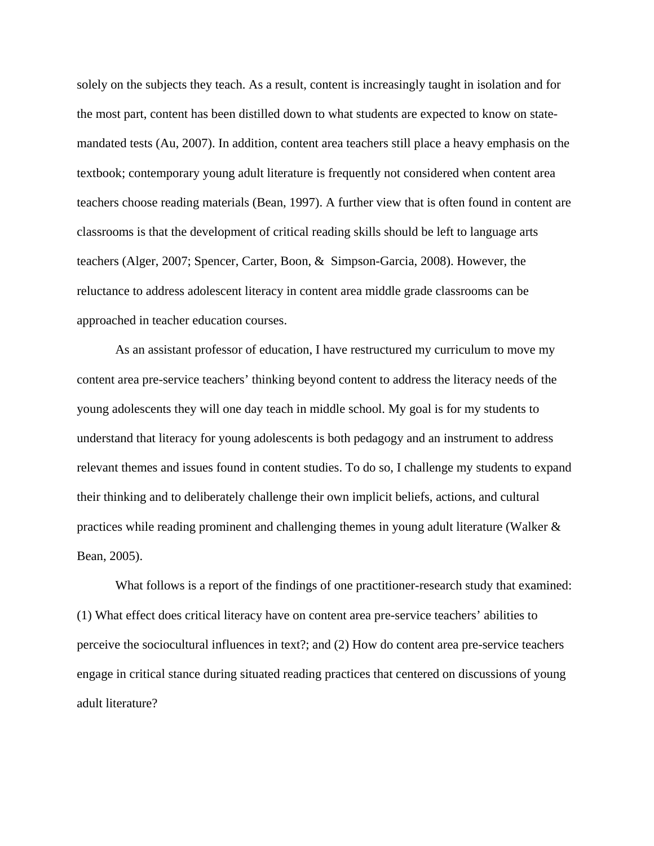solely on the subjects they teach. As a result, content is increasingly taught in isolation and for the most part, content has been distilled down to what students are expected to know on statemandated tests (Au, 2007). In addition, content area teachers still place a heavy emphasis on the textbook; contemporary young adult literature is frequently not considered when content area teachers choose reading materials (Bean, 1997). A further view that is often found in content are classrooms is that the development of critical reading skills should be left to language arts teachers (Alger, 2007; Spencer, Carter, Boon, & Simpson-Garcia, 2008). However, the reluctance to address adolescent literacy in content area middle grade classrooms can be approached in teacher education courses.

As an assistant professor of education, I have restructured my curriculum to move my content area pre-service teachers' thinking beyond content to address the literacy needs of the young adolescents they will one day teach in middle school. My goal is for my students to understand that literacy for young adolescents is both pedagogy and an instrument to address relevant themes and issues found in content studies. To do so, I challenge my students to expand their thinking and to deliberately challenge their own implicit beliefs, actions, and cultural practices while reading prominent and challenging themes in young adult literature (Walker & Bean, 2005).

What follows is a report of the findings of one practitioner-research study that examined: (1) What effect does critical literacy have on content area pre-service teachers' abilities to perceive the sociocultural influences in text?; and (2) How do content area pre-service teachers engage in critical stance during situated reading practices that centered on discussions of young adult literature?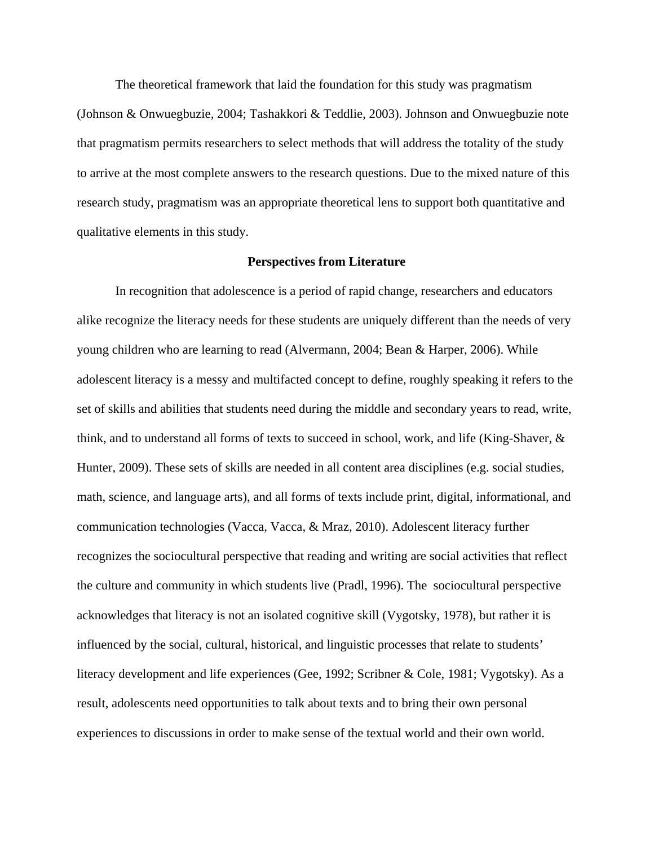The theoretical framework that laid the foundation for this study was pragmatism (Johnson & Onwuegbuzie, 2004; Tashakkori & Teddlie, 2003). Johnson and Onwuegbuzie note that pragmatism permits researchers to select methods that will address the totality of the study to arrive at the most complete answers to the research questions. Due to the mixed nature of this research study, pragmatism was an appropriate theoretical lens to support both quantitative and qualitative elements in this study.

#### **Perspectives from Literature**

In recognition that adolescence is a period of rapid change, researchers and educators alike recognize the literacy needs for these students are uniquely different than the needs of very young children who are learning to read (Alvermann, 2004; Bean & Harper, 2006). While adolescent literacy is a messy and multifacted concept to define, roughly speaking it refers to the set of skills and abilities that students need during the middle and secondary years to read, write, think, and to understand all forms of texts to succeed in school, work, and life (King-Shaver, & Hunter, 2009). These sets of skills are needed in all content area disciplines (e.g. social studies, math, science, and language arts), and all forms of texts include print, digital, informational, and communication technologies (Vacca, Vacca, & Mraz, 2010). Adolescent literacy further recognizes the sociocultural perspective that reading and writing are social activities that reflect the culture and community in which students live (Pradl, 1996). The sociocultural perspective acknowledges that literacy is not an isolated cognitive skill (Vygotsky, 1978), but rather it is influenced by the social, cultural, historical, and linguistic processes that relate to students' literacy development and life experiences (Gee, 1992; Scribner & Cole, 1981; Vygotsky). As a result, adolescents need opportunities to talk about texts and to bring their own personal experiences to discussions in order to make sense of the textual world and their own world.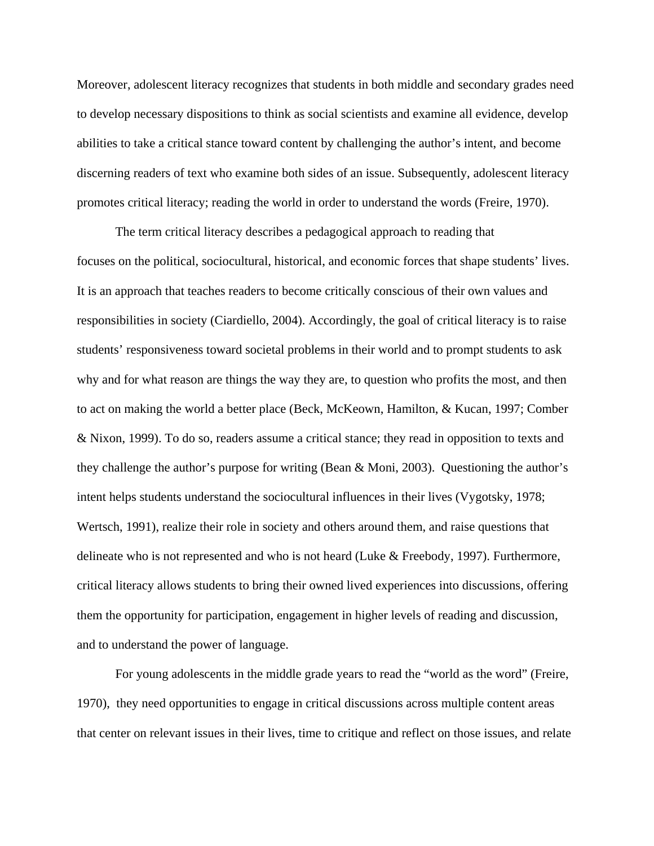Moreover, adolescent literacy recognizes that students in both middle and secondary grades need to develop necessary dispositions to think as social scientists and examine all evidence, develop abilities to take a critical stance toward content by challenging the author's intent, and become discerning readers of text who examine both sides of an issue. Subsequently, adolescent literacy promotes critical literacy; reading the world in order to understand the words (Freire, 1970).

The term critical literacy describes a pedagogical approach to reading that focuses on the political, sociocultural, historical, and economic forces that shape students' lives. It is an approach that teaches readers to become critically conscious of their own values and responsibilities in society (Ciardiello, 2004). Accordingly, the goal of critical literacy is to raise students' responsiveness toward societal problems in their world and to prompt students to ask why and for what reason are things the way they are, to question who profits the most, and then to act on making the world a better place (Beck, McKeown, Hamilton, & Kucan, 1997; Comber & Nixon, 1999). To do so, readers assume a critical stance; they read in opposition to texts and they challenge the author's purpose for writing (Bean & Moni, 2003). Questioning the author's intent helps students understand the sociocultural influences in their lives (Vygotsky, 1978; Wertsch, 1991), realize their role in society and others around them, and raise questions that delineate who is not represented and who is not heard (Luke & Freebody, 1997). Furthermore, critical literacy allows students to bring their owned lived experiences into discussions, offering them the opportunity for participation, engagement in higher levels of reading and discussion, and to understand the power of language.

For young adolescents in the middle grade years to read the "world as the word" (Freire, 1970), they need opportunities to engage in critical discussions across multiple content areas that center on relevant issues in their lives, time to critique and reflect on those issues, and relate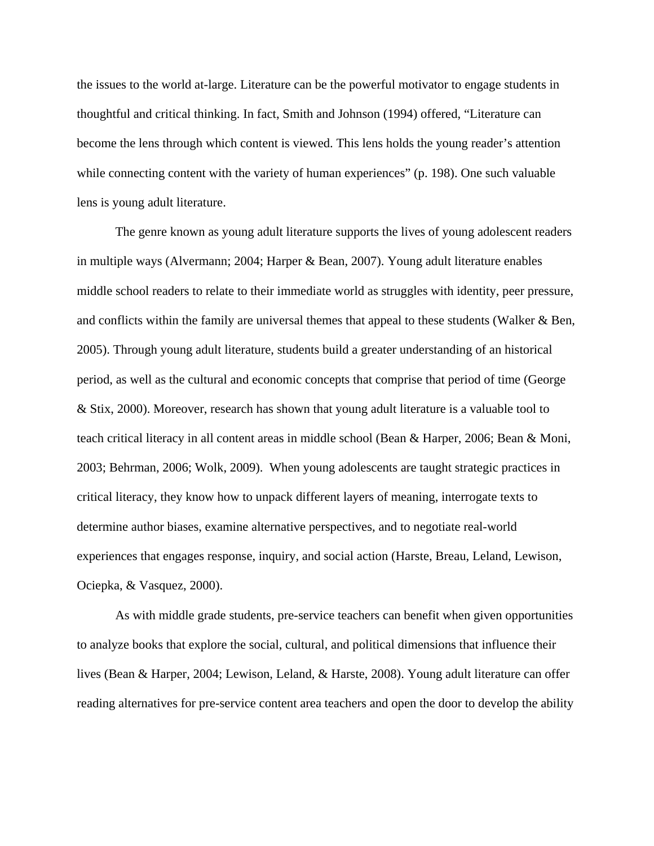the issues to the world at-large. Literature can be the powerful motivator to engage students in thoughtful and critical thinking. In fact, Smith and Johnson (1994) offered, "Literature can become the lens through which content is viewed. This lens holds the young reader's attention while connecting content with the variety of human experiences" (p. 198). One such valuable lens is young adult literature.

The genre known as young adult literature supports the lives of young adolescent readers in multiple ways (Alvermann; 2004; Harper & Bean, 2007). Young adult literature enables middle school readers to relate to their immediate world as struggles with identity, peer pressure, and conflicts within the family are universal themes that appeal to these students (Walker & Ben, 2005). Through young adult literature, students build a greater understanding of an historical period, as well as the cultural and economic concepts that comprise that period of time (George & Stix, 2000). Moreover, research has shown that young adult literature is a valuable tool to teach critical literacy in all content areas in middle school (Bean & Harper, 2006; Bean & Moni, 2003; Behrman, 2006; Wolk, 2009). When young adolescents are taught strategic practices in critical literacy, they know how to unpack different layers of meaning, interrogate texts to determine author biases, examine alternative perspectives, and to negotiate real-world experiences that engages response, inquiry, and social action (Harste, Breau, Leland, Lewison, Ociepka, & Vasquez, 2000).

As with middle grade students, pre-service teachers can benefit when given opportunities to analyze books that explore the social, cultural, and political dimensions that influence their lives (Bean & Harper, 2004; Lewison, Leland, & Harste, 2008). Young adult literature can offer reading alternatives for pre-service content area teachers and open the door to develop the ability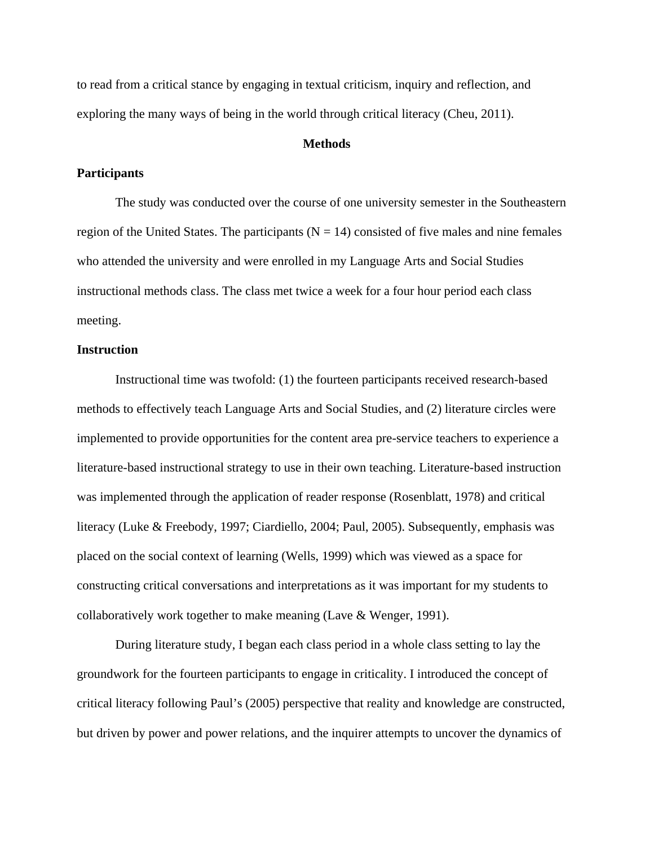to read from a critical stance by engaging in textual criticism, inquiry and reflection, and exploring the many ways of being in the world through critical literacy (Cheu, 2011).

## **Methods**

## **Participants**

The study was conducted over the course of one university semester in the Southeastern region of the United States. The participants ( $N = 14$ ) consisted of five males and nine females who attended the university and were enrolled in my Language Arts and Social Studies instructional methods class. The class met twice a week for a four hour period each class meeting.

## **Instruction**

Instructional time was twofold: (1) the fourteen participants received research-based methods to effectively teach Language Arts and Social Studies, and (2) literature circles were implemented to provide opportunities for the content area pre-service teachers to experience a literature-based instructional strategy to use in their own teaching. Literature-based instruction was implemented through the application of reader response (Rosenblatt, 1978) and critical literacy (Luke & Freebody, 1997; Ciardiello, 2004; Paul, 2005). Subsequently, emphasis was placed on the social context of learning (Wells, 1999) which was viewed as a space for constructing critical conversations and interpretations as it was important for my students to collaboratively work together to make meaning (Lave & Wenger, 1991).

During literature study, I began each class period in a whole class setting to lay the groundwork for the fourteen participants to engage in criticality. I introduced the concept of critical literacy following Paul's (2005) perspective that reality and knowledge are constructed, but driven by power and power relations, and the inquirer attempts to uncover the dynamics of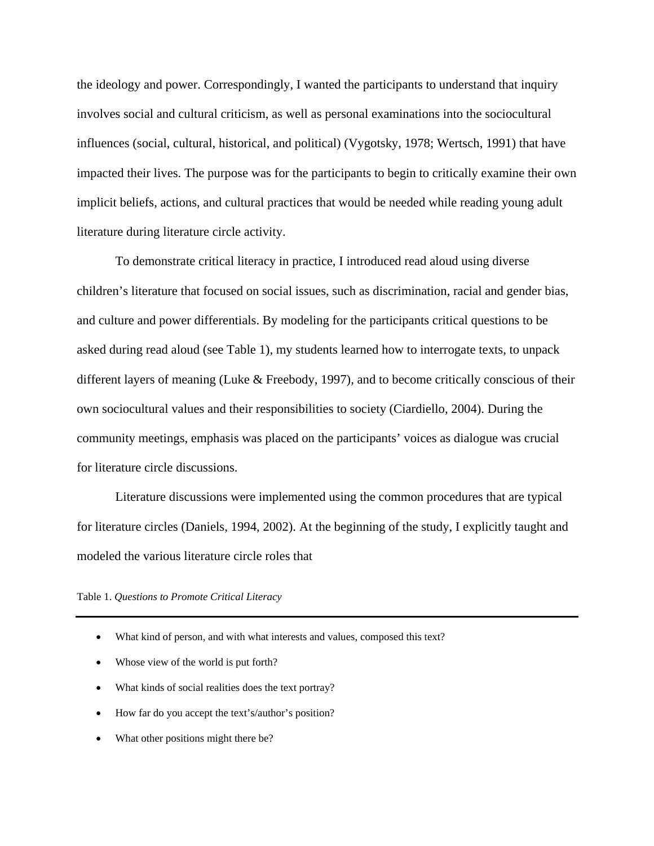the ideology and power. Correspondingly, I wanted the participants to understand that inquiry involves social and cultural criticism, as well as personal examinations into the sociocultural influences (social, cultural, historical, and political) (Vygotsky, 1978; Wertsch, 1991) that have impacted their lives. The purpose was for the participants to begin to critically examine their own implicit beliefs, actions, and cultural practices that would be needed while reading young adult literature during literature circle activity.

To demonstrate critical literacy in practice, I introduced read aloud using diverse children's literature that focused on social issues, such as discrimination, racial and gender bias, and culture and power differentials. By modeling for the participants critical questions to be asked during read aloud (see Table 1), my students learned how to interrogate texts, to unpack different layers of meaning (Luke & Freebody, 1997), and to become critically conscious of their own sociocultural values and their responsibilities to society (Ciardiello, 2004). During the community meetings, emphasis was placed on the participants' voices as dialogue was crucial for literature circle discussions.

Literature discussions were implemented using the common procedures that are typical for literature circles (Daniels, 1994, 2002). At the beginning of the study, I explicitly taught and modeled the various literature circle roles that

#### Table 1. *Questions to Promote Critical Literacy*

- What kind of person, and with what interests and values, composed this text?
- Whose view of the world is put forth?
- What kinds of social realities does the text portray?
- How far do you accept the text's/author's position?
- What other positions might there be?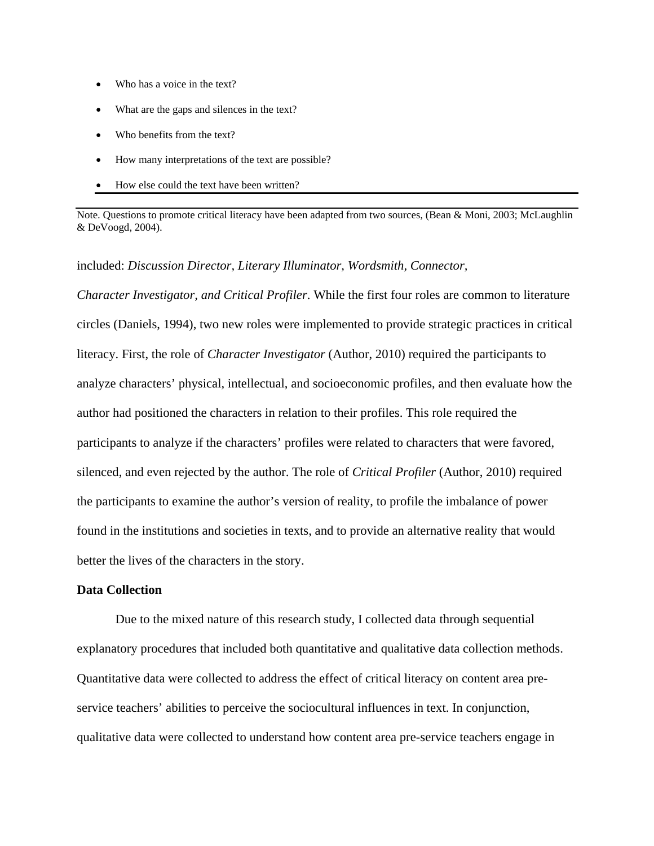- Who has a voice in the text?
- What are the gaps and silences in the text?
- Who benefits from the text?
- How many interpretations of the text are possible?
- How else could the text have been written?

Note. Questions to promote critical literacy have been adapted from two sources, (Bean & Moni, 2003; McLaughlin & DeVoogd, 2004).

## included: *Discussion Director, Literary Illuminator, Wordsmith, Connector,*

*Character Investigator, and Critical Profiler*. While the first four roles are common to literature circles (Daniels, 1994), two new roles were implemented to provide strategic practices in critical literacy. First, the role of *Character Investigator* (Author, 2010) required the participants to analyze characters' physical, intellectual, and socioeconomic profiles, and then evaluate how the author had positioned the characters in relation to their profiles. This role required the participants to analyze if the characters' profiles were related to characters that were favored, silenced, and even rejected by the author. The role of *Critical Profiler* (Author, 2010) required the participants to examine the author's version of reality, to profile the imbalance of power found in the institutions and societies in texts, and to provide an alternative reality that would better the lives of the characters in the story.

## **Data Collection**

Due to the mixed nature of this research study, I collected data through sequential explanatory procedures that included both quantitative and qualitative data collection methods. Quantitative data were collected to address the effect of critical literacy on content area preservice teachers' abilities to perceive the sociocultural influences in text. In conjunction, qualitative data were collected to understand how content area pre-service teachers engage in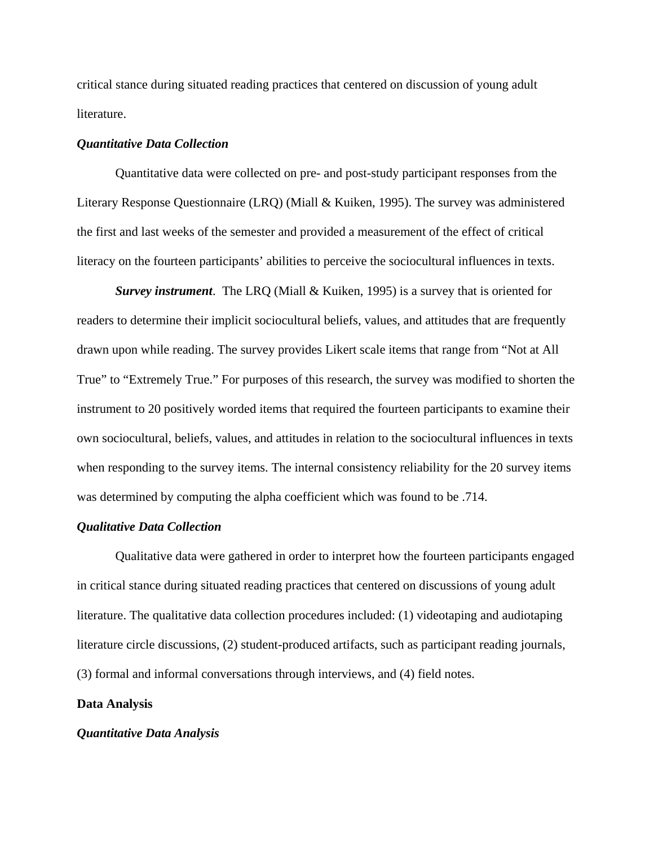critical stance during situated reading practices that centered on discussion of young adult literature.

## *Quantitative Data Collection*

Quantitative data were collected on pre- and post-study participant responses from the Literary Response Questionnaire (LRQ) (Miall & Kuiken, 1995). The survey was administered the first and last weeks of the semester and provided a measurement of the effect of critical literacy on the fourteen participants' abilities to perceive the sociocultural influences in texts.

*Survey instrument*. The LRQ (Miall & Kuiken, 1995) is a survey that is oriented for readers to determine their implicit sociocultural beliefs, values, and attitudes that are frequently drawn upon while reading. The survey provides Likert scale items that range from "Not at All True" to "Extremely True." For purposes of this research, the survey was modified to shorten the instrument to 20 positively worded items that required the fourteen participants to examine their own sociocultural, beliefs, values, and attitudes in relation to the sociocultural influences in texts when responding to the survey items. The internal consistency reliability for the 20 survey items was determined by computing the alpha coefficient which was found to be .714.

## *Qualitative Data Collection*

Qualitative data were gathered in order to interpret how the fourteen participants engaged in critical stance during situated reading practices that centered on discussions of young adult literature. The qualitative data collection procedures included: (1) videotaping and audiotaping literature circle discussions, (2) student-produced artifacts, such as participant reading journals, (3) formal and informal conversations through interviews, and (4) field notes.

## **Data Analysis**

#### *Quantitative Data Analysis*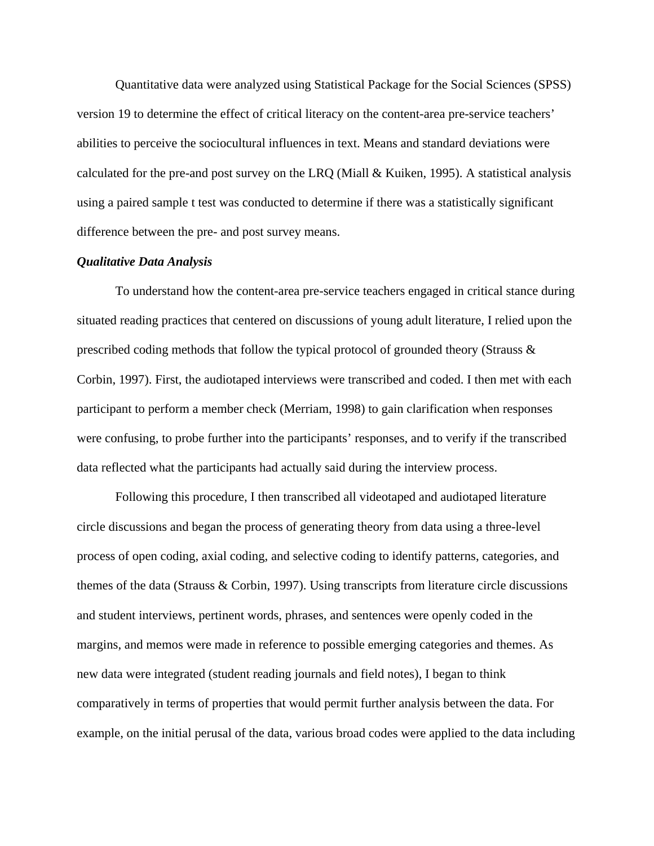Quantitative data were analyzed using Statistical Package for the Social Sciences (SPSS) version 19 to determine the effect of critical literacy on the content-area pre-service teachers' abilities to perceive the sociocultural influences in text. Means and standard deviations were calculated for the pre-and post survey on the LRQ (Miall & Kuiken, 1995). A statistical analysis using a paired sample t test was conducted to determine if there was a statistically significant difference between the pre- and post survey means.

## *Qualitative Data Analysis*

To understand how the content-area pre-service teachers engaged in critical stance during situated reading practices that centered on discussions of young adult literature, I relied upon the prescribed coding methods that follow the typical protocol of grounded theory (Strauss  $\&$ Corbin, 1997). First, the audiotaped interviews were transcribed and coded. I then met with each participant to perform a member check (Merriam, 1998) to gain clarification when responses were confusing, to probe further into the participants' responses, and to verify if the transcribed data reflected what the participants had actually said during the interview process.

Following this procedure, I then transcribed all videotaped and audiotaped literature circle discussions and began the process of generating theory from data using a three-level process of open coding, axial coding, and selective coding to identify patterns, categories, and themes of the data (Strauss & Corbin, 1997). Using transcripts from literature circle discussions and student interviews, pertinent words, phrases, and sentences were openly coded in the margins, and memos were made in reference to possible emerging categories and themes. As new data were integrated (student reading journals and field notes), I began to think comparatively in terms of properties that would permit further analysis between the data. For example, on the initial perusal of the data, various broad codes were applied to the data including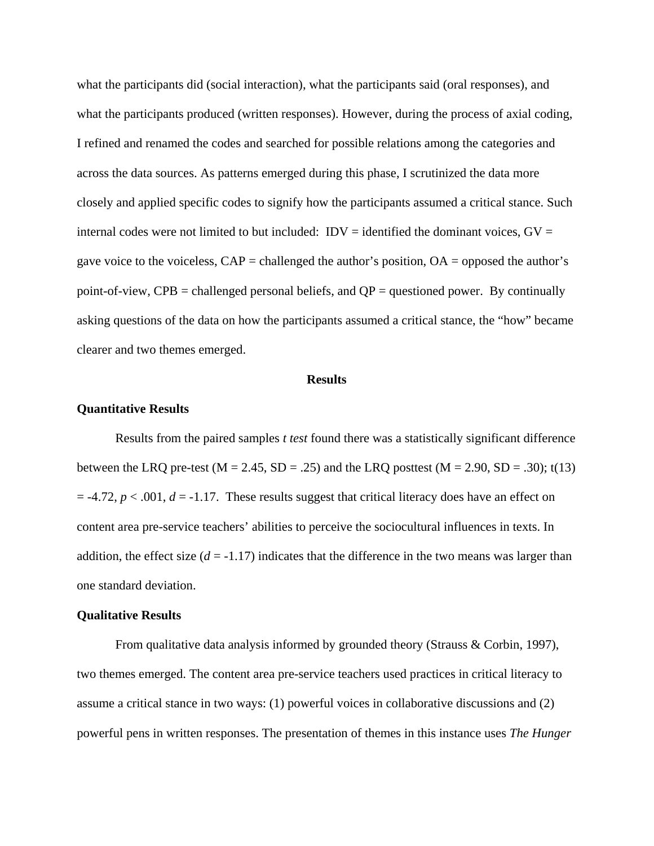what the participants did (social interaction), what the participants said (oral responses), and what the participants produced (written responses). However, during the process of axial coding, I refined and renamed the codes and searched for possible relations among the categories and across the data sources. As patterns emerged during this phase, I scrutinized the data more closely and applied specific codes to signify how the participants assumed a critical stance. Such internal codes were not limited to but included:  $IDV =$  identified the dominant voices,  $GV =$ gave voice to the voiceless,  $CAP =$  challenged the author's position,  $OA =$  opposed the author's point-of-view,  $CPB =$  challenged personal beliefs, and  $QP =$  questioned power. By continually asking questions of the data on how the participants assumed a critical stance, the "how" became clearer and two themes emerged.

#### **Results**

#### **Quantitative Results**

Results from the paired samples *t test* found there was a statistically significant difference between the LRQ pre-test ( $M = 2.45$ ,  $SD = .25$ ) and the LRQ posttest ( $M = 2.90$ ,  $SD = .30$ ); t(13)  $=$  -4.72,  $p < .001$ ,  $d = -1.17$ . These results suggest that critical literacy does have an effect on content area pre-service teachers' abilities to perceive the sociocultural influences in texts. In addition, the effect size  $(d = -1.17)$  indicates that the difference in the two means was larger than one standard deviation.

#### **Qualitative Results**

From qualitative data analysis informed by grounded theory (Strauss & Corbin, 1997), two themes emerged. The content area pre-service teachers used practices in critical literacy to assume a critical stance in two ways: (1) powerful voices in collaborative discussions and (2) powerful pens in written responses. The presentation of themes in this instance uses *The Hunger*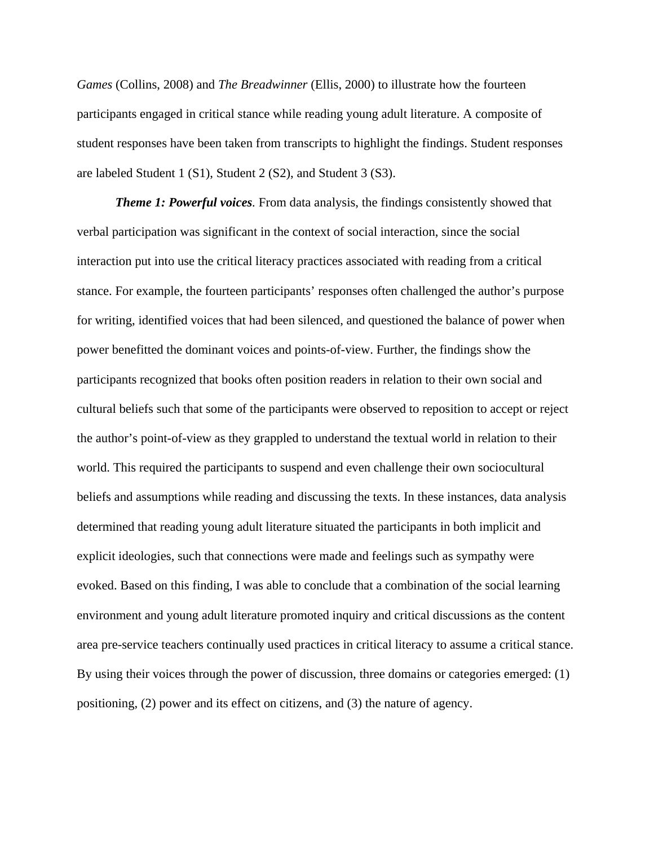*Games* (Collins, 2008) and *The Breadwinner* (Ellis, 2000) to illustrate how the fourteen participants engaged in critical stance while reading young adult literature. A composite of student responses have been taken from transcripts to highlight the findings. Student responses are labeled Student 1 (S1), Student 2 (S2), and Student 3 (S3).

*Theme 1: Powerful voices.* From data analysis, the findings consistently showed that verbal participation was significant in the context of social interaction, since the social interaction put into use the critical literacy practices associated with reading from a critical stance. For example, the fourteen participants' responses often challenged the author's purpose for writing, identified voices that had been silenced, and questioned the balance of power when power benefitted the dominant voices and points-of-view. Further, the findings show the participants recognized that books often position readers in relation to their own social and cultural beliefs such that some of the participants were observed to reposition to accept or reject the author's point-of-view as they grappled to understand the textual world in relation to their world. This required the participants to suspend and even challenge their own sociocultural beliefs and assumptions while reading and discussing the texts. In these instances, data analysis determined that reading young adult literature situated the participants in both implicit and explicit ideologies, such that connections were made and feelings such as sympathy were evoked. Based on this finding, I was able to conclude that a combination of the social learning environment and young adult literature promoted inquiry and critical discussions as the content area pre-service teachers continually used practices in critical literacy to assume a critical stance. By using their voices through the power of discussion, three domains or categories emerged: (1) positioning, (2) power and its effect on citizens, and (3) the nature of agency.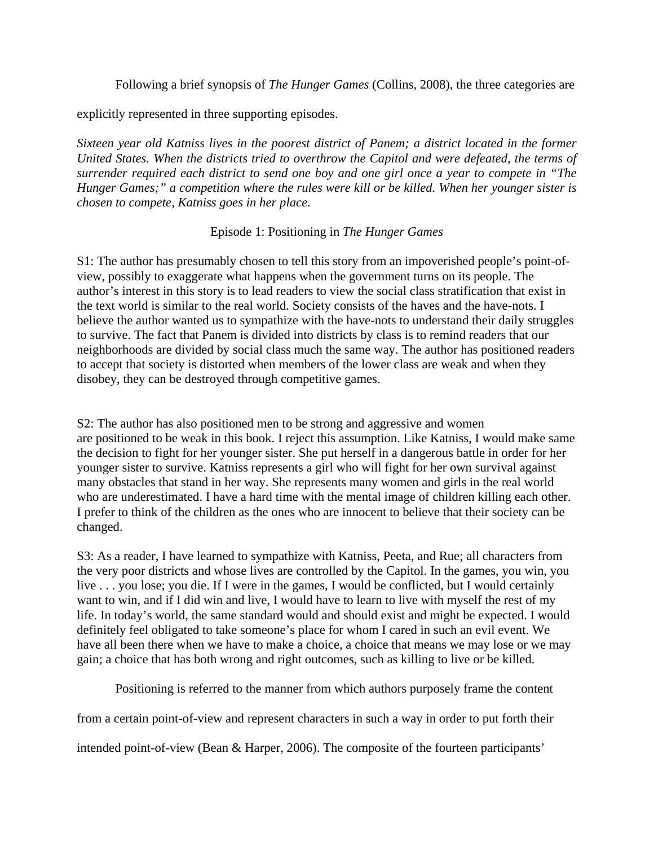Following a brief synopsis of *The Hunger Games* (Collins, 2008), the three categories are

explicitly represented in three supporting episodes.

*Sixteen year old Katniss lives in the poorest district of Panem; a district located in the former United States. When the districts tried to overthrow the Capitol and were defeated, the terms of surrender required each district to send one boy and one girl once a year to compete in "The Hunger Games;" a competition where the rules were kill or be killed. When her younger sister is chosen to compete, Katniss goes in her place.* 

# Episode 1: Positioning in *The Hunger Games*

S1: The author has presumably chosen to tell this story from an impoverished people's point-ofview, possibly to exaggerate what happens when the government turns on its people. The author's interest in this story is to lead readers to view the social class stratification that exist in the text world is similar to the real world. Society consists of the haves and the have-nots. I believe the author wanted us to sympathize with the have-nots to understand their daily struggles to survive. The fact that Panem is divided into districts by class is to remind readers that our neighborhoods are divided by social class much the same way. The author has positioned readers to accept that society is distorted when members of the lower class are weak and when they disobey, they can be destroyed through competitive games.

S2: The author has also positioned men to be strong and aggressive and women are positioned to be weak in this book. I reject this assumption. Like Katniss, I would make same the decision to fight for her younger sister. She put herself in a dangerous battle in order for her younger sister to survive. Katniss represents a girl who will fight for her own survival against many obstacles that stand in her way. She represents many women and girls in the real world who are underestimated. I have a hard time with the mental image of children killing each other. I prefer to think of the children as the ones who are innocent to believe that their society can be changed.

S3: As a reader, I have learned to sympathize with Katniss, Peeta, and Rue; all characters from the very poor districts and whose lives are controlled by the Capitol. In the games, you win, you live . . . you lose; you die. If I were in the games, I would be conflicted, but I would certainly want to win, and if I did win and live, I would have to learn to live with myself the rest of my life. In today's world, the same standard would and should exist and might be expected. I would definitely feel obligated to take someone's place for whom I cared in such an evil event. We have all been there when we have to make a choice, a choice that means we may lose or we may gain; a choice that has both wrong and right outcomes, such as killing to live or be killed.

Positioning is referred to the manner from which authors purposely frame the content

from a certain point-of-view and represent characters in such a way in order to put forth their

intended point-of-view (Bean & Harper, 2006). The composite of the fourteen participants'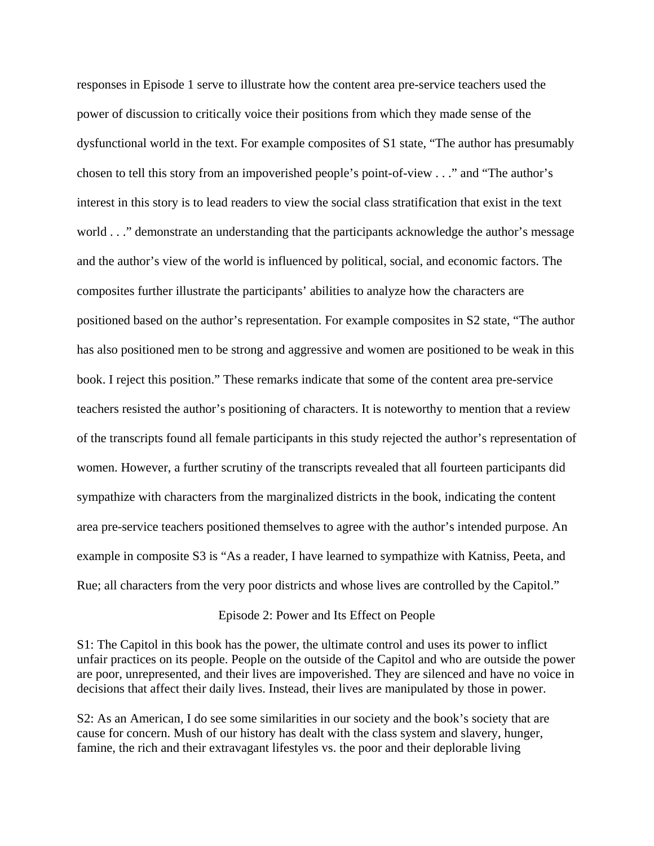responses in Episode 1 serve to illustrate how the content area pre-service teachers used the power of discussion to critically voice their positions from which they made sense of the dysfunctional world in the text. For example composites of S1 state, "The author has presumably chosen to tell this story from an impoverished people's point-of-view . . ." and "The author's interest in this story is to lead readers to view the social class stratification that exist in the text world . . ." demonstrate an understanding that the participants acknowledge the author's message and the author's view of the world is influenced by political, social, and economic factors. The composites further illustrate the participants' abilities to analyze how the characters are positioned based on the author's representation. For example composites in S2 state, "The author has also positioned men to be strong and aggressive and women are positioned to be weak in this book. I reject this position." These remarks indicate that some of the content area pre-service teachers resisted the author's positioning of characters. It is noteworthy to mention that a review of the transcripts found all female participants in this study rejected the author's representation of women. However, a further scrutiny of the transcripts revealed that all fourteen participants did sympathize with characters from the marginalized districts in the book, indicating the content area pre-service teachers positioned themselves to agree with the author's intended purpose. An example in composite S3 is "As a reader, I have learned to sympathize with Katniss, Peeta, and Rue; all characters from the very poor districts and whose lives are controlled by the Capitol."

#### Episode 2: Power and Its Effect on People

S1: The Capitol in this book has the power, the ultimate control and uses its power to inflict unfair practices on its people. People on the outside of the Capitol and who are outside the power are poor, unrepresented, and their lives are impoverished. They are silenced and have no voice in decisions that affect their daily lives. Instead, their lives are manipulated by those in power.

S2: As an American, I do see some similarities in our society and the book's society that are cause for concern. Mush of our history has dealt with the class system and slavery, hunger, famine, the rich and their extravagant lifestyles vs. the poor and their deplorable living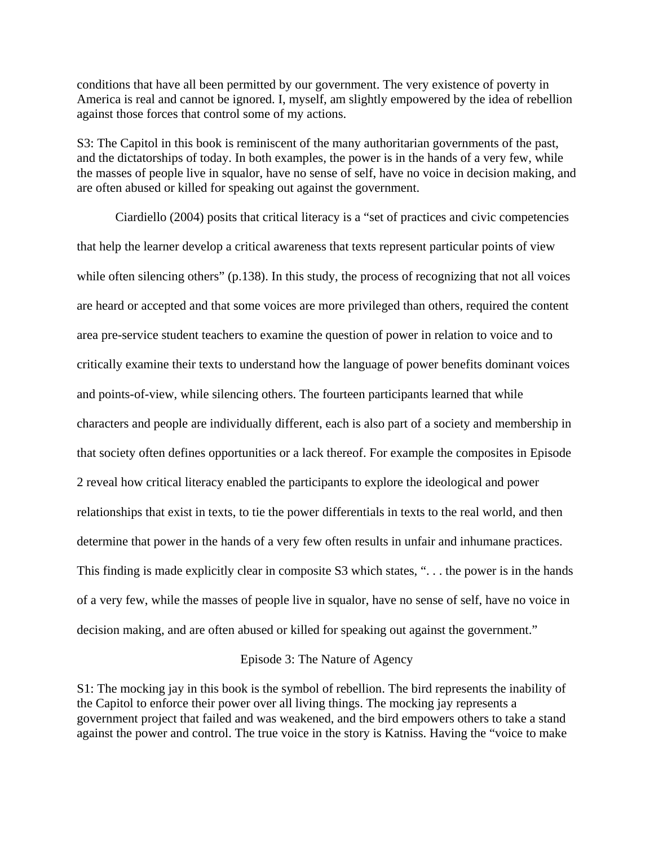conditions that have all been permitted by our government. The very existence of poverty in America is real and cannot be ignored. I, myself, am slightly empowered by the idea of rebellion against those forces that control some of my actions.

S3: The Capitol in this book is reminiscent of the many authoritarian governments of the past, and the dictatorships of today. In both examples, the power is in the hands of a very few, while the masses of people live in squalor, have no sense of self, have no voice in decision making, and are often abused or killed for speaking out against the government.

Ciardiello (2004) posits that critical literacy is a "set of practices and civic competencies that help the learner develop a critical awareness that texts represent particular points of view while often silencing others" (p.138). In this study, the process of recognizing that not all voices are heard or accepted and that some voices are more privileged than others, required the content area pre-service student teachers to examine the question of power in relation to voice and to critically examine their texts to understand how the language of power benefits dominant voices and points-of-view, while silencing others. The fourteen participants learned that while characters and people are individually different, each is also part of a society and membership in that society often defines opportunities or a lack thereof. For example the composites in Episode 2 reveal how critical literacy enabled the participants to explore the ideological and power relationships that exist in texts, to tie the power differentials in texts to the real world, and then determine that power in the hands of a very few often results in unfair and inhumane practices. This finding is made explicitly clear in composite S3 which states, "... the power is in the hands of a very few, while the masses of people live in squalor, have no sense of self, have no voice in decision making, and are often abused or killed for speaking out against the government."

## Episode 3: The Nature of Agency

S1: The mocking jay in this book is the symbol of rebellion. The bird represents the inability of the Capitol to enforce their power over all living things. The mocking jay represents a government project that failed and was weakened, and the bird empowers others to take a stand against the power and control. The true voice in the story is Katniss. Having the "voice to make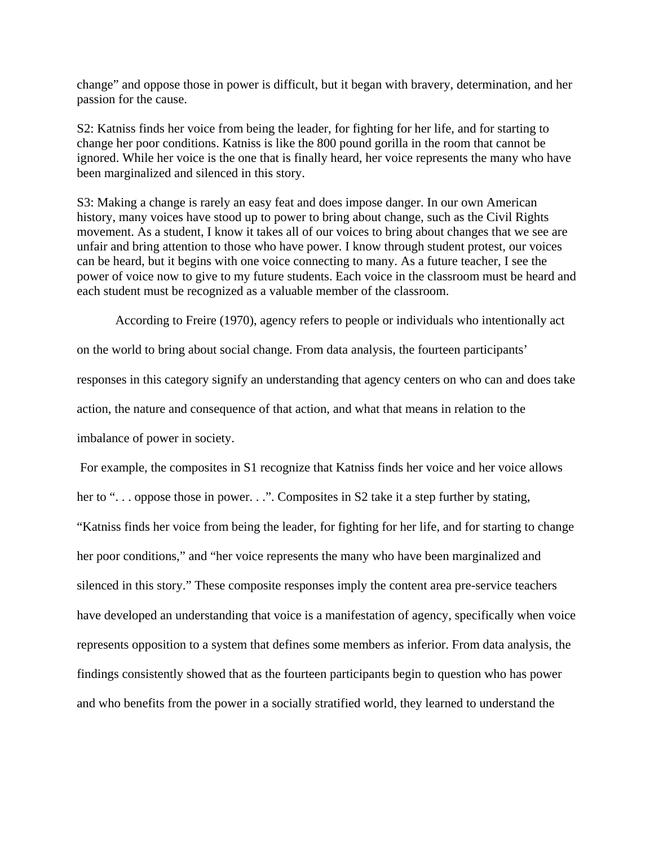change" and oppose those in power is difficult, but it began with bravery, determination, and her passion for the cause.

S2: Katniss finds her voice from being the leader, for fighting for her life, and for starting to change her poor conditions. Katniss is like the 800 pound gorilla in the room that cannot be ignored. While her voice is the one that is finally heard, her voice represents the many who have been marginalized and silenced in this story.

S3: Making a change is rarely an easy feat and does impose danger. In our own American history, many voices have stood up to power to bring about change, such as the Civil Rights movement. As a student, I know it takes all of our voices to bring about changes that we see are unfair and bring attention to those who have power. I know through student protest, our voices can be heard, but it begins with one voice connecting to many. As a future teacher, I see the power of voice now to give to my future students. Each voice in the classroom must be heard and each student must be recognized as a valuable member of the classroom.

According to Freire (1970), agency refers to people or individuals who intentionally act

on the world to bring about social change. From data analysis, the fourteen participants' responses in this category signify an understanding that agency centers on who can and does take action, the nature and consequence of that action, and what that means in relation to the imbalance of power in society.

 For example, the composites in S1 recognize that Katniss finds her voice and her voice allows her to "... oppose those in power...". Composites in S2 take it a step further by stating, "Katniss finds her voice from being the leader, for fighting for her life, and for starting to change her poor conditions," and "her voice represents the many who have been marginalized and silenced in this story." These composite responses imply the content area pre-service teachers have developed an understanding that voice is a manifestation of agency, specifically when voice represents opposition to a system that defines some members as inferior. From data analysis, the findings consistently showed that as the fourteen participants begin to question who has power and who benefits from the power in a socially stratified world, they learned to understand the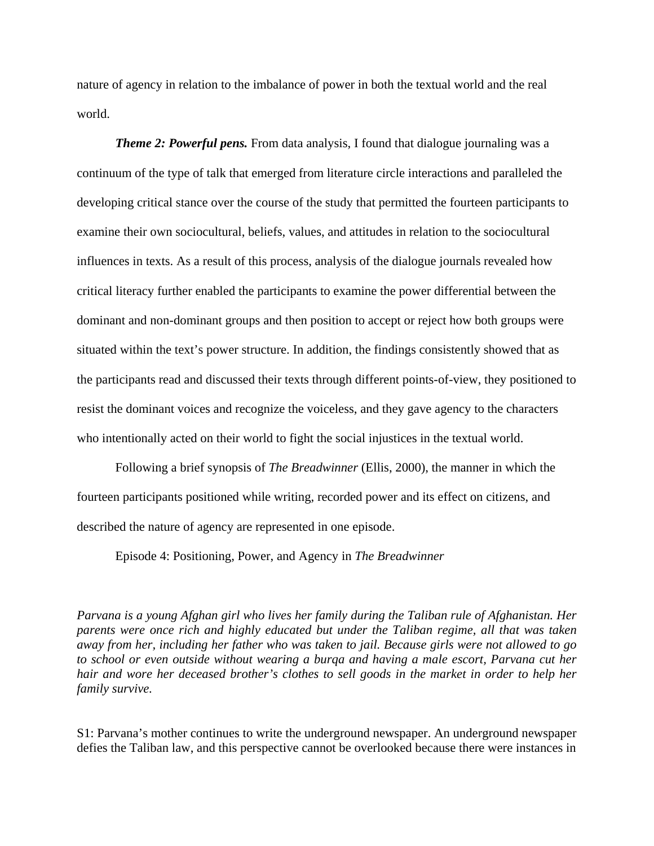nature of agency in relation to the imbalance of power in both the textual world and the real world.

*Theme 2: Powerful pens.* From data analysis, I found that dialogue journaling was a continuum of the type of talk that emerged from literature circle interactions and paralleled the developing critical stance over the course of the study that permitted the fourteen participants to examine their own sociocultural, beliefs, values, and attitudes in relation to the sociocultural influences in texts. As a result of this process, analysis of the dialogue journals revealed how critical literacy further enabled the participants to examine the power differential between the dominant and non-dominant groups and then position to accept or reject how both groups were situated within the text's power structure. In addition, the findings consistently showed that as the participants read and discussed their texts through different points-of-view, they positioned to resist the dominant voices and recognize the voiceless, and they gave agency to the characters who intentionally acted on their world to fight the social injustices in the textual world.

Following a brief synopsis of *The Breadwinner* (Ellis, 2000), the manner in which the fourteen participants positioned while writing, recorded power and its effect on citizens, and described the nature of agency are represented in one episode.

Episode 4: Positioning, Power, and Agency in *The Breadwinner* 

*Parvana is a young Afghan girl who lives her family during the Taliban rule of Afghanistan. Her parents were once rich and highly educated but under the Taliban regime, all that was taken away from her, including her father who was taken to jail. Because girls were not allowed to go to school or even outside without wearing a burqa and having a male escort, Parvana cut her hair and wore her deceased brother's clothes to sell goods in the market in order to help her family survive.* 

S1: Parvana's mother continues to write the underground newspaper. An underground newspaper defies the Taliban law, and this perspective cannot be overlooked because there were instances in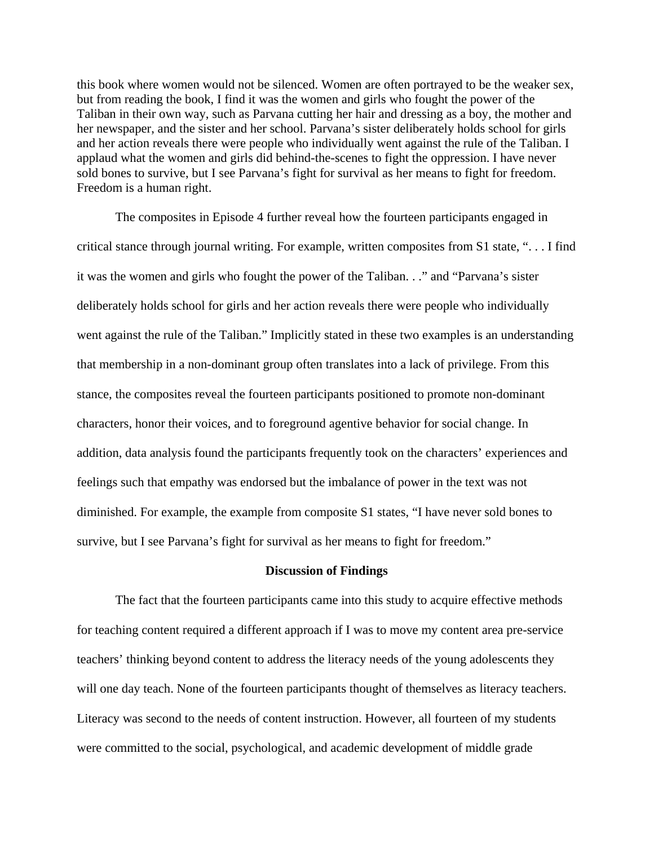this book where women would not be silenced. Women are often portrayed to be the weaker sex, but from reading the book, I find it was the women and girls who fought the power of the Taliban in their own way, such as Parvana cutting her hair and dressing as a boy, the mother and her newspaper, and the sister and her school. Parvana's sister deliberately holds school for girls and her action reveals there were people who individually went against the rule of the Taliban. I applaud what the women and girls did behind-the-scenes to fight the oppression. I have never sold bones to survive, but I see Parvana's fight for survival as her means to fight for freedom. Freedom is a human right.

The composites in Episode 4 further reveal how the fourteen participants engaged in critical stance through journal writing. For example, written composites from S1 state, ". . . I find it was the women and girls who fought the power of the Taliban. . ." and "Parvana's sister deliberately holds school for girls and her action reveals there were people who individually went against the rule of the Taliban." Implicitly stated in these two examples is an understanding that membership in a non-dominant group often translates into a lack of privilege. From this stance, the composites reveal the fourteen participants positioned to promote non-dominant characters, honor their voices, and to foreground agentive behavior for social change. In addition, data analysis found the participants frequently took on the characters' experiences and feelings such that empathy was endorsed but the imbalance of power in the text was not diminished. For example, the example from composite S1 states, "I have never sold bones to survive, but I see Parvana's fight for survival as her means to fight for freedom."

#### **Discussion of Findings**

The fact that the fourteen participants came into this study to acquire effective methods for teaching content required a different approach if I was to move my content area pre-service teachers' thinking beyond content to address the literacy needs of the young adolescents they will one day teach. None of the fourteen participants thought of themselves as literacy teachers. Literacy was second to the needs of content instruction. However, all fourteen of my students were committed to the social, psychological, and academic development of middle grade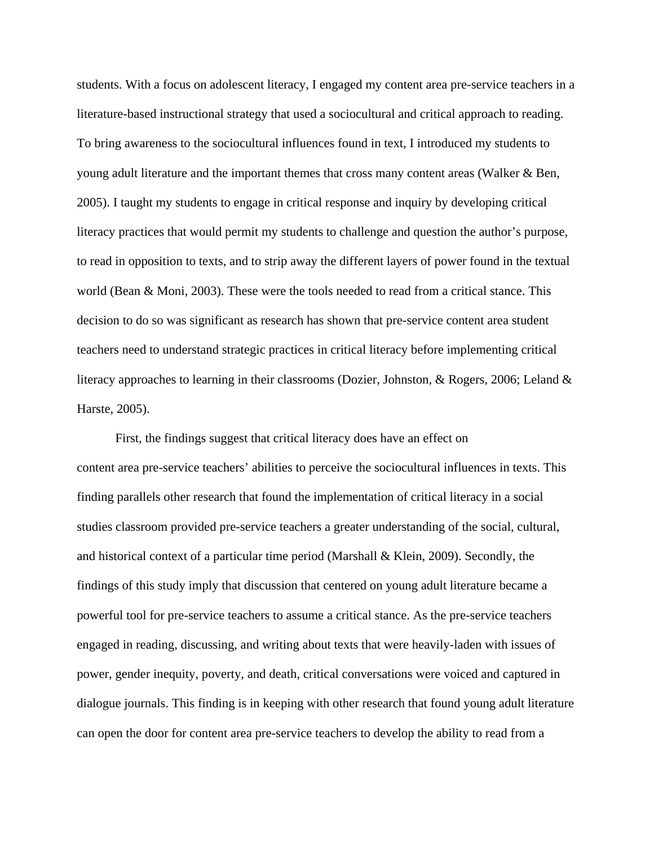students. With a focus on adolescent literacy, I engaged my content area pre-service teachers in a literature-based instructional strategy that used a sociocultural and critical approach to reading. To bring awareness to the sociocultural influences found in text, I introduced my students to young adult literature and the important themes that cross many content areas (Walker & Ben, 2005). I taught my students to engage in critical response and inquiry by developing critical literacy practices that would permit my students to challenge and question the author's purpose, to read in opposition to texts, and to strip away the different layers of power found in the textual world (Bean & Moni, 2003). These were the tools needed to read from a critical stance. This decision to do so was significant as research has shown that pre-service content area student teachers need to understand strategic practices in critical literacy before implementing critical literacy approaches to learning in their classrooms (Dozier, Johnston, & Rogers, 2006; Leland & Harste, 2005).

First, the findings suggest that critical literacy does have an effect on content area pre-service teachers' abilities to perceive the sociocultural influences in texts. This finding parallels other research that found the implementation of critical literacy in a social studies classroom provided pre-service teachers a greater understanding of the social, cultural, and historical context of a particular time period (Marshall & Klein, 2009). Secondly, the findings of this study imply that discussion that centered on young adult literature became a powerful tool for pre-service teachers to assume a critical stance. As the pre-service teachers engaged in reading, discussing, and writing about texts that were heavily-laden with issues of power, gender inequity, poverty, and death, critical conversations were voiced and captured in dialogue journals. This finding is in keeping with other research that found young adult literature can open the door for content area pre-service teachers to develop the ability to read from a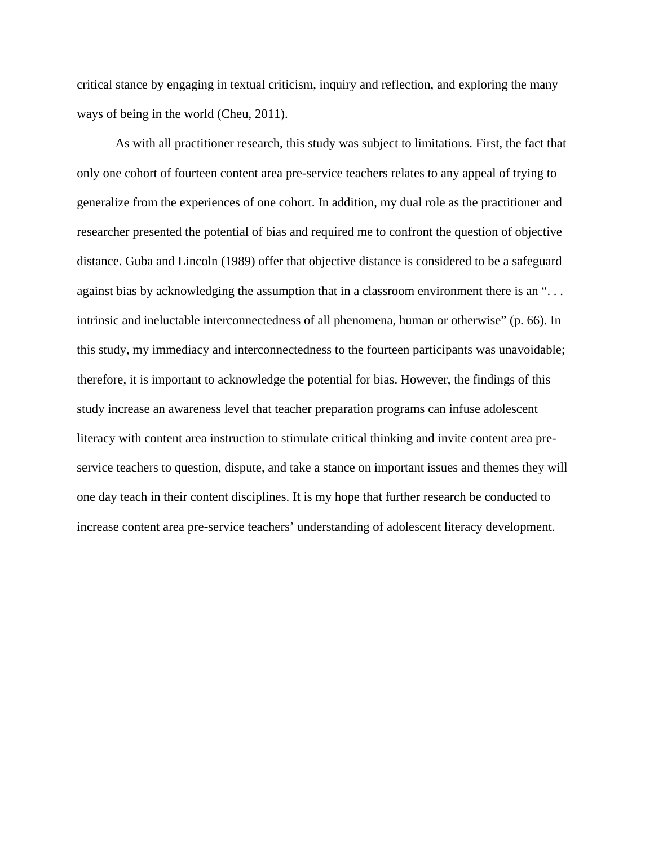critical stance by engaging in textual criticism, inquiry and reflection, and exploring the many ways of being in the world (Cheu, 2011).

As with all practitioner research, this study was subject to limitations. First, the fact that only one cohort of fourteen content area pre-service teachers relates to any appeal of trying to generalize from the experiences of one cohort. In addition, my dual role as the practitioner and researcher presented the potential of bias and required me to confront the question of objective distance. Guba and Lincoln (1989) offer that objective distance is considered to be a safeguard against bias by acknowledging the assumption that in a classroom environment there is an "... intrinsic and ineluctable interconnectedness of all phenomena, human or otherwise" (p. 66). In this study, my immediacy and interconnectedness to the fourteen participants was unavoidable; therefore, it is important to acknowledge the potential for bias. However, the findings of this study increase an awareness level that teacher preparation programs can infuse adolescent literacy with content area instruction to stimulate critical thinking and invite content area preservice teachers to question, dispute, and take a stance on important issues and themes they will one day teach in their content disciplines. It is my hope that further research be conducted to increase content area pre-service teachers' understanding of adolescent literacy development.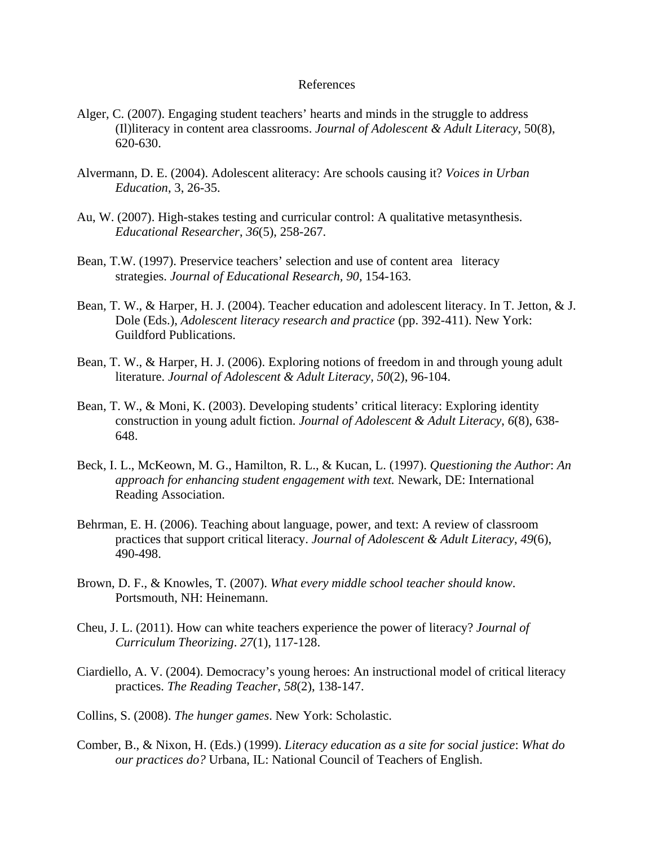## References

- Alger, C. (2007). Engaging student teachers' hearts and minds in the struggle to address (Il)literacy in content area classrooms. *Journal of Adolescent & Adult Literacy*, 50(8), 620-630.
- Alvermann, D. E. (2004). Adolescent aliteracy: Are schools causing it? *Voices in Urban Education*, 3, 26-35.
- Au, W. (2007). High-stakes testing and curricular control: A qualitative metasynthesis. *Educational Researcher*, *36*(5), 258-267.
- Bean, T.W. (1997). Preservice teachers' selection and use of content area literacy strategies. *Journal of Educational Research, 90,* 154-163.
- Bean, T. W., & Harper, H. J. (2004). Teacher education and adolescent literacy. In T. Jetton, & J. Dole (Eds.), *Adolescent literacy research and practice* (pp. 392-411). New York: Guildford Publications.
- Bean, T. W., & Harper, H. J. (2006). Exploring notions of freedom in and through young adult literature. *Journal of Adolescent & Adult Literacy, 50*(2), 96-104.
- Bean, T. W., & Moni, K. (2003). Developing students' critical literacy: Exploring identity construction in young adult fiction. *Journal of Adolescent & Adult Literacy*, *6*(8), 638- 648.
- Beck, I. L., McKeown, M. G., Hamilton, R. L., & Kucan, L. (1997). *Questioning the Author*: *An approach for enhancing student engagement with text.* Newark, DE: International Reading Association.
- Behrman, E. H. (2006). Teaching about language, power, and text: A review of classroom practices that support critical literacy. *Journal of Adolescent & Adult Literacy*, *49*(6), 490-498.
- Brown, D. F., & Knowles, T. (2007). *What every middle school teacher should know*. Portsmouth, NH: Heinemann.
- Cheu, J. L. (2011). How can white teachers experience the power of literacy? *Journal of Curriculum Theorizing*. *27*(1), 117-128.
- Ciardiello, A. V. (2004). Democracy's young heroes: An instructional model of critical literacy practices. *The Reading Teacher*, *58*(2), 138-147.
- Collins, S. (2008). *The hunger games*. New York: Scholastic.
- Comber, B., & Nixon, H. (Eds.) (1999). *Literacy education as a site for social justice*: *What do our practices do?* Urbana, IL: National Council of Teachers of English.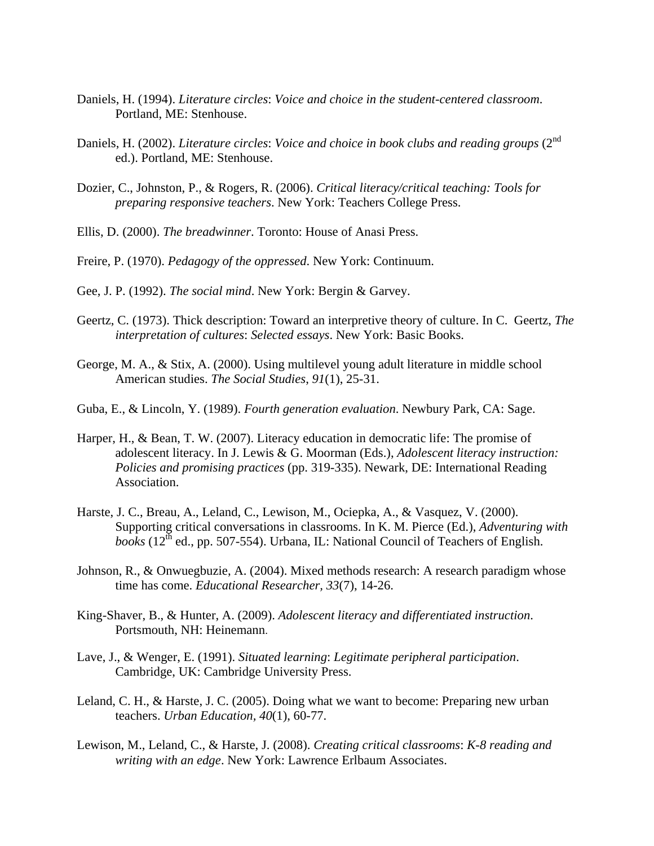- Daniels, H. (1994). *Literature circles*: *Voice and choice in the student-centered classroom*. Portland, ME: Stenhouse.
- Daniels, H. (2002). *Literature circles: Voice and choice in book clubs and reading groups* (2<sup>nd</sup> ed.). Portland, ME: Stenhouse.
- Dozier, C., Johnston, P., & Rogers, R. (2006). *Critical literacy/critical teaching: Tools for preparing responsive teachers*. New York: Teachers College Press.
- Ellis, D. (2000). *The breadwinner*. Toronto: House of Anasi Press.
- Freire, P. (1970). *Pedagogy of the oppressed*. New York: Continuum.
- Gee, J. P. (1992). *The social mind*. New York: Bergin & Garvey.
- Geertz, C. (1973). Thick description: Toward an interpretive theory of culture. In C. Geertz, *The interpretation of cultures*: *Selected essays*. New York: Basic Books.
- George, M. A., & Stix, A. (2000). Using multilevel young adult literature in middle school American studies. *The Social Studies*, *91*(1), 25-31.
- Guba, E., & Lincoln, Y. (1989). *Fourth generation evaluation*. Newbury Park, CA: Sage.
- Harper, H., & Bean, T. W. (2007). Literacy education in democratic life: The promise of adolescent literacy. In J. Lewis & G. Moorman (Eds.), *Adolescent literacy instruction: Policies and promising practices* (pp. 319-335). Newark, DE: International Reading Association.
- Harste, J. C., Breau, A., Leland, C., Lewison, M., Ociepka, A., & Vasquez, V. (2000). Supporting critical conversations in classrooms. In K. M. Pierce (Ed.), *Adventuring with books* ( $12<sup>th</sup>$  ed., pp. 507-554). Urbana, IL: National Council of Teachers of English.
- Johnson, R., & Onwuegbuzie, A. (2004). Mixed methods research: A research paradigm whose time has come. *Educational Researcher, 33*(7), 14-26.
- King-Shaver, B., & Hunter, A. (2009). *Adolescent literacy and differentiated instruction*. Portsmouth, NH: Heinemann.
- Lave, J., & Wenger, E. (1991). *Situated learning*: *Legitimate peripheral participation*. Cambridge, UK: Cambridge University Press.
- Leland, C. H., & Harste, J. C. (2005). Doing what we want to become: Preparing new urban teachers. *Urban Education, 40*(1), 60-77.
- Lewison, M., Leland, C., & Harste, J. (2008). *Creating critical classrooms*: *K-8 reading and writing with an edge*. New York: Lawrence Erlbaum Associates.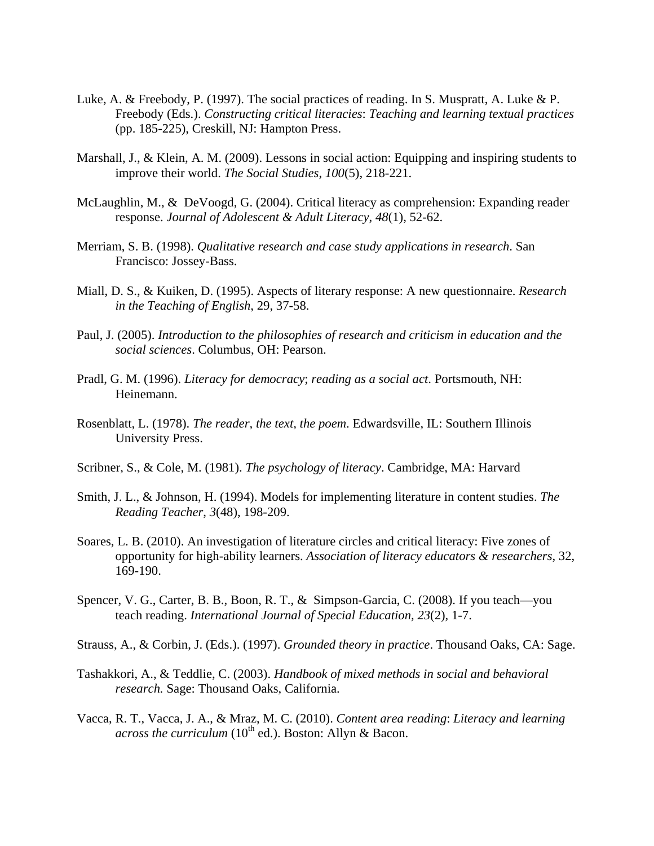- Luke, A. & Freebody, P. (1997). The social practices of reading. In S. Muspratt, A. Luke & P. Freebody (Eds.). *Constructing critical literacies*: *Teaching and learning textual practices*  (pp. 185-225), Creskill, NJ: Hampton Press.
- Marshall, J., & Klein, A. M. (2009). Lessons in social action: Equipping and inspiring students to improve their world. *The Social Studies*, *100*(5), 218-221.
- McLaughlin, M., & DeVoogd, G. (2004). Critical literacy as comprehension: Expanding reader response. *Journal of Adolescent & Adult Literacy*, *48*(1), 52-62.
- Merriam, S. B. (1998). *Qualitative research and case study applications in research*. San Francisco: Jossey-Bass.
- Miall, D. S., & Kuiken, D. (1995). Aspects of literary response: A new questionnaire. *Research in the Teaching of English*, 29, 37-58.
- Paul, J. (2005). *Introduction to the philosophies of research and criticism in education and the social sciences*. Columbus, OH: Pearson.
- Pradl, G. M. (1996). *Literacy for democracy*; *reading as a social act*. Portsmouth, NH: Heinemann.
- Rosenblatt, L. (1978). *The reader, the text, the poem*. Edwardsville, IL: Southern Illinois University Press.
- Scribner, S., & Cole, M. (1981). *The psychology of literacy*. Cambridge, MA: Harvard
- Smith, J. L., & Johnson, H. (1994). Models for implementing literature in content studies. *The Reading Teacher*, *3*(48), 198-209.
- Soares, L. B. (2010). An investigation of literature circles and critical literacy: Five zones of opportunity for high-ability learners. *Association of literacy educators & researchers*, 32, 169-190.
- Spencer, V. G., Carter, B. B., Boon, R. T., & Simpson-Garcia, C. (2008). If you teach—you teach reading. *International Journal of Special Education, 23*(2), 1-7.
- Strauss, A., & Corbin, J. (Eds.). (1997). *Grounded theory in practice*. Thousand Oaks, CA: Sage.
- Tashakkori, A., & Teddlie, C. (2003). *Handbook of mixed methods in social and behavioral research.* Sage: Thousand Oaks, California.
- Vacca, R. T., Vacca, J. A., & Mraz, M. C. (2010). *Content area reading*: *Literacy and learning across the curriculum* (10<sup>th</sup> ed.). Boston: Allyn & Bacon.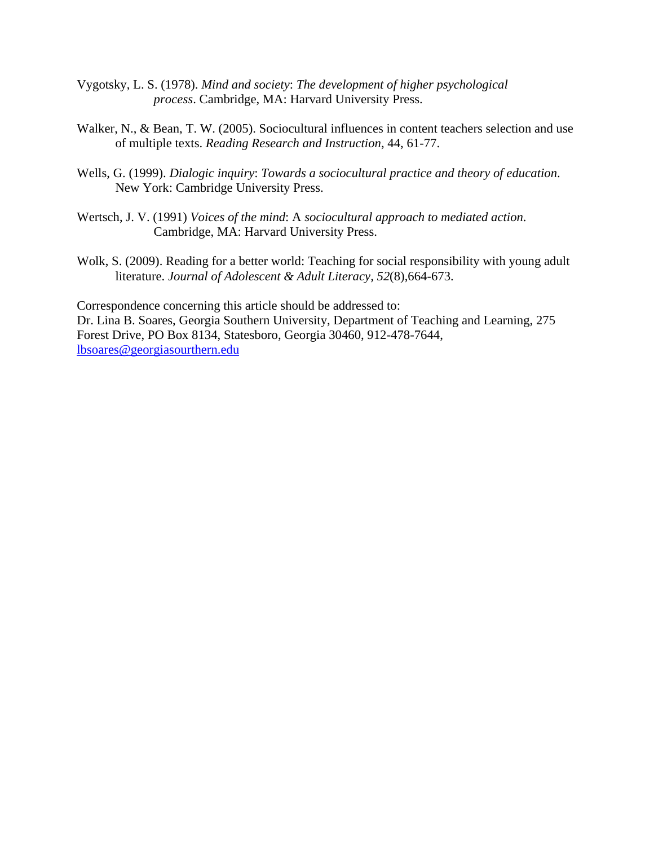- Vygotsky, L. S. (1978). *Mind and society*: *The development of higher psychological process*. Cambridge, MA: Harvard University Press.
- Walker, N., & Bean, T. W. (2005). Sociocultural influences in content teachers selection and use of multiple texts. *Reading Research and Instruction*, 44, 61-77.
- Wells, G. (1999). *Dialogic inquiry*: *Towards a sociocultural practice and theory of education*. New York: Cambridge University Press.
- Wertsch, J. V. (1991) *Voices of the mind*: A *sociocultural approach to mediated action*. Cambridge, MA: Harvard University Press.
- Wolk, S. (2009). Reading for a better world: Teaching for social responsibility with young adult literature. *Journal of Adolescent & Adult Literacy, 52*(8),664-673.

Correspondence concerning this article should be addressed to: Dr. Lina B. Soares, Georgia Southern University, Department of Teaching and Learning, 275 Forest Drive, PO Box 8134, Statesboro, Georgia 30460, 912-478-7644, lbsoares@georgiasourthern.edu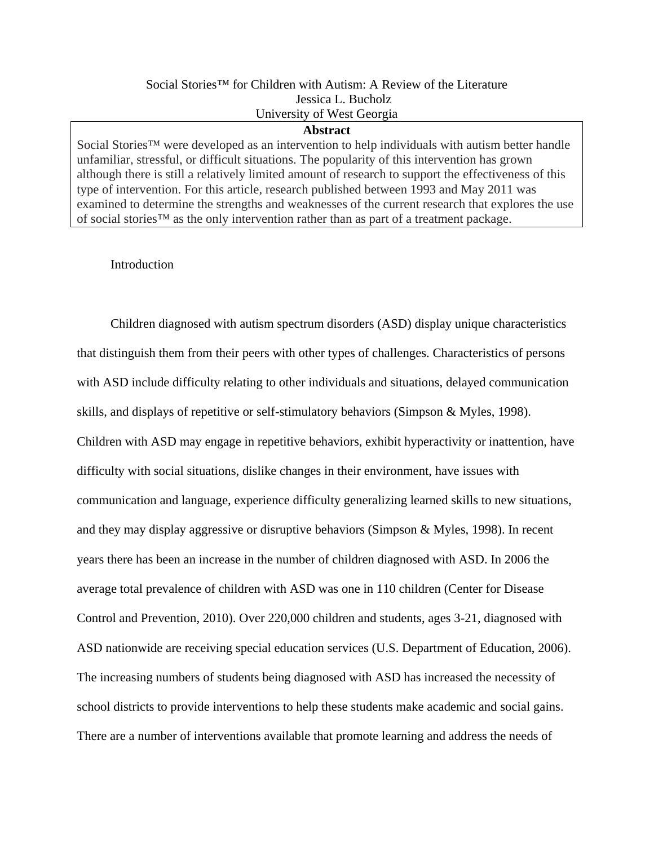## Social Stories<sup>™</sup> for Children with Autism: A Review of the Literature Jessica L. Bucholz University of West Georgia

#### **Abstract**

Social Stories<sup>™</sup> were developed as an intervention to help individuals with autism better handle unfamiliar, stressful, or difficult situations. The popularity of this intervention has grown although there is still a relatively limited amount of research to support the effectiveness of this type of intervention. For this article, research published between 1993 and May 2011 was examined to determine the strengths and weaknesses of the current research that explores the use of social stories™ as the only intervention rather than as part of a treatment package.

## Introduction

Children diagnosed with autism spectrum disorders (ASD) display unique characteristics that distinguish them from their peers with other types of challenges. Characteristics of persons with ASD include difficulty relating to other individuals and situations, delayed communication skills, and displays of repetitive or self-stimulatory behaviors (Simpson & Myles, 1998). Children with ASD may engage in repetitive behaviors, exhibit hyperactivity or inattention, have difficulty with social situations, dislike changes in their environment, have issues with communication and language, experience difficulty generalizing learned skills to new situations, and they may display aggressive or disruptive behaviors (Simpson & Myles, 1998). In recent years there has been an increase in the number of children diagnosed with ASD. In 2006 the average total prevalence of children with ASD was one in 110 children (Center for Disease Control and Prevention, 2010). Over 220,000 children and students, ages 3-21, diagnosed with ASD nationwide are receiving special education services (U.S. Department of Education, 2006). The increasing numbers of students being diagnosed with ASD has increased the necessity of school districts to provide interventions to help these students make academic and social gains. There are a number of interventions available that promote learning and address the needs of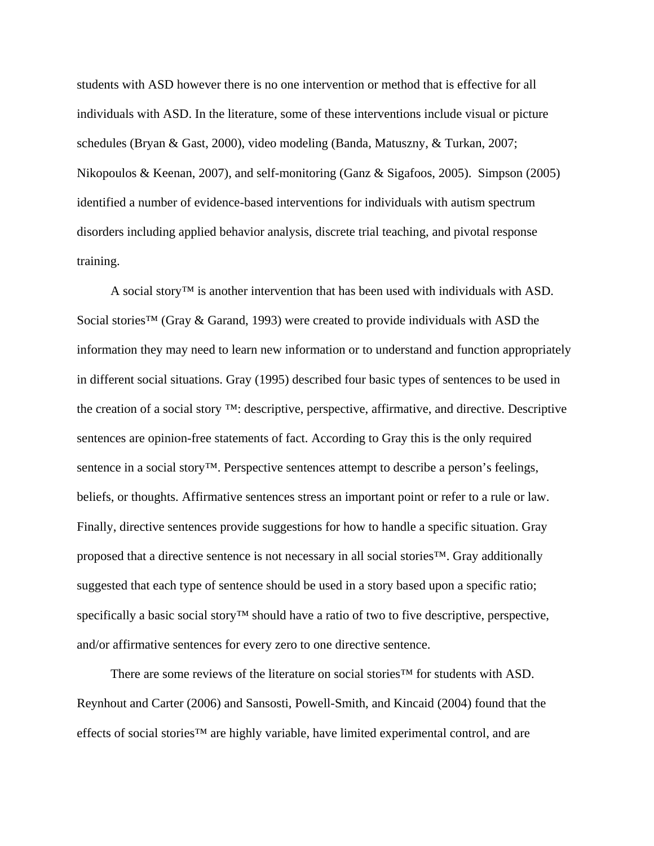students with ASD however there is no one intervention or method that is effective for all individuals with ASD. In the literature, some of these interventions include visual or picture schedules (Bryan & Gast, 2000), video modeling (Banda, Matuszny, & Turkan, 2007; Nikopoulos & Keenan, 2007), and self-monitoring (Ganz & Sigafoos, 2005). Simpson (2005) identified a number of evidence-based interventions for individuals with autism spectrum disorders including applied behavior analysis, discrete trial teaching, and pivotal response training.

A social story™ is another intervention that has been used with individuals with ASD. Social stories™ (Gray & Garand, 1993) were created to provide individuals with ASD the information they may need to learn new information or to understand and function appropriately in different social situations. Gray (1995) described four basic types of sentences to be used in the creation of a social story ™: descriptive, perspective, affirmative, and directive. Descriptive sentences are opinion-free statements of fact. According to Gray this is the only required sentence in a social story<sup>™</sup>. Perspective sentences attempt to describe a person's feelings, beliefs, or thoughts. Affirmative sentences stress an important point or refer to a rule or law. Finally, directive sentences provide suggestions for how to handle a specific situation. Gray proposed that a directive sentence is not necessary in all social stories™. Gray additionally suggested that each type of sentence should be used in a story based upon a specific ratio; specifically a basic social story<sup>™</sup> should have a ratio of two to five descriptive, perspective, and/or affirmative sentences for every zero to one directive sentence.

There are some reviews of the literature on social stories™ for students with ASD. Reynhout and Carter (2006) and Sansosti, Powell-Smith, and Kincaid (2004) found that the effects of social stories™ are highly variable, have limited experimental control, and are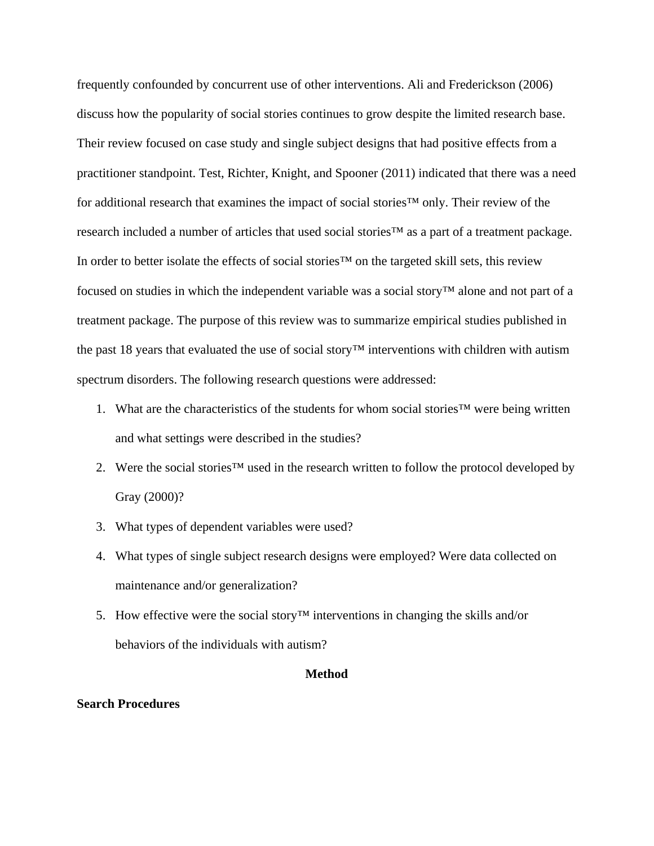frequently confounded by concurrent use of other interventions. Ali and Frederickson (2006) discuss how the popularity of social stories continues to grow despite the limited research base. Their review focused on case study and single subject designs that had positive effects from a practitioner standpoint. Test, Richter, Knight, and Spooner (2011) indicated that there was a need for additional research that examines the impact of social stories™ only. Their review of the research included a number of articles that used social stories™ as a part of a treatment package. In order to better isolate the effects of social stories™ on the targeted skill sets, this review focused on studies in which the independent variable was a social story™ alone and not part of a treatment package. The purpose of this review was to summarize empirical studies published in the past 18 years that evaluated the use of social story™ interventions with children with autism spectrum disorders. The following research questions were addressed:

- 1. What are the characteristics of the students for whom social stories™ were being written and what settings were described in the studies?
- 2. Were the social stories<sup>™</sup> used in the research written to follow the protocol developed by Gray (2000)?
- 3. What types of dependent variables were used?
- 4. What types of single subject research designs were employed? Were data collected on maintenance and/or generalization?
- 5. How effective were the social story<sup>™</sup> interventions in changing the skills and/or behaviors of the individuals with autism?

#### **Method**

## **Search Procedures**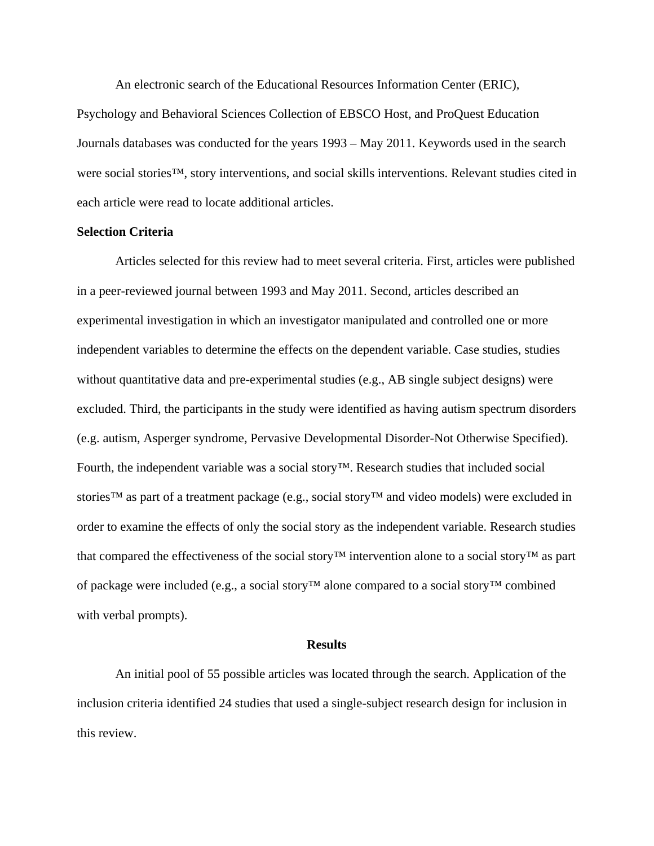An electronic search of the Educational Resources Information Center (ERIC), Psychology and Behavioral Sciences Collection of EBSCO Host, and ProQuest Education Journals databases was conducted for the years 1993 – May 2011. Keywords used in the search were social stories™, story interventions, and social skills interventions. Relevant studies cited in each article were read to locate additional articles.

### **Selection Criteria**

Articles selected for this review had to meet several criteria. First, articles were published in a peer-reviewed journal between 1993 and May 2011. Second, articles described an experimental investigation in which an investigator manipulated and controlled one or more independent variables to determine the effects on the dependent variable. Case studies, studies without quantitative data and pre-experimental studies (e.g., AB single subject designs) were excluded. Third, the participants in the study were identified as having autism spectrum disorders (e.g. autism, Asperger syndrome, Pervasive Developmental Disorder-Not Otherwise Specified). Fourth, the independent variable was a social story™. Research studies that included social stories<sup>™</sup> as part of a treatment package (e.g., social story™ and video models) were excluded in order to examine the effects of only the social story as the independent variable. Research studies that compared the effectiveness of the social story™ intervention alone to a social story™ as part of package were included (e.g., a social story™ alone compared to a social story™ combined with verbal prompts).

## **Results**

An initial pool of 55 possible articles was located through the search. Application of the inclusion criteria identified 24 studies that used a single-subject research design for inclusion in this review.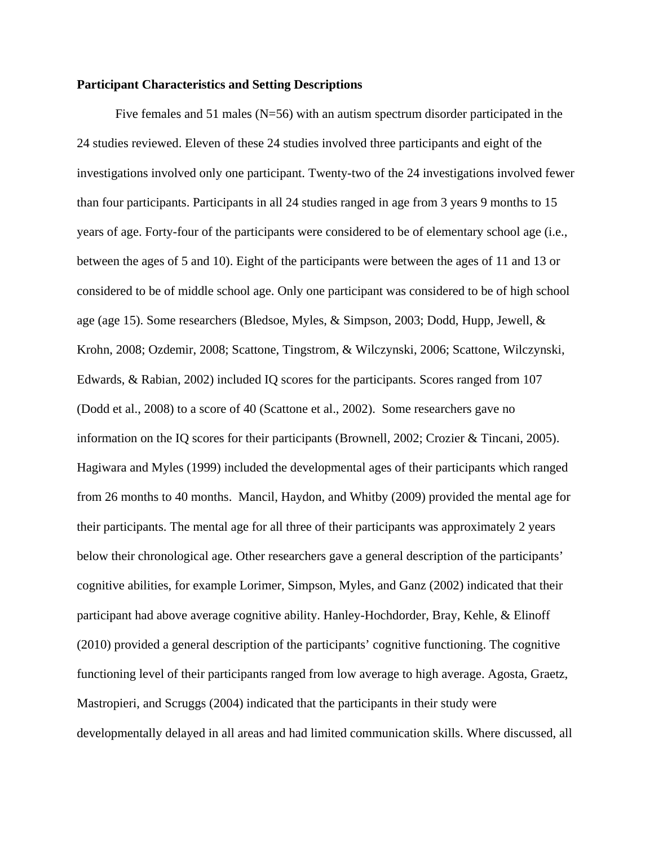## **Participant Characteristics and Setting Descriptions**

Five females and 51 males (N=56) with an autism spectrum disorder participated in the 24 studies reviewed. Eleven of these 24 studies involved three participants and eight of the investigations involved only one participant. Twenty-two of the 24 investigations involved fewer than four participants. Participants in all 24 studies ranged in age from 3 years 9 months to 15 years of age. Forty-four of the participants were considered to be of elementary school age (i.e., between the ages of 5 and 10). Eight of the participants were between the ages of 11 and 13 or considered to be of middle school age. Only one participant was considered to be of high school age (age 15). Some researchers (Bledsoe, Myles, & Simpson, 2003; Dodd, Hupp, Jewell, & Krohn, 2008; Ozdemir, 2008; Scattone, Tingstrom, & Wilczynski, 2006; Scattone, Wilczynski, Edwards, & Rabian, 2002) included IQ scores for the participants. Scores ranged from 107 (Dodd et al., 2008) to a score of 40 (Scattone et al., 2002). Some researchers gave no information on the IQ scores for their participants (Brownell, 2002; Crozier & Tincani, 2005). Hagiwara and Myles (1999) included the developmental ages of their participants which ranged from 26 months to 40 months. Mancil, Haydon, and Whitby (2009) provided the mental age for their participants. The mental age for all three of their participants was approximately 2 years below their chronological age. Other researchers gave a general description of the participants' cognitive abilities, for example Lorimer, Simpson, Myles, and Ganz (2002) indicated that their participant had above average cognitive ability. Hanley-Hochdorder, Bray, Kehle, & Elinoff (2010) provided a general description of the participants' cognitive functioning. The cognitive functioning level of their participants ranged from low average to high average. Agosta, Graetz, Mastropieri, and Scruggs (2004) indicated that the participants in their study were developmentally delayed in all areas and had limited communication skills. Where discussed, all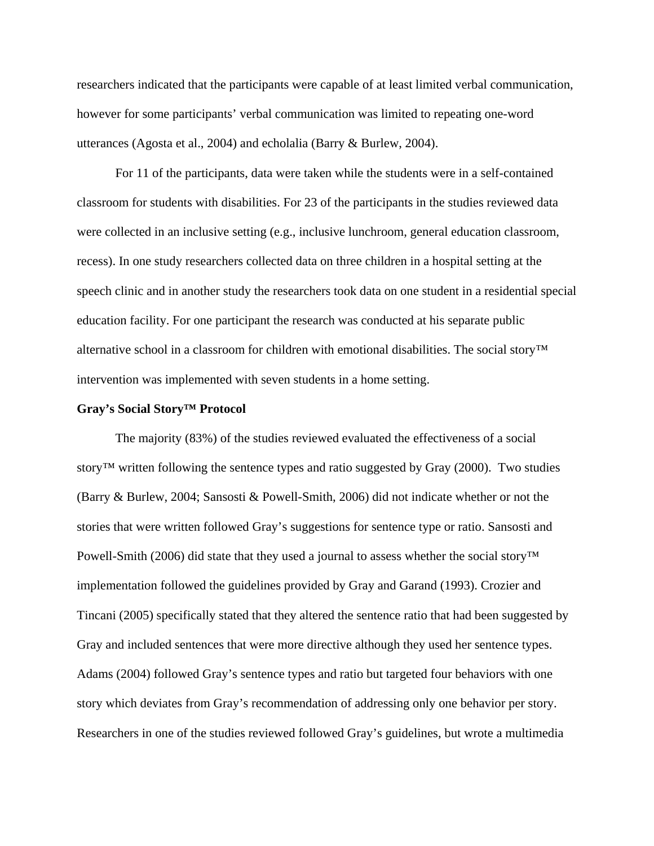researchers indicated that the participants were capable of at least limited verbal communication, however for some participants' verbal communication was limited to repeating one-word utterances (Agosta et al., 2004) and echolalia (Barry & Burlew, 2004).

For 11 of the participants, data were taken while the students were in a self-contained classroom for students with disabilities. For 23 of the participants in the studies reviewed data were collected in an inclusive setting (e.g., inclusive lunchroom, general education classroom, recess). In one study researchers collected data on three children in a hospital setting at the speech clinic and in another study the researchers took data on one student in a residential special education facility. For one participant the research was conducted at his separate public alternative school in a classroom for children with emotional disabilities. The social story™ intervention was implemented with seven students in a home setting.

#### **Gray's Social Story™ Protocol**

The majority (83%) of the studies reviewed evaluated the effectiveness of a social story<sup>™</sup> written following the sentence types and ratio suggested by Gray (2000). Two studies (Barry & Burlew, 2004; Sansosti & Powell-Smith, 2006) did not indicate whether or not the stories that were written followed Gray's suggestions for sentence type or ratio. Sansosti and Powell-Smith (2006) did state that they used a journal to assess whether the social story™ implementation followed the guidelines provided by Gray and Garand (1993). Crozier and Tincani (2005) specifically stated that they altered the sentence ratio that had been suggested by Gray and included sentences that were more directive although they used her sentence types. Adams (2004) followed Gray's sentence types and ratio but targeted four behaviors with one story which deviates from Gray's recommendation of addressing only one behavior per story. Researchers in one of the studies reviewed followed Gray's guidelines, but wrote a multimedia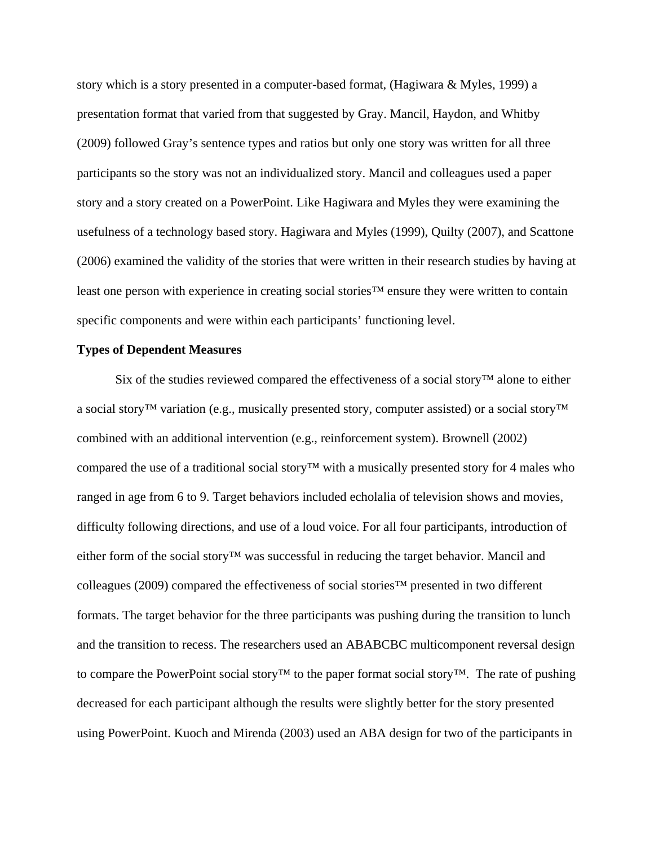story which is a story presented in a computer-based format, (Hagiwara & Myles, 1999) a presentation format that varied from that suggested by Gray. Mancil, Haydon, and Whitby (2009) followed Gray's sentence types and ratios but only one story was written for all three participants so the story was not an individualized story. Mancil and colleagues used a paper story and a story created on a PowerPoint. Like Hagiwara and Myles they were examining the usefulness of a technology based story. Hagiwara and Myles (1999), Quilty (2007), and Scattone (2006) examined the validity of the stories that were written in their research studies by having at least one person with experience in creating social stories™ ensure they were written to contain specific components and were within each participants' functioning level.

## **Types of Dependent Measures**

Six of the studies reviewed compared the effectiveness of a social story™ alone to either a social story™ variation (e.g., musically presented story, computer assisted) or a social story™ combined with an additional intervention (e.g., reinforcement system). Brownell (2002) compared the use of a traditional social story™ with a musically presented story for 4 males who ranged in age from 6 to 9. Target behaviors included echolalia of television shows and movies, difficulty following directions, and use of a loud voice. For all four participants, introduction of either form of the social story™ was successful in reducing the target behavior. Mancil and colleagues (2009) compared the effectiveness of social stories™ presented in two different formats. The target behavior for the three participants was pushing during the transition to lunch and the transition to recess. The researchers used an ABABCBC multicomponent reversal design to compare the PowerPoint social story<sup>™</sup> to the paper format social story<sup>™</sup>. The rate of pushing decreased for each participant although the results were slightly better for the story presented using PowerPoint. Kuoch and Mirenda (2003) used an ABA design for two of the participants in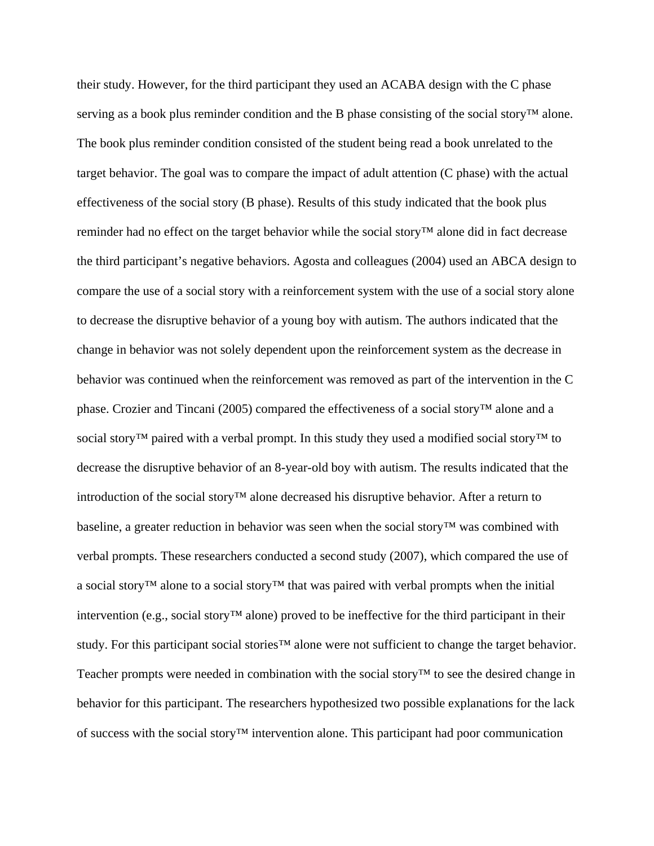their study. However, for the third participant they used an ACABA design with the C phase serving as a book plus reminder condition and the B phase consisting of the social story™ alone. The book plus reminder condition consisted of the student being read a book unrelated to the target behavior. The goal was to compare the impact of adult attention (C phase) with the actual effectiveness of the social story (B phase). Results of this study indicated that the book plus reminder had no effect on the target behavior while the social story™ alone did in fact decrease the third participant's negative behaviors. Agosta and colleagues (2004) used an ABCA design to compare the use of a social story with a reinforcement system with the use of a social story alone to decrease the disruptive behavior of a young boy with autism. The authors indicated that the change in behavior was not solely dependent upon the reinforcement system as the decrease in behavior was continued when the reinforcement was removed as part of the intervention in the C phase. Crozier and Tincani (2005) compared the effectiveness of a social story™ alone and a social story<sup>™</sup> paired with a verbal prompt. In this study they used a modified social story<sup>™</sup> to decrease the disruptive behavior of an 8-year-old boy with autism. The results indicated that the introduction of the social story™ alone decreased his disruptive behavior. After a return to baseline, a greater reduction in behavior was seen when the social story™ was combined with verbal prompts. These researchers conducted a second study (2007), which compared the use of a social story™ alone to a social story™ that was paired with verbal prompts when the initial intervention (e.g., social story™ alone) proved to be ineffective for the third participant in their study. For this participant social stories™ alone were not sufficient to change the target behavior. Teacher prompts were needed in combination with the social story™ to see the desired change in behavior for this participant. The researchers hypothesized two possible explanations for the lack of success with the social story™ intervention alone. This participant had poor communication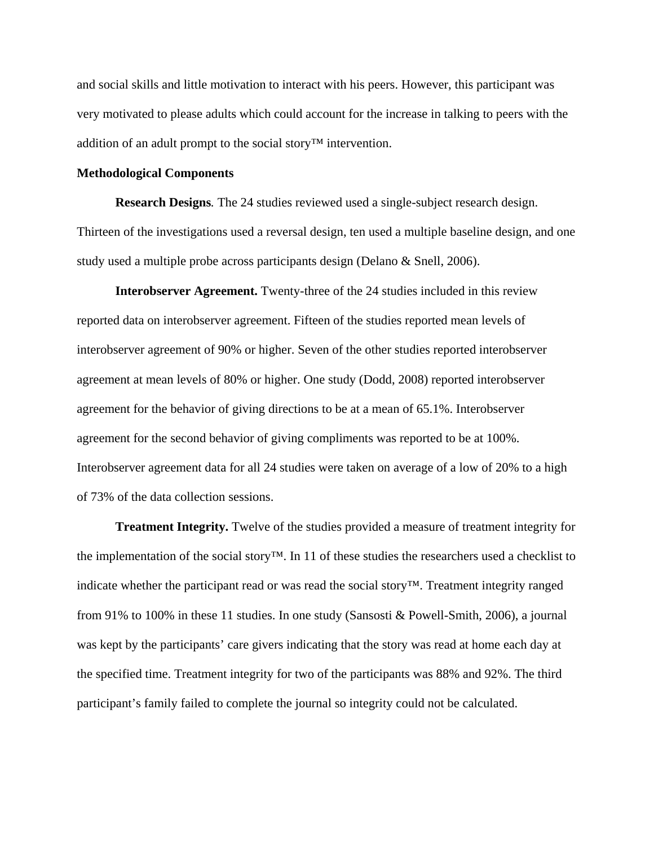and social skills and little motivation to interact with his peers. However, this participant was very motivated to please adults which could account for the increase in talking to peers with the addition of an adult prompt to the social story™ intervention.

### **Methodological Components**

**Research Designs***.* The 24 studies reviewed used a single-subject research design. Thirteen of the investigations used a reversal design, ten used a multiple baseline design, and one study used a multiple probe across participants design (Delano & Snell, 2006).

**Interobserver Agreement.** Twenty-three of the 24 studies included in this review reported data on interobserver agreement. Fifteen of the studies reported mean levels of interobserver agreement of 90% or higher. Seven of the other studies reported interobserver agreement at mean levels of 80% or higher. One study (Dodd, 2008) reported interobserver agreement for the behavior of giving directions to be at a mean of 65.1%. Interobserver agreement for the second behavior of giving compliments was reported to be at 100%. Interobserver agreement data for all 24 studies were taken on average of a low of 20% to a high of 73% of the data collection sessions.

**Treatment Integrity.** Twelve of the studies provided a measure of treatment integrity for the implementation of the social story™. In 11 of these studies the researchers used a checklist to indicate whether the participant read or was read the social story™. Treatment integrity ranged from 91% to 100% in these 11 studies. In one study (Sansosti & Powell-Smith, 2006), a journal was kept by the participants' care givers indicating that the story was read at home each day at the specified time. Treatment integrity for two of the participants was 88% and 92%. The third participant's family failed to complete the journal so integrity could not be calculated.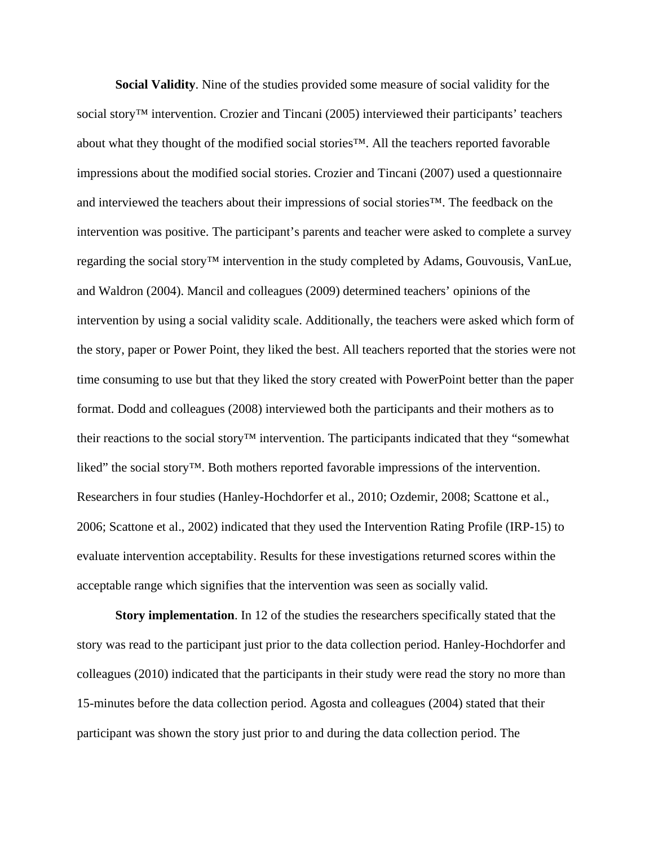**Social Validity**. Nine of the studies provided some measure of social validity for the social story<sup>™</sup> intervention. Crozier and Tincani (2005) interviewed their participants' teachers about what they thought of the modified social stories™. All the teachers reported favorable impressions about the modified social stories. Crozier and Tincani (2007) used a questionnaire and interviewed the teachers about their impressions of social stories™. The feedback on the intervention was positive. The participant's parents and teacher were asked to complete a survey regarding the social story™ intervention in the study completed by Adams, Gouvousis, VanLue, and Waldron (2004). Mancil and colleagues (2009) determined teachers' opinions of the intervention by using a social validity scale. Additionally, the teachers were asked which form of the story, paper or Power Point, they liked the best. All teachers reported that the stories were not time consuming to use but that they liked the story created with PowerPoint better than the paper format. Dodd and colleagues (2008) interviewed both the participants and their mothers as to their reactions to the social story™ intervention. The participants indicated that they "somewhat liked" the social story™. Both mothers reported favorable impressions of the intervention. Researchers in four studies (Hanley-Hochdorfer et al., 2010; Ozdemir, 2008; Scattone et al., 2006; Scattone et al., 2002) indicated that they used the Intervention Rating Profile (IRP-15) to evaluate intervention acceptability. Results for these investigations returned scores within the acceptable range which signifies that the intervention was seen as socially valid.

**Story implementation**. In 12 of the studies the researchers specifically stated that the story was read to the participant just prior to the data collection period. Hanley-Hochdorfer and colleagues (2010) indicated that the participants in their study were read the story no more than 15-minutes before the data collection period. Agosta and colleagues (2004) stated that their participant was shown the story just prior to and during the data collection period. The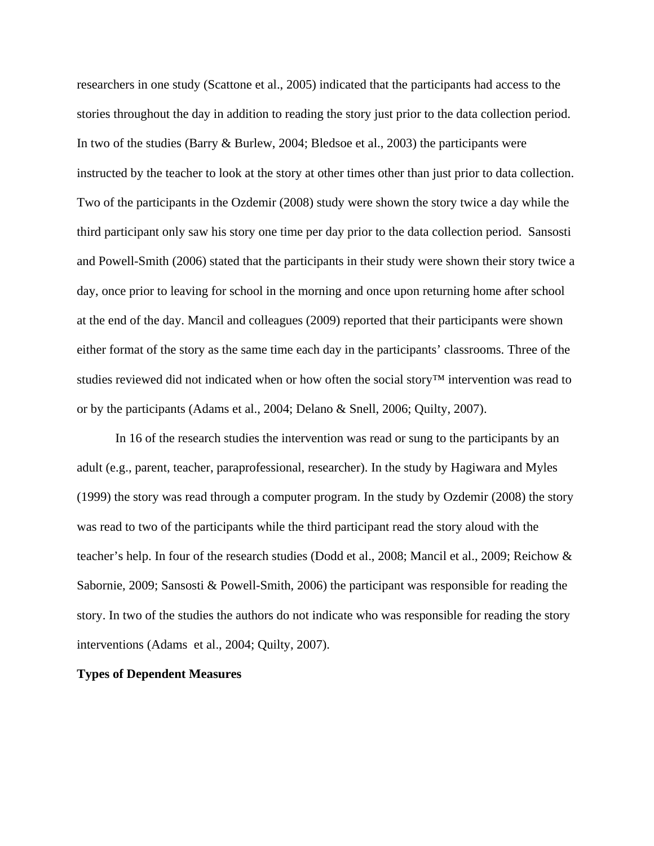researchers in one study (Scattone et al., 2005) indicated that the participants had access to the stories throughout the day in addition to reading the story just prior to the data collection period. In two of the studies (Barry & Burlew, 2004; Bledsoe et al., 2003) the participants were instructed by the teacher to look at the story at other times other than just prior to data collection. Two of the participants in the Ozdemir (2008) study were shown the story twice a day while the third participant only saw his story one time per day prior to the data collection period. Sansosti and Powell-Smith (2006) stated that the participants in their study were shown their story twice a day, once prior to leaving for school in the morning and once upon returning home after school at the end of the day. Mancil and colleagues (2009) reported that their participants were shown either format of the story as the same time each day in the participants' classrooms. Three of the studies reviewed did not indicated when or how often the social story™ intervention was read to or by the participants (Adams et al., 2004; Delano & Snell, 2006; Quilty, 2007).

In 16 of the research studies the intervention was read or sung to the participants by an adult (e.g., parent, teacher, paraprofessional, researcher). In the study by Hagiwara and Myles (1999) the story was read through a computer program. In the study by Ozdemir (2008) the story was read to two of the participants while the third participant read the story aloud with the teacher's help. In four of the research studies (Dodd et al., 2008; Mancil et al., 2009; Reichow & Sabornie, 2009; Sansosti & Powell-Smith, 2006) the participant was responsible for reading the story. In two of the studies the authors do not indicate who was responsible for reading the story interventions (Adams et al., 2004; Quilty, 2007).

## **Types of Dependent Measures**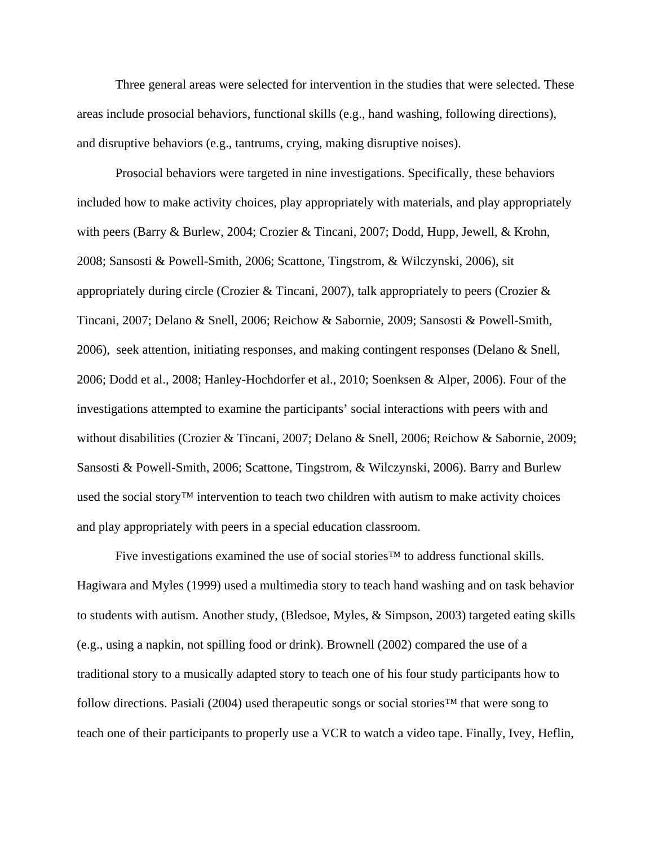Three general areas were selected for intervention in the studies that were selected. These areas include prosocial behaviors, functional skills (e.g., hand washing, following directions), and disruptive behaviors (e.g., tantrums, crying, making disruptive noises).

Prosocial behaviors were targeted in nine investigations. Specifically, these behaviors included how to make activity choices, play appropriately with materials, and play appropriately with peers (Barry & Burlew, 2004; Crozier & Tincani, 2007; Dodd, Hupp, Jewell, & Krohn, 2008; Sansosti & Powell-Smith, 2006; Scattone, Tingstrom, & Wilczynski, 2006), sit appropriately during circle (Crozier & Tincani, 2007), talk appropriately to peers (Crozier & Tincani, 2007; Delano & Snell, 2006; Reichow & Sabornie, 2009; Sansosti & Powell-Smith, 2006), seek attention, initiating responses, and making contingent responses (Delano & Snell, 2006; Dodd et al., 2008; Hanley-Hochdorfer et al., 2010; Soenksen & Alper, 2006). Four of the investigations attempted to examine the participants' social interactions with peers with and without disabilities (Crozier & Tincani, 2007; Delano & Snell, 2006; Reichow & Sabornie, 2009; Sansosti & Powell-Smith, 2006; Scattone, Tingstrom, & Wilczynski, 2006). Barry and Burlew used the social story™ intervention to teach two children with autism to make activity choices and play appropriately with peers in a special education classroom.

Five investigations examined the use of social stories™ to address functional skills. Hagiwara and Myles (1999) used a multimedia story to teach hand washing and on task behavior to students with autism. Another study, (Bledsoe, Myles, & Simpson, 2003) targeted eating skills (e.g., using a napkin, not spilling food or drink). Brownell (2002) compared the use of a traditional story to a musically adapted story to teach one of his four study participants how to follow directions. Pasiali (2004) used therapeutic songs or social stories™ that were song to teach one of their participants to properly use a VCR to watch a video tape. Finally, Ivey, Heflin,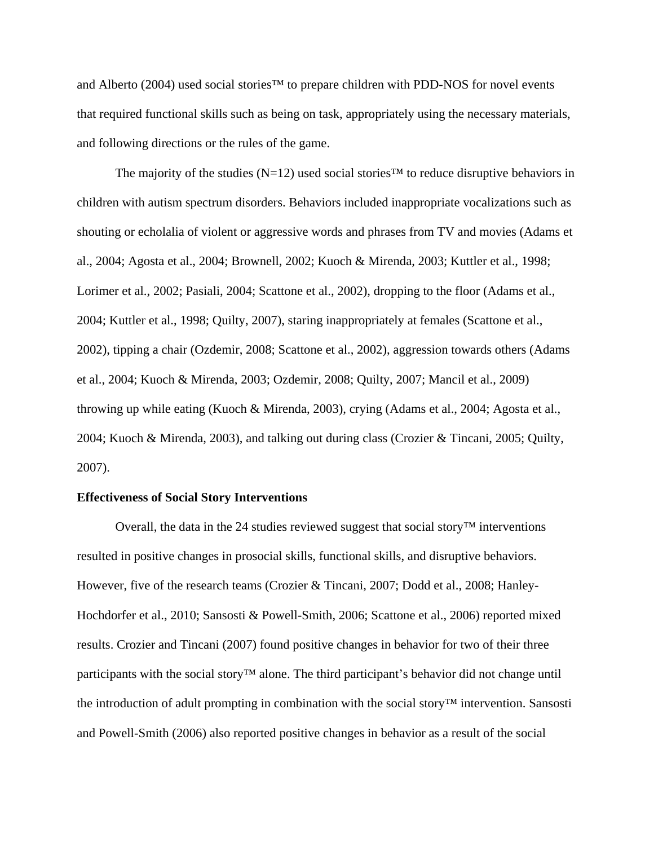and Alberto (2004) used social stories™ to prepare children with PDD-NOS for novel events that required functional skills such as being on task, appropriately using the necessary materials, and following directions or the rules of the game.

The majority of the studies (N=12) used social stories<sup>™</sup> to reduce disruptive behaviors in children with autism spectrum disorders. Behaviors included inappropriate vocalizations such as shouting or echolalia of violent or aggressive words and phrases from TV and movies (Adams et al., 2004; Agosta et al., 2004; Brownell, 2002; Kuoch & Mirenda, 2003; Kuttler et al., 1998; Lorimer et al., 2002; Pasiali, 2004; Scattone et al., 2002), dropping to the floor (Adams et al., 2004; Kuttler et al., 1998; Quilty, 2007), staring inappropriately at females (Scattone et al., 2002), tipping a chair (Ozdemir, 2008; Scattone et al., 2002), aggression towards others (Adams et al., 2004; Kuoch & Mirenda, 2003; Ozdemir, 2008; Quilty, 2007; Mancil et al., 2009) throwing up while eating (Kuoch & Mirenda, 2003), crying (Adams et al., 2004; Agosta et al., 2004; Kuoch & Mirenda, 2003), and talking out during class (Crozier & Tincani, 2005; Quilty, 2007).

### **Effectiveness of Social Story Interventions**

Overall, the data in the 24 studies reviewed suggest that social story™ interventions resulted in positive changes in prosocial skills, functional skills, and disruptive behaviors. However, five of the research teams (Crozier & Tincani, 2007; Dodd et al., 2008; Hanley-Hochdorfer et al., 2010; Sansosti & Powell-Smith, 2006; Scattone et al., 2006) reported mixed results. Crozier and Tincani (2007) found positive changes in behavior for two of their three participants with the social story™ alone. The third participant's behavior did not change until the introduction of adult prompting in combination with the social story™ intervention. Sansosti and Powell-Smith (2006) also reported positive changes in behavior as a result of the social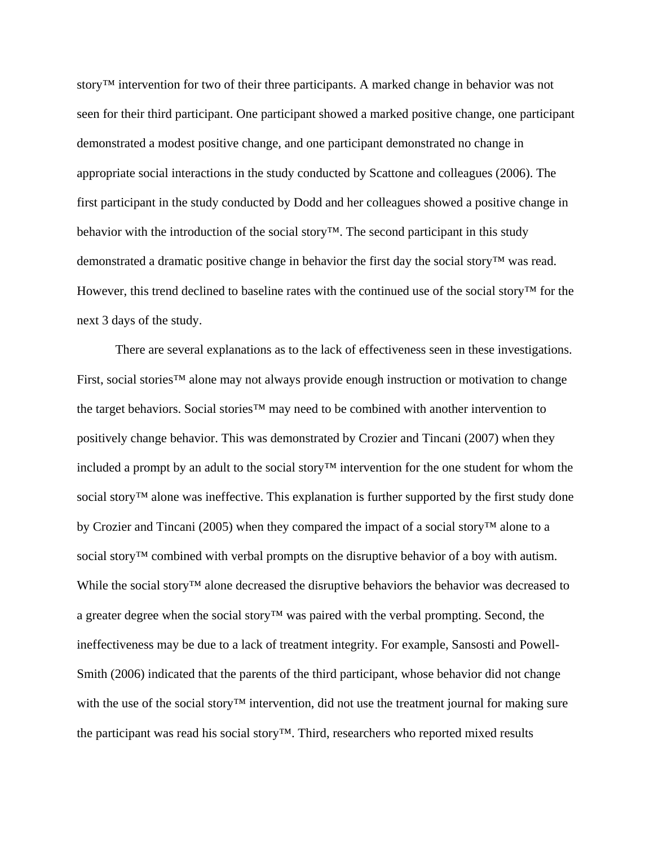story™ intervention for two of their three participants. A marked change in behavior was not seen for their third participant. One participant showed a marked positive change, one participant demonstrated a modest positive change, and one participant demonstrated no change in appropriate social interactions in the study conducted by Scattone and colleagues (2006). The first participant in the study conducted by Dodd and her colleagues showed a positive change in behavior with the introduction of the social story™. The second participant in this study demonstrated a dramatic positive change in behavior the first day the social story™ was read. However, this trend declined to baseline rates with the continued use of the social story™ for the next 3 days of the study.

There are several explanations as to the lack of effectiveness seen in these investigations. First, social stories™ alone may not always provide enough instruction or motivation to change the target behaviors. Social stories™ may need to be combined with another intervention to positively change behavior. This was demonstrated by Crozier and Tincani (2007) when they included a prompt by an adult to the social story™ intervention for the one student for whom the social story<sup>™</sup> alone was ineffective. This explanation is further supported by the first study done by Crozier and Tincani (2005) when they compared the impact of a social story™ alone to a social story<sup>™</sup> combined with verbal prompts on the disruptive behavior of a boy with autism. While the social story™ alone decreased the disruptive behaviors the behavior was decreased to a greater degree when the social story™ was paired with the verbal prompting. Second, the ineffectiveness may be due to a lack of treatment integrity. For example, Sansosti and Powell-Smith (2006) indicated that the parents of the third participant, whose behavior did not change with the use of the social story™ intervention, did not use the treatment journal for making sure the participant was read his social story™. Third, researchers who reported mixed results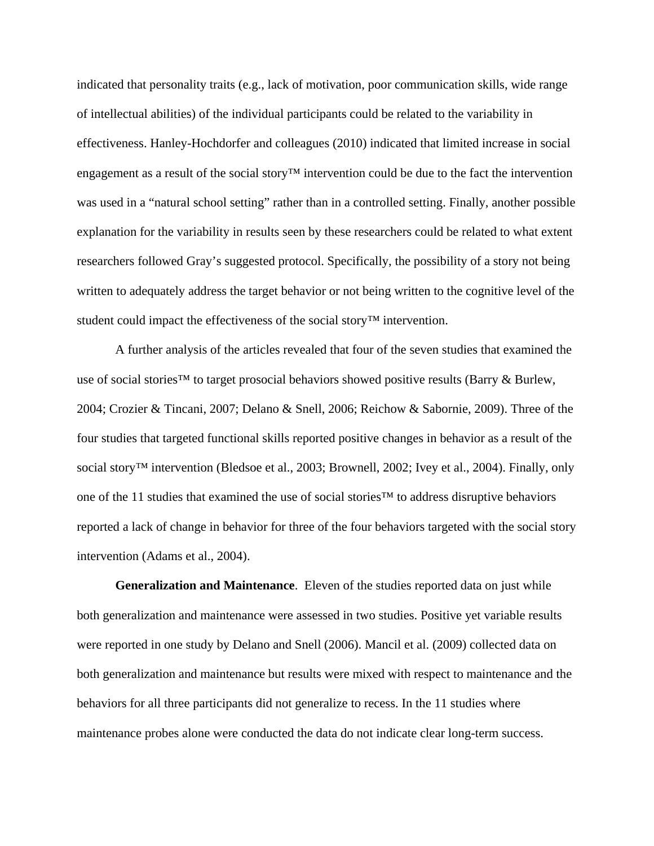indicated that personality traits (e.g., lack of motivation, poor communication skills, wide range of intellectual abilities) of the individual participants could be related to the variability in effectiveness. Hanley-Hochdorfer and colleagues (2010) indicated that limited increase in social engagement as a result of the social story™ intervention could be due to the fact the intervention was used in a "natural school setting" rather than in a controlled setting. Finally, another possible explanation for the variability in results seen by these researchers could be related to what extent researchers followed Gray's suggested protocol. Specifically, the possibility of a story not being written to adequately address the target behavior or not being written to the cognitive level of the student could impact the effectiveness of the social story™ intervention.

A further analysis of the articles revealed that four of the seven studies that examined the use of social stories™ to target prosocial behaviors showed positive results (Barry & Burlew, 2004; Crozier & Tincani, 2007; Delano & Snell, 2006; Reichow & Sabornie, 2009). Three of the four studies that targeted functional skills reported positive changes in behavior as a result of the social story™ intervention (Bledsoe et al., 2003; Brownell, 2002; Ivey et al., 2004). Finally, only one of the 11 studies that examined the use of social stories™ to address disruptive behaviors reported a lack of change in behavior for three of the four behaviors targeted with the social story intervention (Adams et al., 2004).

**Generalization and Maintenance**. Eleven of the studies reported data on just while both generalization and maintenance were assessed in two studies. Positive yet variable results were reported in one study by Delano and Snell (2006). Mancil et al. (2009) collected data on both generalization and maintenance but results were mixed with respect to maintenance and the behaviors for all three participants did not generalize to recess. In the 11 studies where maintenance probes alone were conducted the data do not indicate clear long-term success.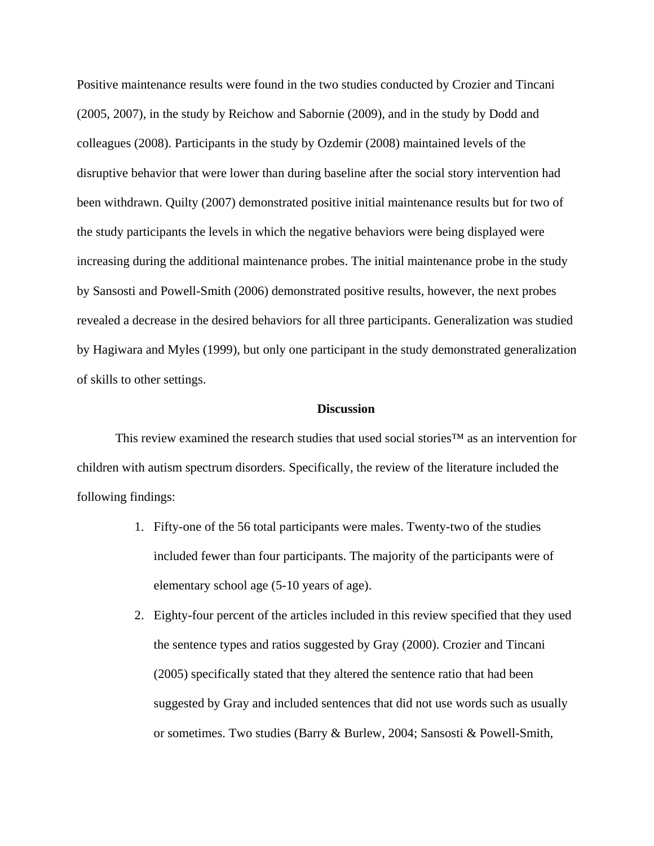Positive maintenance results were found in the two studies conducted by Crozier and Tincani (2005, 2007), in the study by Reichow and Sabornie (2009), and in the study by Dodd and colleagues (2008). Participants in the study by Ozdemir (2008) maintained levels of the disruptive behavior that were lower than during baseline after the social story intervention had been withdrawn. Quilty (2007) demonstrated positive initial maintenance results but for two of the study participants the levels in which the negative behaviors were being displayed were increasing during the additional maintenance probes. The initial maintenance probe in the study by Sansosti and Powell-Smith (2006) demonstrated positive results, however, the next probes revealed a decrease in the desired behaviors for all three participants. Generalization was studied by Hagiwara and Myles (1999), but only one participant in the study demonstrated generalization of skills to other settings.

#### **Discussion**

This review examined the research studies that used social stories™ as an intervention for children with autism spectrum disorders. Specifically, the review of the literature included the following findings:

- 1. Fifty-one of the 56 total participants were males. Twenty-two of the studies included fewer than four participants. The majority of the participants were of elementary school age (5-10 years of age).
- 2. Eighty-four percent of the articles included in this review specified that they used the sentence types and ratios suggested by Gray (2000). Crozier and Tincani (2005) specifically stated that they altered the sentence ratio that had been suggested by Gray and included sentences that did not use words such as usually or sometimes. Two studies (Barry & Burlew, 2004; Sansosti & Powell-Smith,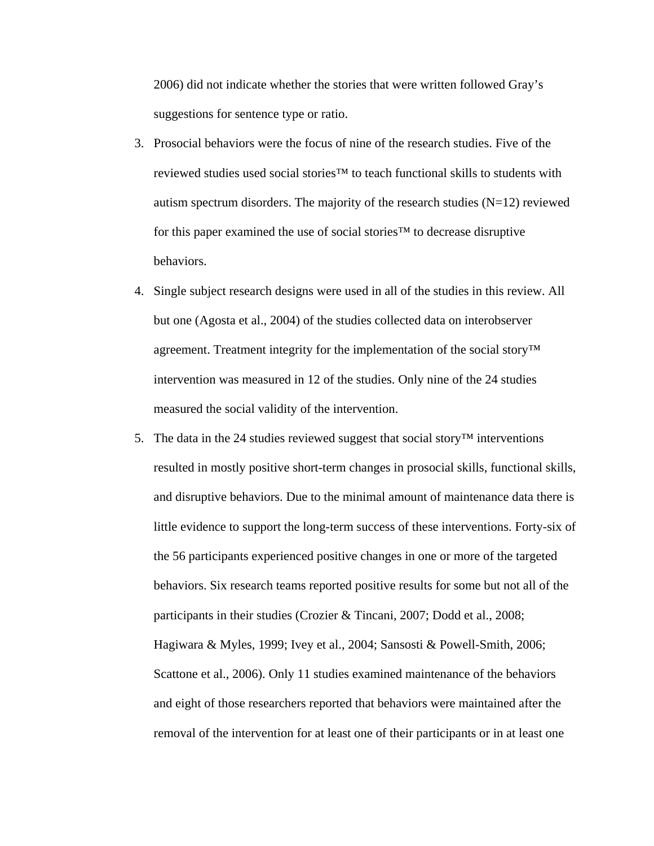2006) did not indicate whether the stories that were written followed Gray's suggestions for sentence type or ratio.

- 3. Prosocial behaviors were the focus of nine of the research studies. Five of the reviewed studies used social stories™ to teach functional skills to students with autism spectrum disorders. The majority of the research studies  $(N=12)$  reviewed for this paper examined the use of social stories™ to decrease disruptive behaviors.
- 4. Single subject research designs were used in all of the studies in this review. All but one (Agosta et al., 2004) of the studies collected data on interobserver agreement. Treatment integrity for the implementation of the social story™ intervention was measured in 12 of the studies. Only nine of the 24 studies measured the social validity of the intervention.
- 5. The data in the 24 studies reviewed suggest that social story<sup>™</sup> interventions resulted in mostly positive short-term changes in prosocial skills, functional skills, and disruptive behaviors. Due to the minimal amount of maintenance data there is little evidence to support the long-term success of these interventions. Forty-six of the 56 participants experienced positive changes in one or more of the targeted behaviors. Six research teams reported positive results for some but not all of the participants in their studies (Crozier & Tincani, 2007; Dodd et al., 2008; Hagiwara & Myles, 1999; Ivey et al., 2004; Sansosti & Powell-Smith, 2006; Scattone et al., 2006). Only 11 studies examined maintenance of the behaviors and eight of those researchers reported that behaviors were maintained after the removal of the intervention for at least one of their participants or in at least one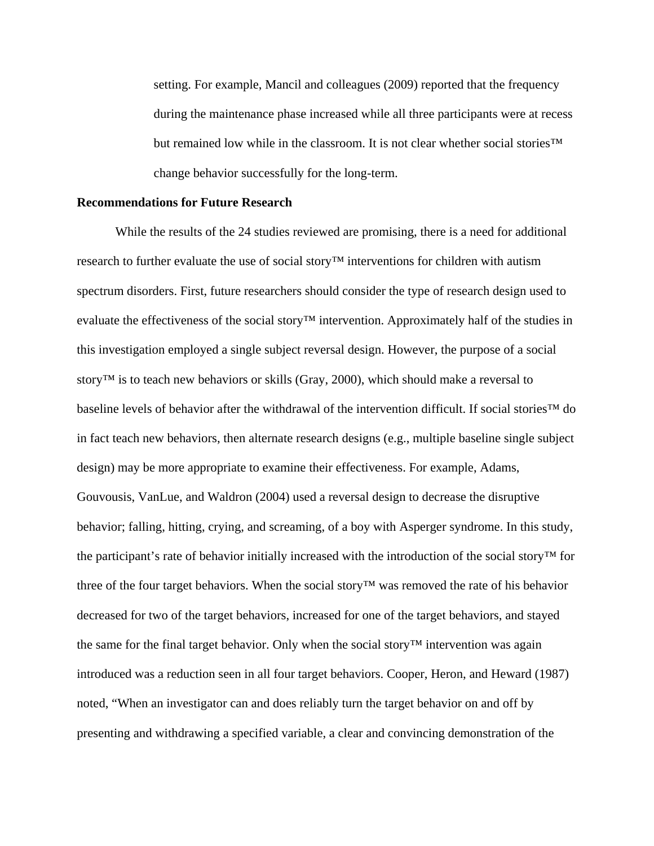setting. For example, Mancil and colleagues (2009) reported that the frequency during the maintenance phase increased while all three participants were at recess but remained low while in the classroom. It is not clear whether social stories<sup>™</sup> change behavior successfully for the long-term.

### **Recommendations for Future Research**

While the results of the 24 studies reviewed are promising, there is a need for additional research to further evaluate the use of social story™ interventions for children with autism spectrum disorders. First, future researchers should consider the type of research design used to evaluate the effectiveness of the social story™ intervention. Approximately half of the studies in this investigation employed a single subject reversal design. However, the purpose of a social story™ is to teach new behaviors or skills (Gray, 2000), which should make a reversal to baseline levels of behavior after the withdrawal of the intervention difficult. If social stories™ do in fact teach new behaviors, then alternate research designs (e.g., multiple baseline single subject design) may be more appropriate to examine their effectiveness. For example, Adams, Gouvousis, VanLue, and Waldron (2004) used a reversal design to decrease the disruptive behavior; falling, hitting, crying, and screaming, of a boy with Asperger syndrome. In this study, the participant's rate of behavior initially increased with the introduction of the social story™ for three of the four target behaviors. When the social story™ was removed the rate of his behavior decreased for two of the target behaviors, increased for one of the target behaviors, and stayed the same for the final target behavior. Only when the social story™ intervention was again introduced was a reduction seen in all four target behaviors. Cooper, Heron, and Heward (1987) noted, "When an investigator can and does reliably turn the target behavior on and off by presenting and withdrawing a specified variable, a clear and convincing demonstration of the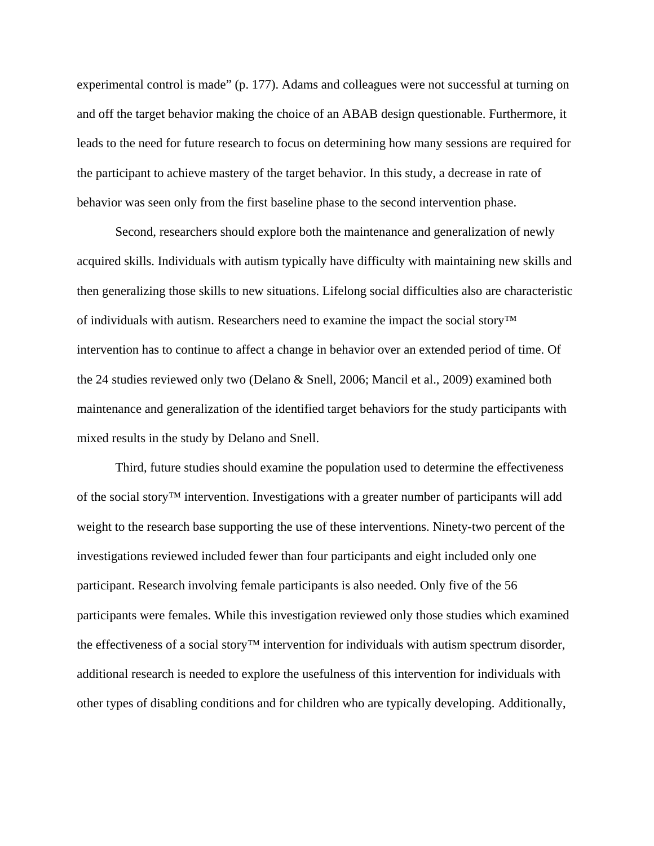experimental control is made" (p. 177). Adams and colleagues were not successful at turning on and off the target behavior making the choice of an ABAB design questionable. Furthermore, it leads to the need for future research to focus on determining how many sessions are required for the participant to achieve mastery of the target behavior. In this study, a decrease in rate of behavior was seen only from the first baseline phase to the second intervention phase.

Second, researchers should explore both the maintenance and generalization of newly acquired skills. Individuals with autism typically have difficulty with maintaining new skills and then generalizing those skills to new situations. Lifelong social difficulties also are characteristic of individuals with autism. Researchers need to examine the impact the social story™ intervention has to continue to affect a change in behavior over an extended period of time. Of the 24 studies reviewed only two (Delano & Snell, 2006; Mancil et al., 2009) examined both maintenance and generalization of the identified target behaviors for the study participants with mixed results in the study by Delano and Snell.

Third, future studies should examine the population used to determine the effectiveness of the social story™ intervention. Investigations with a greater number of participants will add weight to the research base supporting the use of these interventions. Ninety-two percent of the investigations reviewed included fewer than four participants and eight included only one participant. Research involving female participants is also needed. Only five of the 56 participants were females. While this investigation reviewed only those studies which examined the effectiveness of a social story<sup>™</sup> intervention for individuals with autism spectrum disorder, additional research is needed to explore the usefulness of this intervention for individuals with other types of disabling conditions and for children who are typically developing. Additionally,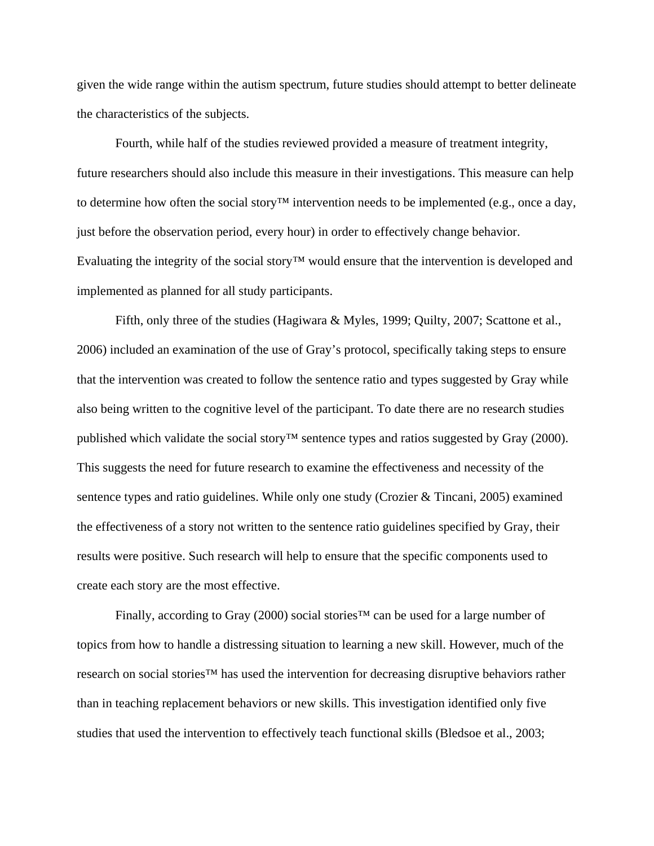given the wide range within the autism spectrum, future studies should attempt to better delineate the characteristics of the subjects.

Fourth, while half of the studies reviewed provided a measure of treatment integrity, future researchers should also include this measure in their investigations. This measure can help to determine how often the social story<sup>™</sup> intervention needs to be implemented (e.g., once a day, just before the observation period, every hour) in order to effectively change behavior. Evaluating the integrity of the social story™ would ensure that the intervention is developed and implemented as planned for all study participants.

Fifth, only three of the studies (Hagiwara & Myles, 1999; Quilty, 2007; Scattone et al., 2006) included an examination of the use of Gray's protocol, specifically taking steps to ensure that the intervention was created to follow the sentence ratio and types suggested by Gray while also being written to the cognitive level of the participant. To date there are no research studies published which validate the social story™ sentence types and ratios suggested by Gray (2000). This suggests the need for future research to examine the effectiveness and necessity of the sentence types and ratio guidelines. While only one study (Crozier & Tincani, 2005) examined the effectiveness of a story not written to the sentence ratio guidelines specified by Gray, their results were positive. Such research will help to ensure that the specific components used to create each story are the most effective.

Finally, according to Gray (2000) social stories™ can be used for a large number of topics from how to handle a distressing situation to learning a new skill. However, much of the research on social stories™ has used the intervention for decreasing disruptive behaviors rather than in teaching replacement behaviors or new skills. This investigation identified only five studies that used the intervention to effectively teach functional skills (Bledsoe et al., 2003;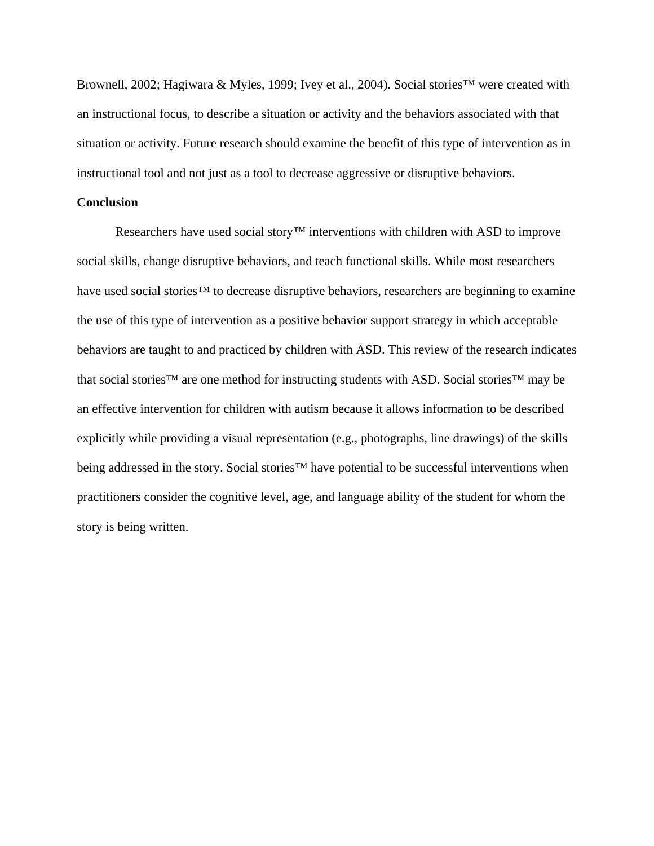Brownell, 2002; Hagiwara & Myles, 1999; Ivey et al., 2004). Social stories™ were created with an instructional focus, to describe a situation or activity and the behaviors associated with that situation or activity. Future research should examine the benefit of this type of intervention as in instructional tool and not just as a tool to decrease aggressive or disruptive behaviors.

## **Conclusion**

Researchers have used social story™ interventions with children with ASD to improve social skills, change disruptive behaviors, and teach functional skills. While most researchers have used social stories™ to decrease disruptive behaviors, researchers are beginning to examine the use of this type of intervention as a positive behavior support strategy in which acceptable behaviors are taught to and practiced by children with ASD. This review of the research indicates that social stories™ are one method for instructing students with ASD. Social stories™ may be an effective intervention for children with autism because it allows information to be described explicitly while providing a visual representation (e.g., photographs, line drawings) of the skills being addressed in the story. Social stories<sup>™</sup> have potential to be successful interventions when practitioners consider the cognitive level, age, and language ability of the student for whom the story is being written.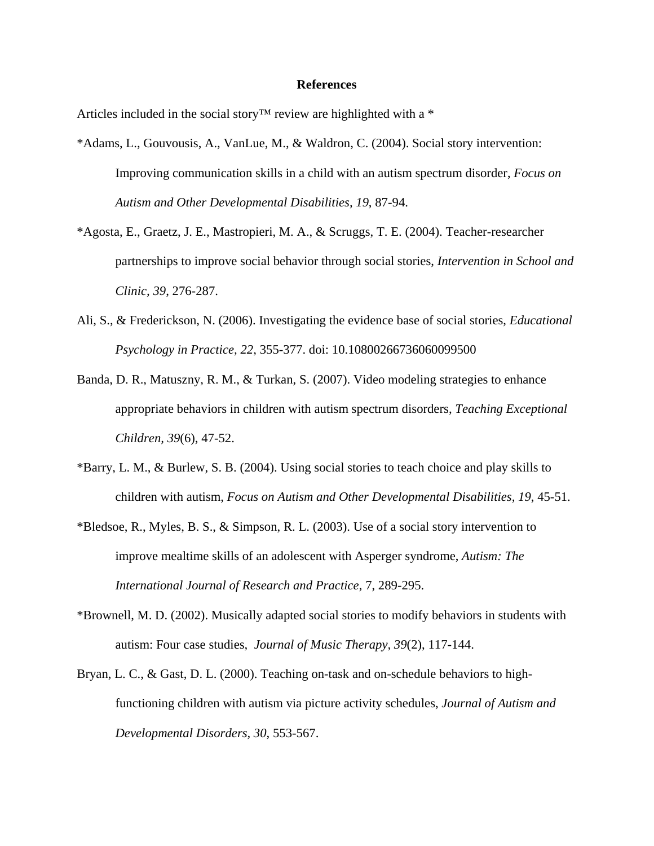#### **References**

Articles included in the social story<sup>™</sup> review are highlighted with a  $*$ 

- \*Adams, L., Gouvousis, A., VanLue, M., & Waldron, C. (2004). Social story intervention: Improving communication skills in a child with an autism spectrum disorder, *Focus on Autism and Other Developmental Disabilities, 19*, 87-94.
- \*Agosta, E., Graetz, J. E., Mastropieri, M. A., & Scruggs, T. E. (2004). Teacher-researcher partnerships to improve social behavior through social stories, *Intervention in School and Clinic, 39*, 276-287.
- Ali, S., & Frederickson, N. (2006). Investigating the evidence base of social stories, *Educational Psychology in Practice, 22*, 355-377. doi: 10.10800266736060099500
- Banda, D. R., Matuszny, R. M., & Turkan, S. (2007). Video modeling strategies to enhance appropriate behaviors in children with autism spectrum disorders, *Teaching Exceptional Children, 39*(6), 47-52.
- \*Barry, L. M., & Burlew, S. B. (2004). Using social stories to teach choice and play skills to children with autism, *Focus on Autism and Other Developmental Disabilities, 19*, 45-51.
- \*Bledsoe, R., Myles, B. S., & Simpson, R. L. (2003). Use of a social story intervention to improve mealtime skills of an adolescent with Asperger syndrome, *Autism: The International Journal of Research and Practice*, 7, 289-295.
- \*Brownell, M. D. (2002). Musically adapted social stories to modify behaviors in students with autism: Four case studies, *Journal of Music Therapy, 39*(2), 117-144.
- Bryan, L. C., & Gast, D. L. (2000). Teaching on-task and on-schedule behaviors to highfunctioning children with autism via picture activity schedules, *Journal of Autism and Developmental Disorders, 30*, 553-567.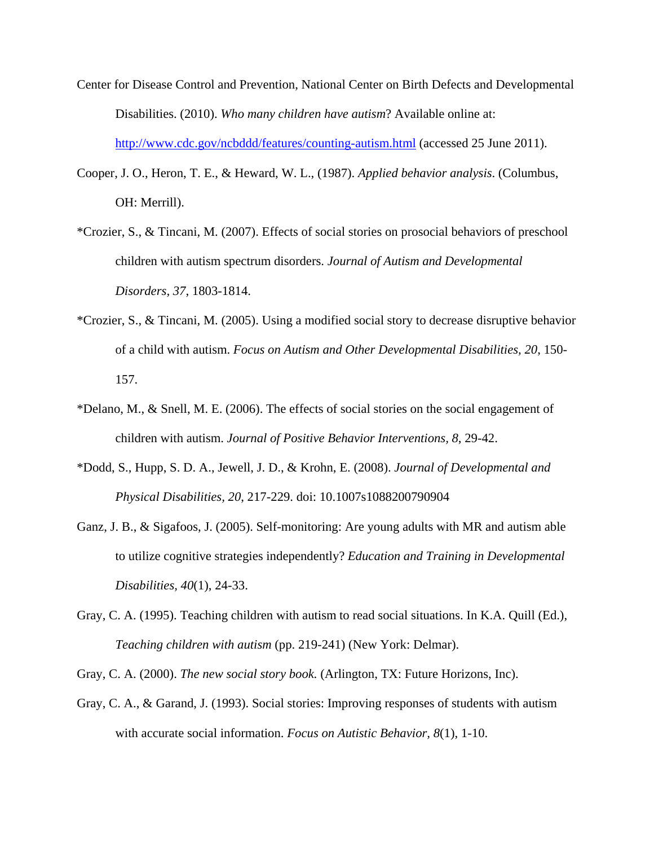- Center for Disease Control and Prevention, National Center on Birth Defects and Developmental Disabilities. (2010). *Who many children have autism*? Available online at: http://www.cdc.gov/ncbddd/features/counting-autism.html (accessed 25 June 2011).
- Cooper, J. O., Heron, T. E., & Heward, W. L., (1987). *Applied behavior analysis*. (Columbus, OH: Merrill).
- \*Crozier, S., & Tincani, M. (2007). Effects of social stories on prosocial behaviors of preschool children with autism spectrum disorders. *Journal of Autism and Developmental Disorders, 37*, 1803-1814.
- \*Crozier, S., & Tincani, M. (2005). Using a modified social story to decrease disruptive behavior of a child with autism. *Focus on Autism and Other Developmental Disabilities, 20*, 150- 157.
- \*Delano, M., & Snell, M. E. (2006). The effects of social stories on the social engagement of children with autism. *Journal of Positive Behavior Interventions, 8*, 29-42.
- \*Dodd, S., Hupp, S. D. A., Jewell, J. D., & Krohn, E. (2008). *Journal of Developmental and Physical Disabilities, 20*, 217-229. doi: 10.1007s1088200790904
- Ganz, J. B., & Sigafoos, J. (2005). Self-monitoring: Are young adults with MR and autism able to utilize cognitive strategies independently? *Education and Training in Developmental Disabilities, 40*(1), 24-33.
- Gray, C. A. (1995). Teaching children with autism to read social situations. In K.A. Quill (Ed.), *Teaching children with autism* (pp. 219-241) (New York: Delmar).
- Gray, C. A. (2000). *The new social story book.* (Arlington, TX: Future Horizons, Inc).
- Gray, C. A., & Garand, J. (1993). Social stories: Improving responses of students with autism with accurate social information. *Focus on Autistic Behavior, 8*(1), 1-10.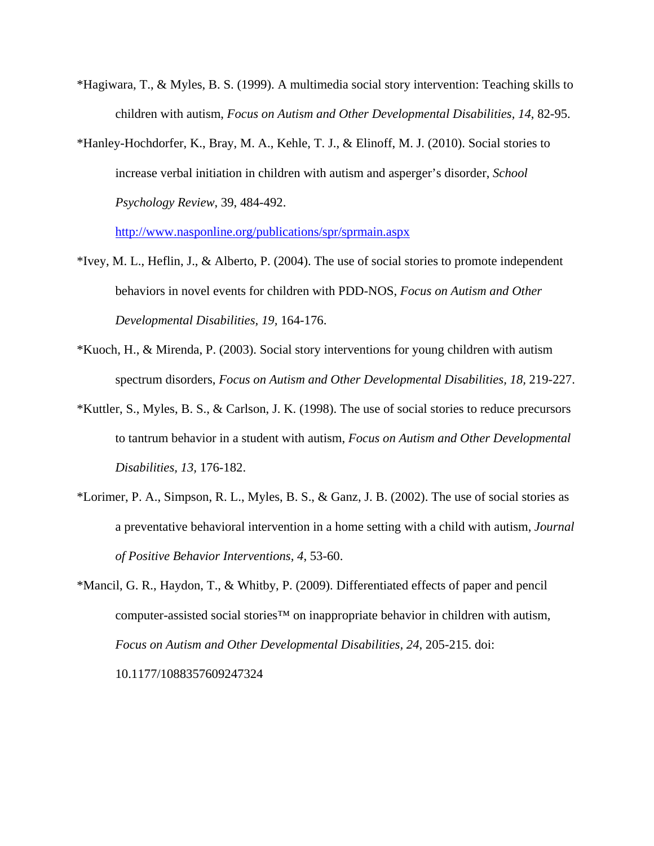- \*Hagiwara, T., & Myles, B. S. (1999). A multimedia social story intervention: Teaching skills to children with autism, *Focus on Autism and Other Developmental Disabilities, 14*, 82-95.
- \*Hanley-Hochdorfer, K., Bray, M. A., Kehle, T. J., & Elinoff, M. J. (2010). Social stories to increase verbal initiation in children with autism and asperger's disorder, *School Psychology Review*, 39, 484-492.

http://www.nasponline.org/publications/spr/sprmain.aspx

- \*Ivey, M. L., Heflin, J., & Alberto, P. (2004). The use of social stories to promote independent behaviors in novel events for children with PDD-NOS, *Focus on Autism and Other Developmental Disabilities, 19,* 164-176.
- \*Kuoch, H., & Mirenda, P. (2003). Social story interventions for young children with autism spectrum disorders, *Focus on Autism and Other Developmental Disabilities, 18,* 219-227.
- \*Kuttler, S., Myles, B. S., & Carlson, J. K. (1998). The use of social stories to reduce precursors to tantrum behavior in a student with autism, *Focus on Autism and Other Developmental Disabilities, 13,* 176-182.
- \*Lorimer, P. A., Simpson, R. L., Myles, B. S., & Ganz, J. B. (2002). The use of social stories as a preventative behavioral intervention in a home setting with a child with autism, *Journal of Positive Behavior Interventions, 4*, 53-60.
- \*Mancil, G. R., Haydon, T., & Whitby, P. (2009). Differentiated effects of paper and pencil computer-assisted social stories™ on inappropriate behavior in children with autism, *Focus on Autism and Other Developmental Disabilities, 24*, 205-215. doi: 10.1177/1088357609247324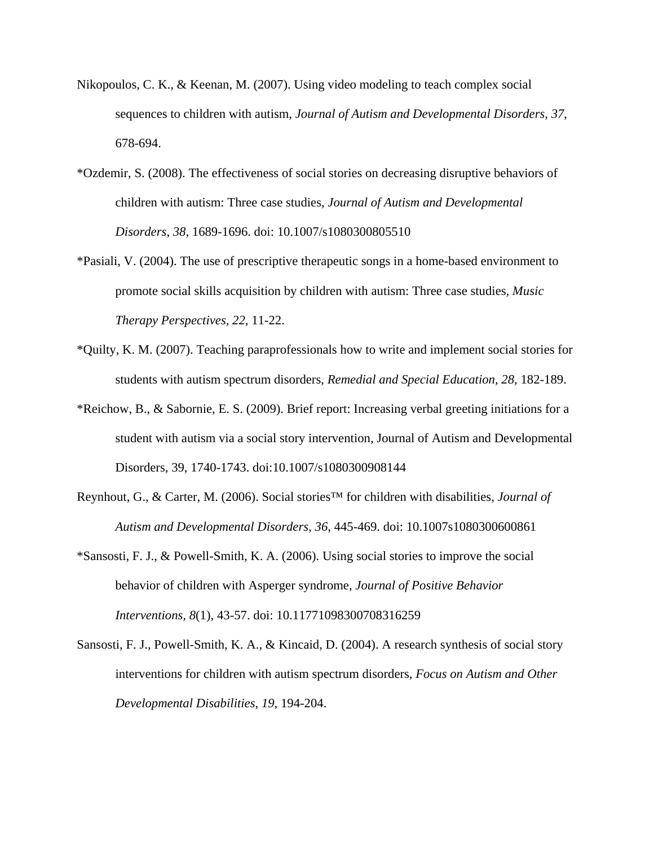- Nikopoulos, C. K., & Keenan, M. (2007). Using video modeling to teach complex social sequences to children with autism, *Journal of Autism and Developmental Disorders, 37*, 678-694.
- \*Ozdemir, S. (2008). The effectiveness of social stories on decreasing disruptive behaviors of children with autism: Three case studies, *Journal of Autism and Developmental Disorders, 38*, 1689-1696. doi: 10.1007/s1080300805510
- \*Pasiali, V. (2004). The use of prescriptive therapeutic songs in a home-based environment to promote social skills acquisition by children with autism: Three case studies, *Music Therapy Perspectives, 22,* 11-22.
- \*Quilty, K. M. (2007). Teaching paraprofessionals how to write and implement social stories for students with autism spectrum disorders, *Remedial and Special Education, 28*, 182-189.
- \*Reichow, B., & Sabornie, E. S. (2009). Brief report: Increasing verbal greeting initiations for a student with autism via a social story intervention, Journal of Autism and Developmental Disorders, 39, 1740-1743. doi:10.1007/s1080300908144
- Reynhout, G., & Carter, M. (2006). Social stories™ for children with disabilities, *Journal of Autism and Developmental Disorders, 36*, 445-469. doi: 10.1007s1080300600861
- \*Sansosti, F. J., & Powell-Smith, K. A. (2006). Using social stories to improve the social behavior of children with Asperger syndrome, *Journal of Positive Behavior Interventions, 8*(1), 43-57. doi: 10.11771098300708316259
- Sansosti, F. J., Powell-Smith, K. A., & Kincaid, D. (2004). A research synthesis of social story interventions for children with autism spectrum disorders, *Focus on Autism and Other Developmental Disabilities, 19*, 194-204.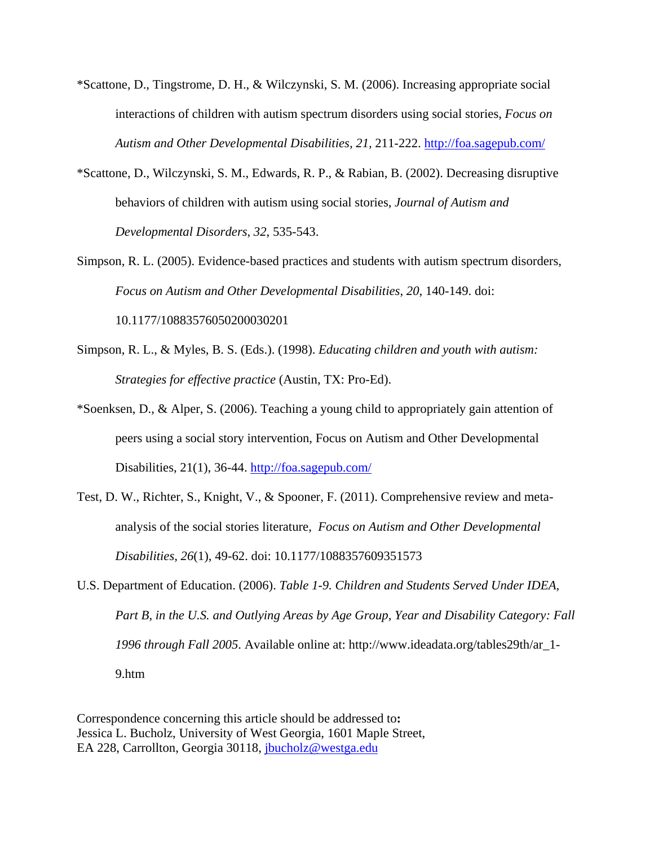- \*Scattone, D., Tingstrome, D. H., & Wilczynski, S. M. (2006). Increasing appropriate social interactions of children with autism spectrum disorders using social stories, *Focus on Autism and Other Developmental Disabilities, 21,* 211-222. http://foa.sagepub.com/
- \*Scattone, D., Wilczynski, S. M., Edwards, R. P., & Rabian, B. (2002). Decreasing disruptive behaviors of children with autism using social stories, *Journal of Autism and Developmental Disorders, 32*, 535-543.
- Simpson, R. L. (2005). Evidence-based practices and students with autism spectrum disorders, *Focus on Autism and Other Developmental Disabilities*, *20*, 140-149. doi: 10.1177/10883576050200030201
- Simpson, R. L., & Myles, B. S. (Eds.). (1998). *Educating children and youth with autism: Strategies for effective practice* (Austin, TX: Pro-Ed).
- \*Soenksen, D., & Alper, S. (2006). Teaching a young child to appropriately gain attention of peers using a social story intervention, Focus on Autism and Other Developmental Disabilities, 21(1), 36-44. http://foa.sagepub.com/
- Test, D. W., Richter, S., Knight, V., & Spooner, F. (2011). Comprehensive review and metaanalysis of the social stories literature, *Focus on Autism and Other Developmental Disabilities, 26*(1), 49-62. doi: 10.1177/1088357609351573
- U.S. Department of Education. (2006). *Table 1-9. Children and Students Served Under IDEA, Part B, in the U.S. and Outlying Areas by Age Group, Year and Disability Category: Fall 1996 through Fall 2005*. Available online at: http://www.ideadata.org/tables29th/ar\_1- 9.htm

Correspondence concerning this article should be addressed to**:**  Jessica L. Bucholz, University of West Georgia, 1601 Maple Street, EA 228, Carrollton, Georgia 30118, jbucholz@westga.edu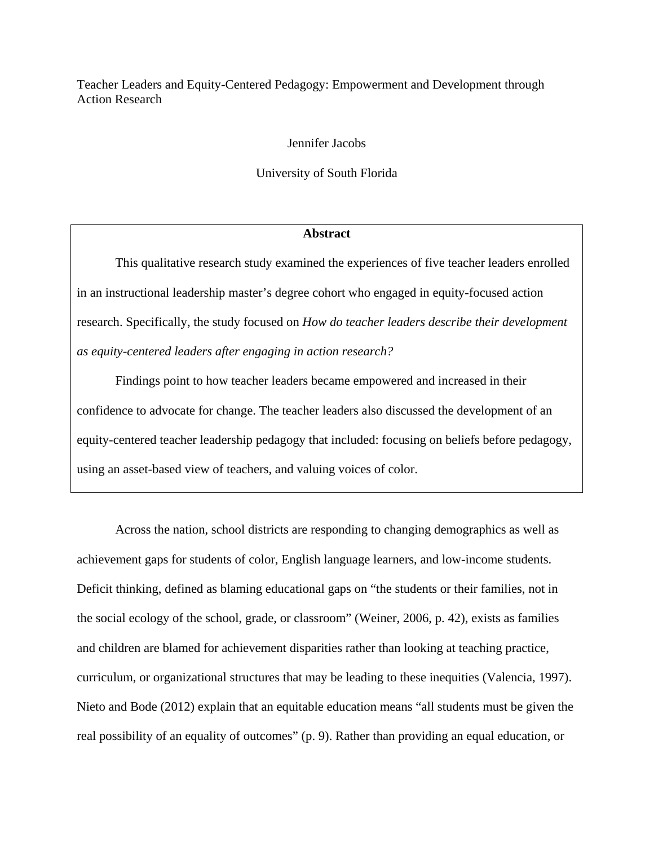Teacher Leaders and Equity-Centered Pedagogy: Empowerment and Development through Action Research

Jennifer Jacobs

University of South Florida

## **Abstract**

This qualitative research study examined the experiences of five teacher leaders enrolled in an instructional leadership master's degree cohort who engaged in equity-focused action research. Specifically, the study focused on *How do teacher leaders describe their development as equity-centered leaders after engaging in action research?* 

Findings point to how teacher leaders became empowered and increased in their confidence to advocate for change. The teacher leaders also discussed the development of an equity-centered teacher leadership pedagogy that included: focusing on beliefs before pedagogy, using an asset-based view of teachers, and valuing voices of color.

Across the nation, school districts are responding to changing demographics as well as achievement gaps for students of color, English language learners, and low-income students. Deficit thinking, defined as blaming educational gaps on "the students or their families, not in the social ecology of the school, grade, or classroom" (Weiner, 2006, p. 42), exists as families and children are blamed for achievement disparities rather than looking at teaching practice, curriculum, or organizational structures that may be leading to these inequities (Valencia, 1997). Nieto and Bode (2012) explain that an equitable education means "all students must be given the real possibility of an equality of outcomes" (p. 9). Rather than providing an equal education, or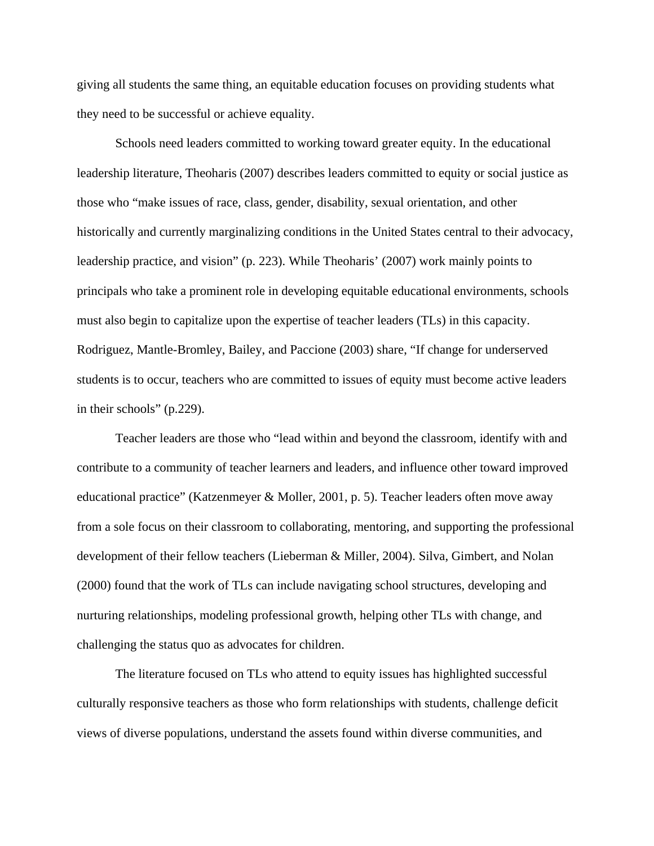giving all students the same thing, an equitable education focuses on providing students what they need to be successful or achieve equality.

Schools need leaders committed to working toward greater equity. In the educational leadership literature, Theoharis (2007) describes leaders committed to equity or social justice as those who "make issues of race, class, gender, disability, sexual orientation, and other historically and currently marginalizing conditions in the United States central to their advocacy, leadership practice, and vision" (p. 223). While Theoharis' (2007) work mainly points to principals who take a prominent role in developing equitable educational environments, schools must also begin to capitalize upon the expertise of teacher leaders (TLs) in this capacity. Rodriguez, Mantle-Bromley, Bailey, and Paccione (2003) share, "If change for underserved students is to occur, teachers who are committed to issues of equity must become active leaders in their schools" (p.229).

Teacher leaders are those who "lead within and beyond the classroom, identify with and contribute to a community of teacher learners and leaders, and influence other toward improved educational practice" (Katzenmeyer & Moller, 2001, p. 5). Teacher leaders often move away from a sole focus on their classroom to collaborating, mentoring, and supporting the professional development of their fellow teachers (Lieberman & Miller, 2004). Silva, Gimbert, and Nolan (2000) found that the work of TLs can include navigating school structures, developing and nurturing relationships, modeling professional growth, helping other TLs with change, and challenging the status quo as advocates for children.

The literature focused on TLs who attend to equity issues has highlighted successful culturally responsive teachers as those who form relationships with students, challenge deficit views of diverse populations, understand the assets found within diverse communities, and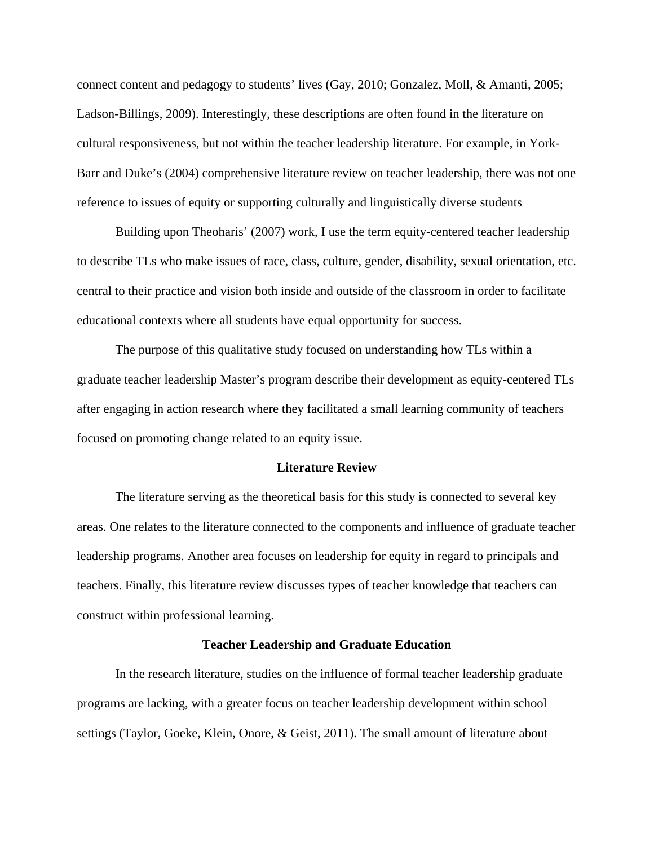connect content and pedagogy to students' lives (Gay, 2010; Gonzalez, Moll, & Amanti, 2005; Ladson-Billings, 2009). Interestingly, these descriptions are often found in the literature on cultural responsiveness, but not within the teacher leadership literature. For example, in York-Barr and Duke's (2004) comprehensive literature review on teacher leadership, there was not one reference to issues of equity or supporting culturally and linguistically diverse students

Building upon Theoharis' (2007) work, I use the term equity-centered teacher leadership to describe TLs who make issues of race, class, culture, gender, disability, sexual orientation, etc. central to their practice and vision both inside and outside of the classroom in order to facilitate educational contexts where all students have equal opportunity for success.

The purpose of this qualitative study focused on understanding how TLs within a graduate teacher leadership Master's program describe their development as equity-centered TLs after engaging in action research where they facilitated a small learning community of teachers focused on promoting change related to an equity issue.

#### **Literature Review**

The literature serving as the theoretical basis for this study is connected to several key areas. One relates to the literature connected to the components and influence of graduate teacher leadership programs. Another area focuses on leadership for equity in regard to principals and teachers. Finally, this literature review discusses types of teacher knowledge that teachers can construct within professional learning.

#### **Teacher Leadership and Graduate Education**

In the research literature, studies on the influence of formal teacher leadership graduate programs are lacking, with a greater focus on teacher leadership development within school settings (Taylor, Goeke, Klein, Onore, & Geist, 2011). The small amount of literature about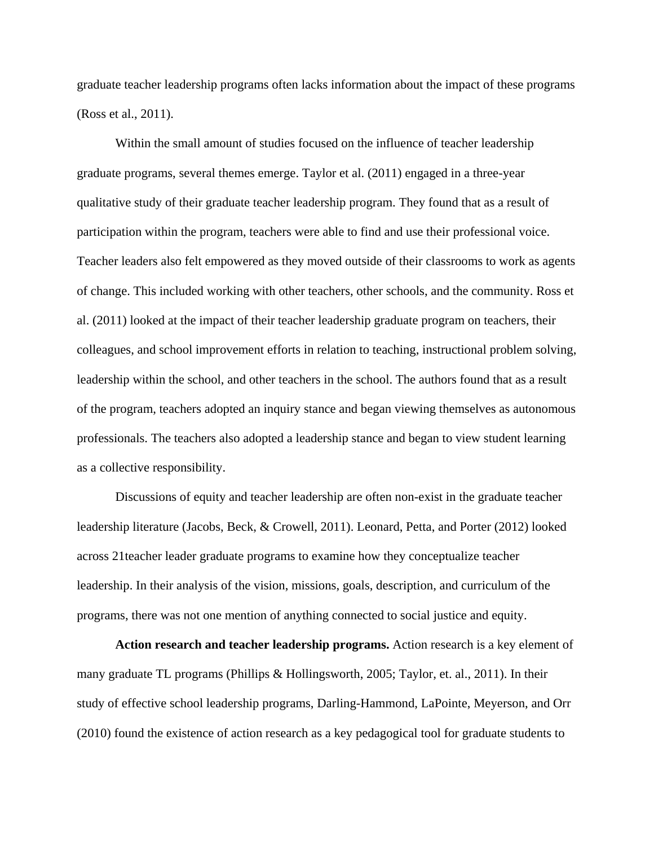graduate teacher leadership programs often lacks information about the impact of these programs (Ross et al., 2011).

Within the small amount of studies focused on the influence of teacher leadership graduate programs, several themes emerge. Taylor et al. (2011) engaged in a three-year qualitative study of their graduate teacher leadership program. They found that as a result of participation within the program, teachers were able to find and use their professional voice. Teacher leaders also felt empowered as they moved outside of their classrooms to work as agents of change. This included working with other teachers, other schools, and the community. Ross et al. (2011) looked at the impact of their teacher leadership graduate program on teachers, their colleagues, and school improvement efforts in relation to teaching, instructional problem solving, leadership within the school, and other teachers in the school. The authors found that as a result of the program, teachers adopted an inquiry stance and began viewing themselves as autonomous professionals. The teachers also adopted a leadership stance and began to view student learning as a collective responsibility.

Discussions of equity and teacher leadership are often non-exist in the graduate teacher leadership literature (Jacobs, Beck, & Crowell, 2011). Leonard, Petta, and Porter (2012) looked across 21teacher leader graduate programs to examine how they conceptualize teacher leadership. In their analysis of the vision, missions, goals, description, and curriculum of the programs, there was not one mention of anything connected to social justice and equity.

**Action research and teacher leadership programs.** Action research is a key element of many graduate TL programs (Phillips & Hollingsworth, 2005; Taylor, et. al., 2011). In their study of effective school leadership programs, Darling-Hammond, LaPointe, Meyerson, and Orr (2010) found the existence of action research as a key pedagogical tool for graduate students to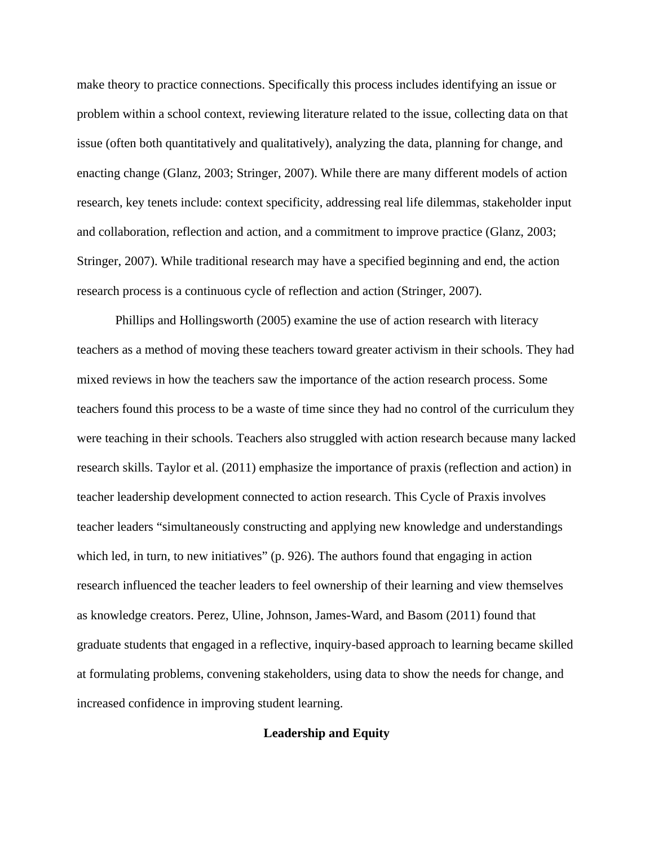make theory to practice connections. Specifically this process includes identifying an issue or problem within a school context, reviewing literature related to the issue, collecting data on that issue (often both quantitatively and qualitatively), analyzing the data, planning for change, and enacting change (Glanz, 2003; Stringer, 2007). While there are many different models of action research, key tenets include: context specificity, addressing real life dilemmas, stakeholder input and collaboration, reflection and action, and a commitment to improve practice (Glanz, 2003; Stringer, 2007). While traditional research may have a specified beginning and end, the action research process is a continuous cycle of reflection and action (Stringer, 2007).

Phillips and Hollingsworth (2005) examine the use of action research with literacy teachers as a method of moving these teachers toward greater activism in their schools. They had mixed reviews in how the teachers saw the importance of the action research process. Some teachers found this process to be a waste of time since they had no control of the curriculum they were teaching in their schools. Teachers also struggled with action research because many lacked research skills. Taylor et al. (2011) emphasize the importance of praxis (reflection and action) in teacher leadership development connected to action research. This Cycle of Praxis involves teacher leaders "simultaneously constructing and applying new knowledge and understandings which led, in turn, to new initiatives" (p. 926). The authors found that engaging in action research influenced the teacher leaders to feel ownership of their learning and view themselves as knowledge creators. Perez, Uline, Johnson, James-Ward, and Basom (2011) found that graduate students that engaged in a reflective, inquiry-based approach to learning became skilled at formulating problems, convening stakeholders, using data to show the needs for change, and increased confidence in improving student learning.

## **Leadership and Equity**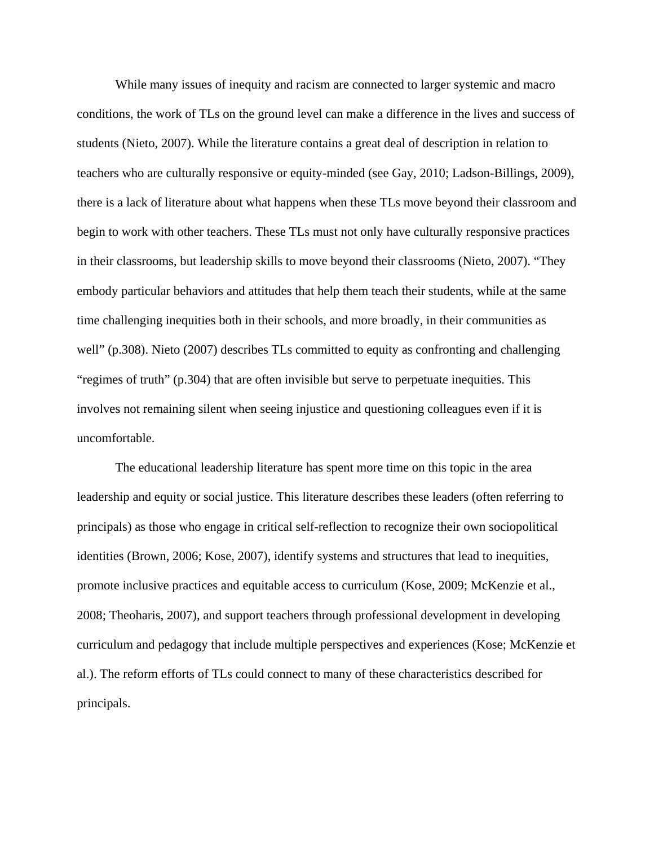While many issues of inequity and racism are connected to larger systemic and macro conditions, the work of TLs on the ground level can make a difference in the lives and success of students (Nieto, 2007). While the literature contains a great deal of description in relation to teachers who are culturally responsive or equity-minded (see Gay, 2010; Ladson-Billings, 2009), there is a lack of literature about what happens when these TLs move beyond their classroom and begin to work with other teachers. These TLs must not only have culturally responsive practices in their classrooms, but leadership skills to move beyond their classrooms (Nieto, 2007). "They embody particular behaviors and attitudes that help them teach their students, while at the same time challenging inequities both in their schools, and more broadly, in their communities as well" (p.308). Nieto (2007) describes TLs committed to equity as confronting and challenging "regimes of truth" (p.304) that are often invisible but serve to perpetuate inequities. This involves not remaining silent when seeing injustice and questioning colleagues even if it is uncomfortable.

The educational leadership literature has spent more time on this topic in the area leadership and equity or social justice. This literature describes these leaders (often referring to principals) as those who engage in critical self-reflection to recognize their own sociopolitical identities (Brown, 2006; Kose, 2007), identify systems and structures that lead to inequities, promote inclusive practices and equitable access to curriculum (Kose, 2009; McKenzie et al., 2008; Theoharis, 2007), and support teachers through professional development in developing curriculum and pedagogy that include multiple perspectives and experiences (Kose; McKenzie et al.). The reform efforts of TLs could connect to many of these characteristics described for principals.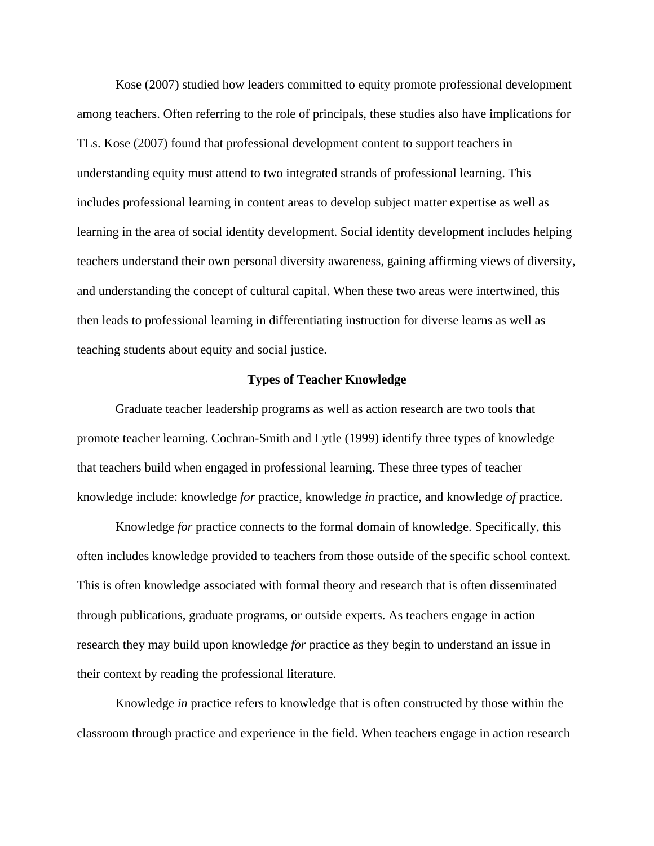Kose (2007) studied how leaders committed to equity promote professional development among teachers. Often referring to the role of principals, these studies also have implications for TLs. Kose (2007) found that professional development content to support teachers in understanding equity must attend to two integrated strands of professional learning. This includes professional learning in content areas to develop subject matter expertise as well as learning in the area of social identity development. Social identity development includes helping teachers understand their own personal diversity awareness, gaining affirming views of diversity, and understanding the concept of cultural capital. When these two areas were intertwined, this then leads to professional learning in differentiating instruction for diverse learns as well as teaching students about equity and social justice.

## **Types of Teacher Knowledge**

Graduate teacher leadership programs as well as action research are two tools that promote teacher learning. Cochran-Smith and Lytle (1999) identify three types of knowledge that teachers build when engaged in professional learning. These three types of teacher knowledge include: knowledge *for* practice, knowledge *in* practice, and knowledge *of* practice.

Knowledge *for* practice connects to the formal domain of knowledge. Specifically, this often includes knowledge provided to teachers from those outside of the specific school context. This is often knowledge associated with formal theory and research that is often disseminated through publications, graduate programs, or outside experts. As teachers engage in action research they may build upon knowledge *for* practice as they begin to understand an issue in their context by reading the professional literature.

Knowledge *in* practice refers to knowledge that is often constructed by those within the classroom through practice and experience in the field. When teachers engage in action research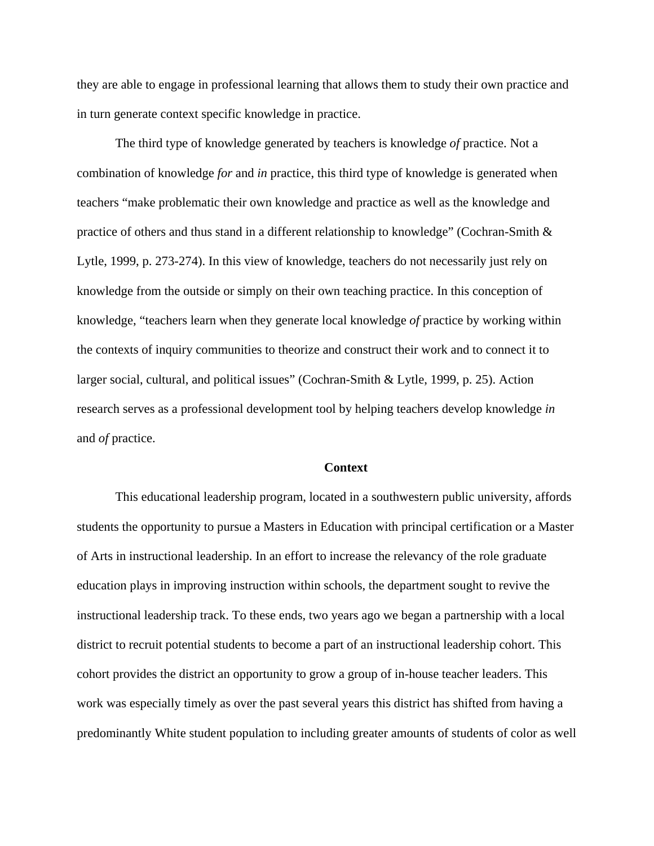they are able to engage in professional learning that allows them to study their own practice and in turn generate context specific knowledge in practice.

The third type of knowledge generated by teachers is knowledge *of* practice. Not a combination of knowledge *for* and *in* practice, this third type of knowledge is generated when teachers "make problematic their own knowledge and practice as well as the knowledge and practice of others and thus stand in a different relationship to knowledge" (Cochran-Smith & Lytle, 1999, p. 273-274). In this view of knowledge, teachers do not necessarily just rely on knowledge from the outside or simply on their own teaching practice. In this conception of knowledge, "teachers learn when they generate local knowledge *of* practice by working within the contexts of inquiry communities to theorize and construct their work and to connect it to larger social, cultural, and political issues" (Cochran-Smith & Lytle, 1999, p. 25). Action research serves as a professional development tool by helping teachers develop knowledge *in* and *of* practice.

#### **Context**

This educational leadership program, located in a southwestern public university, affords students the opportunity to pursue a Masters in Education with principal certification or a Master of Arts in instructional leadership. In an effort to increase the relevancy of the role graduate education plays in improving instruction within schools, the department sought to revive the instructional leadership track. To these ends, two years ago we began a partnership with a local district to recruit potential students to become a part of an instructional leadership cohort. This cohort provides the district an opportunity to grow a group of in-house teacher leaders. This work was especially timely as over the past several years this district has shifted from having a predominantly White student population to including greater amounts of students of color as well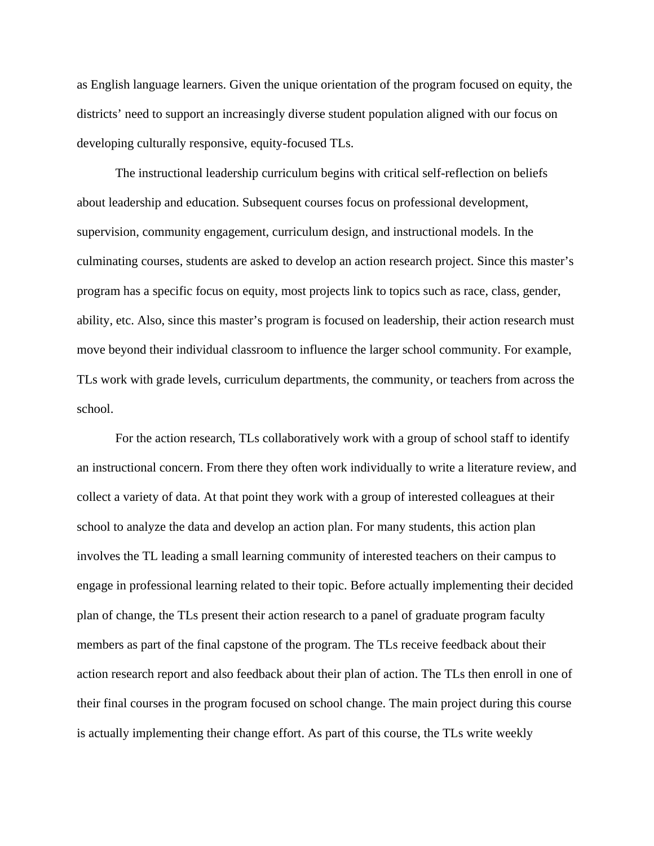as English language learners. Given the unique orientation of the program focused on equity, the districts' need to support an increasingly diverse student population aligned with our focus on developing culturally responsive, equity-focused TLs.

The instructional leadership curriculum begins with critical self-reflection on beliefs about leadership and education. Subsequent courses focus on professional development, supervision, community engagement, curriculum design, and instructional models. In the culminating courses, students are asked to develop an action research project. Since this master's program has a specific focus on equity, most projects link to topics such as race, class, gender, ability, etc. Also, since this master's program is focused on leadership, their action research must move beyond their individual classroom to influence the larger school community. For example, TLs work with grade levels, curriculum departments, the community, or teachers from across the school.

For the action research, TLs collaboratively work with a group of school staff to identify an instructional concern. From there they often work individually to write a literature review, and collect a variety of data. At that point they work with a group of interested colleagues at their school to analyze the data and develop an action plan. For many students, this action plan involves the TL leading a small learning community of interested teachers on their campus to engage in professional learning related to their topic. Before actually implementing their decided plan of change, the TLs present their action research to a panel of graduate program faculty members as part of the final capstone of the program. The TLs receive feedback about their action research report and also feedback about their plan of action. The TLs then enroll in one of their final courses in the program focused on school change. The main project during this course is actually implementing their change effort. As part of this course, the TLs write weekly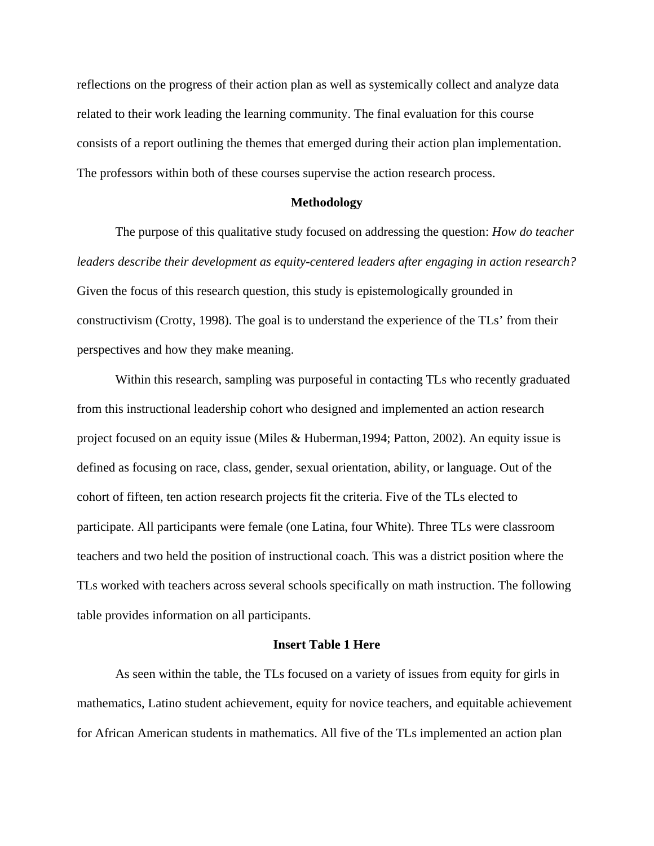reflections on the progress of their action plan as well as systemically collect and analyze data related to their work leading the learning community. The final evaluation for this course consists of a report outlining the themes that emerged during their action plan implementation. The professors within both of these courses supervise the action research process.

## **Methodology**

The purpose of this qualitative study focused on addressing the question: *How do teacher leaders describe their development as equity-centered leaders after engaging in action research?* Given the focus of this research question, this study is epistemologically grounded in constructivism (Crotty, 1998). The goal is to understand the experience of the TLs' from their perspectives and how they make meaning.

Within this research, sampling was purposeful in contacting TLs who recently graduated from this instructional leadership cohort who designed and implemented an action research project focused on an equity issue (Miles & Huberman,1994; Patton, 2002). An equity issue is defined as focusing on race, class, gender, sexual orientation, ability, or language. Out of the cohort of fifteen, ten action research projects fit the criteria. Five of the TLs elected to participate. All participants were female (one Latina, four White). Three TLs were classroom teachers and two held the position of instructional coach. This was a district position where the TLs worked with teachers across several schools specifically on math instruction. The following table provides information on all participants.

### **Insert Table 1 Here**

As seen within the table, the TLs focused on a variety of issues from equity for girls in mathematics, Latino student achievement, equity for novice teachers, and equitable achievement for African American students in mathematics. All five of the TLs implemented an action plan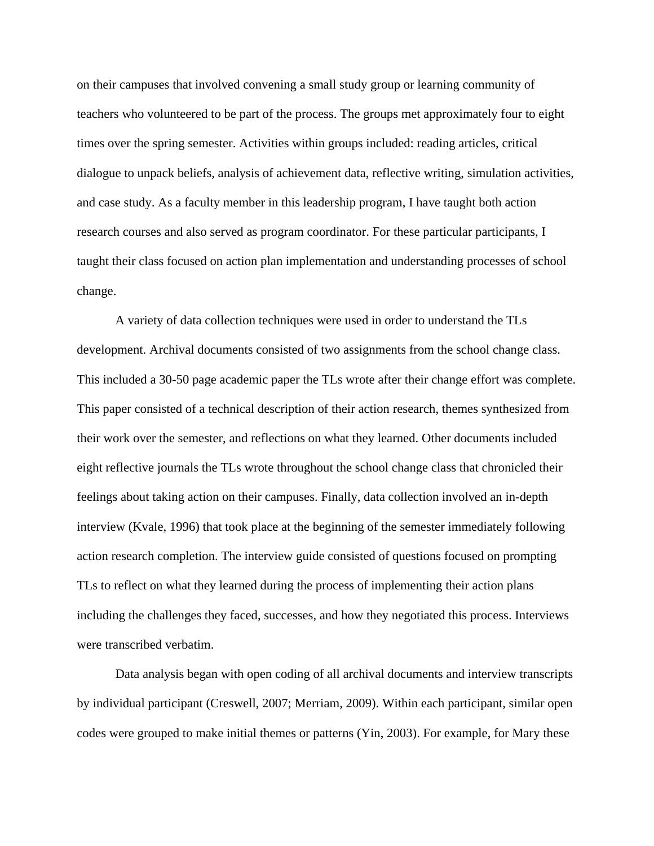on their campuses that involved convening a small study group or learning community of teachers who volunteered to be part of the process. The groups met approximately four to eight times over the spring semester. Activities within groups included: reading articles, critical dialogue to unpack beliefs, analysis of achievement data, reflective writing, simulation activities, and case study. As a faculty member in this leadership program, I have taught both action research courses and also served as program coordinator. For these particular participants, I taught their class focused on action plan implementation and understanding processes of school change.

A variety of data collection techniques were used in order to understand the TLs development. Archival documents consisted of two assignments from the school change class. This included a 30-50 page academic paper the TLs wrote after their change effort was complete. This paper consisted of a technical description of their action research, themes synthesized from their work over the semester, and reflections on what they learned. Other documents included eight reflective journals the TLs wrote throughout the school change class that chronicled their feelings about taking action on their campuses. Finally, data collection involved an in-depth interview (Kvale, 1996) that took place at the beginning of the semester immediately following action research completion. The interview guide consisted of questions focused on prompting TLs to reflect on what they learned during the process of implementing their action plans including the challenges they faced, successes, and how they negotiated this process. Interviews were transcribed verbatim.

Data analysis began with open coding of all archival documents and interview transcripts by individual participant (Creswell, 2007; Merriam, 2009). Within each participant, similar open codes were grouped to make initial themes or patterns (Yin, 2003). For example, for Mary these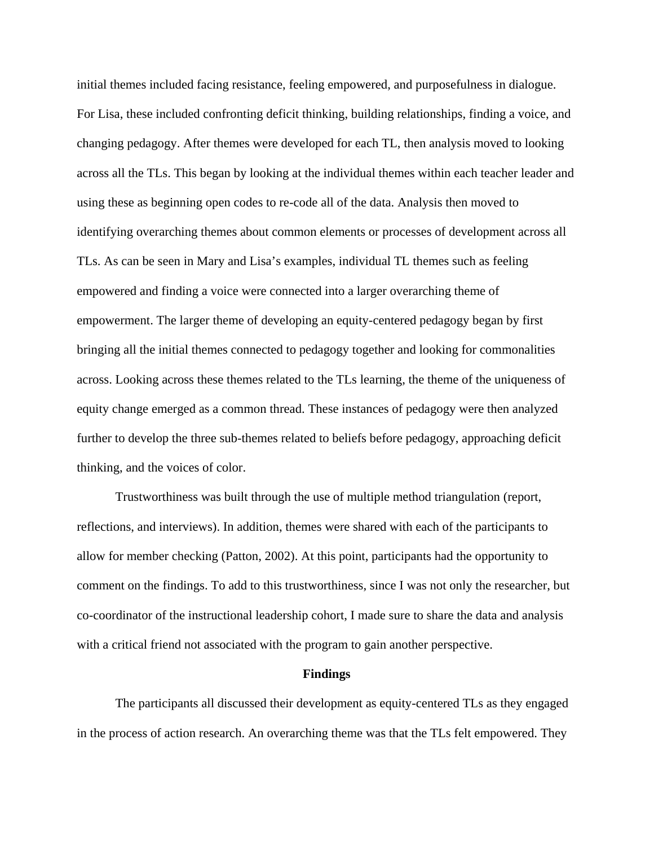initial themes included facing resistance, feeling empowered, and purposefulness in dialogue. For Lisa, these included confronting deficit thinking, building relationships, finding a voice, and changing pedagogy. After themes were developed for each TL, then analysis moved to looking across all the TLs. This began by looking at the individual themes within each teacher leader and using these as beginning open codes to re-code all of the data. Analysis then moved to identifying overarching themes about common elements or processes of development across all TLs. As can be seen in Mary and Lisa's examples, individual TL themes such as feeling empowered and finding a voice were connected into a larger overarching theme of empowerment. The larger theme of developing an equity-centered pedagogy began by first bringing all the initial themes connected to pedagogy together and looking for commonalities across. Looking across these themes related to the TLs learning, the theme of the uniqueness of equity change emerged as a common thread. These instances of pedagogy were then analyzed further to develop the three sub-themes related to beliefs before pedagogy, approaching deficit thinking, and the voices of color.

Trustworthiness was built through the use of multiple method triangulation (report, reflections, and interviews). In addition, themes were shared with each of the participants to allow for member checking (Patton, 2002). At this point, participants had the opportunity to comment on the findings. To add to this trustworthiness, since I was not only the researcher, but co-coordinator of the instructional leadership cohort, I made sure to share the data and analysis with a critical friend not associated with the program to gain another perspective.

#### **Findings**

The participants all discussed their development as equity-centered TLs as they engaged in the process of action research. An overarching theme was that the TLs felt empowered. They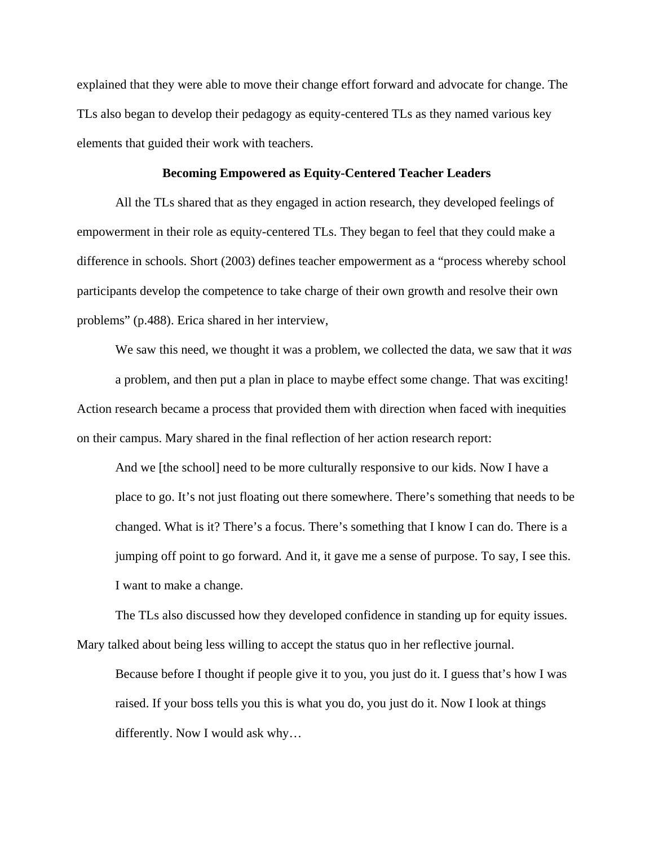explained that they were able to move their change effort forward and advocate for change. The TLs also began to develop their pedagogy as equity-centered TLs as they named various key elements that guided their work with teachers.

## **Becoming Empowered as Equity-Centered Teacher Leaders**

All the TLs shared that as they engaged in action research, they developed feelings of empowerment in their role as equity-centered TLs. They began to feel that they could make a difference in schools. Short (2003) defines teacher empowerment as a "process whereby school participants develop the competence to take charge of their own growth and resolve their own problems" (p.488). Erica shared in her interview,

We saw this need, we thought it was a problem, we collected the data, we saw that it *was* a problem, and then put a plan in place to maybe effect some change. That was exciting! Action research became a process that provided them with direction when faced with inequities on their campus. Mary shared in the final reflection of her action research report:

And we [the school] need to be more culturally responsive to our kids. Now I have a place to go. It's not just floating out there somewhere. There's something that needs to be changed. What is it? There's a focus. There's something that I know I can do. There is a jumping off point to go forward. And it, it gave me a sense of purpose. To say, I see this. I want to make a change.

The TLs also discussed how they developed confidence in standing up for equity issues. Mary talked about being less willing to accept the status quo in her reflective journal.

Because before I thought if people give it to you, you just do it. I guess that's how I was raised. If your boss tells you this is what you do, you just do it. Now I look at things differently. Now I would ask why…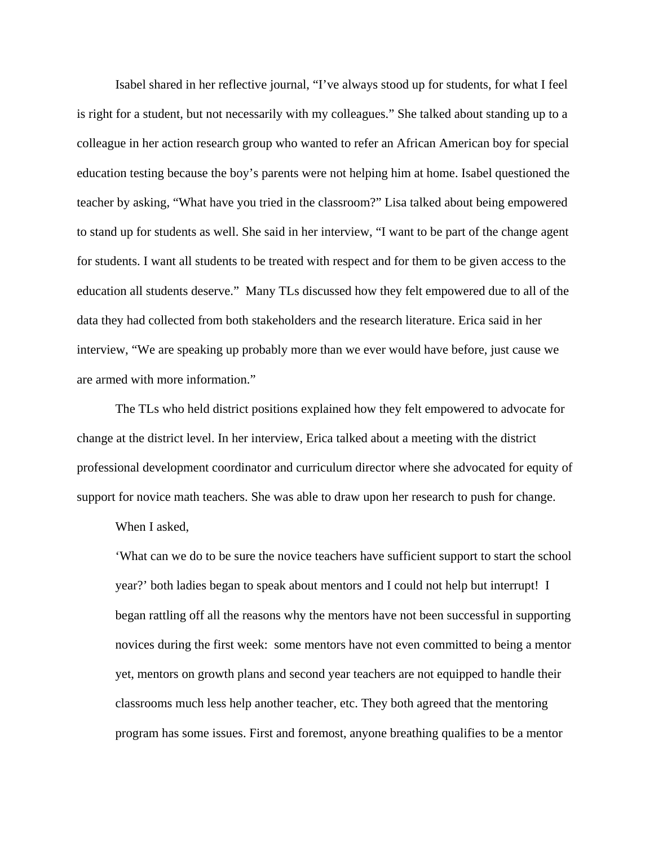Isabel shared in her reflective journal, "I've always stood up for students, for what I feel is right for a student, but not necessarily with my colleagues." She talked about standing up to a colleague in her action research group who wanted to refer an African American boy for special education testing because the boy's parents were not helping him at home. Isabel questioned the teacher by asking, "What have you tried in the classroom?" Lisa talked about being empowered to stand up for students as well. She said in her interview, "I want to be part of the change agent for students. I want all students to be treated with respect and for them to be given access to the education all students deserve." Many TLs discussed how they felt empowered due to all of the data they had collected from both stakeholders and the research literature. Erica said in her interview, "We are speaking up probably more than we ever would have before, just cause we are armed with more information."

The TLs who held district positions explained how they felt empowered to advocate for change at the district level. In her interview, Erica talked about a meeting with the district professional development coordinator and curriculum director where she advocated for equity of support for novice math teachers. She was able to draw upon her research to push for change.

When I asked,

'What can we do to be sure the novice teachers have sufficient support to start the school year?' both ladies began to speak about mentors and I could not help but interrupt! I began rattling off all the reasons why the mentors have not been successful in supporting novices during the first week: some mentors have not even committed to being a mentor yet, mentors on growth plans and second year teachers are not equipped to handle their classrooms much less help another teacher, etc. They both agreed that the mentoring program has some issues. First and foremost, anyone breathing qualifies to be a mentor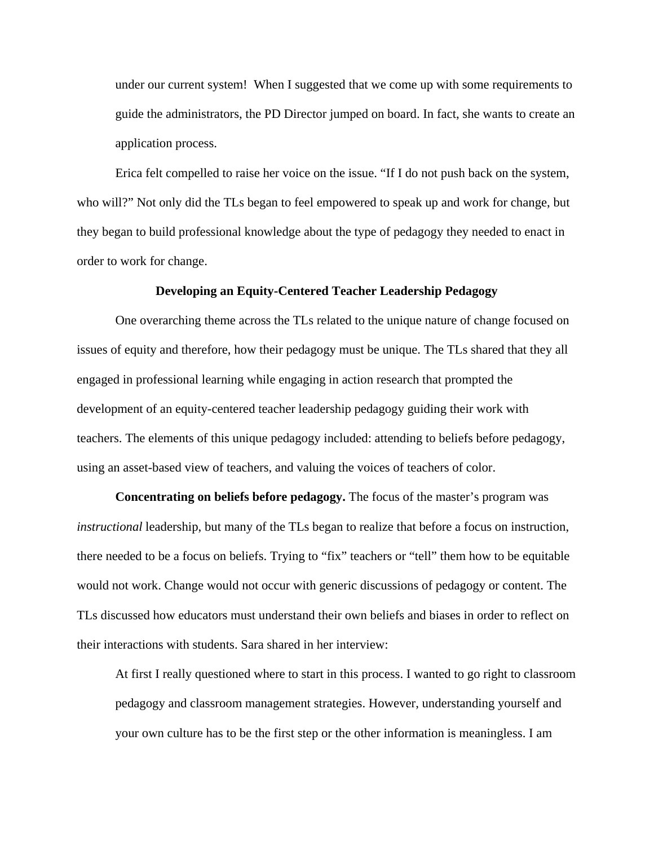under our current system! When I suggested that we come up with some requirements to guide the administrators, the PD Director jumped on board. In fact, she wants to create an application process.

Erica felt compelled to raise her voice on the issue. "If I do not push back on the system, who will?" Not only did the TLs began to feel empowered to speak up and work for change, but they began to build professional knowledge about the type of pedagogy they needed to enact in order to work for change.

#### **Developing an Equity-Centered Teacher Leadership Pedagogy**

One overarching theme across the TLs related to the unique nature of change focused on issues of equity and therefore, how their pedagogy must be unique. The TLs shared that they all engaged in professional learning while engaging in action research that prompted the development of an equity-centered teacher leadership pedagogy guiding their work with teachers. The elements of this unique pedagogy included: attending to beliefs before pedagogy, using an asset-based view of teachers, and valuing the voices of teachers of color.

**Concentrating on beliefs before pedagogy.** The focus of the master's program was *instructional* leadership, but many of the TLs began to realize that before a focus on instruction, there needed to be a focus on beliefs. Trying to "fix" teachers or "tell" them how to be equitable would not work. Change would not occur with generic discussions of pedagogy or content. The TLs discussed how educators must understand their own beliefs and biases in order to reflect on their interactions with students. Sara shared in her interview:

At first I really questioned where to start in this process. I wanted to go right to classroom pedagogy and classroom management strategies. However, understanding yourself and your own culture has to be the first step or the other information is meaningless. I am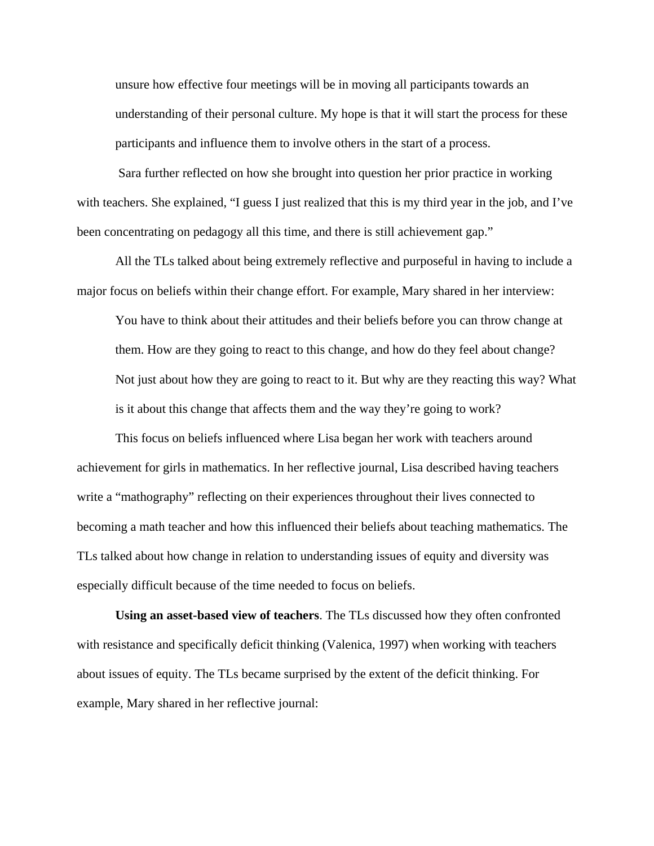unsure how effective four meetings will be in moving all participants towards an understanding of their personal culture. My hope is that it will start the process for these participants and influence them to involve others in the start of a process.

 Sara further reflected on how she brought into question her prior practice in working with teachers. She explained, "I guess I just realized that this is my third year in the job, and I've been concentrating on pedagogy all this time, and there is still achievement gap."

All the TLs talked about being extremely reflective and purposeful in having to include a major focus on beliefs within their change effort. For example, Mary shared in her interview:

You have to think about their attitudes and their beliefs before you can throw change at them. How are they going to react to this change, and how do they feel about change? Not just about how they are going to react to it. But why are they reacting this way? What is it about this change that affects them and the way they're going to work?

This focus on beliefs influenced where Lisa began her work with teachers around achievement for girls in mathematics. In her reflective journal, Lisa described having teachers write a "mathography" reflecting on their experiences throughout their lives connected to becoming a math teacher and how this influenced their beliefs about teaching mathematics. The TLs talked about how change in relation to understanding issues of equity and diversity was especially difficult because of the time needed to focus on beliefs.

**Using an asset-based view of teachers**. The TLs discussed how they often confronted with resistance and specifically deficit thinking (Valenica, 1997) when working with teachers about issues of equity. The TLs became surprised by the extent of the deficit thinking. For example, Mary shared in her reflective journal: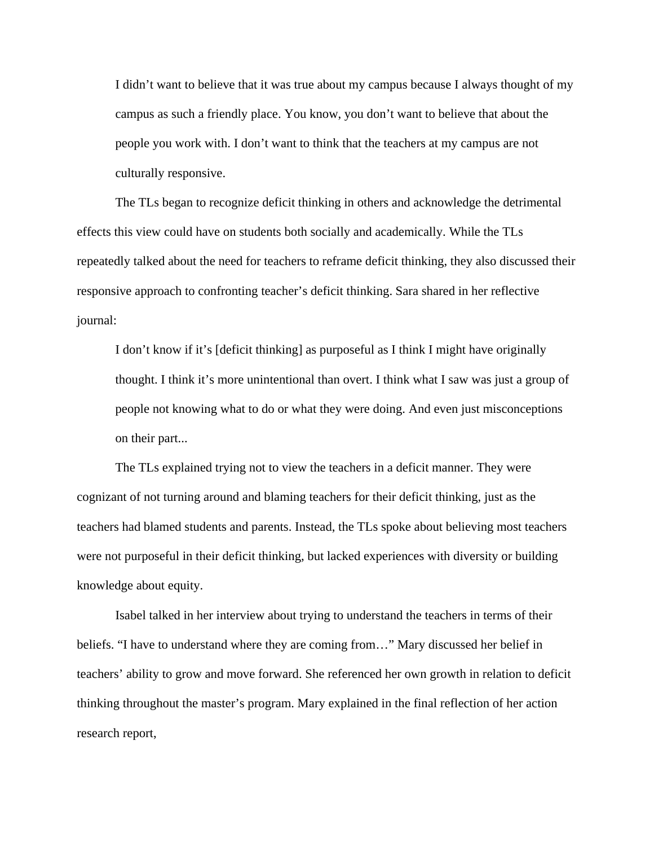I didn't want to believe that it was true about my campus because I always thought of my campus as such a friendly place. You know, you don't want to believe that about the people you work with. I don't want to think that the teachers at my campus are not culturally responsive.

The TLs began to recognize deficit thinking in others and acknowledge the detrimental effects this view could have on students both socially and academically. While the TLs repeatedly talked about the need for teachers to reframe deficit thinking, they also discussed their responsive approach to confronting teacher's deficit thinking. Sara shared in her reflective journal:

I don't know if it's [deficit thinking] as purposeful as I think I might have originally thought. I think it's more unintentional than overt. I think what I saw was just a group of people not knowing what to do or what they were doing. And even just misconceptions on their part...

The TLs explained trying not to view the teachers in a deficit manner. They were cognizant of not turning around and blaming teachers for their deficit thinking, just as the teachers had blamed students and parents. Instead, the TLs spoke about believing most teachers were not purposeful in their deficit thinking, but lacked experiences with diversity or building knowledge about equity.

Isabel talked in her interview about trying to understand the teachers in terms of their beliefs. "I have to understand where they are coming from…" Mary discussed her belief in teachers' ability to grow and move forward. She referenced her own growth in relation to deficit thinking throughout the master's program. Mary explained in the final reflection of her action research report,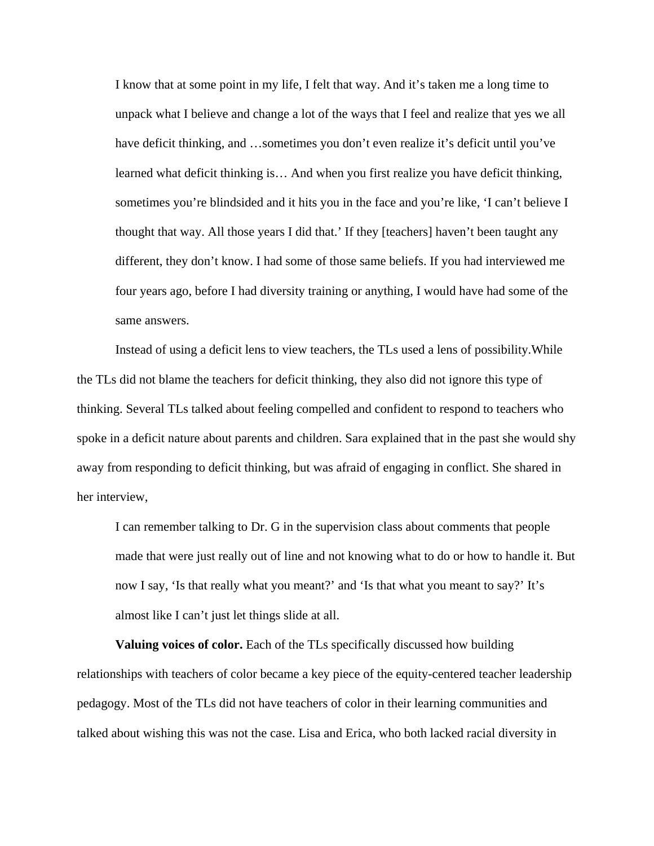I know that at some point in my life, I felt that way. And it's taken me a long time to unpack what I believe and change a lot of the ways that I feel and realize that yes we all have deficit thinking, and ...sometimes you don't even realize it's deficit until you've learned what deficit thinking is… And when you first realize you have deficit thinking, sometimes you're blindsided and it hits you in the face and you're like, 'I can't believe I thought that way. All those years I did that.' If they [teachers] haven't been taught any different, they don't know. I had some of those same beliefs. If you had interviewed me four years ago, before I had diversity training or anything, I would have had some of the same answers.

Instead of using a deficit lens to view teachers, the TLs used a lens of possibility.While the TLs did not blame the teachers for deficit thinking, they also did not ignore this type of thinking. Several TLs talked about feeling compelled and confident to respond to teachers who spoke in a deficit nature about parents and children. Sara explained that in the past she would shy away from responding to deficit thinking, but was afraid of engaging in conflict. She shared in her interview,

I can remember talking to Dr. G in the supervision class about comments that people made that were just really out of line and not knowing what to do or how to handle it. But now I say, 'Is that really what you meant?' and 'Is that what you meant to say?' It's almost like I can't just let things slide at all.

**Valuing voices of color.** Each of the TLs specifically discussed how building relationships with teachers of color became a key piece of the equity-centered teacher leadership pedagogy. Most of the TLs did not have teachers of color in their learning communities and talked about wishing this was not the case. Lisa and Erica, who both lacked racial diversity in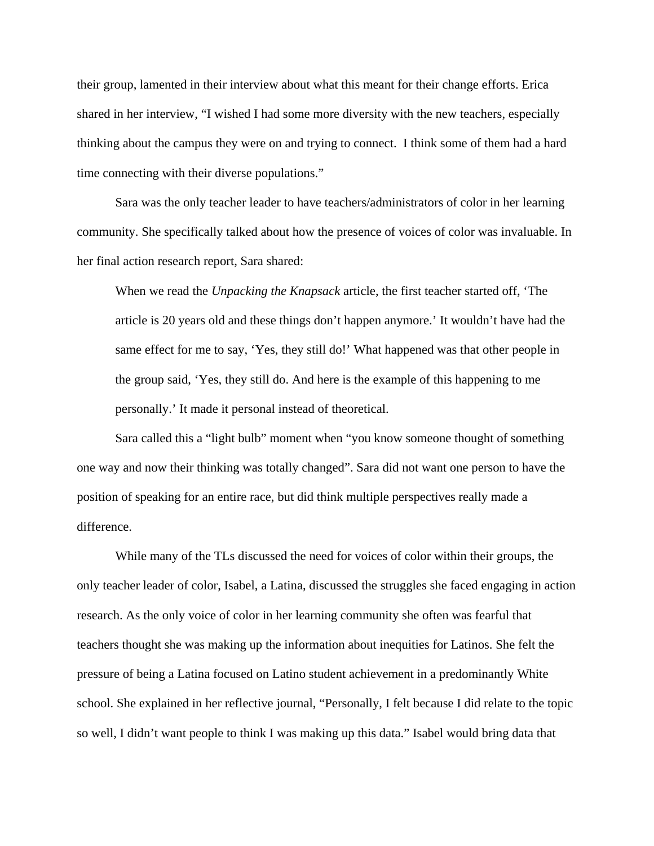their group, lamented in their interview about what this meant for their change efforts. Erica shared in her interview, "I wished I had some more diversity with the new teachers, especially thinking about the campus they were on and trying to connect. I think some of them had a hard time connecting with their diverse populations."

Sara was the only teacher leader to have teachers/administrators of color in her learning community. She specifically talked about how the presence of voices of color was invaluable. In her final action research report, Sara shared:

When we read the *Unpacking the Knapsack* article, the first teacher started off, 'The article is 20 years old and these things don't happen anymore.' It wouldn't have had the same effect for me to say, 'Yes, they still do!' What happened was that other people in the group said, 'Yes, they still do. And here is the example of this happening to me personally.' It made it personal instead of theoretical.

Sara called this a "light bulb" moment when "you know someone thought of something one way and now their thinking was totally changed". Sara did not want one person to have the position of speaking for an entire race, but did think multiple perspectives really made a difference.

While many of the TLs discussed the need for voices of color within their groups, the only teacher leader of color, Isabel, a Latina, discussed the struggles she faced engaging in action research. As the only voice of color in her learning community she often was fearful that teachers thought she was making up the information about inequities for Latinos. She felt the pressure of being a Latina focused on Latino student achievement in a predominantly White school. She explained in her reflective journal, "Personally, I felt because I did relate to the topic so well, I didn't want people to think I was making up this data." Isabel would bring data that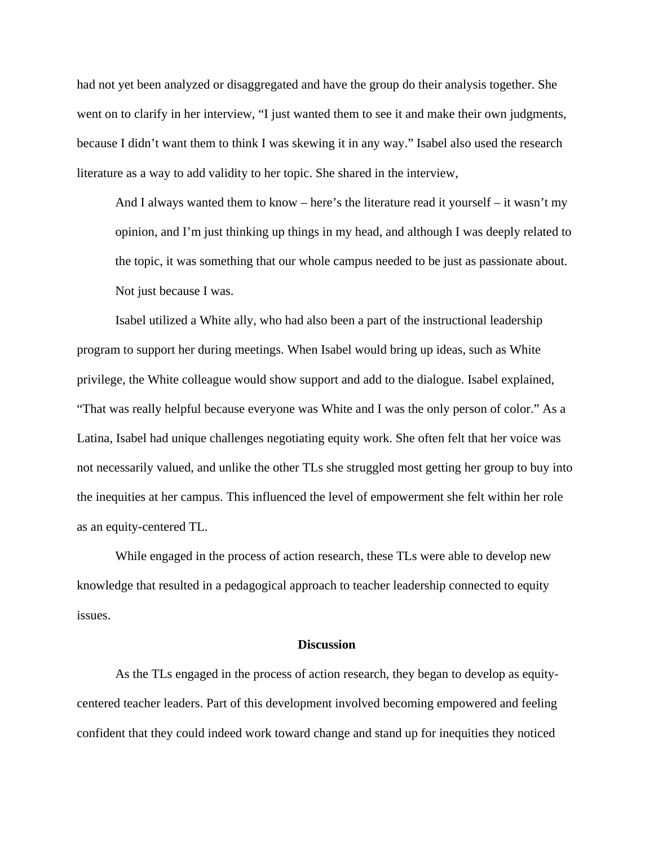had not yet been analyzed or disaggregated and have the group do their analysis together. She went on to clarify in her interview, "I just wanted them to see it and make their own judgments, because I didn't want them to think I was skewing it in any way." Isabel also used the research literature as a way to add validity to her topic. She shared in the interview,

And I always wanted them to know – here's the literature read it yourself – it wasn't my opinion, and I'm just thinking up things in my head, and although I was deeply related to the topic, it was something that our whole campus needed to be just as passionate about. Not just because I was.

Isabel utilized a White ally, who had also been a part of the instructional leadership program to support her during meetings. When Isabel would bring up ideas, such as White privilege, the White colleague would show support and add to the dialogue. Isabel explained, "That was really helpful because everyone was White and I was the only person of color." As a Latina, Isabel had unique challenges negotiating equity work. She often felt that her voice was not necessarily valued, and unlike the other TLs she struggled most getting her group to buy into the inequities at her campus. This influenced the level of empowerment she felt within her role as an equity-centered TL.

While engaged in the process of action research, these TLs were able to develop new knowledge that resulted in a pedagogical approach to teacher leadership connected to equity issues.

## **Discussion**

As the TLs engaged in the process of action research, they began to develop as equitycentered teacher leaders. Part of this development involved becoming empowered and feeling confident that they could indeed work toward change and stand up for inequities they noticed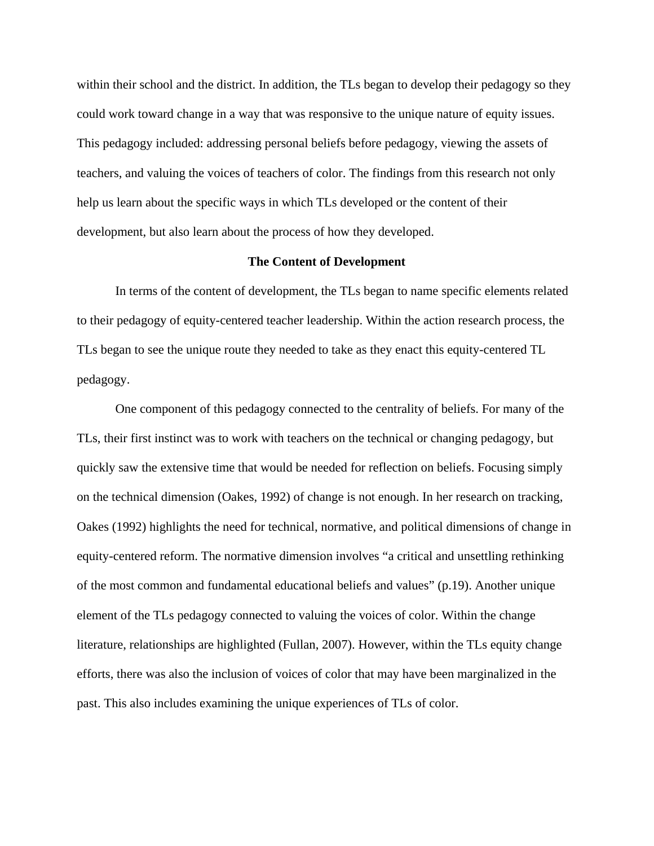within their school and the district. In addition, the TLs began to develop their pedagogy so they could work toward change in a way that was responsive to the unique nature of equity issues. This pedagogy included: addressing personal beliefs before pedagogy, viewing the assets of teachers, and valuing the voices of teachers of color. The findings from this research not only help us learn about the specific ways in which TLs developed or the content of their development, but also learn about the process of how they developed.

## **The Content of Development**

In terms of the content of development, the TLs began to name specific elements related to their pedagogy of equity-centered teacher leadership. Within the action research process, the TLs began to see the unique route they needed to take as they enact this equity-centered TL pedagogy.

One component of this pedagogy connected to the centrality of beliefs. For many of the TLs, their first instinct was to work with teachers on the technical or changing pedagogy, but quickly saw the extensive time that would be needed for reflection on beliefs. Focusing simply on the technical dimension (Oakes, 1992) of change is not enough. In her research on tracking, Oakes (1992) highlights the need for technical, normative, and political dimensions of change in equity-centered reform. The normative dimension involves "a critical and unsettling rethinking of the most common and fundamental educational beliefs and values" (p.19). Another unique element of the TLs pedagogy connected to valuing the voices of color. Within the change literature, relationships are highlighted (Fullan, 2007). However, within the TLs equity change efforts, there was also the inclusion of voices of color that may have been marginalized in the past. This also includes examining the unique experiences of TLs of color.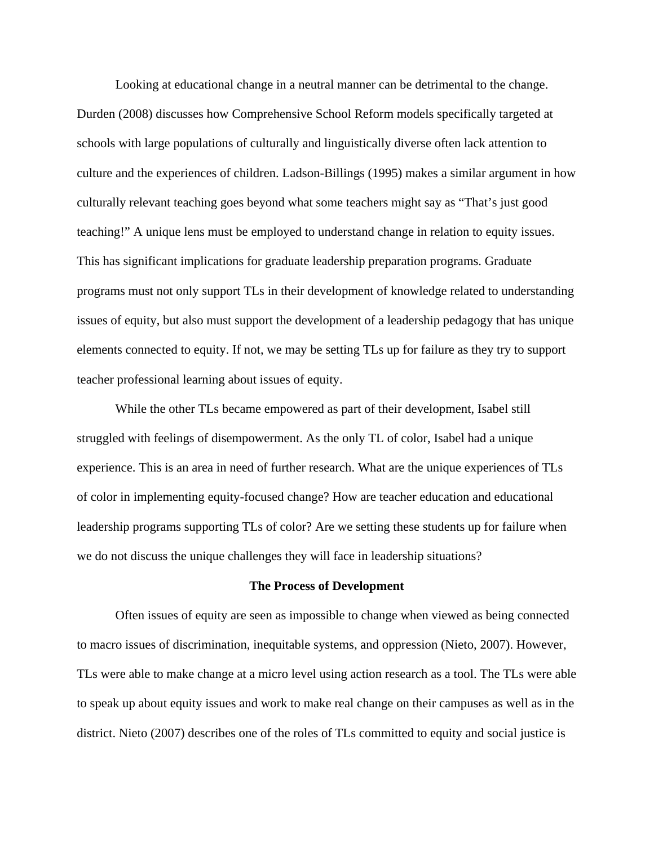Looking at educational change in a neutral manner can be detrimental to the change. Durden (2008) discusses how Comprehensive School Reform models specifically targeted at schools with large populations of culturally and linguistically diverse often lack attention to culture and the experiences of children. Ladson-Billings (1995) makes a similar argument in how culturally relevant teaching goes beyond what some teachers might say as "That's just good teaching!" A unique lens must be employed to understand change in relation to equity issues. This has significant implications for graduate leadership preparation programs. Graduate programs must not only support TLs in their development of knowledge related to understanding issues of equity, but also must support the development of a leadership pedagogy that has unique elements connected to equity. If not, we may be setting TLs up for failure as they try to support teacher professional learning about issues of equity.

While the other TLs became empowered as part of their development, Isabel still struggled with feelings of disempowerment. As the only TL of color, Isabel had a unique experience. This is an area in need of further research. What are the unique experiences of TLs of color in implementing equity-focused change? How are teacher education and educational leadership programs supporting TLs of color? Are we setting these students up for failure when we do not discuss the unique challenges they will face in leadership situations?

#### **The Process of Development**

Often issues of equity are seen as impossible to change when viewed as being connected to macro issues of discrimination, inequitable systems, and oppression (Nieto, 2007). However, TLs were able to make change at a micro level using action research as a tool. The TLs were able to speak up about equity issues and work to make real change on their campuses as well as in the district. Nieto (2007) describes one of the roles of TLs committed to equity and social justice is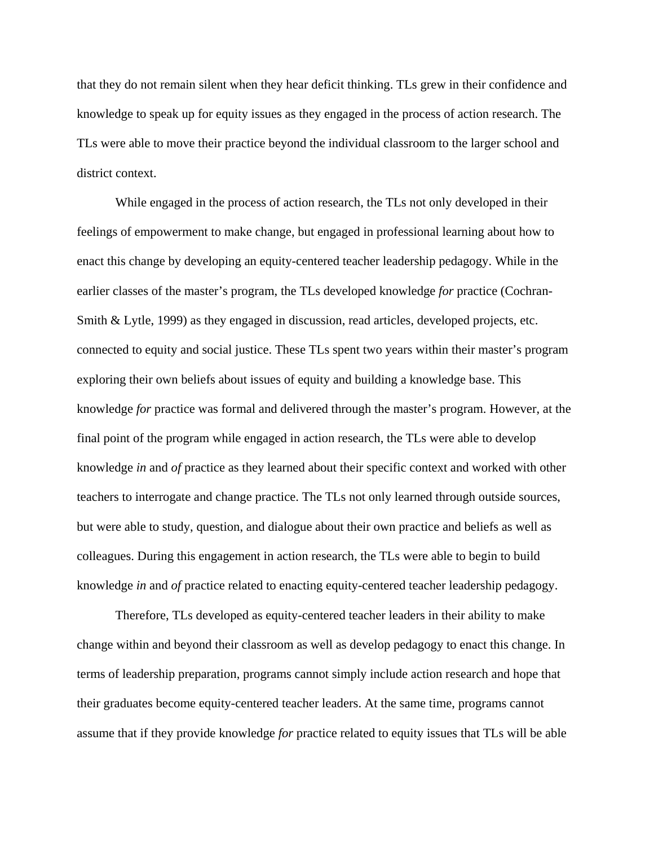that they do not remain silent when they hear deficit thinking. TLs grew in their confidence and knowledge to speak up for equity issues as they engaged in the process of action research. The TLs were able to move their practice beyond the individual classroom to the larger school and district context.

While engaged in the process of action research, the TLs not only developed in their feelings of empowerment to make change, but engaged in professional learning about how to enact this change by developing an equity-centered teacher leadership pedagogy. While in the earlier classes of the master's program, the TLs developed knowledge *for* practice (Cochran-Smith & Lytle, 1999) as they engaged in discussion, read articles, developed projects, etc. connected to equity and social justice. These TLs spent two years within their master's program exploring their own beliefs about issues of equity and building a knowledge base. This knowledge *for* practice was formal and delivered through the master's program. However, at the final point of the program while engaged in action research, the TLs were able to develop knowledge *in* and *of* practice as they learned about their specific context and worked with other teachers to interrogate and change practice. The TLs not only learned through outside sources, but were able to study, question, and dialogue about their own practice and beliefs as well as colleagues. During this engagement in action research, the TLs were able to begin to build knowledge *in* and *of* practice related to enacting equity-centered teacher leadership pedagogy.

Therefore, TLs developed as equity-centered teacher leaders in their ability to make change within and beyond their classroom as well as develop pedagogy to enact this change. In terms of leadership preparation, programs cannot simply include action research and hope that their graduates become equity-centered teacher leaders. At the same time, programs cannot assume that if they provide knowledge *for* practice related to equity issues that TLs will be able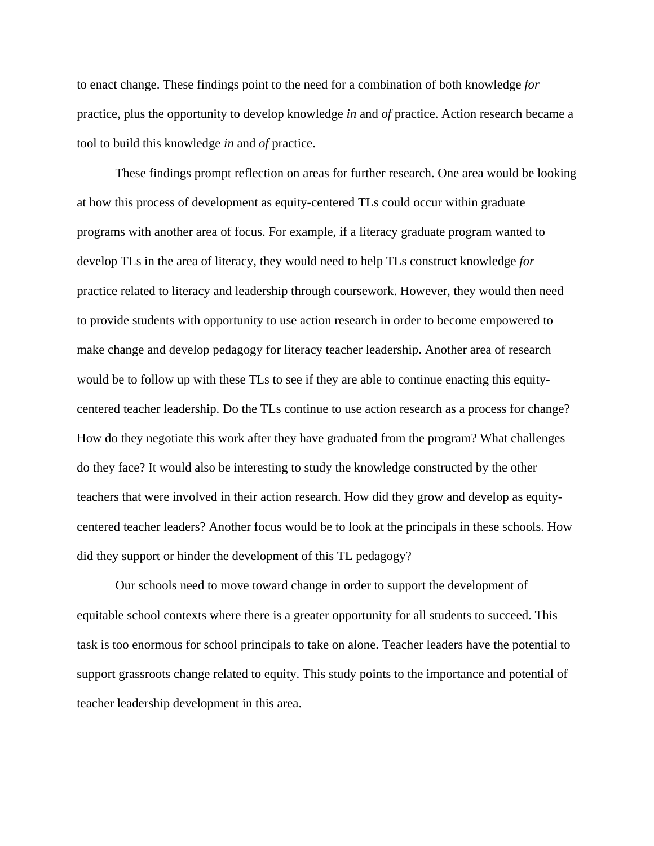to enact change. These findings point to the need for a combination of both knowledge *for* practice, plus the opportunity to develop knowledge *in* and *of* practice. Action research became a tool to build this knowledge *in* and *of* practice.

These findings prompt reflection on areas for further research. One area would be looking at how this process of development as equity-centered TLs could occur within graduate programs with another area of focus. For example, if a literacy graduate program wanted to develop TLs in the area of literacy, they would need to help TLs construct knowledge *for* practice related to literacy and leadership through coursework. However, they would then need to provide students with opportunity to use action research in order to become empowered to make change and develop pedagogy for literacy teacher leadership. Another area of research would be to follow up with these TLs to see if they are able to continue enacting this equitycentered teacher leadership. Do the TLs continue to use action research as a process for change? How do they negotiate this work after they have graduated from the program? What challenges do they face? It would also be interesting to study the knowledge constructed by the other teachers that were involved in their action research. How did they grow and develop as equitycentered teacher leaders? Another focus would be to look at the principals in these schools. How did they support or hinder the development of this TL pedagogy?

Our schools need to move toward change in order to support the development of equitable school contexts where there is a greater opportunity for all students to succeed. This task is too enormous for school principals to take on alone. Teacher leaders have the potential to support grassroots change related to equity. This study points to the importance and potential of teacher leadership development in this area.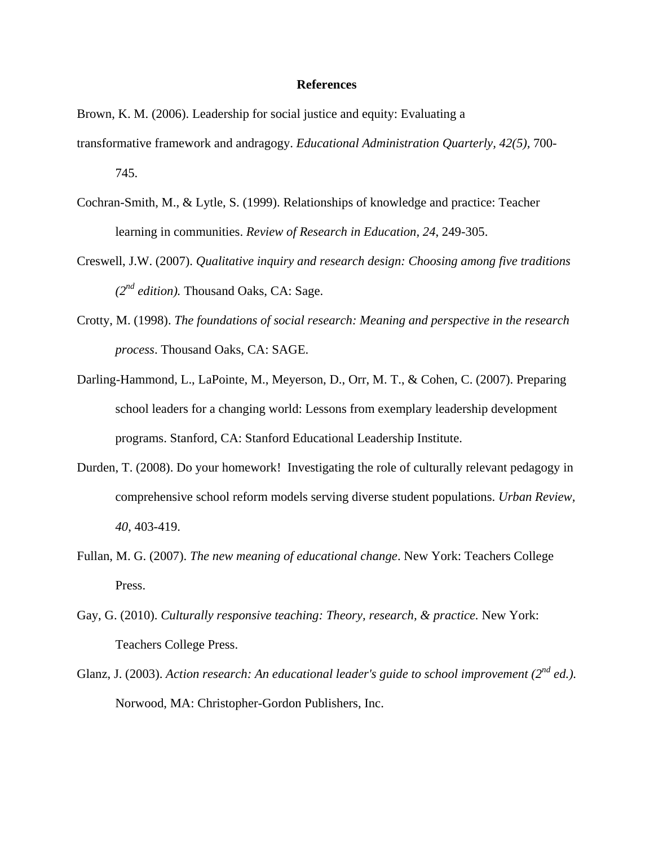## **References**

Brown, K. M. (2006). Leadership for social justice and equity: Evaluating a transformative framework and andragogy. *Educational Administration Quarterly, 42(5),* 700- 745.

- Cochran-Smith, M., & Lytle, S. (1999). Relationships of knowledge and practice: Teacher learning in communities. *Review of Research in Education, 24*, 249-305.
- Creswell, J.W. (2007). *Qualitative inquiry and research design: Choosing among five traditions (2nd edition).* Thousand Oaks, CA: Sage.
- Crotty, M. (1998). *The foundations of social research: Meaning and perspective in the research process*. Thousand Oaks, CA: SAGE.
- Darling-Hammond, L., LaPointe, M., Meyerson, D., Orr, M. T., & Cohen, C. (2007). Preparing school leaders for a changing world: Lessons from exemplary leadership development programs. Stanford, CA: Stanford Educational Leadership Institute.
- Durden, T. (2008). Do your homework! Investigating the role of culturally relevant pedagogy in comprehensive school reform models serving diverse student populations. *Urban Review, 40*, 403-419.
- Fullan, M. G. (2007). *The new meaning of educational change*. New York: Teachers College Press.
- Gay, G. (2010). *Culturally responsive teaching: Theory, research, & practice.* New York: Teachers College Press.
- Glanz, J. (2003). *Action research: An educational leader's guide to school improvement (2nd ed.).* Norwood, MA: Christopher-Gordon Publishers, Inc.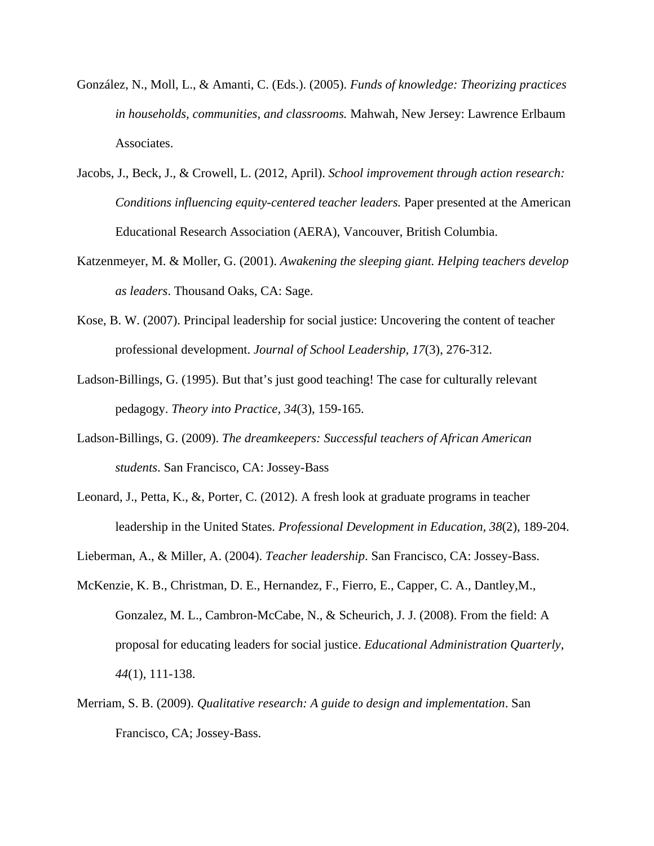- González, N., Moll, L., & Amanti, C. (Eds.). (2005). *Funds of knowledge: Theorizing practices in households, communities, and classrooms.* Mahwah, New Jersey: Lawrence Erlbaum Associates.
- Jacobs, J., Beck, J., & Crowell, L. (2012, April). *School improvement through action research: Conditions influencing equity-centered teacher leaders.* Paper presented at the American Educational Research Association (AERA), Vancouver, British Columbia.
- Katzenmeyer, M. & Moller, G. (2001). *Awakening the sleeping giant. Helping teachers develop as leaders*. Thousand Oaks, CA: Sage.
- Kose, B. W. (2007). Principal leadership for social justice: Uncovering the content of teacher professional development. *Journal of School Leadership, 17*(3), 276-312.
- Ladson-Billings, G. (1995). But that's just good teaching! The case for culturally relevant pedagogy. *Theory into Practice, 34*(3), 159-165.
- Ladson-Billings, G. (2009). *The dreamkeepers: Successful teachers of African American students*. San Francisco, CA: Jossey-Bass
- Leonard, J., Petta, K., &, Porter, C. (2012). A fresh look at graduate programs in teacher leadership in the United States. *Professional Development in Education, 38*(2), 189-204.
- Lieberman, A., & Miller, A. (2004). *Teacher leadership*. San Francisco, CA: Jossey-Bass.
- McKenzie, K. B., Christman, D. E., Hernandez, F., Fierro, E., Capper, C. A., Dantley,M., Gonzalez, M. L., Cambron-McCabe, N., & Scheurich, J. J. (2008). From the field: A proposal for educating leaders for social justice. *Educational Administration Quarterly*, *44*(1), 111-138.
- Merriam, S. B. (2009). *Qualitative research: A guide to design and implementation*. San Francisco, CA; Jossey-Bass.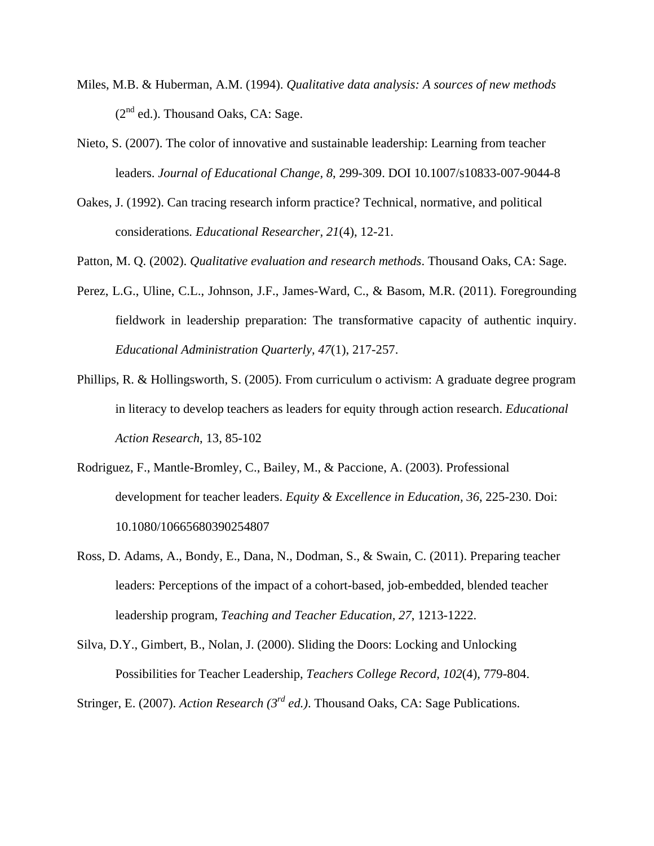- Miles, M.B. & Huberman, A.M. (1994). *Qualitative data analysis: A sources of new methods*   $(2^{nd}$  ed.). Thousand Oaks, CA: Sage.
- Nieto, S. (2007). The color of innovative and sustainable leadership: Learning from teacher leaders. *Journal of Educational Change, 8*, 299-309. DOI 10.1007/s10833-007-9044-8
- Oakes, J. (1992). Can tracing research inform practice? Technical, normative, and political considerations*. Educational Researcher, 21*(4), 12-21.
- Patton, M. Q. (2002). *Qualitative evaluation and research methods*. Thousand Oaks, CA: Sage.
- Perez, L.G., Uline, C.L., Johnson, J.F., James-Ward, C., & Basom, M.R. (2011). Foregrounding fieldwork in leadership preparation: The transformative capacity of authentic inquiry. *Educational Administration Quarterly, 47*(1), 217-257.
- Phillips, R. & Hollingsworth, S. (2005). From curriculum o activism: A graduate degree program in literacy to develop teachers as leaders for equity through action research. *Educational Action Research*, 13, 85-102
- Rodriguez, F., Mantle-Bromley, C., Bailey, M., & Paccione, A. (2003). Professional development for teacher leaders. *Equity & Excellence in Education, 36*, 225-230. Doi: 10.1080/10665680390254807
- Ross, D. Adams, A., Bondy, E., Dana, N., Dodman, S., & Swain, C. (2011). Preparing teacher leaders: Perceptions of the impact of a cohort-based, job-embedded, blended teacher leadership program, *Teaching and Teacher Education, 27*, 1213-1222.

Silva, D.Y., Gimbert, B., Nolan, J. (2000). Sliding the Doors: Locking and Unlocking Possibilities for Teacher Leadership, *Teachers College Record*, *102*(4), 779-804.

Stringer, E. (2007). *Action Research (3rd ed.)*. Thousand Oaks, CA: Sage Publications.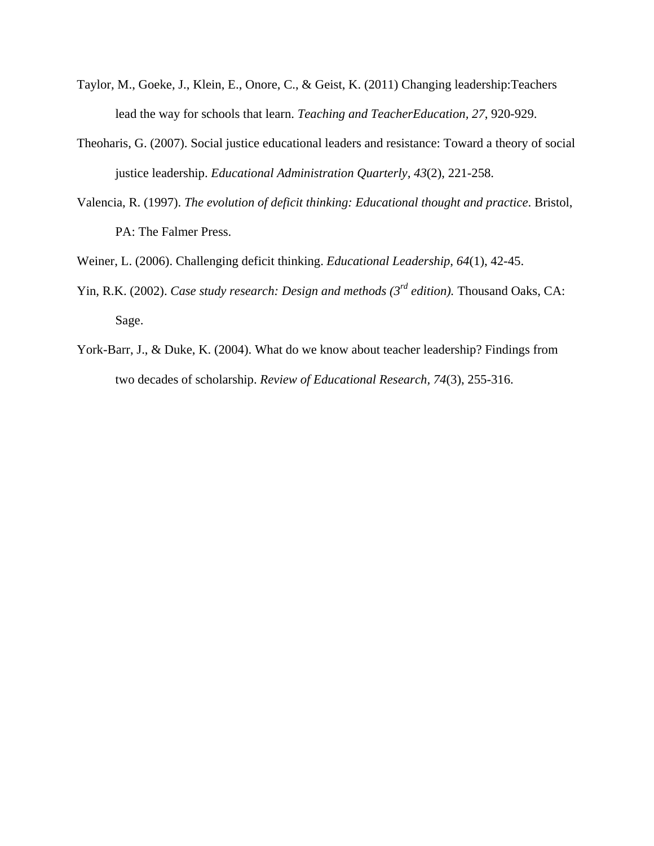- Taylor, M., Goeke, J., Klein, E., Onore, C., & Geist, K. (2011) Changing leadership:Teachers lead the way for schools that learn. *Teaching and TeacherEducation, 27*, 920-929.
- Theoharis, G. (2007). Social justice educational leaders and resistance: Toward a theory of social justice leadership. *Educational Administration Quarterly, 43*(2), 221-258.
- Valencia, R. (1997). *The evolution of deficit thinking: Educational thought and practice*. Bristol, PA: The Falmer Press.

Weiner, L. (2006). Challenging deficit thinking. *Educational Leadership, 64*(1), 42-45.

- Yin, R.K. (2002). *Case study research: Design and methods (3<sup>rd</sup> edition)*. Thousand Oaks, CA: Sage.
- York-Barr, J., & Duke, K. (2004). What do we know about teacher leadership? Findings from two decades of scholarship. *Review of Educational Research, 74*(3), 255-316.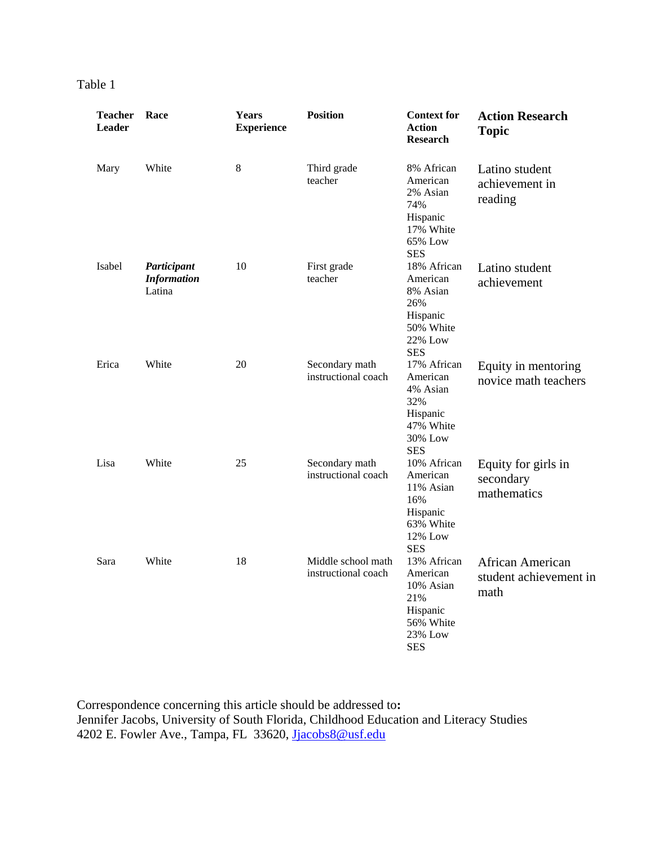| anle |  |
|------|--|
|      |  |

| <b>Teacher</b><br><b>Leader</b> | Race                                        | Years<br><b>Experience</b> | <b>Position</b>                           | <b>Context for</b><br><b>Action</b><br><b>Research</b>                                        | <b>Action Research</b><br><b>Topic</b>                    |
|---------------------------------|---------------------------------------------|----------------------------|-------------------------------------------|-----------------------------------------------------------------------------------------------|-----------------------------------------------------------|
| Mary                            | White                                       | 8                          | Third grade<br>teacher                    | 8% African<br>American<br>2% Asian<br>74%<br>Hispanic<br>17% White<br>65% Low<br><b>SES</b>   | Latino student<br>achievement in<br>reading               |
| Isabel                          | Participant<br><b>Information</b><br>Latina | 10                         | First grade<br>teacher                    | 18% African<br>American<br>8% Asian<br>26%<br>Hispanic<br>50% White<br>22% Low<br><b>SES</b>  | Latino student<br>achievement                             |
| Erica                           | White                                       | 20                         | Secondary math<br>instructional coach     | 17% African<br>American<br>4% Asian<br>32%<br>Hispanic<br>47% White<br>30% Low<br><b>SES</b>  | Equity in mentoring<br>novice math teachers               |
| Lisa                            | White                                       | 25                         | Secondary math<br>instructional coach     | 10% African<br>American<br>11% Asian<br>16%<br>Hispanic<br>63% White<br>12% Low<br><b>SES</b> | Equity for girls in<br>secondary<br>mathematics           |
| Sara                            | White                                       | 18                         | Middle school math<br>instructional coach | 13% African<br>American<br>10% Asian<br>21%<br>Hispanic<br>56% White<br>23% Low<br><b>SES</b> | <b>African American</b><br>student achievement in<br>math |

Correspondence concerning this article should be addressed to**:**  Jennifer Jacobs, University of South Florida, Childhood Education and Literacy Studies 4202 E. Fowler Ave., Tampa, FL 33620, Jjacobs8@usf.edu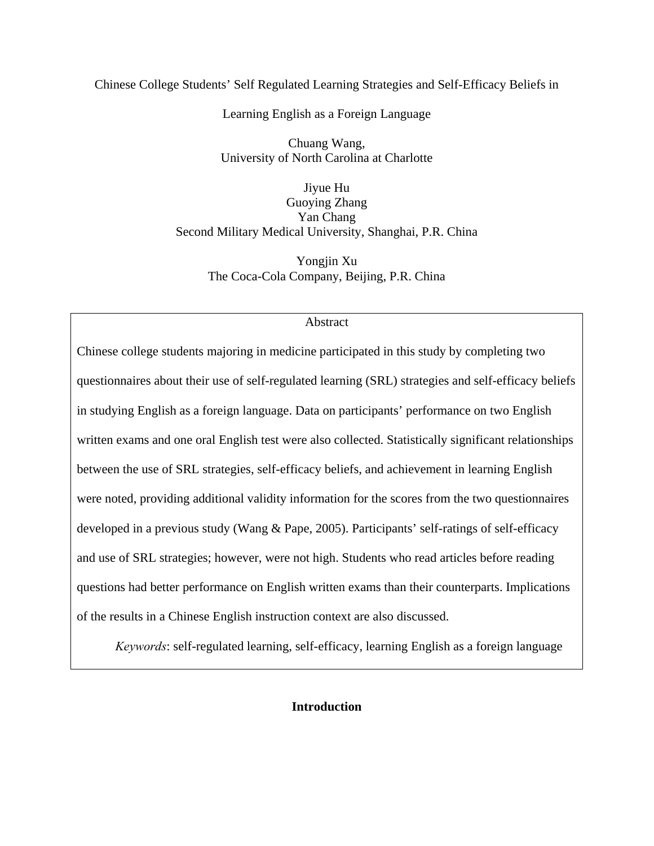# Chinese College Students' Self Regulated Learning Strategies and Self-Efficacy Beliefs in

Learning English as a Foreign Language

Chuang Wang, University of North Carolina at Charlotte

Jiyue Hu Guoying Zhang Yan Chang Second Military Medical University, Shanghai, P.R. China

> Yongjin Xu The Coca-Cola Company, Beijing, P.R. China

## Abstract

Chinese college students majoring in medicine participated in this study by completing two questionnaires about their use of self-regulated learning (SRL) strategies and self-efficacy beliefs in studying English as a foreign language. Data on participants' performance on two English written exams and one oral English test were also collected. Statistically significant relationships between the use of SRL strategies, self-efficacy beliefs, and achievement in learning English were noted, providing additional validity information for the scores from the two questionnaires developed in a previous study (Wang & Pape, 2005). Participants' self-ratings of self-efficacy and use of SRL strategies; however, were not high. Students who read articles before reading questions had better performance on English written exams than their counterparts. Implications of the results in a Chinese English instruction context are also discussed.

*Keywords*: self-regulated learning, self-efficacy, learning English as a foreign language

# **Introduction**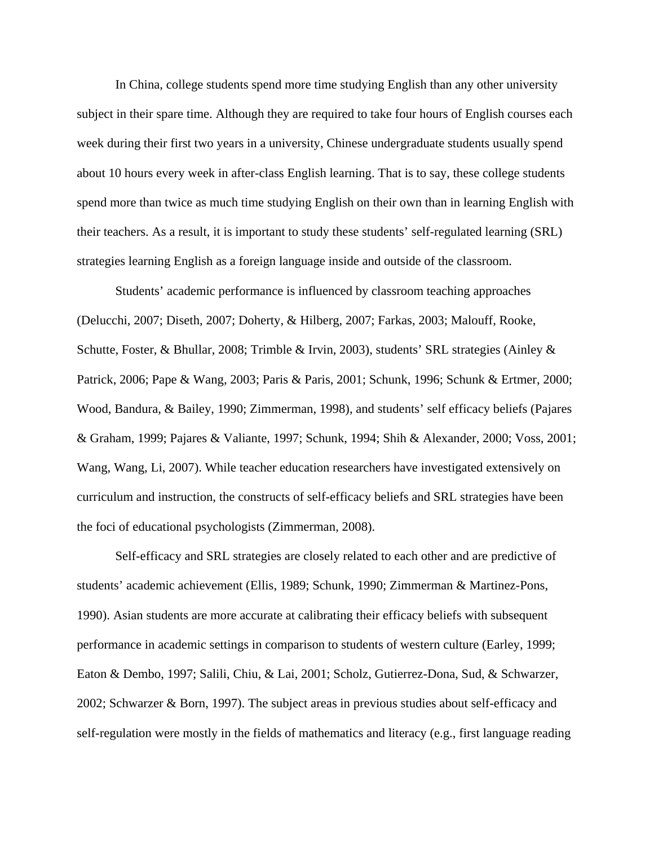In China, college students spend more time studying English than any other university subject in their spare time. Although they are required to take four hours of English courses each week during their first two years in a university, Chinese undergraduate students usually spend about 10 hours every week in after-class English learning. That is to say, these college students spend more than twice as much time studying English on their own than in learning English with their teachers. As a result, it is important to study these students' self-regulated learning (SRL) strategies learning English as a foreign language inside and outside of the classroom.

Students' academic performance is influenced by classroom teaching approaches (Delucchi, 2007; Diseth, 2007; Doherty, & Hilberg, 2007; Farkas, 2003; Malouff, Rooke, Schutte, Foster, & Bhullar, 2008; Trimble & Irvin, 2003), students' SRL strategies (Ainley & Patrick, 2006; Pape & Wang, 2003; Paris & Paris, 2001; Schunk, 1996; Schunk & Ertmer, 2000; Wood, Bandura, & Bailey, 1990; Zimmerman, 1998), and students' self efficacy beliefs (Pajares & Graham, 1999; Pajares & Valiante, 1997; Schunk, 1994; Shih & Alexander, 2000; Voss, 2001; Wang, Wang, Li, 2007). While teacher education researchers have investigated extensively on curriculum and instruction, the constructs of self-efficacy beliefs and SRL strategies have been the foci of educational psychologists (Zimmerman, 2008).

Self-efficacy and SRL strategies are closely related to each other and are predictive of students' academic achievement (Ellis, 1989; Schunk, 1990; Zimmerman & Martinez-Pons, 1990). Asian students are more accurate at calibrating their efficacy beliefs with subsequent performance in academic settings in comparison to students of western culture (Earley, 1999; Eaton & Dembo, 1997; Salili, Chiu, & Lai, 2001; Scholz, Gutierrez-Dona, Sud, & Schwarzer, 2002; Schwarzer & Born, 1997). The subject areas in previous studies about self-efficacy and self-regulation were mostly in the fields of mathematics and literacy (e.g., first language reading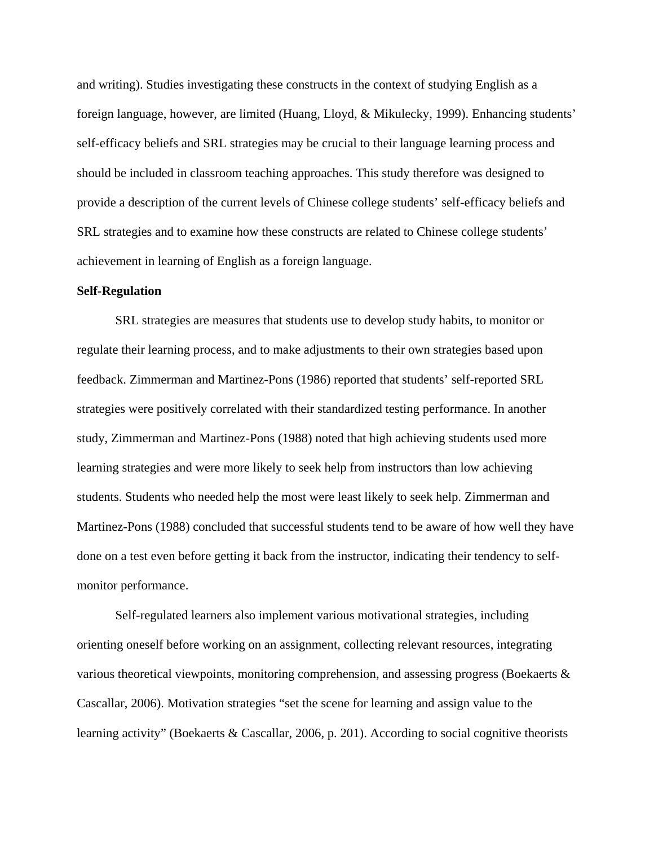and writing). Studies investigating these constructs in the context of studying English as a foreign language, however, are limited (Huang, Lloyd, & Mikulecky, 1999). Enhancing students' self-efficacy beliefs and SRL strategies may be crucial to their language learning process and should be included in classroom teaching approaches. This study therefore was designed to provide a description of the current levels of Chinese college students' self-efficacy beliefs and SRL strategies and to examine how these constructs are related to Chinese college students' achievement in learning of English as a foreign language.

#### **Self-Regulation**

SRL strategies are measures that students use to develop study habits, to monitor or regulate their learning process, and to make adjustments to their own strategies based upon feedback. Zimmerman and Martinez-Pons (1986) reported that students' self-reported SRL strategies were positively correlated with their standardized testing performance. In another study, Zimmerman and Martinez-Pons (1988) noted that high achieving students used more learning strategies and were more likely to seek help from instructors than low achieving students. Students who needed help the most were least likely to seek help. Zimmerman and Martinez-Pons (1988) concluded that successful students tend to be aware of how well they have done on a test even before getting it back from the instructor, indicating their tendency to selfmonitor performance.

Self-regulated learners also implement various motivational strategies, including orienting oneself before working on an assignment, collecting relevant resources, integrating various theoretical viewpoints, monitoring comprehension, and assessing progress (Boekaerts & Cascallar, 2006). Motivation strategies "set the scene for learning and assign value to the learning activity" (Boekaerts & Cascallar, 2006, p. 201). According to social cognitive theorists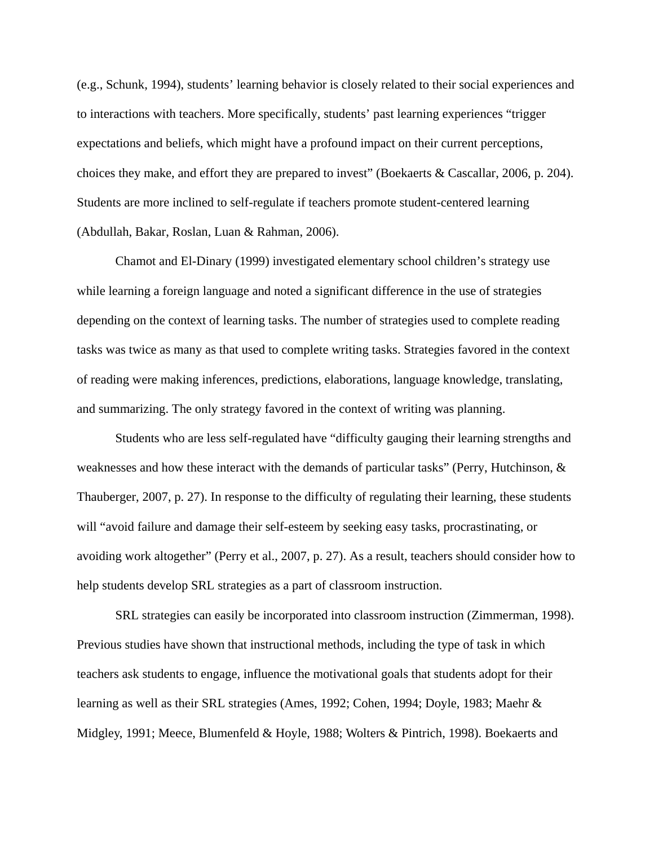(e.g., Schunk, 1994), students' learning behavior is closely related to their social experiences and to interactions with teachers. More specifically, students' past learning experiences "trigger expectations and beliefs, which might have a profound impact on their current perceptions, choices they make, and effort they are prepared to invest" (Boekaerts & Cascallar, 2006, p. 204). Students are more inclined to self-regulate if teachers promote student-centered learning (Abdullah, Bakar, Roslan, Luan & Rahman, 2006).

Chamot and El-Dinary (1999) investigated elementary school children's strategy use while learning a foreign language and noted a significant difference in the use of strategies depending on the context of learning tasks. The number of strategies used to complete reading tasks was twice as many as that used to complete writing tasks. Strategies favored in the context of reading were making inferences, predictions, elaborations, language knowledge, translating, and summarizing. The only strategy favored in the context of writing was planning.

Students who are less self-regulated have "difficulty gauging their learning strengths and weaknesses and how these interact with the demands of particular tasks" (Perry, Hutchinson,  $\&$ Thauberger, 2007, p. 27). In response to the difficulty of regulating their learning, these students will "avoid failure and damage their self-esteem by seeking easy tasks, procrastinating, or avoiding work altogether" (Perry et al., 2007, p. 27). As a result, teachers should consider how to help students develop SRL strategies as a part of classroom instruction.

SRL strategies can easily be incorporated into classroom instruction (Zimmerman, 1998). Previous studies have shown that instructional methods, including the type of task in which teachers ask students to engage, influence the motivational goals that students adopt for their learning as well as their SRL strategies (Ames, 1992; Cohen, 1994; Doyle, 1983; Maehr & Midgley, 1991; Meece, Blumenfeld & Hoyle, 1988; Wolters & Pintrich, 1998). Boekaerts and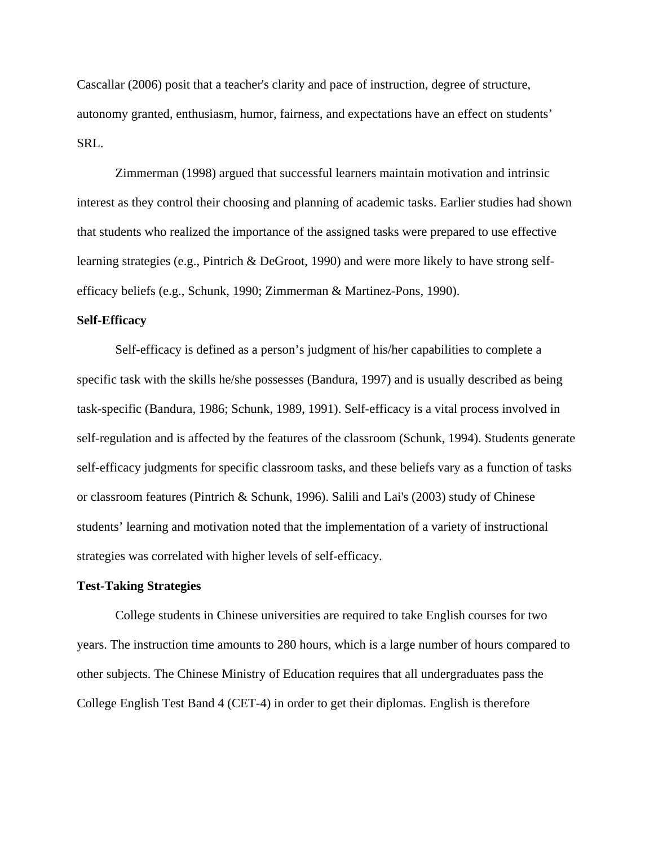Cascallar (2006) posit that a teacher's clarity and pace of instruction, degree of structure, autonomy granted, enthusiasm, humor, fairness, and expectations have an effect on students' SRL.

Zimmerman (1998) argued that successful learners maintain motivation and intrinsic interest as they control their choosing and planning of academic tasks. Earlier studies had shown that students who realized the importance of the assigned tasks were prepared to use effective learning strategies (e.g., Pintrich & DeGroot, 1990) and were more likely to have strong selfefficacy beliefs (e.g., Schunk, 1990; Zimmerman & Martinez-Pons, 1990).

## **Self-Efficacy**

Self-efficacy is defined as a person's judgment of his/her capabilities to complete a specific task with the skills he/she possesses (Bandura, 1997) and is usually described as being task-specific (Bandura, 1986; Schunk, 1989, 1991). Self-efficacy is a vital process involved in self-regulation and is affected by the features of the classroom (Schunk, 1994). Students generate self-efficacy judgments for specific classroom tasks, and these beliefs vary as a function of tasks or classroom features (Pintrich & Schunk, 1996). Salili and Lai's (2003) study of Chinese students' learning and motivation noted that the implementation of a variety of instructional strategies was correlated with higher levels of self-efficacy.

### **Test-Taking Strategies**

College students in Chinese universities are required to take English courses for two years. The instruction time amounts to 280 hours, which is a large number of hours compared to other subjects. The Chinese Ministry of Education requires that all undergraduates pass the College English Test Band 4 (CET-4) in order to get their diplomas. English is therefore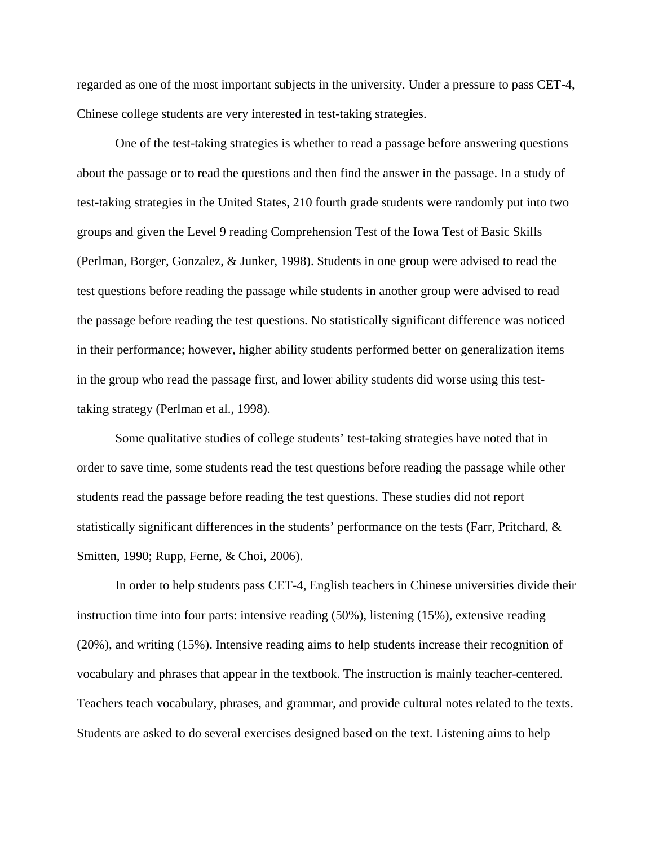regarded as one of the most important subjects in the university. Under a pressure to pass CET-4, Chinese college students are very interested in test-taking strategies.

One of the test-taking strategies is whether to read a passage before answering questions about the passage or to read the questions and then find the answer in the passage. In a study of test-taking strategies in the United States, 210 fourth grade students were randomly put into two groups and given the Level 9 reading Comprehension Test of the Iowa Test of Basic Skills (Perlman, Borger, Gonzalez, & Junker, 1998). Students in one group were advised to read the test questions before reading the passage while students in another group were advised to read the passage before reading the test questions. No statistically significant difference was noticed in their performance; however, higher ability students performed better on generalization items in the group who read the passage first, and lower ability students did worse using this testtaking strategy (Perlman et al., 1998).

Some qualitative studies of college students' test-taking strategies have noted that in order to save time, some students read the test questions before reading the passage while other students read the passage before reading the test questions. These studies did not report statistically significant differences in the students' performance on the tests (Farr, Pritchard, & Smitten, 1990; Rupp, Ferne, & Choi, 2006).

In order to help students pass CET-4, English teachers in Chinese universities divide their instruction time into four parts: intensive reading (50%), listening (15%), extensive reading (20%), and writing (15%). Intensive reading aims to help students increase their recognition of vocabulary and phrases that appear in the textbook. The instruction is mainly teacher-centered. Teachers teach vocabulary, phrases, and grammar, and provide cultural notes related to the texts. Students are asked to do several exercises designed based on the text. Listening aims to help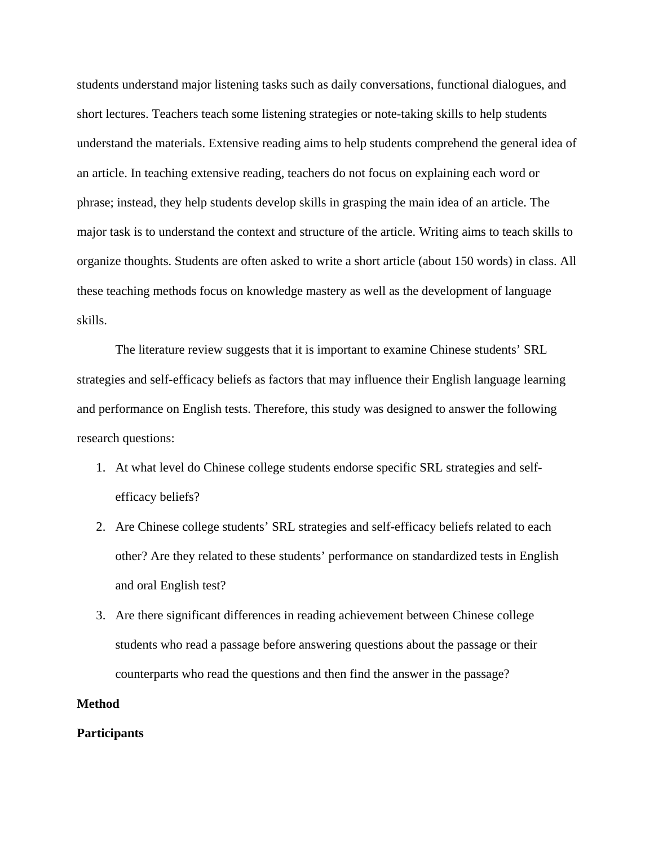students understand major listening tasks such as daily conversations, functional dialogues, and short lectures. Teachers teach some listening strategies or note-taking skills to help students understand the materials. Extensive reading aims to help students comprehend the general idea of an article. In teaching extensive reading, teachers do not focus on explaining each word or phrase; instead, they help students develop skills in grasping the main idea of an article. The major task is to understand the context and structure of the article. Writing aims to teach skills to organize thoughts. Students are often asked to write a short article (about 150 words) in class. All these teaching methods focus on knowledge mastery as well as the development of language skills.

The literature review suggests that it is important to examine Chinese students' SRL strategies and self-efficacy beliefs as factors that may influence their English language learning and performance on English tests. Therefore, this study was designed to answer the following research questions:

- 1. At what level do Chinese college students endorse specific SRL strategies and selfefficacy beliefs?
- 2. Are Chinese college students' SRL strategies and self-efficacy beliefs related to each other? Are they related to these students' performance on standardized tests in English and oral English test?
- 3. Are there significant differences in reading achievement between Chinese college students who read a passage before answering questions about the passage or their counterparts who read the questions and then find the answer in the passage?

# **Method**

### **Participants**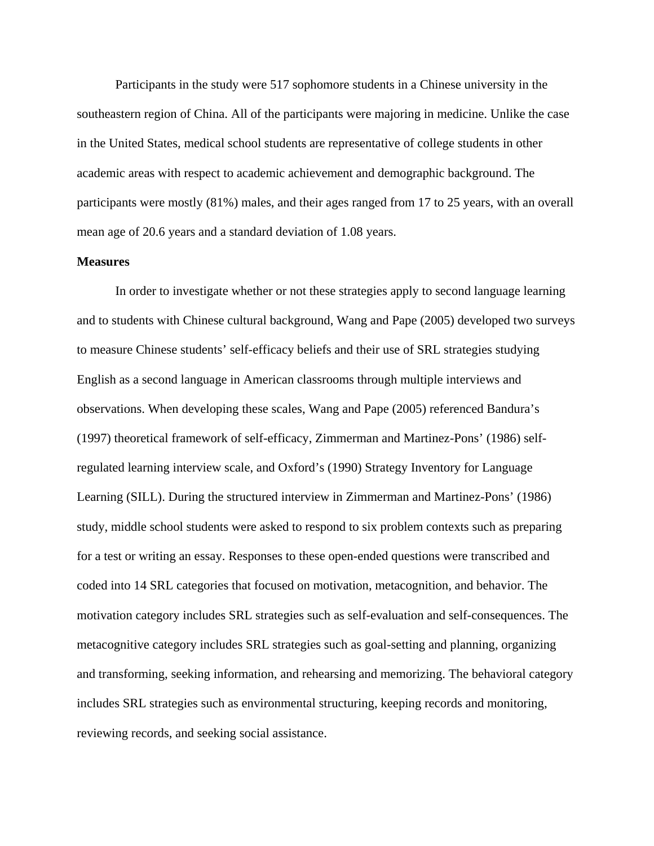Participants in the study were 517 sophomore students in a Chinese university in the southeastern region of China. All of the participants were majoring in medicine. Unlike the case in the United States, medical school students are representative of college students in other academic areas with respect to academic achievement and demographic background. The participants were mostly (81%) males, and their ages ranged from 17 to 25 years, with an overall mean age of 20.6 years and a standard deviation of 1.08 years.

## **Measures**

In order to investigate whether or not these strategies apply to second language learning and to students with Chinese cultural background, Wang and Pape (2005) developed two surveys to measure Chinese students' self-efficacy beliefs and their use of SRL strategies studying English as a second language in American classrooms through multiple interviews and observations. When developing these scales, Wang and Pape (2005) referenced Bandura's (1997) theoretical framework of self-efficacy, Zimmerman and Martinez-Pons' (1986) selfregulated learning interview scale, and Oxford's (1990) Strategy Inventory for Language Learning (SILL). During the structured interview in Zimmerman and Martinez-Pons' (1986) study, middle school students were asked to respond to six problem contexts such as preparing for a test or writing an essay. Responses to these open-ended questions were transcribed and coded into 14 SRL categories that focused on motivation, metacognition, and behavior. The motivation category includes SRL strategies such as self-evaluation and self-consequences. The metacognitive category includes SRL strategies such as goal-setting and planning, organizing and transforming, seeking information, and rehearsing and memorizing. The behavioral category includes SRL strategies such as environmental structuring, keeping records and monitoring, reviewing records, and seeking social assistance.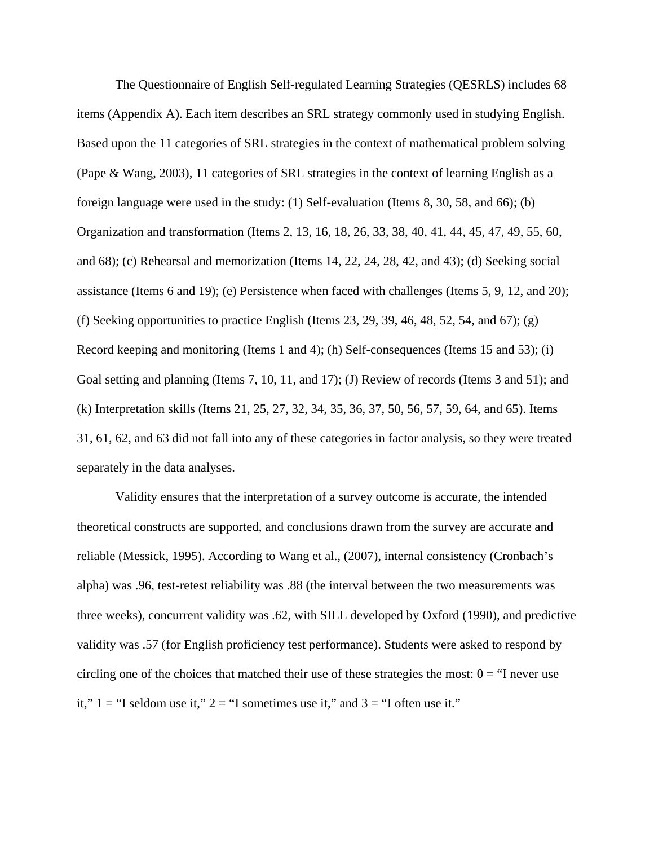The Questionnaire of English Self-regulated Learning Strategies (QESRLS) includes 68 items (Appendix A). Each item describes an SRL strategy commonly used in studying English. Based upon the 11 categories of SRL strategies in the context of mathematical problem solving (Pape & Wang, 2003), 11 categories of SRL strategies in the context of learning English as a foreign language were used in the study: (1) Self-evaluation (Items 8, 30, 58, and 66); (b) Organization and transformation (Items 2, 13, 16, 18, 26, 33, 38, 40, 41, 44, 45, 47, 49, 55, 60, and 68); (c) Rehearsal and memorization (Items 14, 22, 24, 28, 42, and 43); (d) Seeking social assistance (Items 6 and 19); (e) Persistence when faced with challenges (Items 5, 9, 12, and 20); (f) Seeking opportunities to practice English (Items 23, 29, 39, 46, 48, 52, 54, and 67); (g) Record keeping and monitoring (Items 1 and 4); (h) Self-consequences (Items 15 and 53); (i) Goal setting and planning (Items 7, 10, 11, and 17); (J) Review of records (Items 3 and 51); and (k) Interpretation skills (Items 21, 25, 27, 32, 34, 35, 36, 37, 50, 56, 57, 59, 64, and 65). Items 31, 61, 62, and 63 did not fall into any of these categories in factor analysis, so they were treated separately in the data analyses.

Validity ensures that the interpretation of a survey outcome is accurate, the intended theoretical constructs are supported, and conclusions drawn from the survey are accurate and reliable (Messick, 1995). According to Wang et al., (2007), internal consistency (Cronbach's alpha) was .96, test-retest reliability was .88 (the interval between the two measurements was three weeks), concurrent validity was .62, with SILL developed by Oxford (1990), and predictive validity was .57 (for English proficiency test performance). Students were asked to respond by circling one of the choices that matched their use of these strategies the most:  $0 =$  "I never use it,"  $1 =$  "I seldom use it,"  $2 =$  "I sometimes use it," and  $3 =$  "I often use it."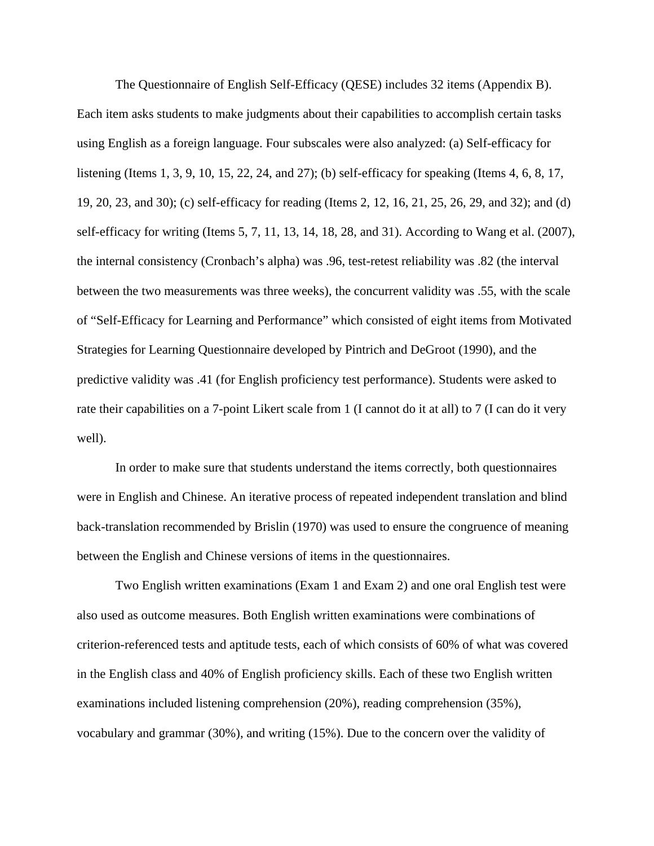The Questionnaire of English Self-Efficacy (QESE) includes 32 items (Appendix B). Each item asks students to make judgments about their capabilities to accomplish certain tasks using English as a foreign language. Four subscales were also analyzed: (a) Self-efficacy for listening (Items 1, 3, 9, 10, 15, 22, 24, and 27); (b) self-efficacy for speaking (Items 4, 6, 8, 17, 19, 20, 23, and 30); (c) self-efficacy for reading (Items 2, 12, 16, 21, 25, 26, 29, and 32); and (d) self-efficacy for writing (Items 5, 7, 11, 13, 14, 18, 28, and 31). According to Wang et al. (2007), the internal consistency (Cronbach's alpha) was .96, test-retest reliability was .82 (the interval between the two measurements was three weeks), the concurrent validity was .55, with the scale of "Self-Efficacy for Learning and Performance" which consisted of eight items from Motivated Strategies for Learning Questionnaire developed by Pintrich and DeGroot (1990), and the predictive validity was .41 (for English proficiency test performance). Students were asked to rate their capabilities on a 7-point Likert scale from 1 (I cannot do it at all) to 7 (I can do it very well).

In order to make sure that students understand the items correctly, both questionnaires were in English and Chinese. An iterative process of repeated independent translation and blind back-translation recommended by Brislin (1970) was used to ensure the congruence of meaning between the English and Chinese versions of items in the questionnaires.

Two English written examinations (Exam 1 and Exam 2) and one oral English test were also used as outcome measures. Both English written examinations were combinations of criterion-referenced tests and aptitude tests, each of which consists of 60% of what was covered in the English class and 40% of English proficiency skills. Each of these two English written examinations included listening comprehension (20%), reading comprehension (35%), vocabulary and grammar (30%), and writing (15%). Due to the concern over the validity of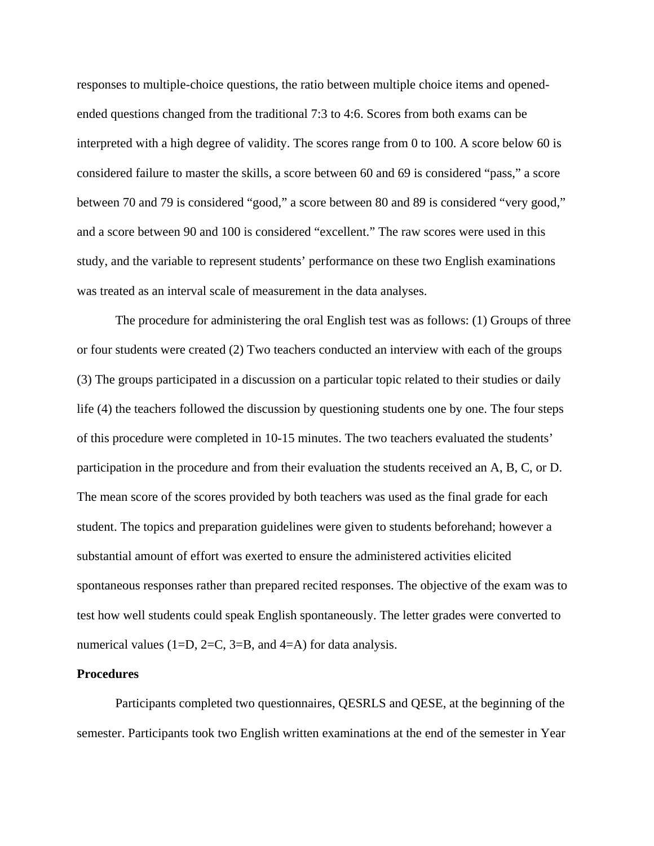responses to multiple-choice questions, the ratio between multiple choice items and openedended questions changed from the traditional 7:3 to 4:6. Scores from both exams can be interpreted with a high degree of validity. The scores range from 0 to 100. A score below 60 is considered failure to master the skills, a score between 60 and 69 is considered "pass," a score between 70 and 79 is considered "good," a score between 80 and 89 is considered "very good," and a score between 90 and 100 is considered "excellent." The raw scores were used in this study, and the variable to represent students' performance on these two English examinations was treated as an interval scale of measurement in the data analyses.

The procedure for administering the oral English test was as follows: (1) Groups of three or four students were created (2) Two teachers conducted an interview with each of the groups (3) The groups participated in a discussion on a particular topic related to their studies or daily life (4) the teachers followed the discussion by questioning students one by one. The four steps of this procedure were completed in 10-15 minutes. The two teachers evaluated the students' participation in the procedure and from their evaluation the students received an A, B, C, or D. The mean score of the scores provided by both teachers was used as the final grade for each student. The topics and preparation guidelines were given to students beforehand; however a substantial amount of effort was exerted to ensure the administered activities elicited spontaneous responses rather than prepared recited responses. The objective of the exam was to test how well students could speak English spontaneously. The letter grades were converted to numerical values (1=D, 2=C, 3=B, and 4=A) for data analysis.

#### **Procedures**

Participants completed two questionnaires, QESRLS and QESE, at the beginning of the semester. Participants took two English written examinations at the end of the semester in Year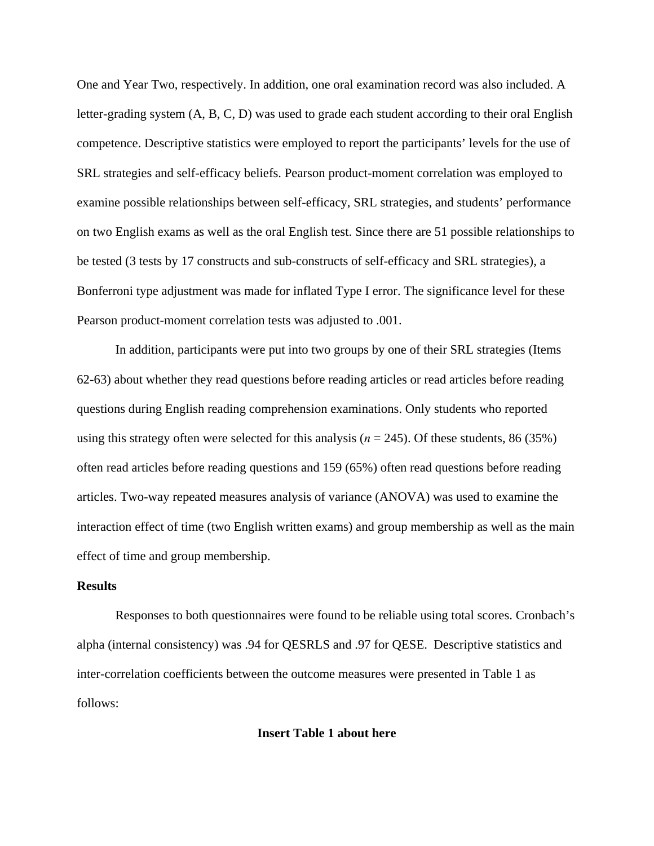One and Year Two, respectively. In addition, one oral examination record was also included. A letter-grading system (A, B, C, D) was used to grade each student according to their oral English competence. Descriptive statistics were employed to report the participants' levels for the use of SRL strategies and self-efficacy beliefs. Pearson product-moment correlation was employed to examine possible relationships between self-efficacy, SRL strategies, and students' performance on two English exams as well as the oral English test. Since there are 51 possible relationships to be tested (3 tests by 17 constructs and sub-constructs of self-efficacy and SRL strategies), a Bonferroni type adjustment was made for inflated Type I error. The significance level for these Pearson product-moment correlation tests was adjusted to .001.

In addition, participants were put into two groups by one of their SRL strategies (Items 62-63) about whether they read questions before reading articles or read articles before reading questions during English reading comprehension examinations. Only students who reported using this strategy often were selected for this analysis ( $n = 245$ ). Of these students, 86 (35%) often read articles before reading questions and 159 (65%) often read questions before reading articles. Two-way repeated measures analysis of variance (ANOVA) was used to examine the interaction effect of time (two English written exams) and group membership as well as the main effect of time and group membership.

## **Results**

Responses to both questionnaires were found to be reliable using total scores. Cronbach's alpha (internal consistency) was .94 for QESRLS and .97 for QESE. Descriptive statistics and inter-correlation coefficients between the outcome measures were presented in Table 1 as follows:

**Insert Table 1 about here**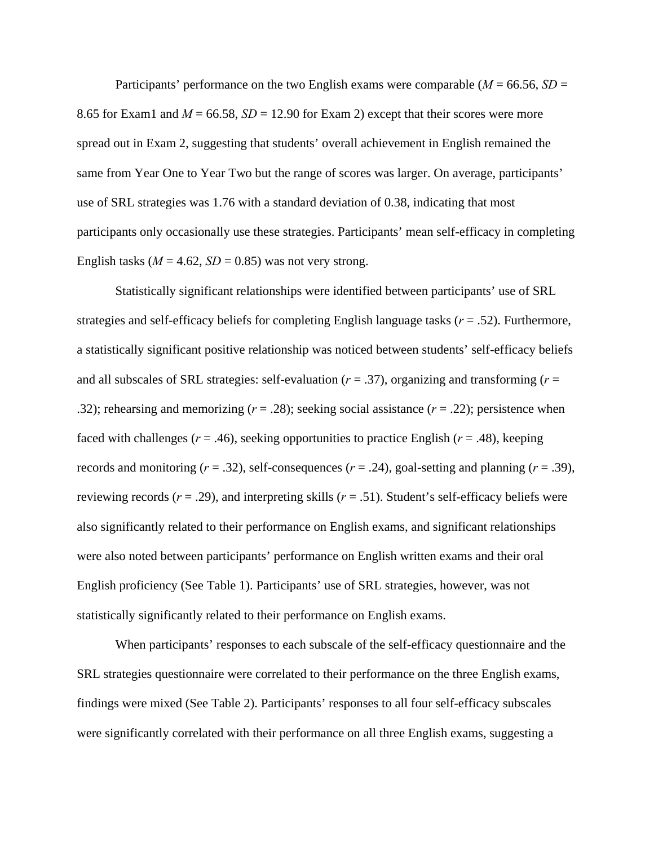Participants' performance on the two English exams were comparable (*M* = 66.56, *SD* = 8.65 for Exam1 and  $M = 66.58$ ,  $SD = 12.90$  for Exam 2) except that their scores were more spread out in Exam 2, suggesting that students' overall achievement in English remained the same from Year One to Year Two but the range of scores was larger. On average, participants' use of SRL strategies was 1.76 with a standard deviation of 0.38, indicating that most participants only occasionally use these strategies. Participants' mean self-efficacy in completing English tasks ( $M = 4.62$ ,  $SD = 0.85$ ) was not very strong.

Statistically significant relationships were identified between participants' use of SRL strategies and self-efficacy beliefs for completing English language tasks (*r* = .52). Furthermore, a statistically significant positive relationship was noticed between students' self-efficacy beliefs and all subscales of SRL strategies: self-evaluation (*r* = .37), organizing and transforming (*r* = .32); rehearsing and memorizing (*r* = .28); seeking social assistance (*r* = .22); persistence when faced with challenges ( $r = .46$ ), seeking opportunities to practice English ( $r = .48$ ), keeping records and monitoring  $(r = .32)$ , self-consequences  $(r = .24)$ , goal-setting and planning  $(r = .39)$ , reviewing records  $(r = .29)$ , and interpreting skills  $(r = .51)$ . Student's self-efficacy beliefs were also significantly related to their performance on English exams, and significant relationships were also noted between participants' performance on English written exams and their oral English proficiency (See Table 1). Participants' use of SRL strategies, however, was not statistically significantly related to their performance on English exams.

When participants' responses to each subscale of the self-efficacy questionnaire and the SRL strategies questionnaire were correlated to their performance on the three English exams, findings were mixed (See Table 2). Participants' responses to all four self-efficacy subscales were significantly correlated with their performance on all three English exams, suggesting a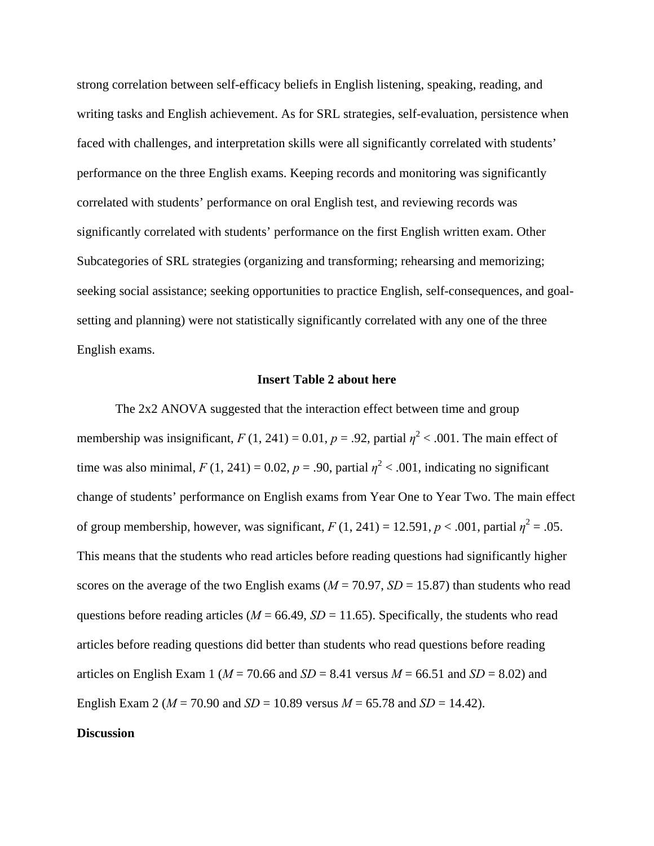strong correlation between self-efficacy beliefs in English listening, speaking, reading, and writing tasks and English achievement. As for SRL strategies, self-evaluation, persistence when faced with challenges, and interpretation skills were all significantly correlated with students' performance on the three English exams. Keeping records and monitoring was significantly correlated with students' performance on oral English test, and reviewing records was significantly correlated with students' performance on the first English written exam. Other Subcategories of SRL strategies (organizing and transforming; rehearsing and memorizing; seeking social assistance; seeking opportunities to practice English, self-consequences, and goalsetting and planning) were not statistically significantly correlated with any one of the three English exams.

### **Insert Table 2 about here**

The 2x2 ANOVA suggested that the interaction effect between time and group membership was insignificant,  $F(1, 241) = 0.01$ ,  $p = .92$ , partial  $\eta^2 < .001$ . The main effect of time was also minimal,  $F(1, 241) = 0.02$ ,  $p = .90$ , partial  $\eta^2 < .001$ , indicating no significant change of students' performance on English exams from Year One to Year Two. The main effect of group membership, however, was significant,  $F(1, 241) = 12.591$ ,  $p < .001$ , partial  $\eta^2 = .05$ . This means that the students who read articles before reading questions had significantly higher scores on the average of the two English exams ( $M = 70.97$ ,  $SD = 15.87$ ) than students who read questions before reading articles ( $M = 66.49$ ,  $SD = 11.65$ ). Specifically, the students who read articles before reading questions did better than students who read questions before reading articles on English Exam 1 ( $M = 70.66$  and  $SD = 8.41$  versus  $M = 66.51$  and  $SD = 8.02$ ) and English Exam 2 ( $M = 70.90$  and  $SD = 10.89$  versus  $M = 65.78$  and  $SD = 14.42$ ).

## **Discussion**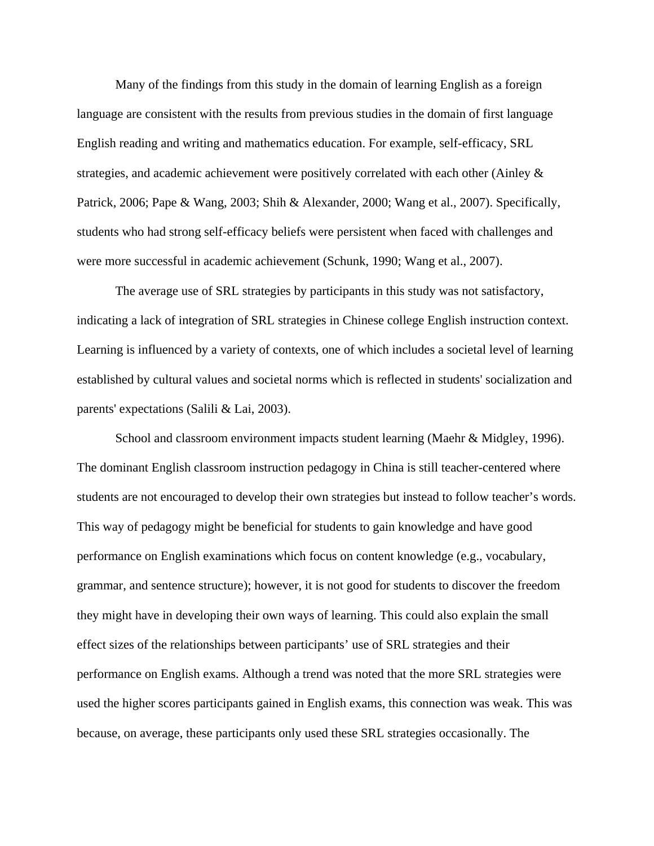Many of the findings from this study in the domain of learning English as a foreign language are consistent with the results from previous studies in the domain of first language English reading and writing and mathematics education. For example, self-efficacy, SRL strategies, and academic achievement were positively correlated with each other (Ainley & Patrick, 2006; Pape & Wang, 2003; Shih & Alexander, 2000; Wang et al., 2007). Specifically, students who had strong self-efficacy beliefs were persistent when faced with challenges and were more successful in academic achievement (Schunk, 1990; Wang et al., 2007).

The average use of SRL strategies by participants in this study was not satisfactory, indicating a lack of integration of SRL strategies in Chinese college English instruction context. Learning is influenced by a variety of contexts, one of which includes a societal level of learning established by cultural values and societal norms which is reflected in students' socialization and parents' expectations (Salili & Lai, 2003).

School and classroom environment impacts student learning (Maehr & Midgley, 1996). The dominant English classroom instruction pedagogy in China is still teacher-centered where students are not encouraged to develop their own strategies but instead to follow teacher's words. This way of pedagogy might be beneficial for students to gain knowledge and have good performance on English examinations which focus on content knowledge (e.g., vocabulary, grammar, and sentence structure); however, it is not good for students to discover the freedom they might have in developing their own ways of learning. This could also explain the small effect sizes of the relationships between participants' use of SRL strategies and their performance on English exams. Although a trend was noted that the more SRL strategies were used the higher scores participants gained in English exams, this connection was weak. This was because, on average, these participants only used these SRL strategies occasionally. The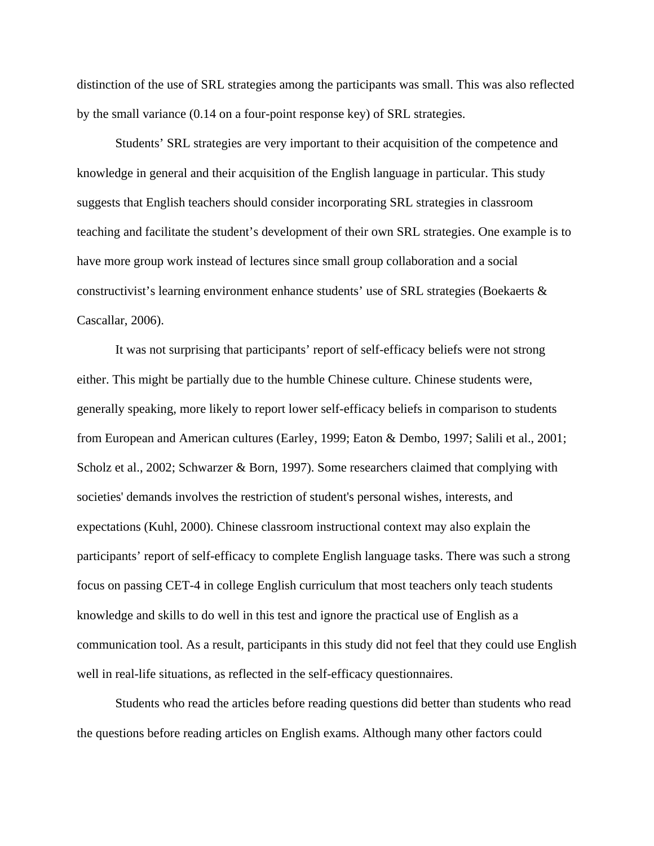distinction of the use of SRL strategies among the participants was small. This was also reflected by the small variance (0.14 on a four-point response key) of SRL strategies.

Students' SRL strategies are very important to their acquisition of the competence and knowledge in general and their acquisition of the English language in particular. This study suggests that English teachers should consider incorporating SRL strategies in classroom teaching and facilitate the student's development of their own SRL strategies. One example is to have more group work instead of lectures since small group collaboration and a social constructivist's learning environment enhance students' use of SRL strategies (Boekaerts & Cascallar, 2006).

It was not surprising that participants' report of self-efficacy beliefs were not strong either. This might be partially due to the humble Chinese culture. Chinese students were, generally speaking, more likely to report lower self-efficacy beliefs in comparison to students from European and American cultures (Earley, 1999; Eaton & Dembo, 1997; Salili et al., 2001; Scholz et al., 2002; Schwarzer & Born, 1997). Some researchers claimed that complying with societies' demands involves the restriction of student's personal wishes, interests, and expectations (Kuhl, 2000). Chinese classroom instructional context may also explain the participants' report of self-efficacy to complete English language tasks. There was such a strong focus on passing CET-4 in college English curriculum that most teachers only teach students knowledge and skills to do well in this test and ignore the practical use of English as a communication tool. As a result, participants in this study did not feel that they could use English well in real-life situations, as reflected in the self-efficacy questionnaires.

Students who read the articles before reading questions did better than students who read the questions before reading articles on English exams. Although many other factors could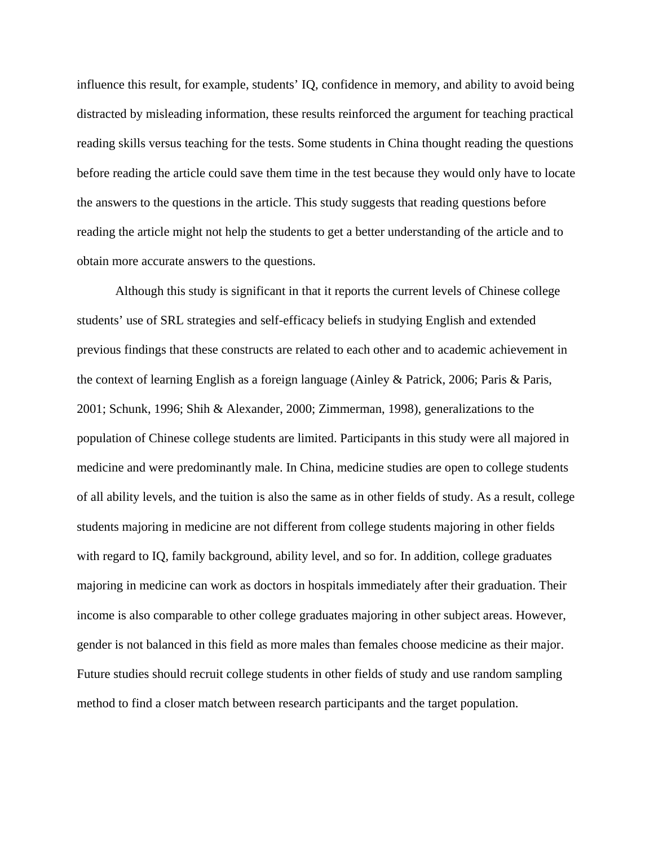influence this result, for example, students' IQ, confidence in memory, and ability to avoid being distracted by misleading information, these results reinforced the argument for teaching practical reading skills versus teaching for the tests. Some students in China thought reading the questions before reading the article could save them time in the test because they would only have to locate the answers to the questions in the article. This study suggests that reading questions before reading the article might not help the students to get a better understanding of the article and to obtain more accurate answers to the questions.

Although this study is significant in that it reports the current levels of Chinese college students' use of SRL strategies and self-efficacy beliefs in studying English and extended previous findings that these constructs are related to each other and to academic achievement in the context of learning English as a foreign language (Ainley & Patrick, 2006; Paris & Paris, 2001; Schunk, 1996; Shih & Alexander, 2000; Zimmerman, 1998), generalizations to the population of Chinese college students are limited. Participants in this study were all majored in medicine and were predominantly male. In China, medicine studies are open to college students of all ability levels, and the tuition is also the same as in other fields of study. As a result, college students majoring in medicine are not different from college students majoring in other fields with regard to IQ, family background, ability level, and so for. In addition, college graduates majoring in medicine can work as doctors in hospitals immediately after their graduation. Their income is also comparable to other college graduates majoring in other subject areas. However, gender is not balanced in this field as more males than females choose medicine as their major. Future studies should recruit college students in other fields of study and use random sampling method to find a closer match between research participants and the target population.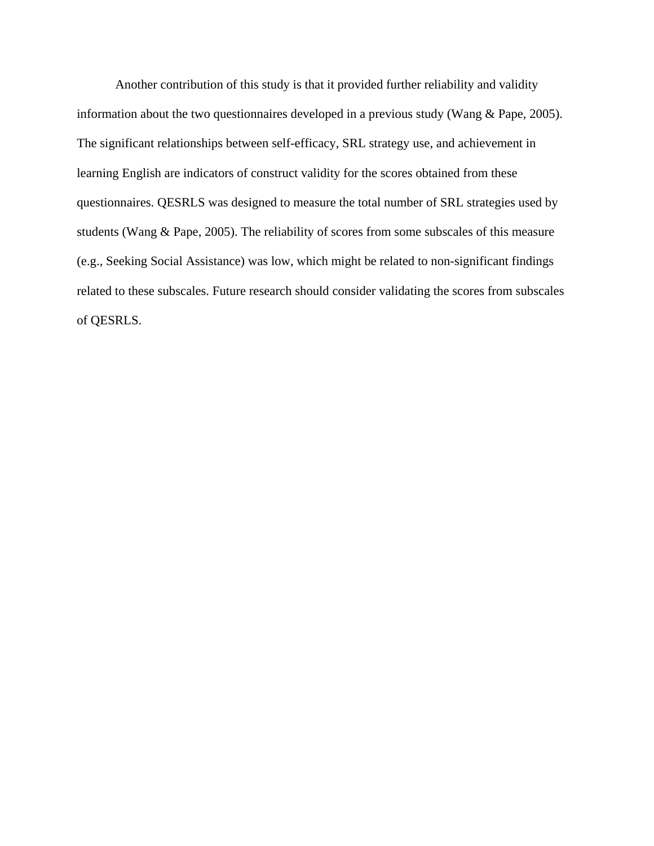Another contribution of this study is that it provided further reliability and validity information about the two questionnaires developed in a previous study (Wang & Pape, 2005). The significant relationships between self-efficacy, SRL strategy use, and achievement in learning English are indicators of construct validity for the scores obtained from these questionnaires. QESRLS was designed to measure the total number of SRL strategies used by students (Wang & Pape, 2005). The reliability of scores from some subscales of this measure (e.g., Seeking Social Assistance) was low, which might be related to non-significant findings related to these subscales. Future research should consider validating the scores from subscales of QESRLS.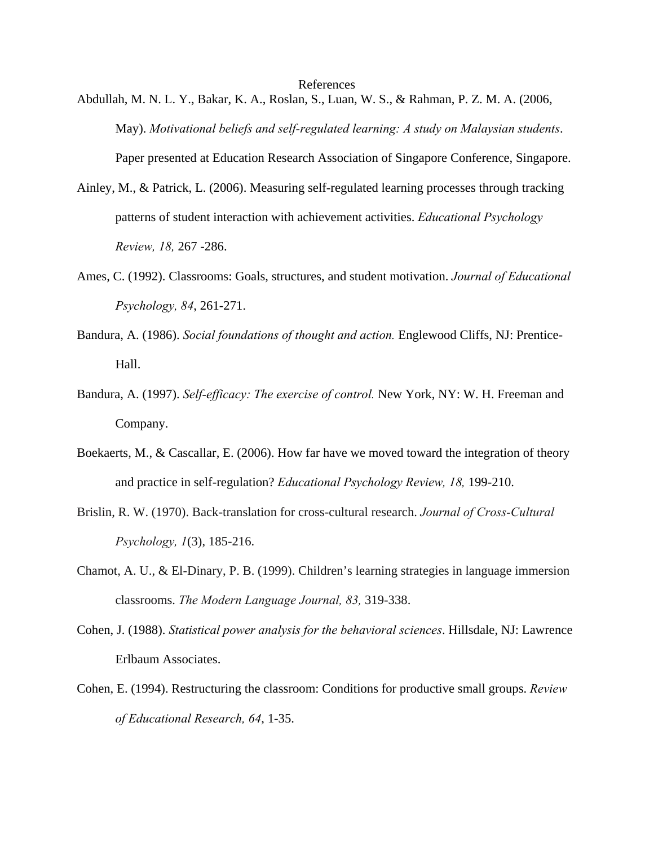References

- Abdullah, M. N. L. Y., Bakar, K. A., Roslan, S., Luan, W. S., & Rahman, P. Z. M. A. (2006, May). *Motivational beliefs and self-regulated learning: A study on Malaysian students*. Paper presented at Education Research Association of Singapore Conference, Singapore.
- Ainley, M., & Patrick, L. (2006). Measuring self-regulated learning processes through tracking patterns of student interaction with achievement activities. *Educational Psychology Review, 18,* 267 -286.
- Ames, C. (1992). Classrooms: Goals, structures, and student motivation. *Journal of Educational Psychology, 84*, 261-271.
- Bandura, A. (1986). *Social foundations of thought and action.* Englewood Cliffs, NJ: Prentice-Hall.
- Bandura, A. (1997). *Self-efficacy: The exercise of control.* New York, NY: W. H. Freeman and Company.
- Boekaerts, M., & Cascallar, E. (2006). How far have we moved toward the integration of theory and practice in self-regulation? *Educational Psychology Review, 18,* 199-210.
- Brislin, R. W. (1970). Back-translation for cross-cultural research. *Journal of Cross-Cultural Psychology, 1*(3), 185-216.
- Chamot, A. U., & El-Dinary, P. B. (1999). Children's learning strategies in language immersion classrooms. *The Modern Language Journal, 83,* 319-338.
- Cohen, J. (1988). *Statistical power analysis for the behavioral sciences*. Hillsdale, NJ: Lawrence Erlbaum Associates.
- Cohen, E. (1994). Restructuring the classroom: Conditions for productive small groups. *Review of Educational Research, 64*, 1-35.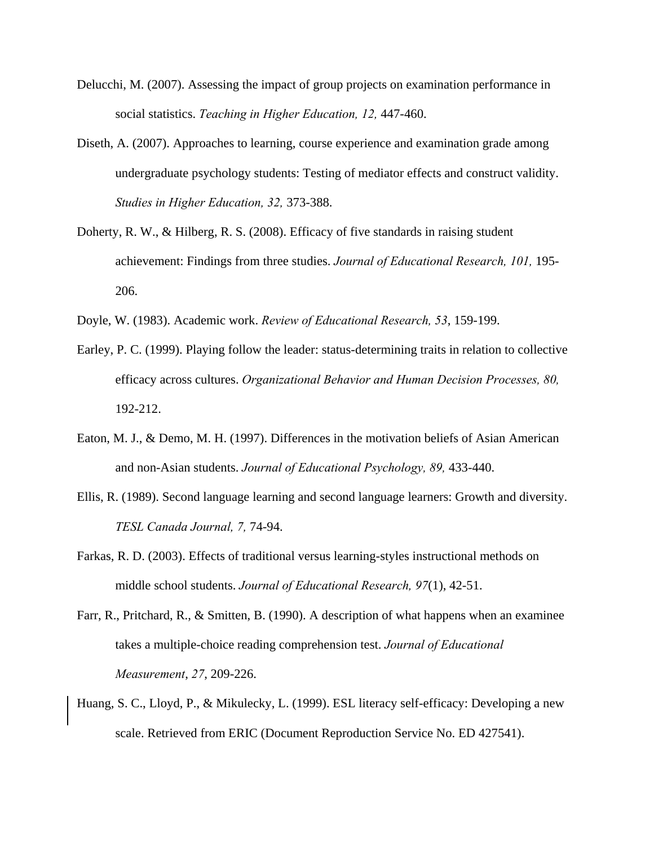- Delucchi, M. (2007). Assessing the impact of group projects on examination performance in social statistics. *Teaching in Higher Education, 12,* 447-460.
- Diseth, A. (2007). Approaches to learning, course experience and examination grade among undergraduate psychology students: Testing of mediator effects and construct validity. *Studies in Higher Education, 32,* 373-388.
- Doherty, R. W., & Hilberg, R. S. (2008). Efficacy of five standards in raising student achievement: Findings from three studies. *Journal of Educational Research, 101,* 195- 206.
- Doyle, W. (1983). Academic work. *Review of Educational Research, 53*, 159-199.
- Earley, P. C. (1999). Playing follow the leader: status-determining traits in relation to collective efficacy across cultures. *Organizational Behavior and Human Decision Processes, 80,*  192-212.
- Eaton, M. J., & Demo, M. H. (1997). Differences in the motivation beliefs of Asian American and non-Asian students. *Journal of Educational Psychology, 89,* 433-440.
- Ellis, R. (1989). Second language learning and second language learners: Growth and diversity. *TESL Canada Journal, 7,* 74-94.
- Farkas, R. D. (2003). Effects of traditional versus learning-styles instructional methods on middle school students. *Journal of Educational Research, 97*(1), 42-51.
- Farr, R., Pritchard, R., & Smitten, B. (1990). A description of what happens when an examinee takes a multiple-choice reading comprehension test. *Journal of Educational Measurement*, *27*, 209-226.
- Huang, S. C., Lloyd, P., & Mikulecky, L. (1999). ESL literacy self-efficacy: Developing a new scale. Retrieved from ERIC (Document Reproduction Service No. ED 427541).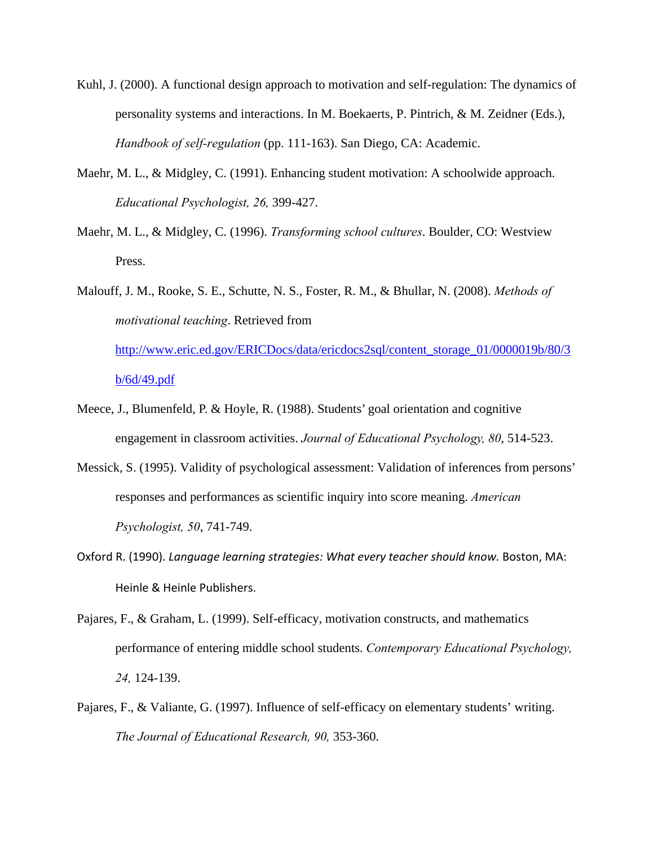- Kuhl, J. (2000). A functional design approach to motivation and self-regulation: The dynamics of personality systems and interactions. In M. Boekaerts, P. Pintrich, & M. Zeidner (Eds.), *Handbook of self-regulation* (pp. 111-163). San Diego, CA: Academic.
- Maehr, M. L., & Midgley, C. (1991). Enhancing student motivation: A schoolwide approach. *Educational Psychologist, 26,* 399-427.
- Maehr, M. L., & Midgley, C. (1996). *Transforming school cultures*. Boulder, CO: Westview Press.
- Malouff, J. M., Rooke, S. E., Schutte, N. S., Foster, R. M., & Bhullar, N. (2008). *Methods of motivational teaching*. Retrieved from http://www.eric.ed.gov/ERICDocs/data/ericdocs2sql/content\_storage\_01/0000019b/80/3 b/6d/49.pdf
- Meece, J., Blumenfeld, P. & Hoyle, R. (1988). Students' goal orientation and cognitive engagement in classroom activities. *Journal of Educational Psychology, 80*, 514-523.
- Messick, S. (1995). Validity of psychological assessment: Validation of inferences from persons' responses and performances as scientific inquiry into score meaning. *American Psychologist, 50*, 741-749.
- Oxford R. (1990). *Language learning strategies: What every teacher should know.* Boston, MA: Heinle & Heinle Publishers.
- Pajares, F., & Graham, L. (1999). Self-efficacy, motivation constructs, and mathematics performance of entering middle school students. *Contemporary Educational Psychology, 24,* 124-139.
- Pajares, F., & Valiante, G. (1997). Influence of self-efficacy on elementary students' writing. *The Journal of Educational Research, 90,* 353-360.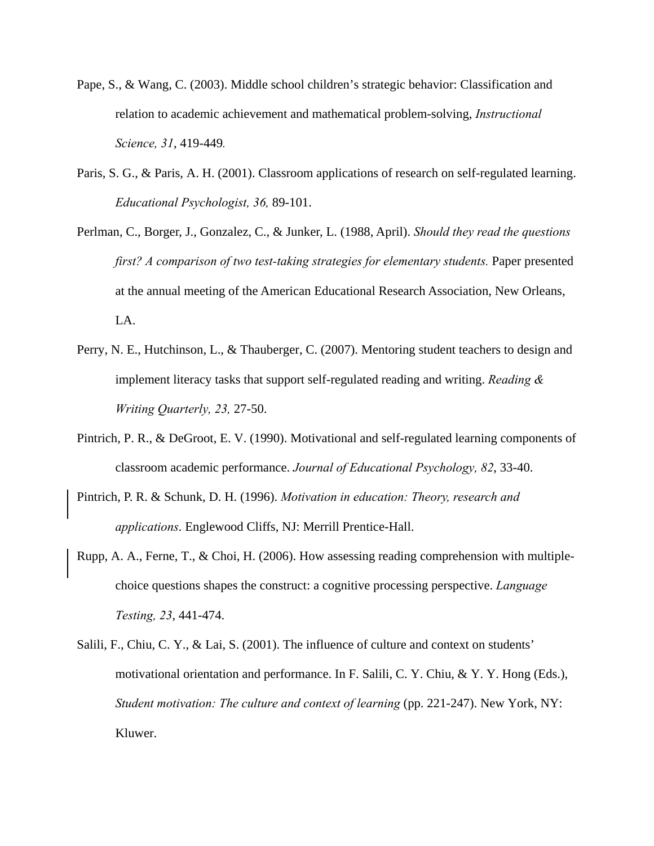- Pape, S., & Wang, C. (2003). Middle school children's strategic behavior: Classification and relation to academic achievement and mathematical problem-solving, *Instructional Science, 31*, 419-449*.*
- Paris, S. G., & Paris, A. H. (2001). Classroom applications of research on self-regulated learning. *Educational Psychologist, 36,* 89-101.
- Perlman, C., Borger, J., Gonzalez, C., & Junker, L. (1988, April). *Should they read the questions first? A comparison of two test-taking strategies for elementary students.* Paper presented at the annual meeting of the American Educational Research Association, New Orleans, LA.
- Perry, N. E., Hutchinson, L., & Thauberger, C. (2007). Mentoring student teachers to design and implement literacy tasks that support self-regulated reading and writing. *Reading & Writing Quarterly, 23,* 27-50.
- Pintrich, P. R., & DeGroot, E. V. (1990). Motivational and self-regulated learning components of classroom academic performance. *Journal of Educational Psychology, 82*, 33-40.
- Pintrich, P. R. & Schunk, D. H. (1996). *Motivation in education: Theory, research and applications*. Englewood Cliffs, NJ: Merrill Prentice-Hall.
- Rupp, A. A., Ferne, T., & Choi, H. (2006). How assessing reading comprehension with multiplechoice questions shapes the construct: a cognitive processing perspective. *Language Testing, 23*, 441-474.
- Salili, F., Chiu, C. Y., & Lai, S. (2001). The influence of culture and context on students' motivational orientation and performance. In F. Salili, C. Y. Chiu, & Y. Y. Hong (Eds.), *Student motivation: The culture and context of learning (pp. 221-247). New York, NY:* Kluwer.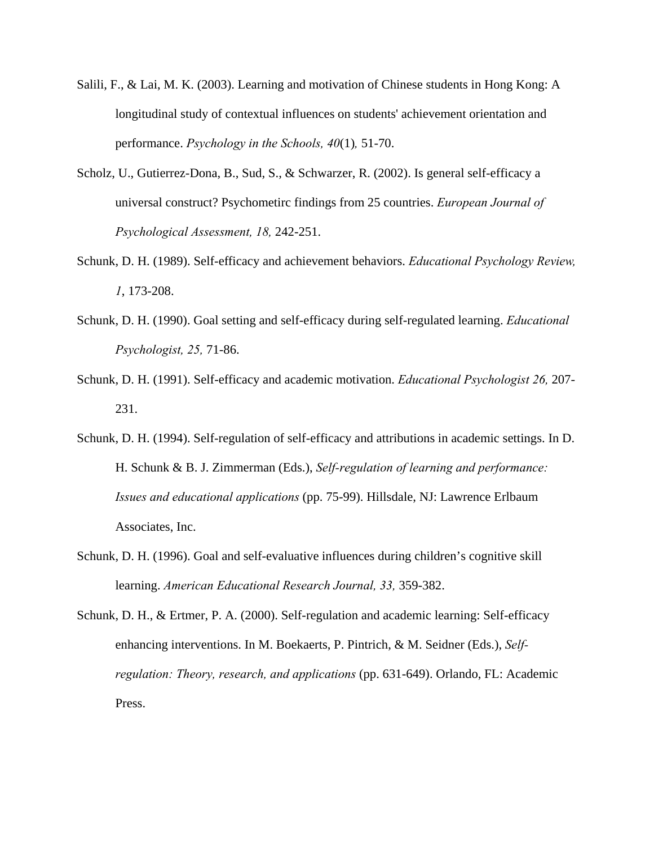- Salili, F., & Lai, M. K. (2003). Learning and motivation of Chinese students in Hong Kong: A longitudinal study of contextual influences on students' achievement orientation and performance. *Psychology in the Schools, 40*(1)*,* 51-70.
- Scholz, U., Gutierrez-Dona, B., Sud, S., & Schwarzer, R. (2002). Is general self-efficacy a universal construct? Psychometirc findings from 25 countries. *European Journal of Psychological Assessment, 18,* 242-251.
- Schunk, D. H. (1989). Self-efficacy and achievement behaviors. *Educational Psychology Review, 1*, 173-208.
- Schunk, D. H. (1990). Goal setting and self-efficacy during self-regulated learning. *Educational Psychologist, 25,* 71-86.
- Schunk, D. H. (1991). Self-efficacy and academic motivation. *Educational Psychologist 26,* 207- 231.
- Schunk, D. H. (1994). Self-regulation of self-efficacy and attributions in academic settings. In D. H. Schunk & B. J. Zimmerman (Eds.), *Self-regulation of learning and performance: Issues and educational applications* (pp. 75-99). Hillsdale, NJ: Lawrence Erlbaum Associates, Inc.
- Schunk, D. H. (1996). Goal and self-evaluative influences during children's cognitive skill learning. *American Educational Research Journal, 33,* 359-382.
- Schunk, D. H., & Ertmer, P. A. (2000). Self-regulation and academic learning: Self-efficacy enhancing interventions. In M. Boekaerts, P. Pintrich, & M. Seidner (Eds.), *Selfregulation: Theory, research, and applications* (pp. 631-649). Orlando, FL: Academic Press.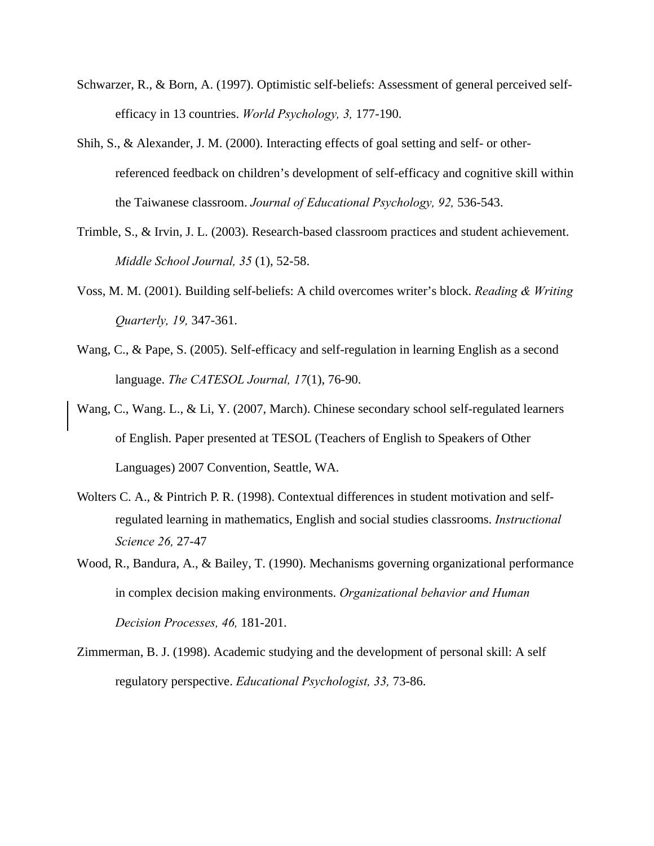- Schwarzer, R., & Born, A. (1997). Optimistic self-beliefs: Assessment of general perceived selfefficacy in 13 countries. *World Psychology, 3,* 177-190.
- Shih, S., & Alexander, J. M. (2000). Interacting effects of goal setting and self- or otherreferenced feedback on children's development of self-efficacy and cognitive skill within the Taiwanese classroom. *Journal of Educational Psychology, 92,* 536-543.
- Trimble, S., & Irvin, J. L. (2003). Research-based classroom practices and student achievement. *Middle School Journal, 35* (1), 52-58.
- Voss, M. M. (2001). Building self-beliefs: A child overcomes writer's block. *Reading & Writing Quarterly, 19,* 347-361.
- Wang, C., & Pape, S. (2005). Self-efficacy and self-regulation in learning English as a second language. *The CATESOL Journal, 17*(1), 76-90.
- Wang, C., Wang. L., & Li, Y. (2007, March). Chinese secondary school self-regulated learners of English. Paper presented at TESOL (Teachers of English to Speakers of Other Languages) 2007 Convention, Seattle, WA.
- Wolters C. A., & Pintrich P. R. (1998). Contextual differences in student motivation and selfregulated learning in mathematics, English and social studies classrooms. *Instructional Science 26,* 27-47
- Wood, R., Bandura, A., & Bailey, T. (1990). Mechanisms governing organizational performance in complex decision making environments. *Organizational behavior and Human Decision Processes, 46,* 181-201.
- Zimmerman, B. J. (1998). Academic studying and the development of personal skill: A self regulatory perspective. *Educational Psychologist, 33,* 73-86.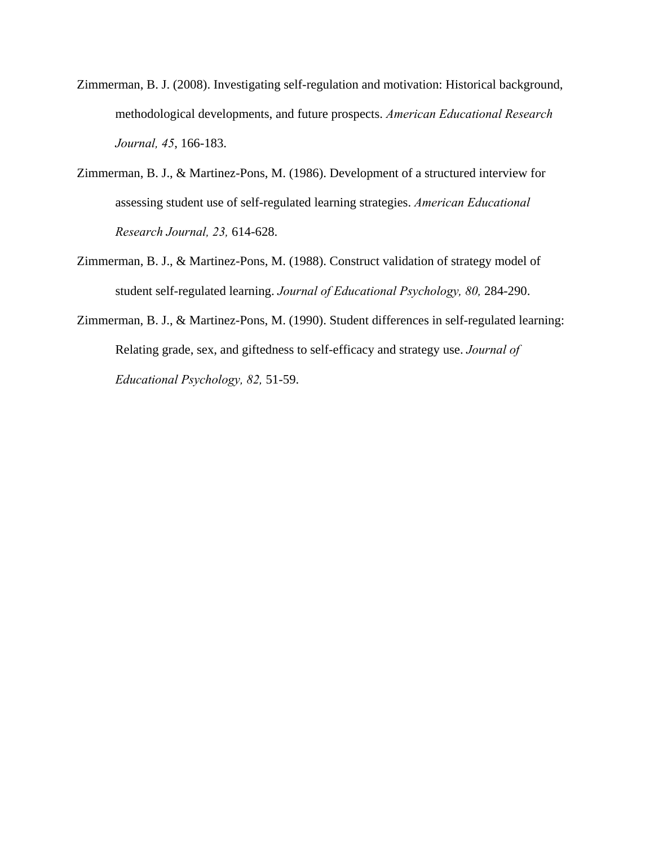- Zimmerman, B. J. (2008). Investigating self-regulation and motivation: Historical background, methodological developments, and future prospects. *American Educational Research Journal, 45*, 166-183.
- Zimmerman, B. J., & Martinez-Pons, M. (1986). Development of a structured interview for assessing student use of self-regulated learning strategies. *American Educational Research Journal, 23,* 614-628.
- Zimmerman, B. J., & Martinez-Pons, M. (1988). Construct validation of strategy model of student self-regulated learning. *Journal of Educational Psychology, 80,* 284-290.
- Zimmerman, B. J., & Martinez-Pons, M. (1990). Student differences in self-regulated learning: Relating grade, sex, and giftedness to self-efficacy and strategy use. *Journal of Educational Psychology, 82,* 51-59.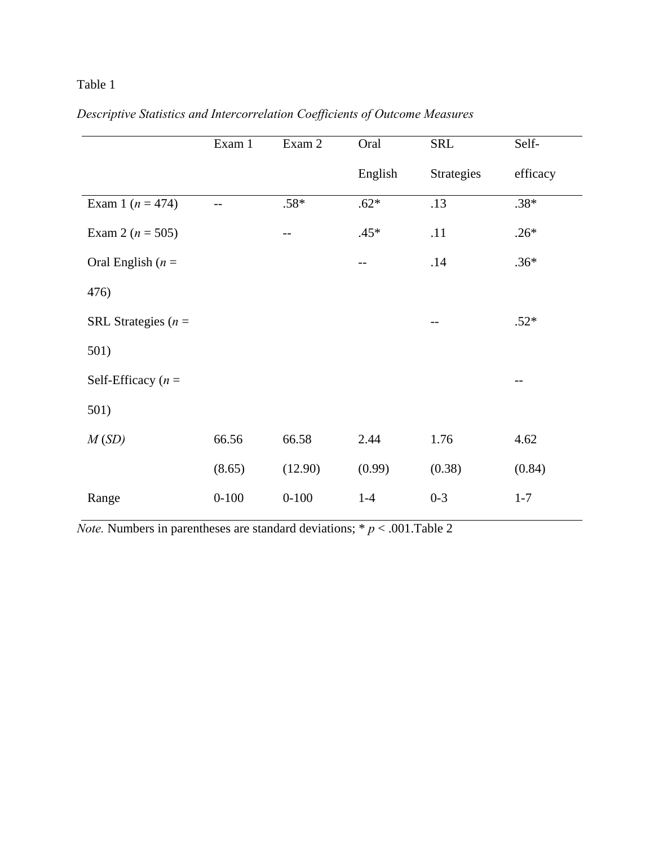# Table 1

|                        | Exam 1    | Exam 2    | Oral    | <b>SRL</b>        | Self-    |
|------------------------|-----------|-----------|---------|-------------------|----------|
|                        |           |           | English | <b>Strategies</b> | efficacy |
| Exam 1 ( $n = 474$ )   | $-$       | $.58*$    | $.62*$  | .13               | $.38*$   |
| Exam 2 ( $n = 505$ )   |           | --        | $.45*$  | .11               | $.26*$   |
| Oral English ( $n =$   |           |           |         | .14               | $.36*$   |
| 476)                   |           |           |         |                   |          |
| SRL Strategies ( $n =$ |           |           |         | --                | $.52*$   |
| 501)                   |           |           |         |                   |          |
| Self-Efficacy $(n =$   |           |           |         |                   |          |
| 501)                   |           |           |         |                   |          |
| M(SD)                  | 66.56     | 66.58     | 2.44    | 1.76              | 4.62     |
|                        | (8.65)    | (12.90)   | (0.99)  | (0.38)            | (0.84)   |
| Range                  | $0 - 100$ | $0 - 100$ | $1-4$   | $0 - 3$           | $1 - 7$  |

# *Descriptive Statistics and Intercorrelation Coefficients of Outcome Measures*

*Note.* Numbers in parentheses are standard deviations;  $* p < .001$ .Table 2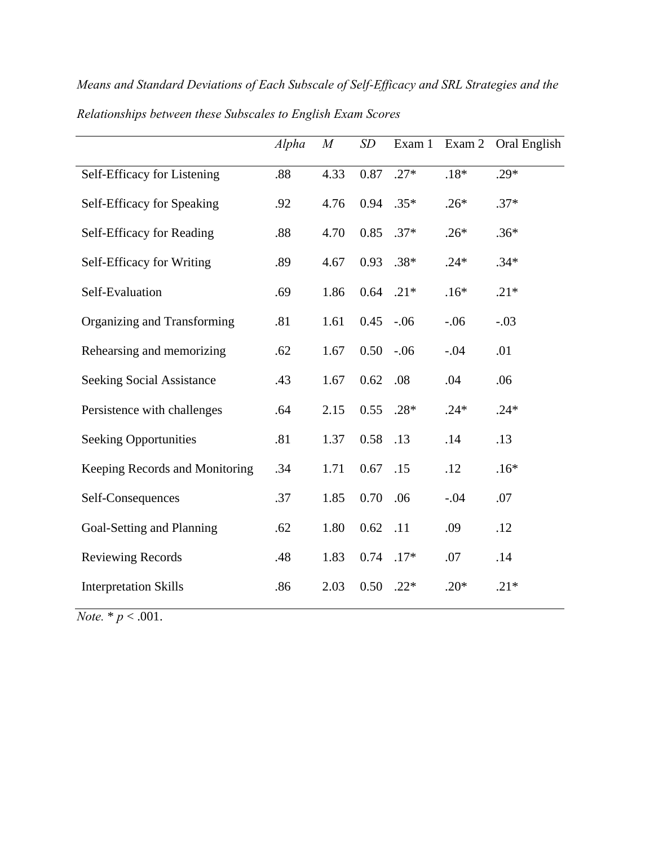|                                  | Alpha | M    | SD   | Exam 1 | Exam 2 | Oral English |
|----------------------------------|-------|------|------|--------|--------|--------------|
| Self-Efficacy for Listening      | .88   | 4.33 | 0.87 | $.27*$ | $.18*$ | $.29*$       |
| Self-Efficacy for Speaking       | .92   | 4.76 | 0.94 | $.35*$ | $.26*$ | $.37*$       |
| Self-Efficacy for Reading        | .88   | 4.70 | 0.85 | $.37*$ | $.26*$ | $.36*$       |
| Self-Efficacy for Writing        | .89   | 4.67 | 0.93 | $.38*$ | $.24*$ | $.34*$       |
| Self-Evaluation                  | .69   | 1.86 | 0.64 | $.21*$ | $.16*$ | $.21*$       |
| Organizing and Transforming      | .81   | 1.61 | 0.45 | $-.06$ | $-.06$ | $-.03$       |
| Rehearsing and memorizing        | .62   | 1.67 | 0.50 | $-.06$ | $-.04$ | .01          |
| <b>Seeking Social Assistance</b> | .43   | 1.67 | 0.62 | .08    | .04    | .06          |
| Persistence with challenges      | .64   | 2.15 | 0.55 | $.28*$ | $.24*$ | $.24*$       |
| <b>Seeking Opportunities</b>     | .81   | 1.37 | 0.58 | .13    | .14    | .13          |
| Keeping Records and Monitoring   | .34   | 1.71 | 0.67 | .15    | .12    | $.16*$       |
| Self-Consequences                | .37   | 1.85 | 0.70 | .06    | $-.04$ | .07          |
| Goal-Setting and Planning        | .62   | 1.80 | 0.62 | .11    | .09    | .12          |
| <b>Reviewing Records</b>         | .48   | 1.83 | 0.74 | $.17*$ | .07    | .14          |
| <b>Interpretation Skills</b>     | .86   | 2.03 | 0.50 | $.22*$ | $.20*$ | $.21*$       |

*Means and Standard Deviations of Each Subscale of Self-Efficacy and SRL Strategies and the Relationships between these Subscales to English Exam Scores* 

*Note.*  $* p < .001$ .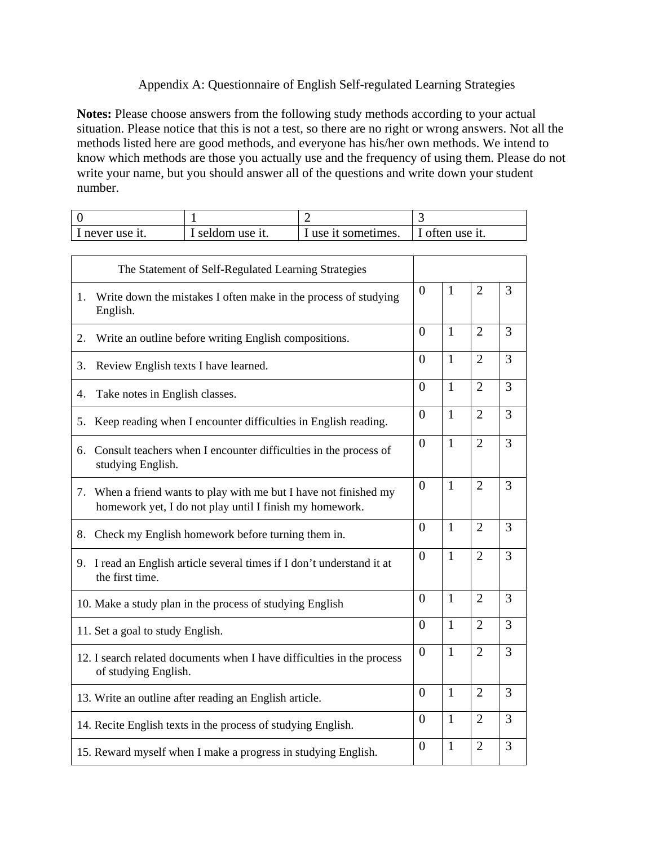# Appendix A: Questionnaire of English Self-regulated Learning Strategies

**Notes:** Please choose answers from the following study methods according to your actual situation. Please notice that this is not a test, so there are no right or wrong answers. Not all the methods listed here are good methods, and everyone has his/her own methods. We intend to know which methods are those you actually use and the frequency of using them. Please do not write your name, but you should answer all of the questions and write down your student number.

| I never use it. | seldom use it. | I use it sometimes. | often use it. |
|-----------------|----------------|---------------------|---------------|

| The Statement of Self-Regulated Learning Strategies                                                                          |                |              |                |   |
|------------------------------------------------------------------------------------------------------------------------------|----------------|--------------|----------------|---|
| Write down the mistakes I often make in the process of studying<br>1.<br>English.                                            | $\Omega$       | $\mathbf{1}$ | $\overline{2}$ | 3 |
| Write an outline before writing English compositions.<br>2.                                                                  | $\Omega$       | $\mathbf{1}$ | $\overline{2}$ | 3 |
| Review English texts I have learned.<br>3.                                                                                   | $\Omega$       | 1            | $\overline{2}$ | 3 |
| Take notes in English classes.<br>4.                                                                                         | $\Omega$       | $\mathbf{1}$ | $\overline{2}$ | 3 |
| 5. Keep reading when I encounter difficulties in English reading.                                                            | $\Omega$       | $\mathbf{1}$ | $\overline{2}$ | 3 |
| 6. Consult teachers when I encounter difficulties in the process of<br>studying English.                                     | $\overline{0}$ | $\mathbf{1}$ | $\overline{2}$ | 3 |
| 7. When a friend wants to play with me but I have not finished my<br>homework yet, I do not play until I finish my homework. | $\theta$       | $\mathbf{1}$ | $\overline{2}$ | 3 |
| 8. Check my English homework before turning them in.                                                                         | $\theta$       | $\mathbf{1}$ | $\overline{2}$ | 3 |
| 9. I read an English article several times if I don't understand it at<br>the first time.                                    | $\overline{0}$ | $\mathbf{1}$ | $\overline{2}$ | 3 |
| 10. Make a study plan in the process of studying English                                                                     | $\theta$       | $\mathbf{1}$ | $\overline{2}$ | 3 |
| 11. Set a goal to study English.                                                                                             | $\theta$       | $\mathbf{1}$ | $\overline{2}$ | 3 |
| 12. I search related documents when I have difficulties in the process<br>of studying English.                               | $\overline{0}$ | $\mathbf{1}$ | $\overline{2}$ | 3 |
| 13. Write an outline after reading an English article.                                                                       | $\overline{0}$ | $\mathbf{1}$ | $\overline{2}$ | 3 |
| 14. Recite English texts in the process of studying English.                                                                 | $\theta$       | $\mathbf{1}$ | $\overline{2}$ | 3 |
| 15. Reward myself when I make a progress in studying English.                                                                | $\overline{0}$ | $\mathbf{1}$ | $\overline{2}$ | 3 |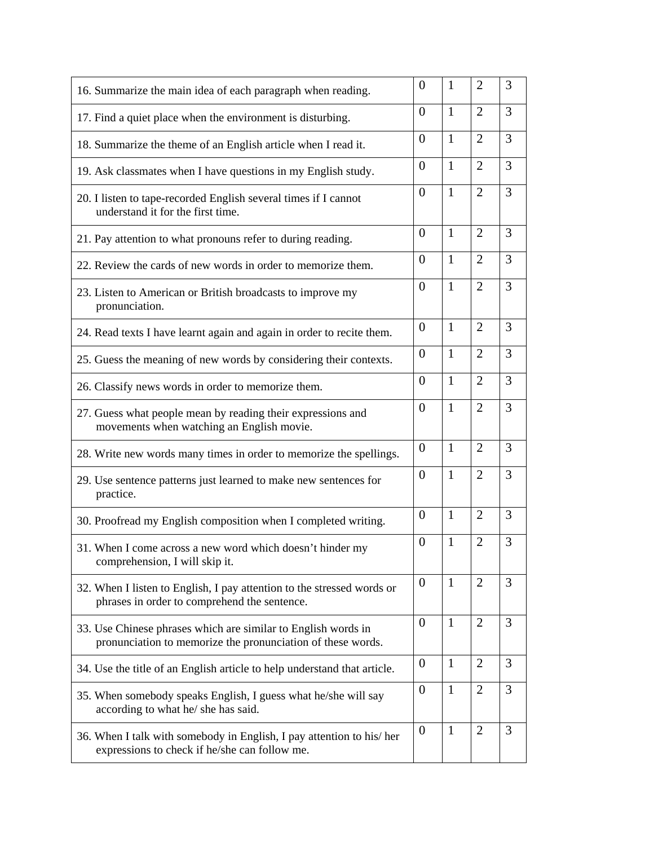| 16. Summarize the main idea of each paragraph when reading.                                                                  | $\theta$       | $\mathbf{1}$ | $\overline{2}$ | 3              |
|------------------------------------------------------------------------------------------------------------------------------|----------------|--------------|----------------|----------------|
| 17. Find a quiet place when the environment is disturbing.                                                                   | $\Omega$       | $\mathbf{1}$ | $\overline{2}$ | 3              |
| 18. Summarize the theme of an English article when I read it.                                                                | $\theta$       | $\mathbf{1}$ | $\overline{2}$ | 3              |
| 19. Ask classmates when I have questions in my English study.                                                                | $\theta$       | $\mathbf{1}$ | $\overline{2}$ | 3              |
| 20. I listen to tape-recorded English several times if I cannot<br>understand it for the first time.                         | $\overline{0}$ | $\mathbf{1}$ | $\overline{2}$ | $\overline{3}$ |
| 21. Pay attention to what pronouns refer to during reading.                                                                  | $\theta$       | $\mathbf{1}$ | $\overline{2}$ | 3              |
| 22. Review the cards of new words in order to memorize them.                                                                 | $\theta$       | 1            | $\overline{2}$ | 3              |
| 23. Listen to American or British broadcasts to improve my<br>pronunciation.                                                 | $\theta$       | $\mathbf{1}$ | $\overline{2}$ | 3              |
| 24. Read texts I have learnt again and again in order to recite them.                                                        | $\overline{0}$ | $\mathbf{1}$ | $\overline{2}$ | 3              |
| 25. Guess the meaning of new words by considering their contexts.                                                            | $\theta$       | 1            | $\overline{2}$ | 3              |
| 26. Classify news words in order to memorize them.                                                                           | $\theta$       | $\mathbf{1}$ | $\overline{2}$ | 3              |
| 27. Guess what people mean by reading their expressions and<br>movements when watching an English movie.                     | $\theta$       | $\mathbf{1}$ | $\overline{2}$ | 3              |
| 28. Write new words many times in order to memorize the spellings.                                                           | $\overline{0}$ | $\mathbf{1}$ | $\overline{2}$ | 3              |
| 29. Use sentence patterns just learned to make new sentences for<br>practice.                                                | $\theta$       | $\mathbf{1}$ | $\overline{2}$ | 3              |
| 30. Proofread my English composition when I completed writing.                                                               | $\theta$       | $\mathbf{1}$ | $\overline{2}$ | 3              |
| 31. When I come across a new word which doesn't hinder my<br>comprehension, I will skip it.                                  | $\theta$       | $\mathbf{1}$ | $\overline{2}$ | 3              |
| 32. When I listen to English, I pay attention to the stressed words or<br>phrases in order to comprehend the sentence.       | $\theta$       | $\mathbf{1}$ | $\overline{2}$ | 3              |
| 33. Use Chinese phrases which are similar to English words in<br>pronunciation to memorize the pronunciation of these words. | $\theta$       | $\mathbf{1}$ | $\overline{2}$ | 3              |
| 34. Use the title of an English article to help understand that article.                                                     | $\theta$       | 1            | 2              | 3              |
| 35. When somebody speaks English, I guess what he/she will say<br>according to what he/ she has said.                        | $\theta$       | $\mathbf{1}$ | $\overline{2}$ | 3              |
| 36. When I talk with somebody in English, I pay attention to his/her<br>expressions to check if he/she can follow me.        | $\overline{0}$ | $\mathbf{1}$ | $\overline{2}$ | 3              |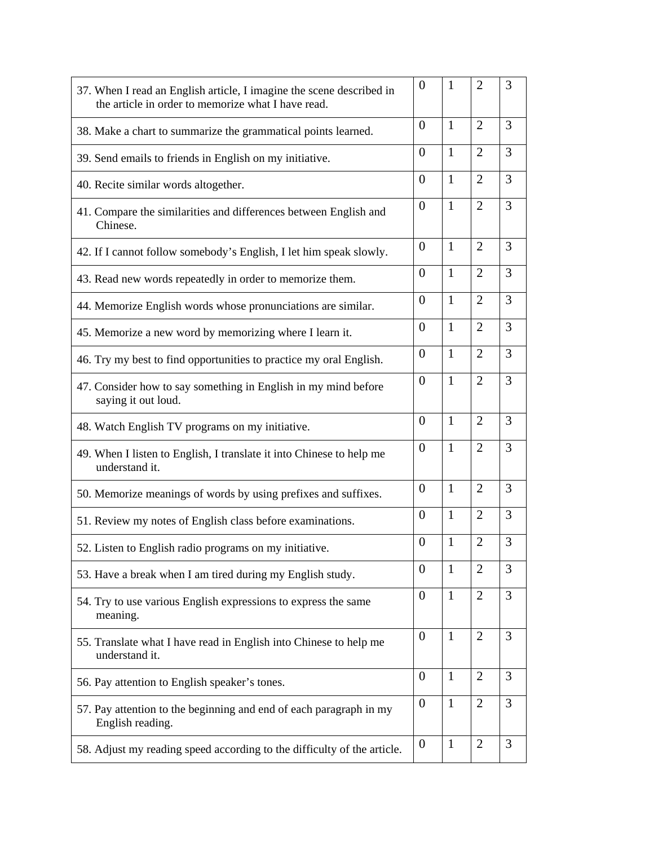| 37. When I read an English article, I imagine the scene described in<br>the article in order to memorize what I have read. | $\overline{0}$   | 1            | 2              | 3              |
|----------------------------------------------------------------------------------------------------------------------------|------------------|--------------|----------------|----------------|
| 38. Make a chart to summarize the grammatical points learned.                                                              | $\Omega$         | 1            | $\overline{2}$ | 3              |
| 39. Send emails to friends in English on my initiative.                                                                    | $\overline{0}$   | $\mathbf{1}$ | $\overline{2}$ | 3              |
| 40. Recite similar words altogether.                                                                                       | $\overline{0}$   | $\mathbf{1}$ | $\overline{2}$ | 3              |
| 41. Compare the similarities and differences between English and<br>Chinese.                                               | $\overline{0}$   | $\mathbf{1}$ | $\overline{2}$ | $\overline{3}$ |
| 42. If I cannot follow somebody's English, I let him speak slowly.                                                         | $\overline{0}$   | $\mathbf{1}$ | $\overline{2}$ | 3              |
| 43. Read new words repeatedly in order to memorize them.                                                                   | $\overline{0}$   | $\mathbf{1}$ | $\overline{2}$ | 3              |
| 44. Memorize English words whose pronunciations are similar.                                                               | $\overline{0}$   | $\mathbf{1}$ | $\overline{2}$ | 3              |
| 45. Memorize a new word by memorizing where I learn it.                                                                    | $\overline{0}$   | $\mathbf{1}$ | $\overline{2}$ | 3              |
| 46. Try my best to find opportunities to practice my oral English.                                                         | $\overline{0}$   | $\mathbf{1}$ | $\overline{2}$ | 3              |
| 47. Consider how to say something in English in my mind before<br>saying it out loud.                                      | $\boldsymbol{0}$ | $\mathbf{1}$ | $\overline{2}$ | 3              |
| 48. Watch English TV programs on my initiative.                                                                            | $\Omega$         | $\mathbf{1}$ | $\overline{2}$ | 3              |
| 49. When I listen to English, I translate it into Chinese to help me<br>understand it.                                     | $\overline{0}$   | $\mathbf{1}$ | $\overline{2}$ | 3              |
| 50. Memorize meanings of words by using prefixes and suffixes.                                                             | $\theta$         | $\mathbf{1}$ | $\overline{2}$ | 3              |
| 51. Review my notes of English class before examinations.                                                                  | $\overline{0}$   | $\mathbf{1}$ | $\overline{2}$ | 3              |
| 52. Listen to English radio programs on my initiative.                                                                     | $\overline{0}$   | $\mathbf{1}$ | $\overline{2}$ | 3              |
| 53. Have a break when I am tired during my English study.                                                                  | $\overline{0}$   | $\mathbf{1}$ | $\overline{2}$ | 3              |
| 54. Try to use various English expressions to express the same<br>meaning.                                                 | $\overline{0}$   | $\mathbf{1}$ | $\overline{2}$ | 3              |
| 55. Translate what I have read in English into Chinese to help me<br>understand it.                                        | $\boldsymbol{0}$ | $\mathbf{1}$ | $\overline{2}$ | 3              |
| 56. Pay attention to English speaker's tones.                                                                              | $\overline{0}$   | $\mathbf{1}$ | $\overline{2}$ | 3              |
| 57. Pay attention to the beginning and end of each paragraph in my<br>English reading.                                     | $\boldsymbol{0}$ | $\mathbf{1}$ | 2              | 3              |
| 58. Adjust my reading speed according to the difficulty of the article.                                                    | $\theta$         | $\mathbf{1}$ | $\overline{2}$ | 3              |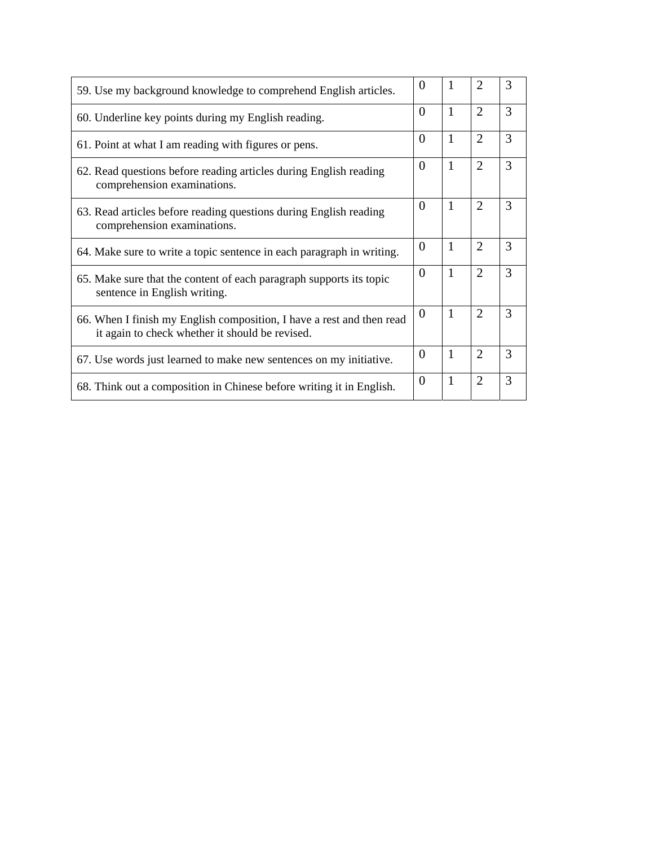| 59. Use my background knowledge to comprehend English articles.                                                          | $\Omega$       | 1            | $\mathfrak{D}$ | 3 |
|--------------------------------------------------------------------------------------------------------------------------|----------------|--------------|----------------|---|
| 60. Underline key points during my English reading.                                                                      | $\theta$       | 1            | $\overline{2}$ | 3 |
| 61. Point at what I am reading with figures or pens.                                                                     | $\Omega$       | 1            | $\overline{2}$ | 3 |
| 62. Read questions before reading articles during English reading<br>comprehension examinations.                         | $\Omega$       | 1            | $\overline{2}$ | 3 |
| 63. Read articles before reading questions during English reading<br>comprehension examinations.                         | $\Omega$       | 1            | $\overline{2}$ | 3 |
| 64. Make sure to write a topic sentence in each paragraph in writing.                                                    | $\theta$       | 1            | $\overline{2}$ | 3 |
| 65. Make sure that the content of each paragraph supports its topic<br>sentence in English writing.                      | 0              | 1            | $\overline{2}$ | 3 |
| 66. When I finish my English composition, I have a rest and then read<br>it again to check whether it should be revised. | $\overline{0}$ | 1            | $\overline{2}$ | 3 |
| 67. Use words just learned to make new sentences on my initiative.                                                       | $\theta$       | 1            | $\overline{2}$ | 3 |
| 68. Think out a composition in Chinese before writing it in English.                                                     | $\theta$       | $\mathbf{1}$ | $\overline{2}$ | 3 |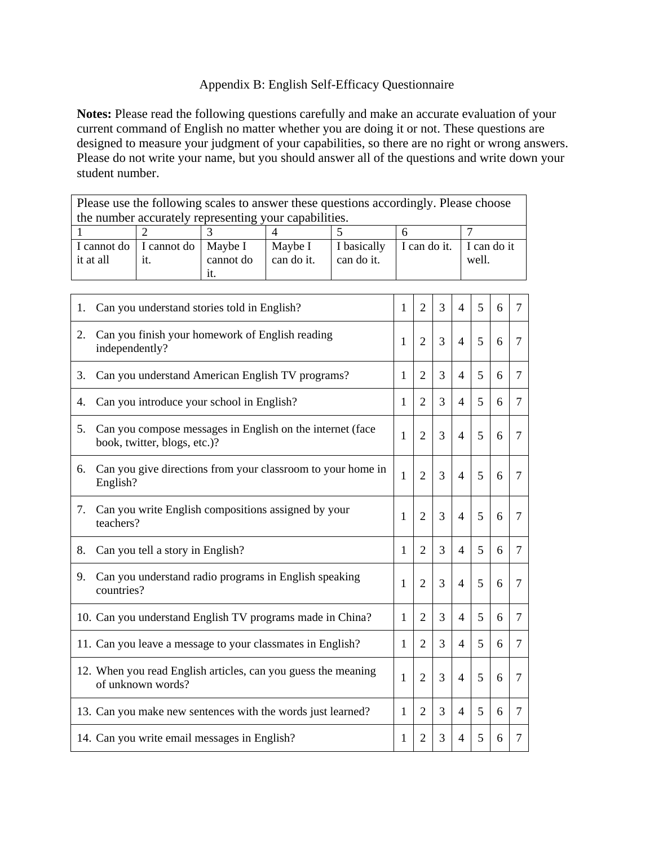# Appendix B: English Self-Efficacy Questionnaire

**Notes:** Please read the following questions carefully and make an accurate evaluation of your current command of English no matter whether you are doing it or not. These questions are designed to measure your judgment of your capabilities, so there are no right or wrong answers. Please do not write your name, but you should answer all of the questions and write down your student number.

Please use the following scales to answer these questions accordingly. Please choose the number accurately representing your capabilities.

| I cannot do I cannot do   Maybe I |     |           | Maybe I    |            | I basically I can do it. I can do it |       |
|-----------------------------------|-----|-----------|------------|------------|--------------------------------------|-------|
| it at all                         | 1t. | cannot do | can do it. | can do it. |                                      | well. |
|                                   |     | 11.       |            |            |                                      |       |

| 1. | Can you understand stories told in English?                                               | 1            | $\overline{2}$ | 3 | $\overline{4}$ | 5 | 6 | 7              |
|----|-------------------------------------------------------------------------------------------|--------------|----------------|---|----------------|---|---|----------------|
| 2. | Can you finish your homework of English reading<br>independently?                         | 1            | $\overline{2}$ | 3 | $\overline{4}$ | 5 | 6 | 7              |
| 3. | Can you understand American English TV programs?                                          | 1            | $\overline{2}$ | 3 | $\overline{4}$ | 5 | 6 | $\tau$         |
| 4. | Can you introduce your school in English?                                                 | 1            | $\overline{2}$ | 3 | $\overline{4}$ | 5 | 6 | 7              |
| 5. | Can you compose messages in English on the internet (face<br>book, twitter, blogs, etc.)? | 1            | $\overline{2}$ | 3 | $\overline{4}$ | 5 | 6 | 7              |
| 6. | Can you give directions from your classroom to your home in<br>English?                   | 1            | $\overline{2}$ | 3 | $\overline{4}$ | 5 | 6 | 7              |
| 7. | Can you write English compositions assigned by your<br>teachers?                          | 1            | $\overline{2}$ | 3 | $\overline{4}$ | 5 | 6 | 7              |
| 8. | Can you tell a story in English?                                                          | 1            | $\overline{2}$ | 3 | $\overline{4}$ | 5 | 6 | $\overline{7}$ |
| 9. | Can you understand radio programs in English speaking<br>countries?                       | 1            | $\overline{2}$ | 3 | $\overline{4}$ | 5 | 6 | 7              |
|    | 10. Can you understand English TV programs made in China?                                 | 1            | $\overline{2}$ | 3 | $\overline{4}$ | 5 | 6 | $\tau$         |
|    | 11. Can you leave a message to your classmates in English?                                | 1            | $\overline{2}$ | 3 | $\overline{4}$ | 5 | 6 | $\tau$         |
|    | 12. When you read English articles, can you guess the meaning<br>of unknown words?        | 1            | $\overline{2}$ | 3 | $\overline{4}$ | 5 | 6 | $\overline{7}$ |
|    | 13. Can you make new sentences with the words just learned?                               | $\mathbf{1}$ | $\overline{2}$ | 3 | $\overline{4}$ | 5 | 6 | $\overline{7}$ |
|    | 14. Can you write email messages in English?                                              | 1            | 2              | 3 | 4              | 5 | 6 | 7              |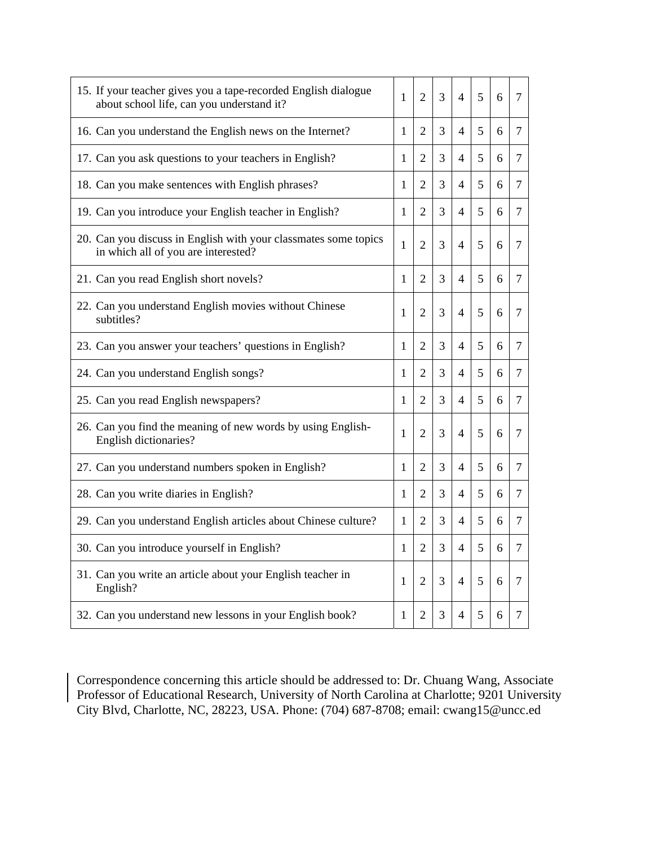| 15. If your teacher gives you a tape-recorded English dialogue<br>about school life, can you understand it? | 1            | $\overline{2}$ | 3 | 4                        | 5 | 6 | 7 |
|-------------------------------------------------------------------------------------------------------------|--------------|----------------|---|--------------------------|---|---|---|
| 16. Can you understand the English news on the Internet?                                                    | 1            | 2              | 3 | $\overline{4}$           | 5 | 6 | 7 |
| 17. Can you ask questions to your teachers in English?                                                      | 1            | 2              | 3 | 4                        | 5 | 6 | 7 |
| 18. Can you make sentences with English phrases?                                                            | 1            | $\overline{2}$ | 3 | 4                        | 5 | 6 | 7 |
| 19. Can you introduce your English teacher in English?                                                      | 1            | 2              | 3 | $\overline{4}$           | 5 | 6 | 7 |
| 20. Can you discuss in English with your classmates some topics<br>in which all of you are interested?      | $\mathbf{1}$ | $\overline{2}$ | 3 | 4                        | 5 | 6 | 7 |
| 21. Can you read English short novels?                                                                      | 1            | $\overline{2}$ | 3 | $\overline{\mathcal{L}}$ | 5 | 6 | 7 |
| 22. Can you understand English movies without Chinese<br>subtitles?                                         | 1            | 2              | 3 | $\overline{\mathcal{A}}$ | 5 | 6 | 7 |
| 23. Can you answer your teachers' questions in English?                                                     | 1            | 2              | 3 | $\overline{4}$           | 5 | 6 | 7 |
| 24. Can you understand English songs?                                                                       | 1            | 2              | 3 | 4                        | 5 | 6 | 7 |
| 25. Can you read English newspapers?                                                                        | 1            | $\overline{2}$ | 3 | $\overline{4}$           | 5 | 6 | 7 |
| 26. Can you find the meaning of new words by using English-<br>English dictionaries?                        | 1            | $\overline{2}$ | 3 | $\overline{4}$           | 5 | 6 | 7 |
| 27. Can you understand numbers spoken in English?                                                           | 1            | 2              | 3 | 4                        | 5 | 6 | 7 |
| 28. Can you write diaries in English?                                                                       | 1            | 2              | 3 | $\overline{4}$           | 5 | 6 | 7 |
| 29. Can you understand English articles about Chinese culture?                                              | 1            | 2              | 3 | 4                        | 5 | 6 | 7 |
| 30. Can you introduce yourself in English?                                                                  | 1            | 2              | 3 | 4                        | 5 | 6 | 7 |
| 31. Can you write an article about your English teacher in<br>English?                                      | 1            | 2              | 3 | 4                        | 5 | 6 | 7 |
| 32. Can you understand new lessons in your English book?                                                    | 1            | 2              | 3 | 4                        | 5 | 6 | 7 |

Correspondence concerning this article should be addressed to: Dr. Chuang Wang, Associate Professor of Educational Research, University of North Carolina at Charlotte; 9201 University City Blvd, Charlotte, NC, 28223, USA. Phone: (704) 687-8708; email: cwang15@uncc.ed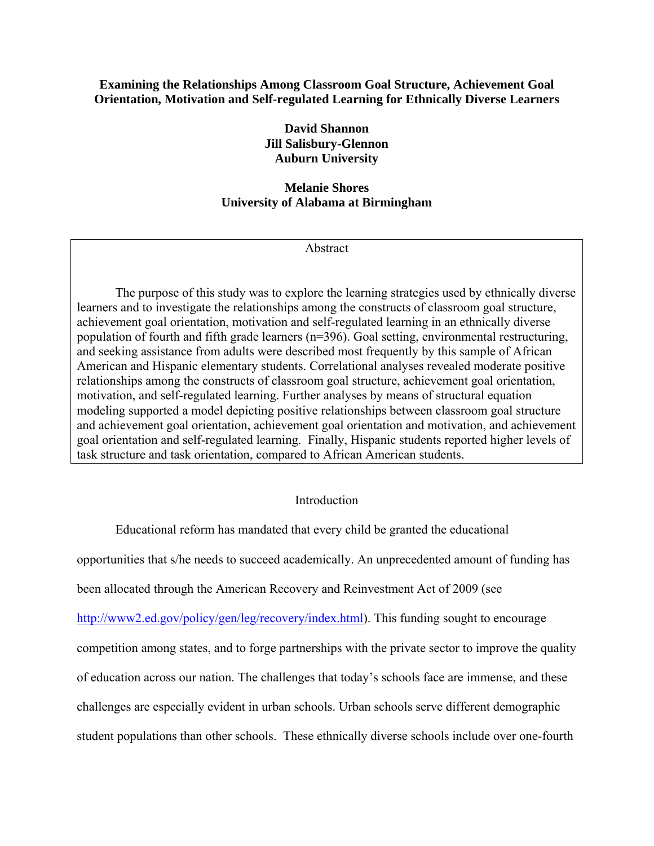# **Examining the Relationships Among Classroom Goal Structure, Achievement Goal Orientation, Motivation and Self-regulated Learning for Ethnically Diverse Learners**

**David Shannon Jill Salisbury-Glennon Auburn University** 

# **Melanie Shores University of Alabama at Birmingham**

Abstract

The purpose of this study was to explore the learning strategies used by ethnically diverse learners and to investigate the relationships among the constructs of classroom goal structure, achievement goal orientation, motivation and self-regulated learning in an ethnically diverse population of fourth and fifth grade learners (n=396). Goal setting, environmental restructuring, and seeking assistance from adults were described most frequently by this sample of African American and Hispanic elementary students. Correlational analyses revealed moderate positive relationships among the constructs of classroom goal structure, achievement goal orientation, motivation, and self-regulated learning. Further analyses by means of structural equation modeling supported a model depicting positive relationships between classroom goal structure and achievement goal orientation, achievement goal orientation and motivation, and achievement goal orientation and self-regulated learning. Finally, Hispanic students reported higher levels of task structure and task orientation, compared to African American students.

# Introduction

Educational reform has mandated that every child be granted the educational

opportunities that s/he needs to succeed academically. An unprecedented amount of funding has

been allocated through the American Recovery and Reinvestment Act of 2009 (see

http://www2.ed.gov/policy/gen/leg/recovery/index.html). This funding sought to encourage

competition among states, and to forge partnerships with the private sector to improve the quality

of education across our nation. The challenges that today's schools face are immense, and these

challenges are especially evident in urban schools. Urban schools serve different demographic

student populations than other schools. These ethnically diverse schools include over one-fourth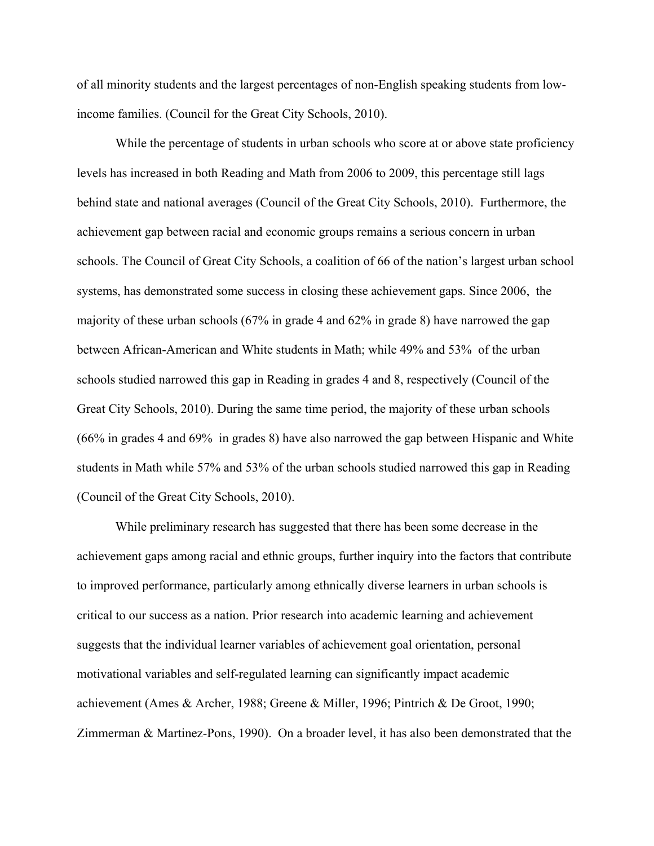of all minority students and the largest percentages of non-English speaking students from lowincome families. (Council for the Great City Schools, 2010).

While the percentage of students in urban schools who score at or above state proficiency levels has increased in both Reading and Math from 2006 to 2009, this percentage still lags behind state and national averages (Council of the Great City Schools, 2010). Furthermore, the achievement gap between racial and economic groups remains a serious concern in urban schools. The Council of Great City Schools, a coalition of 66 of the nation's largest urban school systems, has demonstrated some success in closing these achievement gaps. Since 2006, the majority of these urban schools (67% in grade 4 and 62% in grade 8) have narrowed the gap between African-American and White students in Math; while 49% and 53% of the urban schools studied narrowed this gap in Reading in grades 4 and 8, respectively (Council of the Great City Schools, 2010). During the same time period, the majority of these urban schools (66% in grades 4 and 69% in grades 8) have also narrowed the gap between Hispanic and White students in Math while 57% and 53% of the urban schools studied narrowed this gap in Reading (Council of the Great City Schools, 2010).

While preliminary research has suggested that there has been some decrease in the achievement gaps among racial and ethnic groups, further inquiry into the factors that contribute to improved performance, particularly among ethnically diverse learners in urban schools is critical to our success as a nation. Prior research into academic learning and achievement suggests that the individual learner variables of achievement goal orientation, personal motivational variables and self-regulated learning can significantly impact academic achievement (Ames & Archer, 1988; Greene & Miller, 1996; Pintrich & De Groot, 1990; Zimmerman & Martinez-Pons, 1990). On a broader level, it has also been demonstrated that the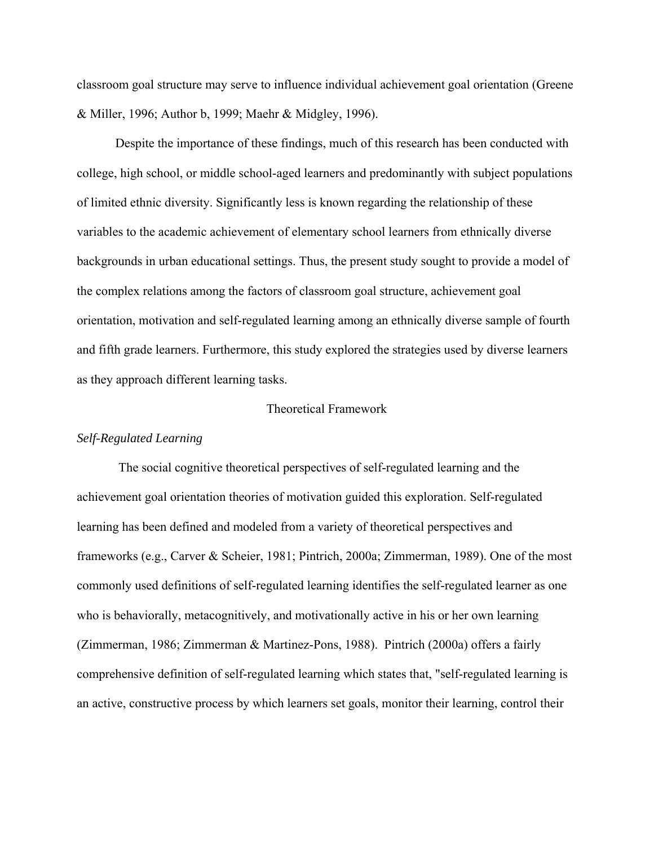classroom goal structure may serve to influence individual achievement goal orientation (Greene & Miller, 1996; Author b, 1999; Maehr & Midgley, 1996).

Despite the importance of these findings, much of this research has been conducted with college, high school, or middle school-aged learners and predominantly with subject populations of limited ethnic diversity. Significantly less is known regarding the relationship of these variables to the academic achievement of elementary school learners from ethnically diverse backgrounds in urban educational settings. Thus, the present study sought to provide a model of the complex relations among the factors of classroom goal structure, achievement goal orientation, motivation and self-regulated learning among an ethnically diverse sample of fourth and fifth grade learners. Furthermore, this study explored the strategies used by diverse learners as they approach different learning tasks.

## Theoretical Framework

## *Self-Regulated Learning*

 The social cognitive theoretical perspectives of self-regulated learning and the achievement goal orientation theories of motivation guided this exploration. Self-regulated learning has been defined and modeled from a variety of theoretical perspectives and frameworks (e.g., Carver & Scheier, 1981; Pintrich, 2000a; Zimmerman, 1989). One of the most commonly used definitions of self-regulated learning identifies the self-regulated learner as one who is behaviorally, metacognitively, and motivationally active in his or her own learning (Zimmerman, 1986; Zimmerman & Martinez-Pons, 1988). Pintrich (2000a) offers a fairly comprehensive definition of self-regulated learning which states that, "self-regulated learning is an active, constructive process by which learners set goals, monitor their learning, control their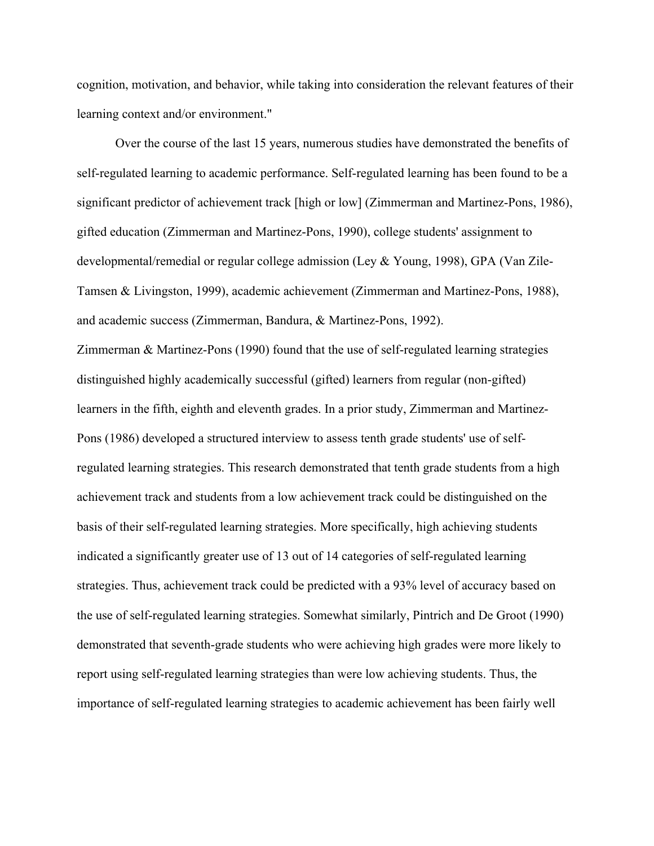cognition, motivation, and behavior, while taking into consideration the relevant features of their learning context and/or environment."

Over the course of the last 15 years, numerous studies have demonstrated the benefits of self-regulated learning to academic performance. Self-regulated learning has been found to be a significant predictor of achievement track [high or low] (Zimmerman and Martinez-Pons, 1986), gifted education (Zimmerman and Martinez-Pons, 1990), college students' assignment to developmental/remedial or regular college admission (Ley & Young, 1998), GPA (Van Zile-Tamsen & Livingston, 1999), academic achievement (Zimmerman and Martinez-Pons, 1988), and academic success (Zimmerman, Bandura, & Martinez-Pons, 1992).

Zimmerman & Martinez-Pons (1990) found that the use of self-regulated learning strategies distinguished highly academically successful (gifted) learners from regular (non-gifted) learners in the fifth, eighth and eleventh grades. In a prior study, Zimmerman and Martinez-Pons (1986) developed a structured interview to assess tenth grade students' use of selfregulated learning strategies. This research demonstrated that tenth grade students from a high achievement track and students from a low achievement track could be distinguished on the basis of their self-regulated learning strategies. More specifically, high achieving students indicated a significantly greater use of 13 out of 14 categories of self-regulated learning strategies. Thus, achievement track could be predicted with a 93% level of accuracy based on the use of self-regulated learning strategies. Somewhat similarly, Pintrich and De Groot (1990) demonstrated that seventh-grade students who were achieving high grades were more likely to report using self-regulated learning strategies than were low achieving students. Thus, the importance of self-regulated learning strategies to academic achievement has been fairly well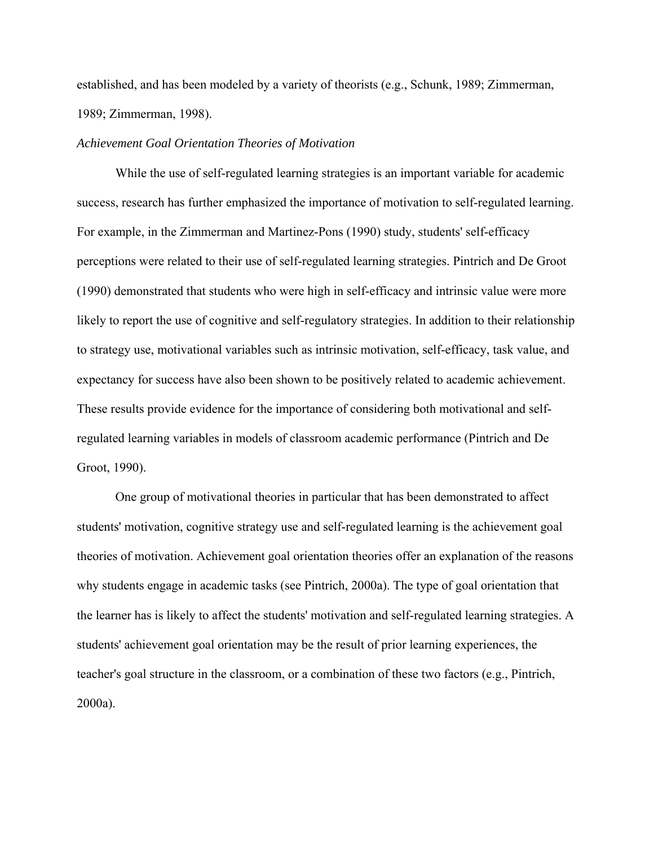established, and has been modeled by a variety of theorists (e.g., Schunk, 1989; Zimmerman, 1989; Zimmerman, 1998).

## *Achievement Goal Orientation Theories of Motivation*

While the use of self-regulated learning strategies is an important variable for academic success, research has further emphasized the importance of motivation to self-regulated learning. For example, in the Zimmerman and Martinez-Pons (1990) study, students' self-efficacy perceptions were related to their use of self-regulated learning strategies. Pintrich and De Groot (1990) demonstrated that students who were high in self-efficacy and intrinsic value were more likely to report the use of cognitive and self-regulatory strategies. In addition to their relationship to strategy use, motivational variables such as intrinsic motivation, self-efficacy, task value, and expectancy for success have also been shown to be positively related to academic achievement. These results provide evidence for the importance of considering both motivational and selfregulated learning variables in models of classroom academic performance (Pintrich and De Groot, 1990).

One group of motivational theories in particular that has been demonstrated to affect students' motivation, cognitive strategy use and self-regulated learning is the achievement goal theories of motivation. Achievement goal orientation theories offer an explanation of the reasons why students engage in academic tasks (see Pintrich, 2000a). The type of goal orientation that the learner has is likely to affect the students' motivation and self-regulated learning strategies. A students' achievement goal orientation may be the result of prior learning experiences, the teacher's goal structure in the classroom, or a combination of these two factors (e.g., Pintrich, 2000a).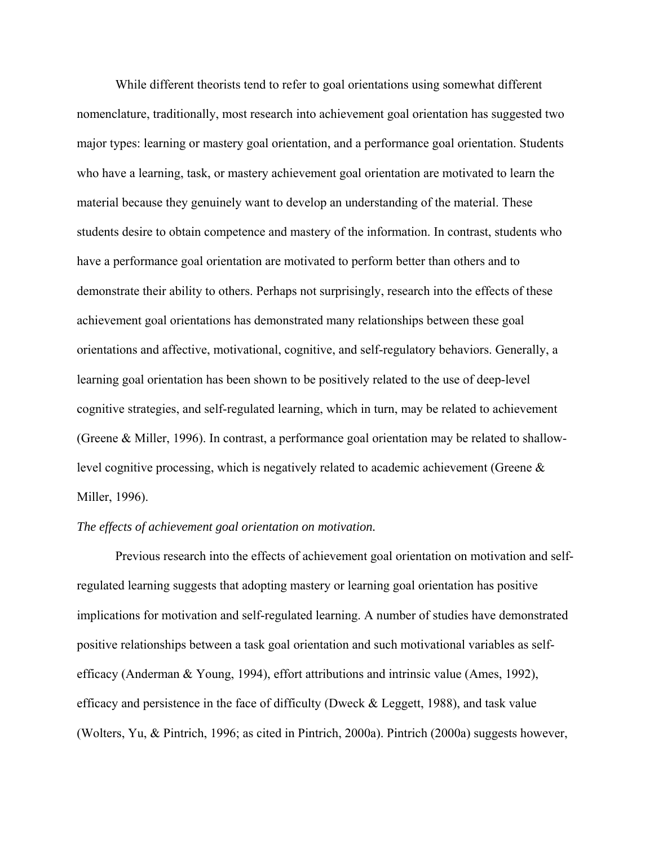While different theorists tend to refer to goal orientations using somewhat different nomenclature, traditionally, most research into achievement goal orientation has suggested two major types: learning or mastery goal orientation, and a performance goal orientation. Students who have a learning, task, or mastery achievement goal orientation are motivated to learn the material because they genuinely want to develop an understanding of the material. These students desire to obtain competence and mastery of the information. In contrast, students who have a performance goal orientation are motivated to perform better than others and to demonstrate their ability to others. Perhaps not surprisingly, research into the effects of these achievement goal orientations has demonstrated many relationships between these goal orientations and affective, motivational, cognitive, and self-regulatory behaviors. Generally, a learning goal orientation has been shown to be positively related to the use of deep-level cognitive strategies, and self-regulated learning, which in turn, may be related to achievement (Greene & Miller, 1996). In contrast, a performance goal orientation may be related to shallowlevel cognitive processing, which is negatively related to academic achievement (Greene & Miller, 1996).

# *The effects of achievement goal orientation on motivation.*

Previous research into the effects of achievement goal orientation on motivation and selfregulated learning suggests that adopting mastery or learning goal orientation has positive implications for motivation and self-regulated learning. A number of studies have demonstrated positive relationships between a task goal orientation and such motivational variables as selfefficacy (Anderman & Young, 1994), effort attributions and intrinsic value (Ames, 1992), efficacy and persistence in the face of difficulty (Dweck  $&$  Leggett, 1988), and task value (Wolters, Yu, & Pintrich, 1996; as cited in Pintrich, 2000a). Pintrich (2000a) suggests however,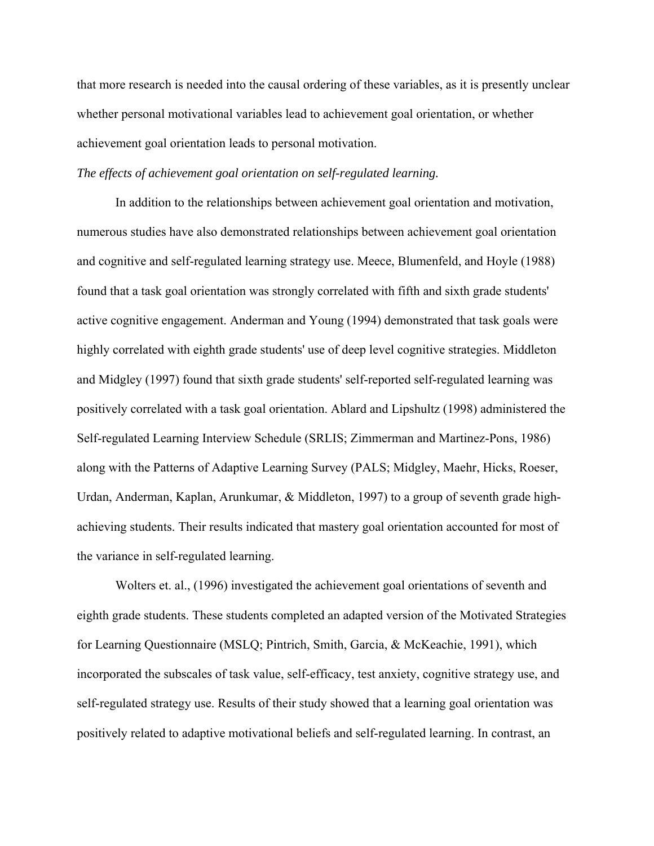that more research is needed into the causal ordering of these variables, as it is presently unclear whether personal motivational variables lead to achievement goal orientation, or whether achievement goal orientation leads to personal motivation.

# *The effects of achievement goal orientation on self-regulated learning.*

In addition to the relationships between achievement goal orientation and motivation, numerous studies have also demonstrated relationships between achievement goal orientation and cognitive and self-regulated learning strategy use. Meece, Blumenfeld, and Hoyle (1988) found that a task goal orientation was strongly correlated with fifth and sixth grade students' active cognitive engagement. Anderman and Young (1994) demonstrated that task goals were highly correlated with eighth grade students' use of deep level cognitive strategies. Middleton and Midgley (1997) found that sixth grade students' self-reported self-regulated learning was positively correlated with a task goal orientation. Ablard and Lipshultz (1998) administered the Self-regulated Learning Interview Schedule (SRLIS; Zimmerman and Martinez-Pons, 1986) along with the Patterns of Adaptive Learning Survey (PALS; Midgley, Maehr, Hicks, Roeser, Urdan, Anderman, Kaplan, Arunkumar, & Middleton, 1997) to a group of seventh grade highachieving students. Their results indicated that mastery goal orientation accounted for most of the variance in self-regulated learning.

Wolters et. al., (1996) investigated the achievement goal orientations of seventh and eighth grade students. These students completed an adapted version of the Motivated Strategies for Learning Questionnaire (MSLQ; Pintrich, Smith, Garcia, & McKeachie, 1991), which incorporated the subscales of task value, self-efficacy, test anxiety, cognitive strategy use, and self-regulated strategy use. Results of their study showed that a learning goal orientation was positively related to adaptive motivational beliefs and self-regulated learning. In contrast, an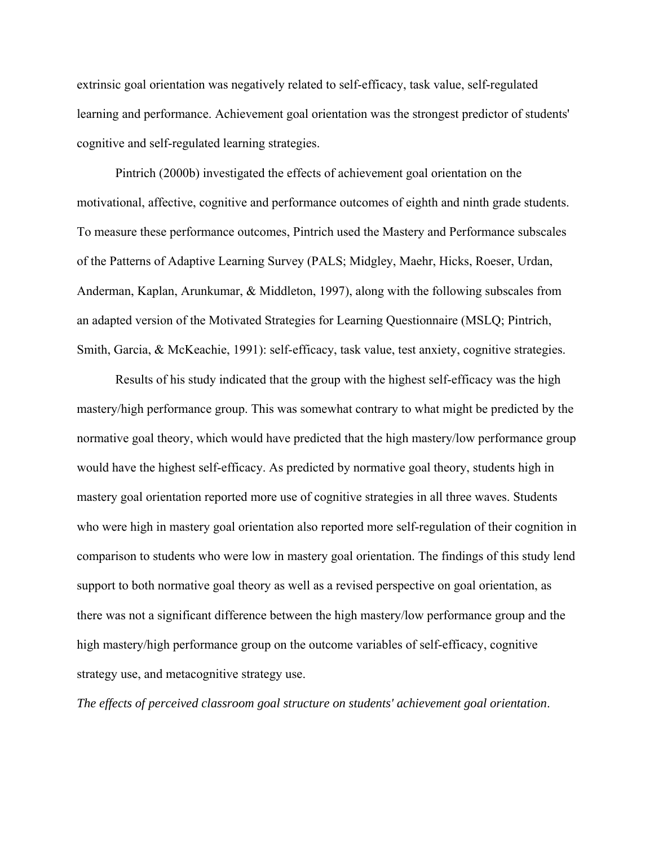extrinsic goal orientation was negatively related to self-efficacy, task value, self-regulated learning and performance. Achievement goal orientation was the strongest predictor of students' cognitive and self-regulated learning strategies.

Pintrich (2000b) investigated the effects of achievement goal orientation on the motivational, affective, cognitive and performance outcomes of eighth and ninth grade students. To measure these performance outcomes, Pintrich used the Mastery and Performance subscales of the Patterns of Adaptive Learning Survey (PALS; Midgley, Maehr, Hicks, Roeser, Urdan, Anderman, Kaplan, Arunkumar, & Middleton, 1997), along with the following subscales from an adapted version of the Motivated Strategies for Learning Questionnaire (MSLQ; Pintrich, Smith, Garcia, & McKeachie, 1991): self-efficacy, task value, test anxiety, cognitive strategies.

Results of his study indicated that the group with the highest self-efficacy was the high mastery/high performance group. This was somewhat contrary to what might be predicted by the normative goal theory, which would have predicted that the high mastery/low performance group would have the highest self-efficacy. As predicted by normative goal theory, students high in mastery goal orientation reported more use of cognitive strategies in all three waves. Students who were high in mastery goal orientation also reported more self-regulation of their cognition in comparison to students who were low in mastery goal orientation. The findings of this study lend support to both normative goal theory as well as a revised perspective on goal orientation, as there was not a significant difference between the high mastery/low performance group and the high mastery/high performance group on the outcome variables of self-efficacy, cognitive strategy use, and metacognitive strategy use.

*The effects of perceived classroom goal structure on students' achievement goal orientation*.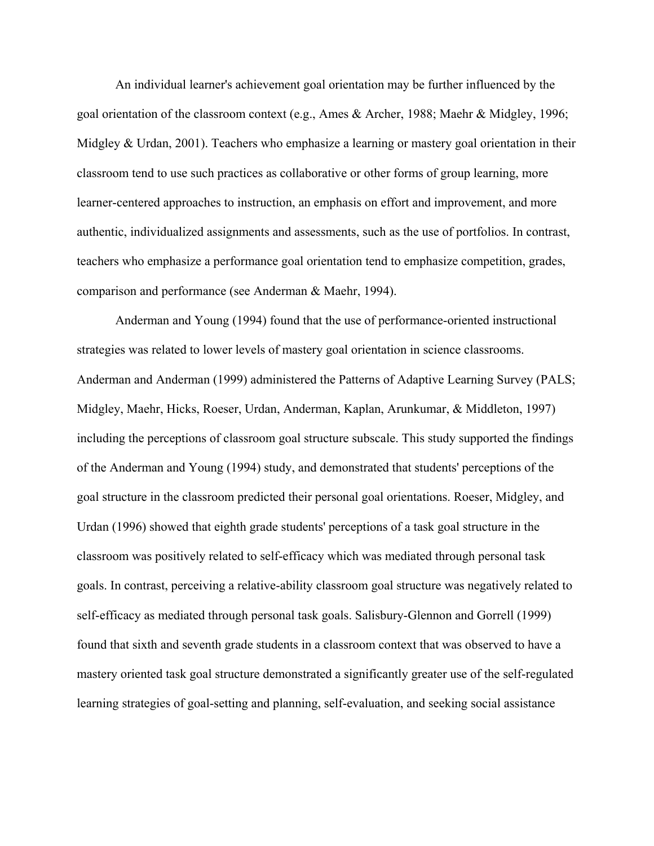An individual learner's achievement goal orientation may be further influenced by the goal orientation of the classroom context (e.g., Ames & Archer, 1988; Maehr & Midgley, 1996; Midgley & Urdan, 2001). Teachers who emphasize a learning or mastery goal orientation in their classroom tend to use such practices as collaborative or other forms of group learning, more learner-centered approaches to instruction, an emphasis on effort and improvement, and more authentic, individualized assignments and assessments, such as the use of portfolios. In contrast, teachers who emphasize a performance goal orientation tend to emphasize competition, grades, comparison and performance (see Anderman & Maehr, 1994).

Anderman and Young (1994) found that the use of performance-oriented instructional strategies was related to lower levels of mastery goal orientation in science classrooms. Anderman and Anderman (1999) administered the Patterns of Adaptive Learning Survey (PALS; Midgley, Maehr, Hicks, Roeser, Urdan, Anderman, Kaplan, Arunkumar, & Middleton, 1997) including the perceptions of classroom goal structure subscale. This study supported the findings of the Anderman and Young (1994) study, and demonstrated that students' perceptions of the goal structure in the classroom predicted their personal goal orientations. Roeser, Midgley, and Urdan (1996) showed that eighth grade students' perceptions of a task goal structure in the classroom was positively related to self-efficacy which was mediated through personal task goals. In contrast, perceiving a relative-ability classroom goal structure was negatively related to self-efficacy as mediated through personal task goals. Salisbury-Glennon and Gorrell (1999) found that sixth and seventh grade students in a classroom context that was observed to have a mastery oriented task goal structure demonstrated a significantly greater use of the self-regulated learning strategies of goal-setting and planning, self-evaluation, and seeking social assistance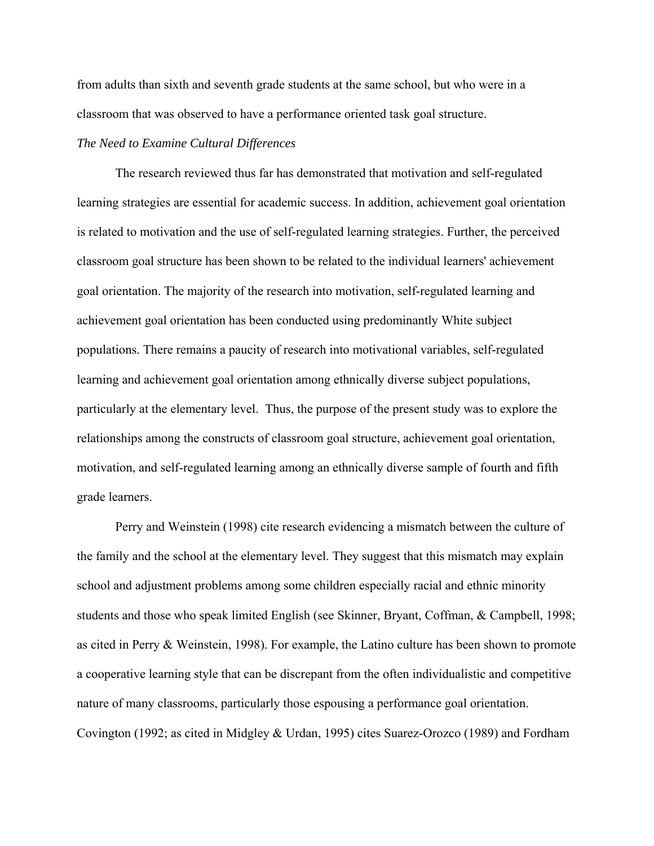from adults than sixth and seventh grade students at the same school, but who were in a classroom that was observed to have a performance oriented task goal structure.

# *The Need to Examine Cultural Differences*

The research reviewed thus far has demonstrated that motivation and self-regulated learning strategies are essential for academic success. In addition, achievement goal orientation is related to motivation and the use of self-regulated learning strategies. Further, the perceived classroom goal structure has been shown to be related to the individual learners' achievement goal orientation. The majority of the research into motivation, self-regulated learning and achievement goal orientation has been conducted using predominantly White subject populations. There remains a paucity of research into motivational variables, self-regulated learning and achievement goal orientation among ethnically diverse subject populations, particularly at the elementary level. Thus, the purpose of the present study was to explore the relationships among the constructs of classroom goal structure, achievement goal orientation, motivation, and self-regulated learning among an ethnically diverse sample of fourth and fifth grade learners.

Perry and Weinstein (1998) cite research evidencing a mismatch between the culture of the family and the school at the elementary level. They suggest that this mismatch may explain school and adjustment problems among some children especially racial and ethnic minority students and those who speak limited English (see Skinner, Bryant, Coffman, & Campbell, 1998; as cited in Perry & Weinstein, 1998). For example, the Latino culture has been shown to promote a cooperative learning style that can be discrepant from the often individualistic and competitive nature of many classrooms, particularly those espousing a performance goal orientation. Covington (1992; as cited in Midgley & Urdan, 1995) cites Suarez-Orozco (1989) and Fordham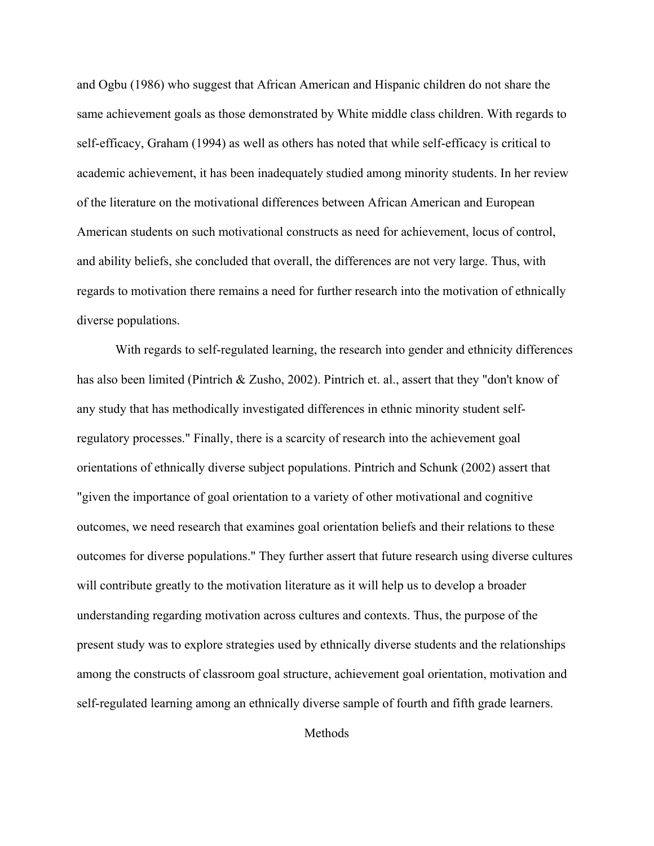and Ogbu (1986) who suggest that African American and Hispanic children do not share the same achievement goals as those demonstrated by White middle class children. With regards to self-efficacy, Graham (1994) as well as others has noted that while self-efficacy is critical to academic achievement, it has been inadequately studied among minority students. In her review of the literature on the motivational differences between African American and European American students on such motivational constructs as need for achievement, locus of control, and ability beliefs, she concluded that overall, the differences are not very large. Thus, with regards to motivation there remains a need for further research into the motivation of ethnically diverse populations.

With regards to self-regulated learning, the research into gender and ethnicity differences has also been limited (Pintrich & Zusho, 2002). Pintrich et. al., assert that they "don't know of any study that has methodically investigated differences in ethnic minority student selfregulatory processes." Finally, there is a scarcity of research into the achievement goal orientations of ethnically diverse subject populations. Pintrich and Schunk (2002) assert that "given the importance of goal orientation to a variety of other motivational and cognitive outcomes, we need research that examines goal orientation beliefs and their relations to these outcomes for diverse populations." They further assert that future research using diverse cultures will contribute greatly to the motivation literature as it will help us to develop a broader understanding regarding motivation across cultures and contexts. Thus, the purpose of the present study was to explore strategies used by ethnically diverse students and the relationships among the constructs of classroom goal structure, achievement goal orientation, motivation and self-regulated learning among an ethnically diverse sample of fourth and fifth grade learners.

Methods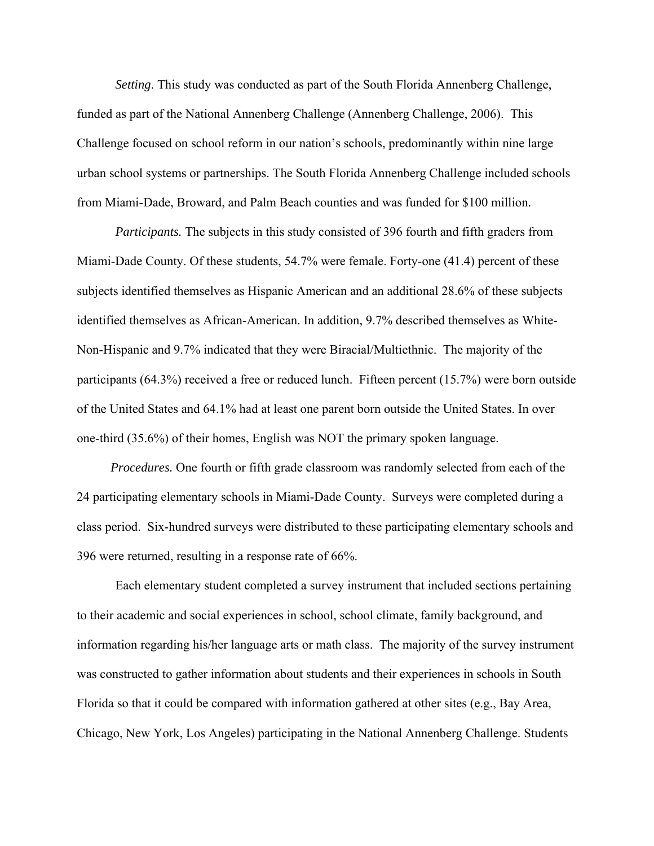*Setting*. This study was conducted as part of the South Florida Annenberg Challenge, funded as part of the National Annenberg Challenge (Annenberg Challenge, 2006). This Challenge focused on school reform in our nation's schools, predominantly within nine large urban school systems or partnerships. The South Florida Annenberg Challenge included schools from Miami-Dade, Broward, and Palm Beach counties and was funded for \$100 million.

*Participants.* The subjects in this study consisted of 396 fourth and fifth graders from Miami-Dade County. Of these students, 54.7% were female. Forty-one (41.4) percent of these subjects identified themselves as Hispanic American and an additional 28.6% of these subjects identified themselves as African-American. In addition, 9.7% described themselves as White-Non-Hispanic and 9.7% indicated that they were Biracial/Multiethnic. The majority of the participants (64.3%) received a free or reduced lunch. Fifteen percent (15.7%) were born outside of the United States and 64.1% had at least one parent born outside the United States. In over one-third (35.6%) of their homes, English was NOT the primary spoken language.

 *Procedures.* One fourth or fifth grade classroom was randomly selected from each of the 24 participating elementary schools in Miami-Dade County. Surveys were completed during a class period. Six-hundred surveys were distributed to these participating elementary schools and 396 were returned, resulting in a response rate of 66%.

Each elementary student completed a survey instrument that included sections pertaining to their academic and social experiences in school, school climate, family background, and information regarding his/her language arts or math class. The majority of the survey instrument was constructed to gather information about students and their experiences in schools in South Florida so that it could be compared with information gathered at other sites (e.g., Bay Area, Chicago, New York, Los Angeles) participating in the National Annenberg Challenge. Students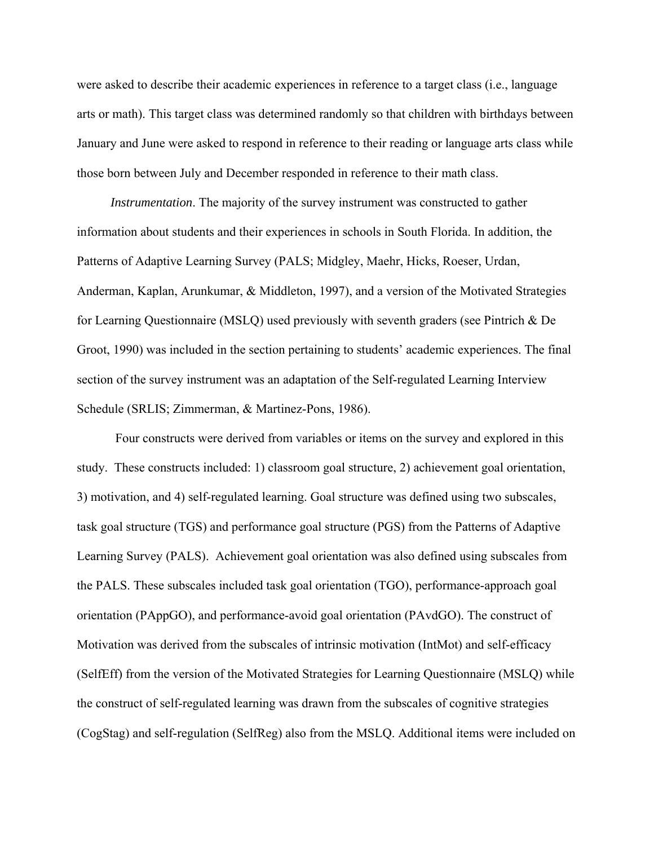were asked to describe their academic experiences in reference to a target class (i.e., language arts or math). This target class was determined randomly so that children with birthdays between January and June were asked to respond in reference to their reading or language arts class while those born between July and December responded in reference to their math class.

 *Instrumentation*. The majority of the survey instrument was constructed to gather information about students and their experiences in schools in South Florida. In addition, the Patterns of Adaptive Learning Survey (PALS; Midgley, Maehr, Hicks, Roeser, Urdan, Anderman, Kaplan, Arunkumar, & Middleton, 1997), and a version of the Motivated Strategies for Learning Questionnaire (MSLQ) used previously with seventh graders (see Pintrich & De Groot, 1990) was included in the section pertaining to students' academic experiences. The final section of the survey instrument was an adaptation of the Self-regulated Learning Interview Schedule (SRLIS; Zimmerman, & Martinez-Pons, 1986).

Four constructs were derived from variables or items on the survey and explored in this study. These constructs included: 1) classroom goal structure, 2) achievement goal orientation, 3) motivation, and 4) self-regulated learning. Goal structure was defined using two subscales, task goal structure (TGS) and performance goal structure (PGS) from the Patterns of Adaptive Learning Survey (PALS). Achievement goal orientation was also defined using subscales from the PALS. These subscales included task goal orientation (TGO), performance-approach goal orientation (PAppGO), and performance-avoid goal orientation (PAvdGO). The construct of Motivation was derived from the subscales of intrinsic motivation (IntMot) and self-efficacy (SelfEff) from the version of the Motivated Strategies for Learning Questionnaire (MSLQ) while the construct of self-regulated learning was drawn from the subscales of cognitive strategies (CogStag) and self-regulation (SelfReg) also from the MSLQ. Additional items were included on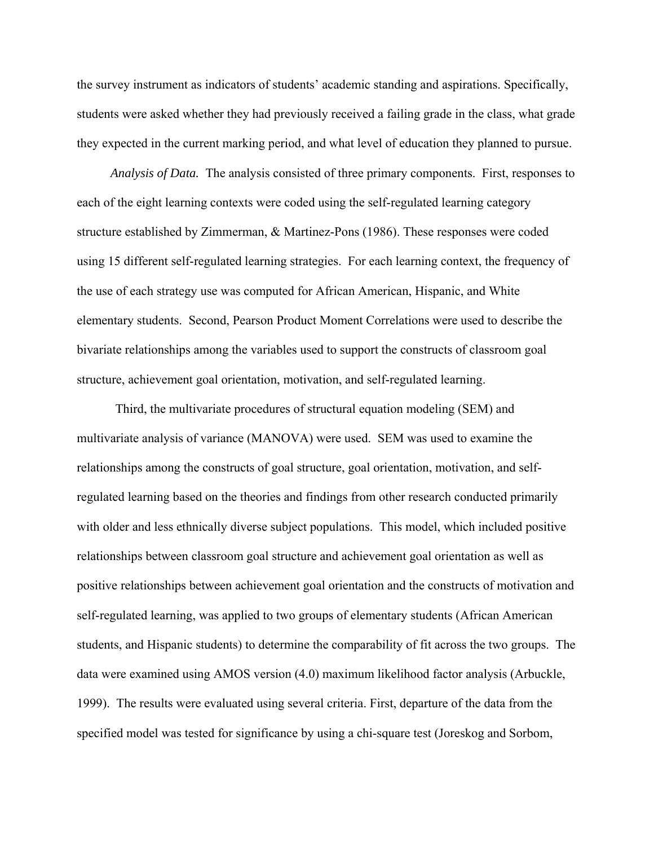the survey instrument as indicators of students' academic standing and aspirations. Specifically, students were asked whether they had previously received a failing grade in the class, what grade they expected in the current marking period, and what level of education they planned to pursue.

 *Analysis of Data.* The analysis consisted of three primary components. First, responses to each of the eight learning contexts were coded using the self-regulated learning category structure established by Zimmerman, & Martinez-Pons (1986). These responses were coded using 15 different self-regulated learning strategies. For each learning context, the frequency of the use of each strategy use was computed for African American, Hispanic, and White elementary students. Second, Pearson Product Moment Correlations were used to describe the bivariate relationships among the variables used to support the constructs of classroom goal structure, achievement goal orientation, motivation, and self-regulated learning.

Third, the multivariate procedures of structural equation modeling (SEM) and multivariate analysis of variance (MANOVA) were used. SEM was used to examine the relationships among the constructs of goal structure, goal orientation, motivation, and selfregulated learning based on the theories and findings from other research conducted primarily with older and less ethnically diverse subject populations. This model, which included positive relationships between classroom goal structure and achievement goal orientation as well as positive relationships between achievement goal orientation and the constructs of motivation and self-regulated learning, was applied to two groups of elementary students (African American students, and Hispanic students) to determine the comparability of fit across the two groups. The data were examined using AMOS version (4.0) maximum likelihood factor analysis (Arbuckle, 1999). The results were evaluated using several criteria. First, departure of the data from the specified model was tested for significance by using a chi-square test (Joreskog and Sorbom,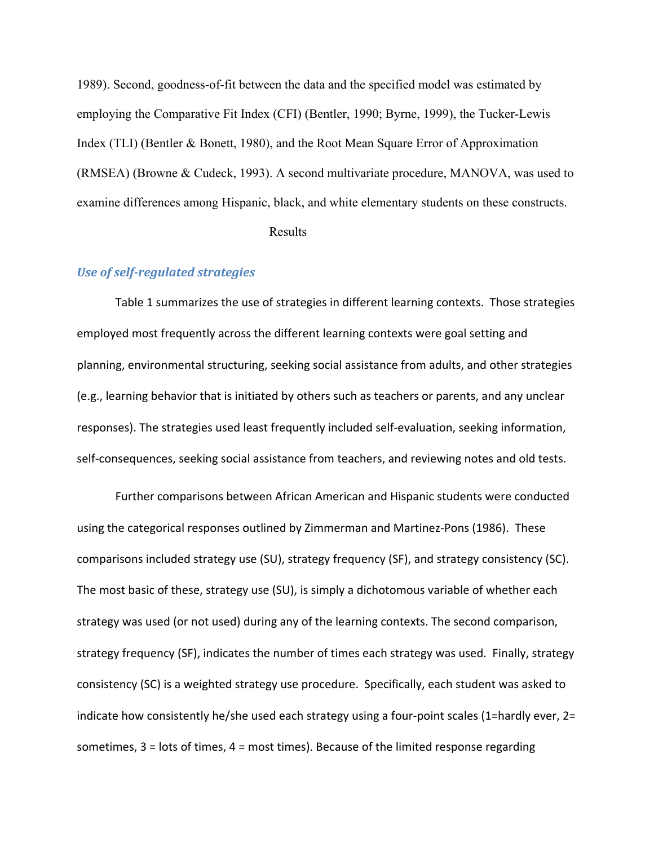1989). Second, goodness-of-fit between the data and the specified model was estimated by employing the Comparative Fit Index (CFI) (Bentler, 1990; Byrne, 1999), the Tucker-Lewis Index (TLI) (Bentler & Bonett, 1980), and the Root Mean Square Error of Approximation (RMSEA) (Browne & Cudeck, 1993). A second multivariate procedure, MANOVA, was used to examine differences among Hispanic, black, and white elementary students on these constructs.

Results

# *Use of self‐regulated strategies*

Table 1 summarizes the use of strategies in different learning contexts. Those strategies employed most frequently across the different learning contexts were goal setting and planning, environmental structuring, seeking social assistance from adults, and other strategies (e.g., learning behavior that is initiated by others such as teachers or parents, and any unclear responses). The strategies used least frequently included self‐evaluation, seeking information, self-consequences, seeking social assistance from teachers, and reviewing notes and old tests.

Further comparisons between African American and Hispanic students were conducted using the categorical responses outlined by Zimmerman and Martinez‐Pons (1986). These comparisons included strategy use (SU), strategy frequency (SF), and strategy consistency (SC). The most basic of these, strategy use (SU), is simply a dichotomous variable of whether each strategy was used (or not used) during any of the learning contexts. The second comparison, strategy frequency (SF), indicates the number of times each strategy was used. Finally, strategy consistency (SC) is a weighted strategy use procedure. Specifically, each student was asked to indicate how consistently he/she used each strategy using a four‐point scales (1=hardly ever, 2= sometimes, 3 = lots of times, 4 = most times). Because of the limited response regarding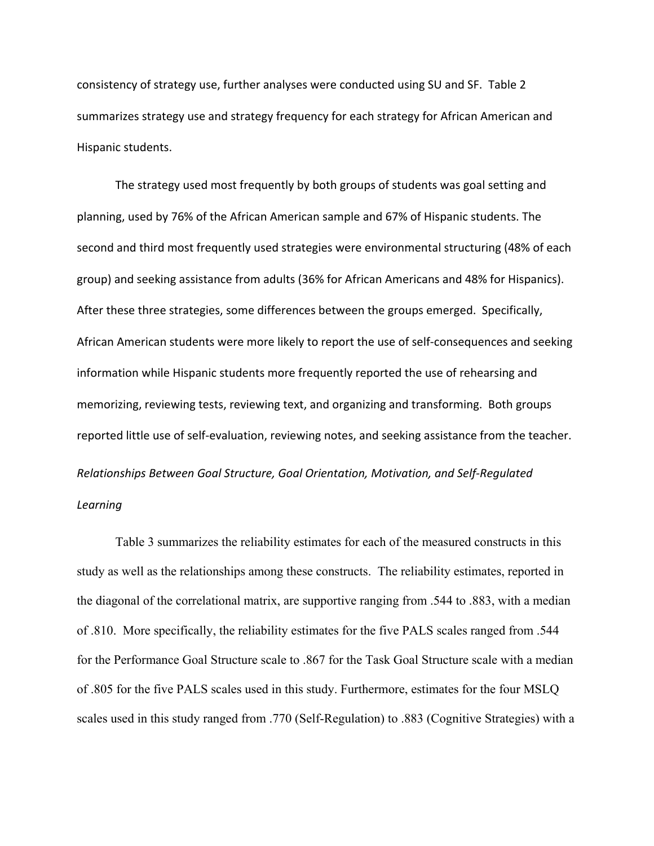consistency of strategy use, further analyses were conducted using SU and SF. Table 2 summarizes strategy use and strategy frequency for each strategy for African American and Hispanic students.

The strategy used most frequently by both groups of students was goal setting and planning, used by 76% of the African American sample and 67% of Hispanic students. The second and third most frequently used strategies were environmental structuring (48% of each group) and seeking assistance from adults (36% for African Americans and 48% for Hispanics). After these three strategies, some differences between the groups emerged. Specifically, African American students were more likely to report the use of self‐consequences and seeking information while Hispanic students more frequently reported the use of rehearsing and memorizing, reviewing tests, reviewing text, and organizing and transforming. Both groups reported little use of self‐evaluation, reviewing notes, and seeking assistance from the teacher. *Relationships Between Goal Structure, Goal Orientation, Motivation, and Self‐Regulated Learning*

Table 3 summarizes the reliability estimates for each of the measured constructs in this study as well as the relationships among these constructs. The reliability estimates, reported in the diagonal of the correlational matrix, are supportive ranging from .544 to .883, with a median of .810. More specifically, the reliability estimates for the five PALS scales ranged from .544 for the Performance Goal Structure scale to .867 for the Task Goal Structure scale with a median of .805 for the five PALS scales used in this study. Furthermore, estimates for the four MSLQ scales used in this study ranged from .770 (Self-Regulation) to .883 (Cognitive Strategies) with a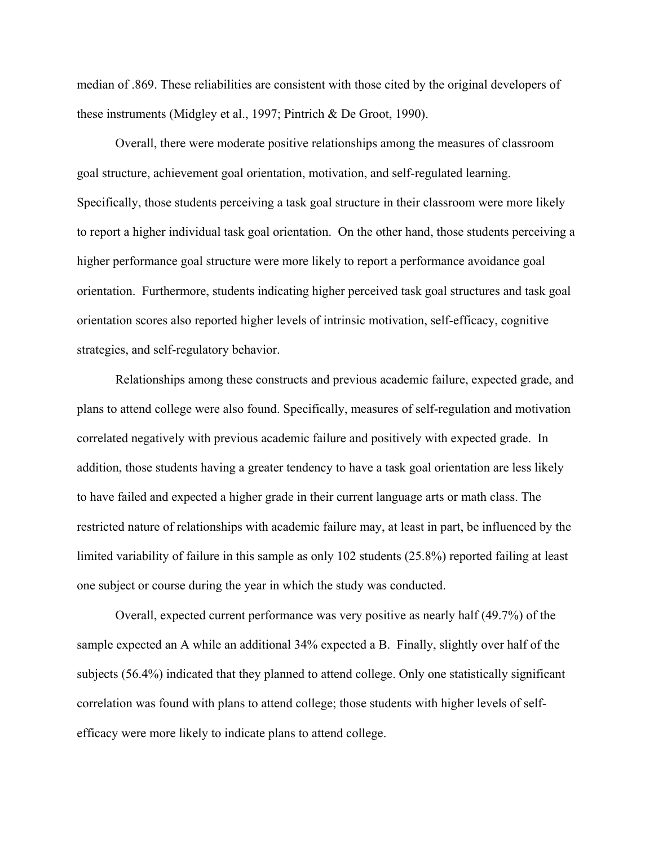median of .869. These reliabilities are consistent with those cited by the original developers of these instruments (Midgley et al., 1997; Pintrich & De Groot, 1990).

Overall, there were moderate positive relationships among the measures of classroom goal structure, achievement goal orientation, motivation, and self-regulated learning. Specifically, those students perceiving a task goal structure in their classroom were more likely to report a higher individual task goal orientation. On the other hand, those students perceiving a higher performance goal structure were more likely to report a performance avoidance goal orientation. Furthermore, students indicating higher perceived task goal structures and task goal orientation scores also reported higher levels of intrinsic motivation, self-efficacy, cognitive strategies, and self-regulatory behavior.

Relationships among these constructs and previous academic failure, expected grade, and plans to attend college were also found. Specifically, measures of self-regulation and motivation correlated negatively with previous academic failure and positively with expected grade. In addition, those students having a greater tendency to have a task goal orientation are less likely to have failed and expected a higher grade in their current language arts or math class. The restricted nature of relationships with academic failure may, at least in part, be influenced by the limited variability of failure in this sample as only 102 students (25.8%) reported failing at least one subject or course during the year in which the study was conducted.

Overall, expected current performance was very positive as nearly half (49.7%) of the sample expected an A while an additional 34% expected a B. Finally, slightly over half of the subjects (56.4%) indicated that they planned to attend college. Only one statistically significant correlation was found with plans to attend college; those students with higher levels of selfefficacy were more likely to indicate plans to attend college.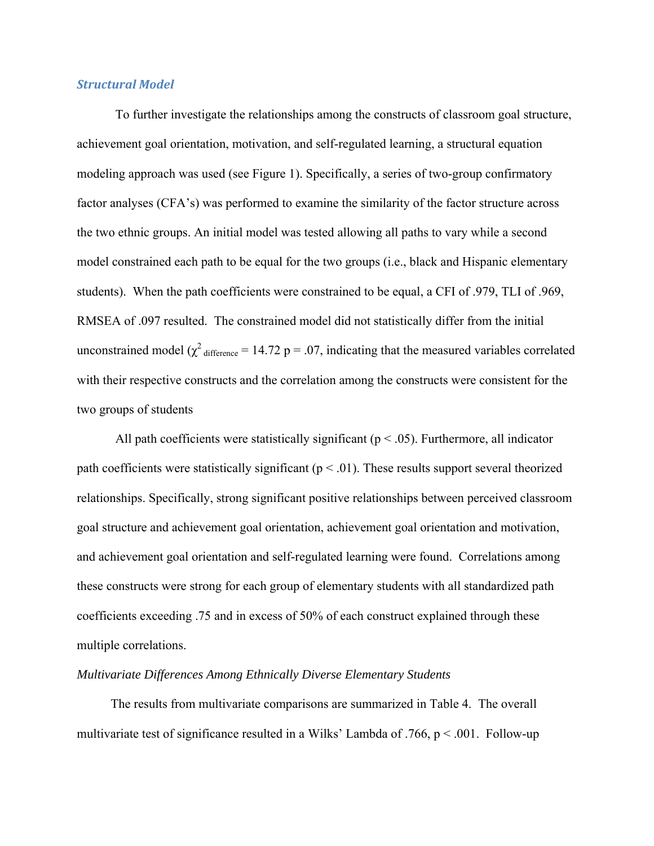# *Structural Model*

To further investigate the relationships among the constructs of classroom goal structure, achievement goal orientation, motivation, and self-regulated learning, a structural equation modeling approach was used (see Figure 1). Specifically, a series of two-group confirmatory factor analyses (CFA's) was performed to examine the similarity of the factor structure across the two ethnic groups. An initial model was tested allowing all paths to vary while a second model constrained each path to be equal for the two groups (i.e., black and Hispanic elementary students). When the path coefficients were constrained to be equal, a CFI of .979, TLI of .969, RMSEA of .097 resulted. The constrained model did not statistically differ from the initial unconstrained model ( $\chi^2$  difference = 14.72 p = .07, indicating that the measured variables correlated with their respective constructs and the correlation among the constructs were consistent for the two groups of students

All path coefficients were statistically significant ( $p < .05$ ). Furthermore, all indicator path coefficients were statistically significant ( $p < .01$ ). These results support several theorized relationships. Specifically, strong significant positive relationships between perceived classroom goal structure and achievement goal orientation, achievement goal orientation and motivation, and achievement goal orientation and self-regulated learning were found. Correlations among these constructs were strong for each group of elementary students with all standardized path coefficients exceeding .75 and in excess of 50% of each construct explained through these multiple correlations.

#### *Multivariate Differences Among Ethnically Diverse Elementary Students*

The results from multivariate comparisons are summarized in Table 4. The overall multivariate test of significance resulted in a Wilks' Lambda of .766,  $p < .001$ . Follow-up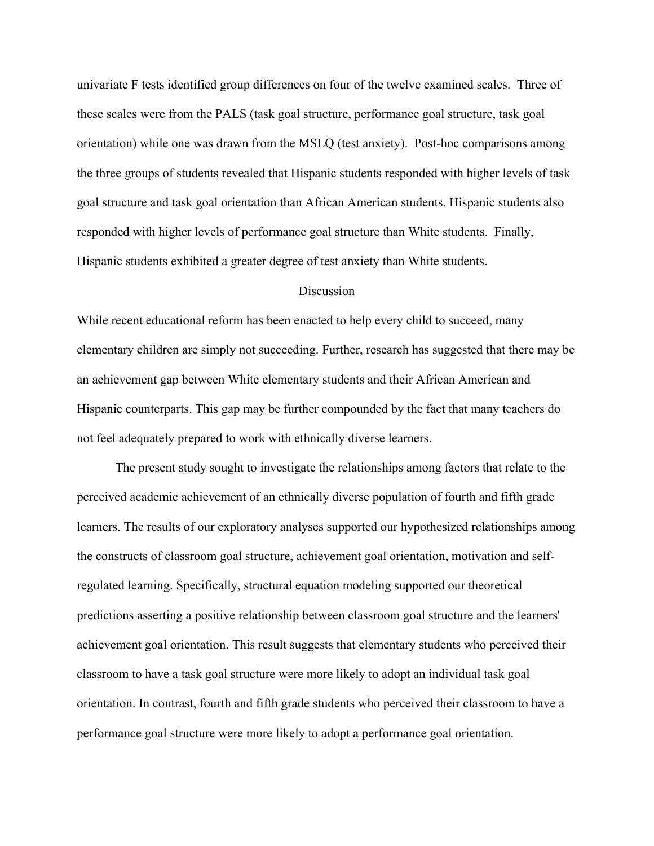univariate F tests identified group differences on four of the twelve examined scales. Three of these scales were from the PALS (task goal structure, performance goal structure, task goal orientation) while one was drawn from the MSLQ (test anxiety). Post-hoc comparisons among the three groups of students revealed that Hispanic students responded with higher levels of task goal structure and task goal orientation than African American students. Hispanic students also responded with higher levels of performance goal structure than White students. Finally, Hispanic students exhibited a greater degree of test anxiety than White students.

# **Discussion**

While recent educational reform has been enacted to help every child to succeed, many elementary children are simply not succeeding. Further, research has suggested that there may be an achievement gap between White elementary students and their African American and Hispanic counterparts. This gap may be further compounded by the fact that many teachers do not feel adequately prepared to work with ethnically diverse learners.

The present study sought to investigate the relationships among factors that relate to the perceived academic achievement of an ethnically diverse population of fourth and fifth grade learners. The results of our exploratory analyses supported our hypothesized relationships among the constructs of classroom goal structure, achievement goal orientation, motivation and selfregulated learning. Specifically, structural equation modeling supported our theoretical predictions asserting a positive relationship between classroom goal structure and the learners' achievement goal orientation. This result suggests that elementary students who perceived their classroom to have a task goal structure were more likely to adopt an individual task goal orientation. In contrast, fourth and fifth grade students who perceived their classroom to have a performance goal structure were more likely to adopt a performance goal orientation.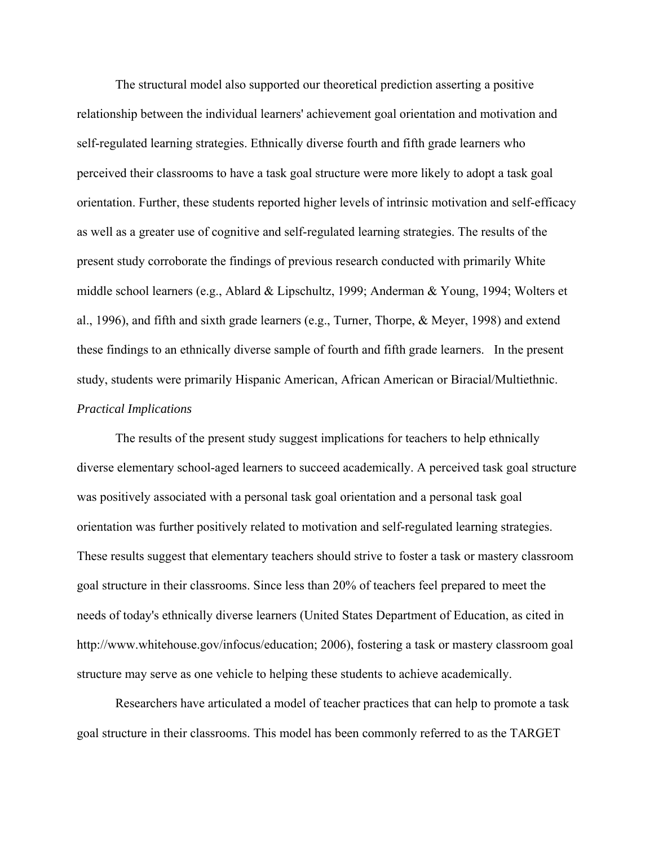The structural model also supported our theoretical prediction asserting a positive relationship between the individual learners' achievement goal orientation and motivation and self-regulated learning strategies. Ethnically diverse fourth and fifth grade learners who perceived their classrooms to have a task goal structure were more likely to adopt a task goal orientation. Further, these students reported higher levels of intrinsic motivation and self-efficacy as well as a greater use of cognitive and self-regulated learning strategies. The results of the present study corroborate the findings of previous research conducted with primarily White middle school learners (e.g., Ablard & Lipschultz, 1999; Anderman & Young, 1994; Wolters et al., 1996), and fifth and sixth grade learners (e.g., Turner, Thorpe, & Meyer, 1998) and extend these findings to an ethnically diverse sample of fourth and fifth grade learners. In the present study, students were primarily Hispanic American, African American or Biracial/Multiethnic. *Practical Implications* 

The results of the present study suggest implications for teachers to help ethnically diverse elementary school-aged learners to succeed academically. A perceived task goal structure was positively associated with a personal task goal orientation and a personal task goal orientation was further positively related to motivation and self-regulated learning strategies. These results suggest that elementary teachers should strive to foster a task or mastery classroom goal structure in their classrooms. Since less than 20% of teachers feel prepared to meet the needs of today's ethnically diverse learners (United States Department of Education, as cited in http://www.whitehouse.gov/infocus/education; 2006), fostering a task or mastery classroom goal structure may serve as one vehicle to helping these students to achieve academically.

Researchers have articulated a model of teacher practices that can help to promote a task goal structure in their classrooms. This model has been commonly referred to as the TARGET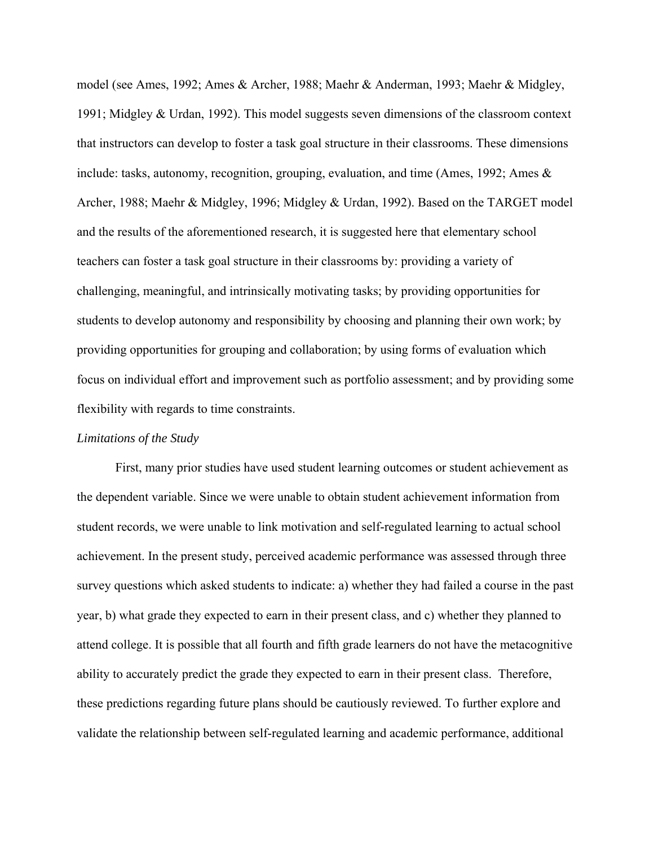model (see Ames, 1992; Ames & Archer, 1988; Maehr & Anderman, 1993; Maehr & Midgley, 1991; Midgley & Urdan, 1992). This model suggests seven dimensions of the classroom context that instructors can develop to foster a task goal structure in their classrooms. These dimensions include: tasks, autonomy, recognition, grouping, evaluation, and time (Ames, 1992; Ames & Archer, 1988; Maehr & Midgley, 1996; Midgley & Urdan, 1992). Based on the TARGET model and the results of the aforementioned research, it is suggested here that elementary school teachers can foster a task goal structure in their classrooms by: providing a variety of challenging, meaningful, and intrinsically motivating tasks; by providing opportunities for students to develop autonomy and responsibility by choosing and planning their own work; by providing opportunities for grouping and collaboration; by using forms of evaluation which focus on individual effort and improvement such as portfolio assessment; and by providing some flexibility with regards to time constraints.

# *Limitations of the Study*

First, many prior studies have used student learning outcomes or student achievement as the dependent variable. Since we were unable to obtain student achievement information from student records, we were unable to link motivation and self-regulated learning to actual school achievement. In the present study, perceived academic performance was assessed through three survey questions which asked students to indicate: a) whether they had failed a course in the past year, b) what grade they expected to earn in their present class, and c) whether they planned to attend college. It is possible that all fourth and fifth grade learners do not have the metacognitive ability to accurately predict the grade they expected to earn in their present class. Therefore, these predictions regarding future plans should be cautiously reviewed. To further explore and validate the relationship between self-regulated learning and academic performance, additional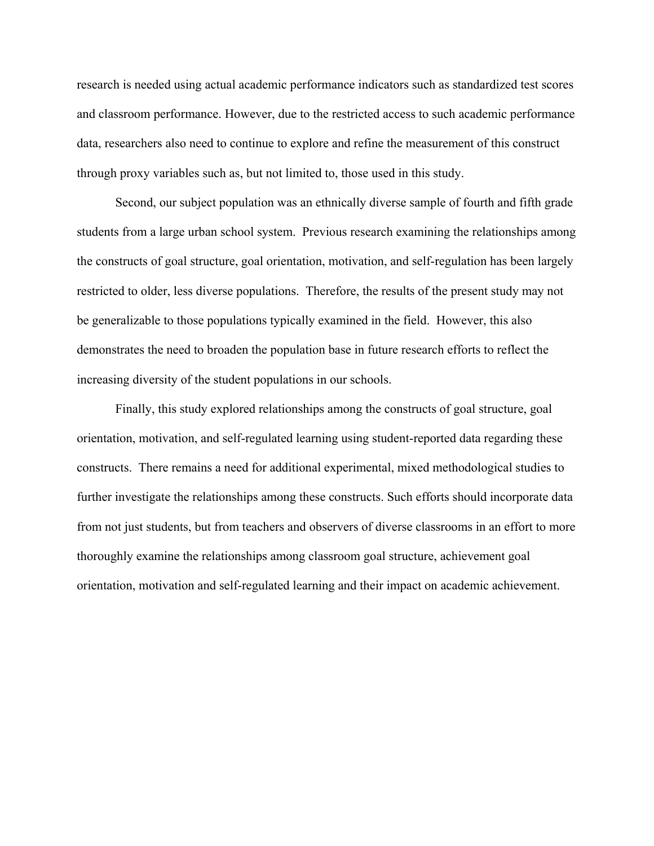research is needed using actual academic performance indicators such as standardized test scores and classroom performance. However, due to the restricted access to such academic performance data, researchers also need to continue to explore and refine the measurement of this construct through proxy variables such as, but not limited to, those used in this study.

Second, our subject population was an ethnically diverse sample of fourth and fifth grade students from a large urban school system. Previous research examining the relationships among the constructs of goal structure, goal orientation, motivation, and self-regulation has been largely restricted to older, less diverse populations. Therefore, the results of the present study may not be generalizable to those populations typically examined in the field. However, this also demonstrates the need to broaden the population base in future research efforts to reflect the increasing diversity of the student populations in our schools.

Finally, this study explored relationships among the constructs of goal structure, goal orientation, motivation, and self-regulated learning using student-reported data regarding these constructs. There remains a need for additional experimental, mixed methodological studies to further investigate the relationships among these constructs. Such efforts should incorporate data from not just students, but from teachers and observers of diverse classrooms in an effort to more thoroughly examine the relationships among classroom goal structure, achievement goal orientation, motivation and self-regulated learning and their impact on academic achievement.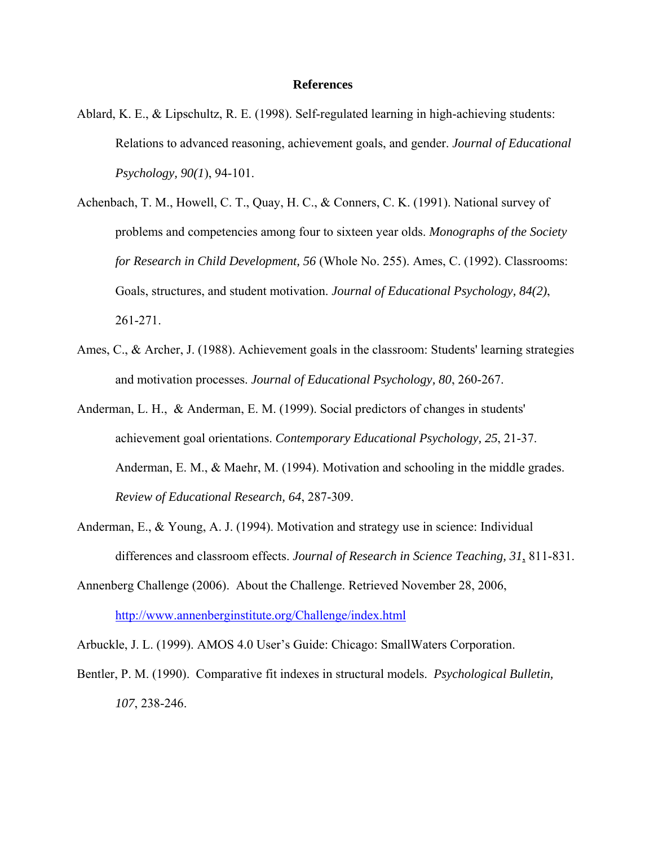# **References**

- Ablard, K. E., & Lipschultz, R. E. (1998). Self-regulated learning in high-achieving students: Relations to advanced reasoning, achievement goals, and gender. *Journal of Educational Psychology, 90(1*), 94-101.
- Achenbach, T. M., Howell, C. T., Quay, H. C., & Conners, C. K. (1991). National survey of problems and competencies among four to sixteen year olds. *Monographs of the Society for Research in Child Development, 56* (Whole No. 255). Ames, C. (1992). Classrooms: Goals, structures, and student motivation. *Journal of Educational Psychology, 84(2)*, 261-271.
- Ames, C., & Archer, J. (1988). Achievement goals in the classroom: Students' learning strategies and motivation processes. *Journal of Educational Psychology, 80*, 260-267.
- Anderman, L. H., & Anderman, E. M. (1999). Social predictors of changes in students' achievement goal orientations. *Contemporary Educational Psychology, 25*, 21-37. Anderman, E. M., & Maehr, M. (1994). Motivation and schooling in the middle grades. *Review of Educational Research, 64*, 287-309.
- Anderman, E., & Young, A. J. (1994). Motivation and strategy use in science: Individual differences and classroom effects. *Journal of Research in Science Teaching, 31*, 811-831.
- Annenberg Challenge (2006). About the Challenge. Retrieved November 28, 2006, http://www.annenberginstitute.org/Challenge/index.html
- Arbuckle, J. L. (1999). AMOS 4.0 User's Guide: Chicago: SmallWaters Corporation.
- Bentler, P. M. (1990). Comparative fit indexes in structural models. *Psychological Bulletin, 107*, 238-246.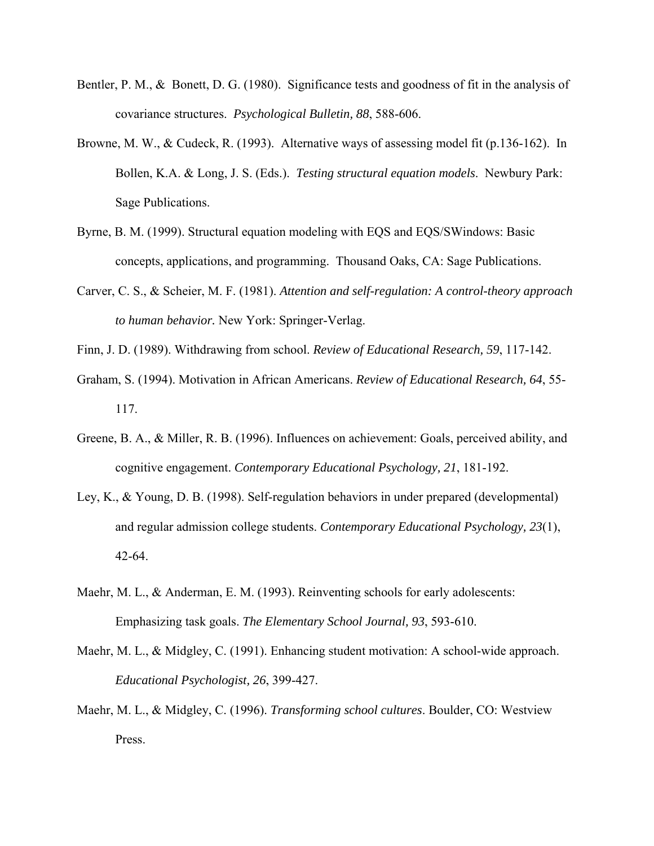- Bentler, P. M., & Bonett, D. G. (1980). Significance tests and goodness of fit in the analysis of covariance structures. *Psychological Bulletin, 88*, 588-606.
- Browne, M. W., & Cudeck, R. (1993). Alternative ways of assessing model fit (p.136-162). In Bollen, K.A. & Long, J. S. (Eds.). *Testing structural equation models*. Newbury Park: Sage Publications.
- Byrne, B. M. (1999). Structural equation modeling with EQS and EQS/SWindows: Basic concepts, applications, and programming. Thousand Oaks, CA: Sage Publications.
- Carver, C. S., & Scheier, M. F. (1981). *Attention and self-regulation: A control-theory approach to human behavior.* New York: Springer-Verlag.
- Finn, J. D. (1989). Withdrawing from school. *Review of Educational Research, 59*, 117-142.
- Graham, S. (1994). Motivation in African Americans. *Review of Educational Research, 64*, 55- 117.
- Greene, B. A., & Miller, R. B. (1996). Influences on achievement: Goals, perceived ability, and cognitive engagement. *Contemporary Educational Psychology, 21*, 181-192.
- Ley, K., & Young, D. B. (1998). Self-regulation behaviors in under prepared (developmental) and regular admission college students. *Contemporary Educational Psychology, 23*(1), 42-64.
- Maehr, M. L., & Anderman, E. M. (1993). Reinventing schools for early adolescents: Emphasizing task goals. *The Elementary School Journal, 93*, 593-610.
- Maehr, M. L., & Midgley, C. (1991). Enhancing student motivation: A school-wide approach. *Educational Psychologist, 26*, 399-427.
- Maehr, M. L., & Midgley, C. (1996). *Transforming school cultures*. Boulder, CO: Westview Press.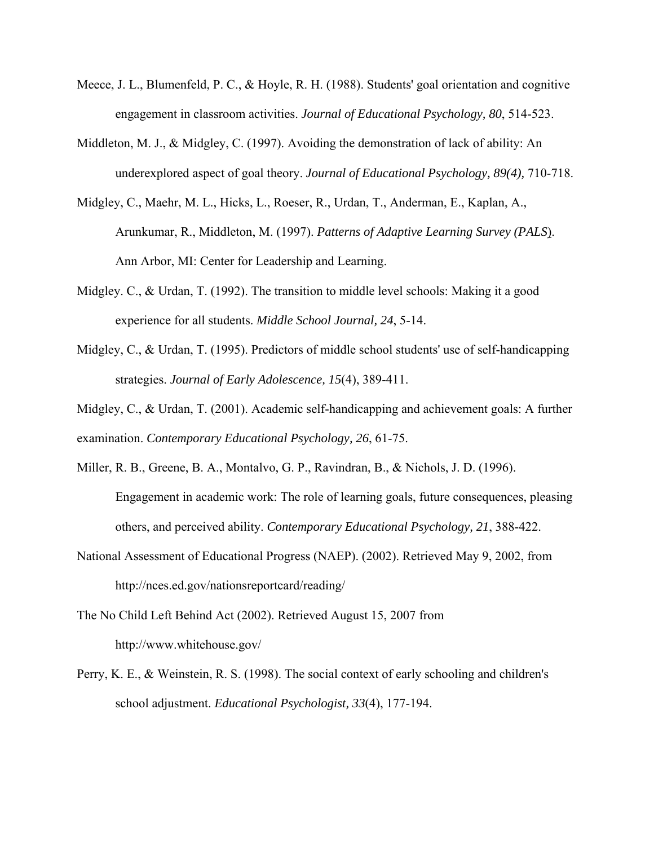- Meece, J. L., Blumenfeld, P. C., & Hoyle, R. H. (1988). Students' goal orientation and cognitive engagement in classroom activities. *Journal of Educational Psychology, 80*, 514-523.
- Middleton, M. J., & Midgley, C. (1997). Avoiding the demonstration of lack of ability: An underexplored aspect of goal theory. *Journal of Educational Psychology, 89(4),* 710-718.
- Midgley, C., Maehr, M. L., Hicks, L., Roeser, R., Urdan, T., Anderman, E., Kaplan, A., Arunkumar, R., Middleton, M. (1997). *Patterns of Adaptive Learning Survey (PALS*). Ann Arbor, MI: Center for Leadership and Learning.
- Midgley. C., & Urdan, T. (1992). The transition to middle level schools: Making it a good experience for all students. *Middle School Journal, 24*, 5-14.
- Midgley, C., & Urdan, T. (1995). Predictors of middle school students' use of self-handicapping strategies. *Journal of Early Adolescence, 15*(4), 389-411.
- Midgley, C., & Urdan, T. (2001). Academic self-handicapping and achievement goals: A further examination. *Contemporary Educational Psychology, 26*, 61-75.
- Miller, R. B., Greene, B. A., Montalvo, G. P., Ravindran, B., & Nichols, J. D. (1996). Engagement in academic work: The role of learning goals, future consequences, pleasing others, and perceived ability. *Contemporary Educational Psychology, 21*, 388-422.
- National Assessment of Educational Progress (NAEP). (2002). Retrieved May 9, 2002, from http://nces.ed.gov/nationsreportcard/reading/
- The No Child Left Behind Act (2002). Retrieved August 15, 2007 from http://www.whitehouse.gov/
- Perry, K. E., & Weinstein, R. S. (1998). The social context of early schooling and children's school adjustment. *Educational Psychologist, 33*(4), 177-194.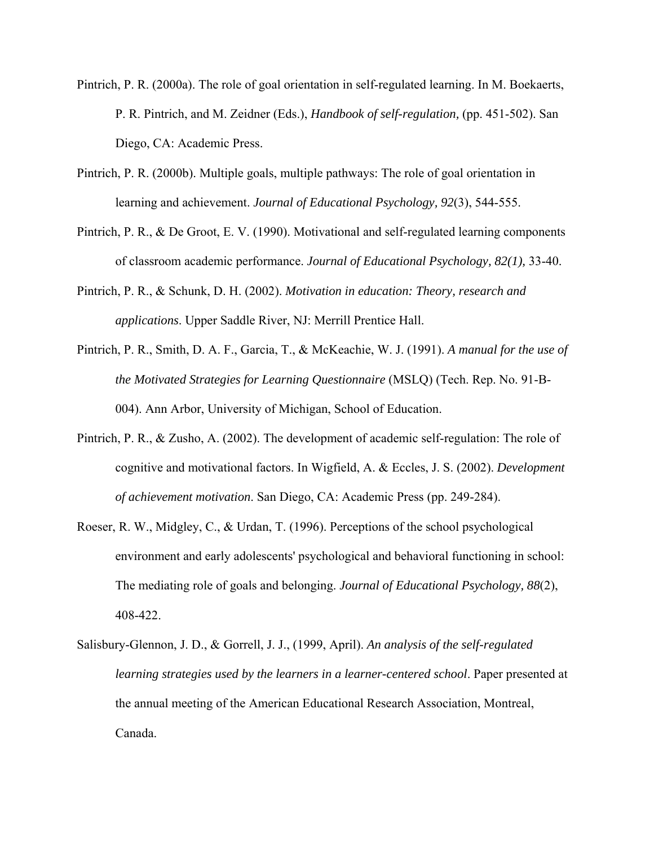- Pintrich, P. R. (2000a). The role of goal orientation in self-regulated learning. In M. Boekaerts, P. R. Pintrich, and M. Zeidner (Eds.), *Handbook of self-regulation,* (pp. 451-502). San Diego, CA: Academic Press.
- Pintrich, P. R. (2000b). Multiple goals, multiple pathways: The role of goal orientation in learning and achievement. *Journal of Educational Psychology, 92*(3), 544-555.
- Pintrich, P. R., & De Groot, E. V. (1990). Motivational and self-regulated learning components of classroom academic performance. *Journal of Educational Psychology, 82(1),* 33-40.
- Pintrich, P. R., & Schunk, D. H. (2002). *Motivation in education: Theory, research and applications*. Upper Saddle River, NJ: Merrill Prentice Hall.
- Pintrich, P. R., Smith, D. A. F., Garcia, T., & McKeachie, W. J. (1991). *A manual for the use of the Motivated Strategies for Learning Questionnaire* (MSLQ) (Tech. Rep. No. 91-B-004). Ann Arbor, University of Michigan, School of Education.
- Pintrich, P. R., & Zusho, A. (2002). The development of academic self-regulation: The role of cognitive and motivational factors. In Wigfield, A. & Eccles, J. S. (2002). *Development of achievement motivation*. San Diego, CA: Academic Press (pp. 249-284).
- Roeser, R. W., Midgley, C., & Urdan, T. (1996). Perceptions of the school psychological environment and early adolescents' psychological and behavioral functioning in school: The mediating role of goals and belonging. *Journal of Educational Psychology, 88*(2), 408-422.
- Salisbury-Glennon, J. D., & Gorrell, J. J., (1999, April). *An analysis of the self-regulated learning strategies used by the learners in a learner-centered school*. Paper presented at the annual meeting of the American Educational Research Association, Montreal, Canada.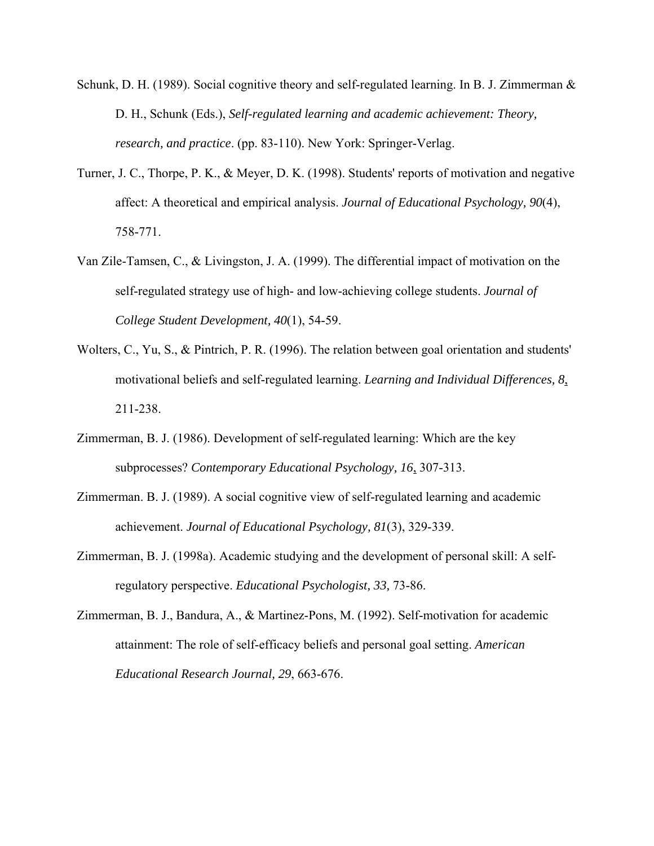- Schunk, D. H. (1989). Social cognitive theory and self-regulated learning. In B. J. Zimmerman  $\&$ D. H., Schunk (Eds.), *Self-regulated learning and academic achievement: Theory, research, and practice*. (pp. 83-110). New York: Springer-Verlag.
- Turner, J. C., Thorpe, P. K., & Meyer, D. K. (1998). Students' reports of motivation and negative affect: A theoretical and empirical analysis. *Journal of Educational Psychology, 90*(4), 758-771.
- Van Zile-Tamsen, C., & Livingston, J. A. (1999). The differential impact of motivation on the self-regulated strategy use of high- and low-achieving college students. *Journal of College Student Development, 40*(1), 54-59.
- Wolters, C., Yu, S., & Pintrich, P. R. (1996). The relation between goal orientation and students' motivational beliefs and self-regulated learning. *Learning and Individual Differences, 8*, 211-238.
- Zimmerman, B. J. (1986). Development of self-regulated learning: Which are the key subprocesses? *Contemporary Educational Psychology, 16*, 307-313.
- Zimmerman. B. J. (1989). A social cognitive view of self-regulated learning and academic achievement. *Journal of Educational Psychology, 81*(3), 329-339.
- Zimmerman, B. J. (1998a). Academic studying and the development of personal skill: A selfregulatory perspective. *Educational Psychologist, 33,* 73-86.
- Zimmerman, B. J., Bandura, A., & Martinez-Pons, M. (1992). Self-motivation for academic attainment: The role of self-efficacy beliefs and personal goal setting. *American Educational Research Journal, 29*, 663-676.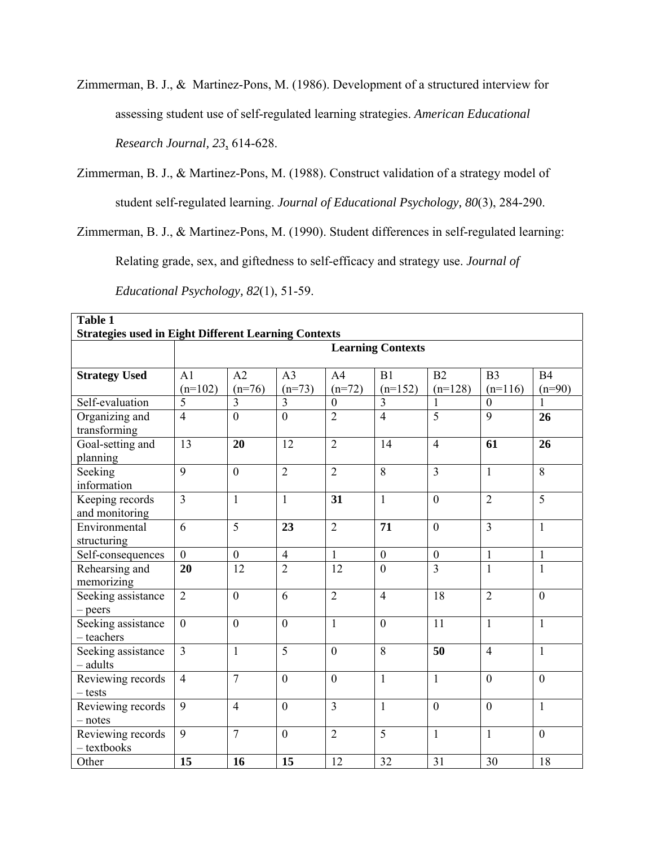Zimmerman, B. J., & Martinez-Pons, M. (1986). Development of a structured interview for assessing student use of self-regulated learning strategies. *American Educational Research Journal, 23*, 614-628.

Zimmerman, B. J., & Martinez-Pons, M. (1988). Construct validation of a strategy model of student self-regulated learning. *Journal of Educational Psychology, 80*(3), 284-290.

Zimmerman, B. J., & Martinez-Pons, M. (1990). Student differences in self-regulated learning:

Relating grade, sex, and giftedness to self-efficacy and strategy use. *Journal of* 

| <i>Educational Psychology, 82(1), 51-59.</i> |  |
|----------------------------------------------|--|
|----------------------------------------------|--|

| <b>Table 1</b>                                              |                          |                  |                  |                  |                |                  |                  |                |  |  |
|-------------------------------------------------------------|--------------------------|------------------|------------------|------------------|----------------|------------------|------------------|----------------|--|--|
| <b>Strategies used in Eight Different Learning Contexts</b> |                          |                  |                  |                  |                |                  |                  |                |  |  |
|                                                             | <b>Learning Contexts</b> |                  |                  |                  |                |                  |                  |                |  |  |
|                                                             |                          |                  |                  |                  |                |                  |                  |                |  |  |
| <b>Strategy Used</b>                                        | A <sub>1</sub>           | A2               | A <sub>3</sub>   | A <sub>4</sub>   | B1             | B2               | B <sub>3</sub>   | B <sub>4</sub> |  |  |
|                                                             | $(n=102)$                | $(n=76)$         | $(n=73)$         | $(n=72)$         | $(n=152)$      | $(n=128)$        | $(n=116)$        | $(n=90)$       |  |  |
| Self-evaluation                                             | 5                        | $\overline{3}$   | $\overline{3}$   | $\boldsymbol{0}$ | $\overline{3}$ |                  | $\boldsymbol{0}$ |                |  |  |
| Organizing and<br>transforming                              | $\overline{4}$           | $\mathbf{0}$     | $\mathbf{0}$     | $\overline{2}$   | $\overline{4}$ | $\overline{5}$   | $\overline{9}$   | 26             |  |  |
| Goal-setting and<br>planning                                | 13                       | 20               | 12               | $\overline{2}$   | 14             | $\overline{4}$   | 61               | 26             |  |  |
| Seeking<br>information                                      | 9                        | $\boldsymbol{0}$ | $\overline{2}$   | $\overline{2}$   | 8              | $\overline{3}$   | $\mathbf{1}$     | 8              |  |  |
| Keeping records<br>and monitoring                           | $\overline{3}$           | $\mathbf{1}$     | $\mathbf{1}$     | 31               | $\mathbf{1}$   | $\mathbf{0}$     | $\overline{2}$   | $\overline{5}$ |  |  |
| Environmental<br>structuring                                | 6                        | 5                | 23               | $\overline{2}$   | 71             | $\mathbf{0}$     | $\overline{3}$   | $\mathbf{1}$   |  |  |
| Self-consequences                                           | $\overline{0}$           | $\boldsymbol{0}$ | $\overline{4}$   | $\mathbf{1}$     | $\mathbf{0}$   | $\boldsymbol{0}$ | $\mathbf{1}$     | $\mathbf{1}$   |  |  |
| Rehearsing and<br>memorizing                                | 20                       | 12               | $\overline{2}$   | 12               | $\theta$       | $\overline{3}$   | $\mathbf{1}$     | $\mathbf{1}$   |  |  |
| Seeking assistance<br>$-$ peers                             | $\overline{2}$           | $\overline{0}$   | 6                | $\overline{2}$   | $\overline{4}$ | 18               | $\overline{2}$   | $\overline{0}$ |  |  |
| Seeking assistance<br>$-$ teachers                          | $\mathbf{0}$             | $\boldsymbol{0}$ | $\boldsymbol{0}$ | $\mathbf{1}$     | $\overline{0}$ | 11               | $\mathbf{1}$     | $\mathbf{1}$   |  |  |
| Seeking assistance<br>- adults                              | $\overline{3}$           | $\mathbf{1}$     | $\overline{5}$   | $\overline{0}$   | 8              | 50               | $\overline{4}$   | $\mathbf{1}$   |  |  |
| Reviewing records<br>$-$ tests                              | $\overline{4}$           | $\overline{7}$   | $\boldsymbol{0}$ | $\boldsymbol{0}$ | $\mathbf{1}$   | $\mathbf{1}$     | $\mathbf{0}$     | $\mathbf{0}$   |  |  |
| Reviewing records<br>$-$ notes                              | 9                        | $\overline{4}$   | $\boldsymbol{0}$ | $\overline{3}$   | $\mathbf{1}$   | $\boldsymbol{0}$ | $\mathbf{0}$     | $\mathbf{1}$   |  |  |
| Reviewing records<br>$-$ textbooks                          | 9                        | $\overline{7}$   | $\boldsymbol{0}$ | $\overline{2}$   | 5              | $\mathbf{1}$     | $\mathbf{1}$     | $\mathbf{0}$   |  |  |
| Other                                                       | 15                       | 16               | 15               | 12               | 32             | 31               | 30               | 18             |  |  |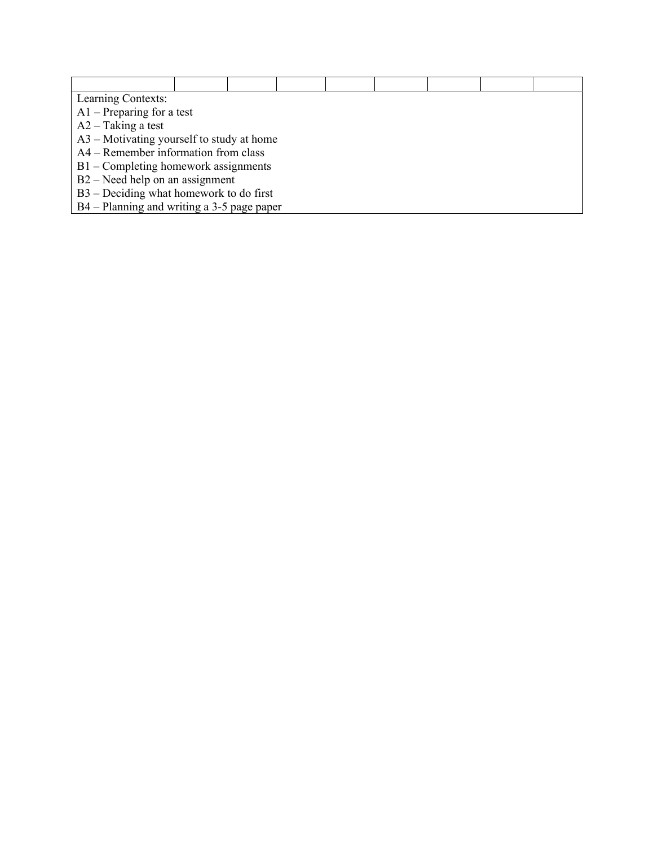| Learning Contexts:                          |  |  |  |  |  |  |  |  |  |  |
|---------------------------------------------|--|--|--|--|--|--|--|--|--|--|
| $A1$ – Preparing for a test                 |  |  |  |  |  |  |  |  |  |  |
| $A2 - Taking$ a test                        |  |  |  |  |  |  |  |  |  |  |
| $A3$ – Motivating yourself to study at home |  |  |  |  |  |  |  |  |  |  |
| A4 – Remember information from class        |  |  |  |  |  |  |  |  |  |  |
| $B1 -$ Completing homework assignments      |  |  |  |  |  |  |  |  |  |  |
| $B2 - Need$ help on an assignment           |  |  |  |  |  |  |  |  |  |  |
| $B3 - Deciding what homework to do first$   |  |  |  |  |  |  |  |  |  |  |
| B4 – Planning and writing a 3-5 page paper  |  |  |  |  |  |  |  |  |  |  |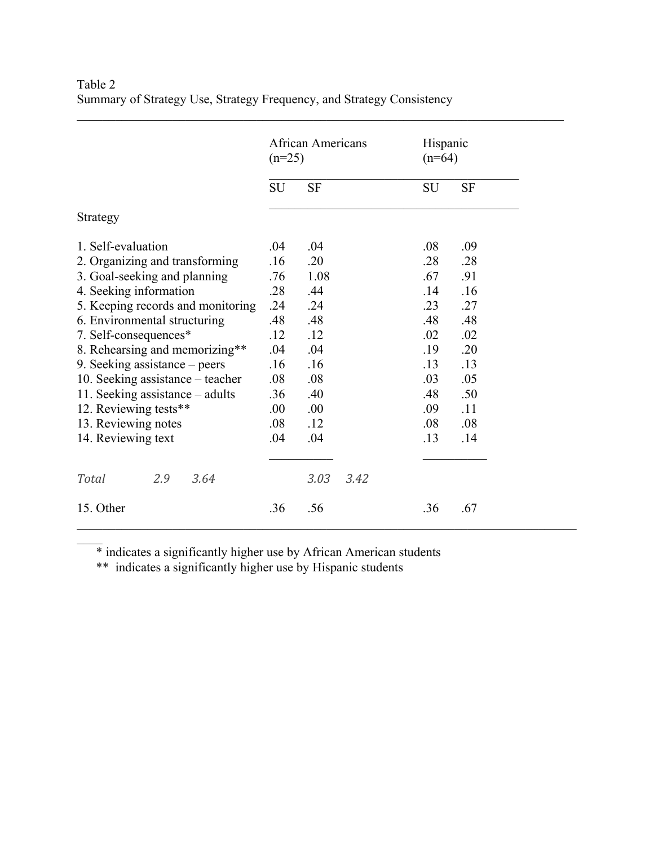|                                   | $(n=25)$  | <b>African Americans</b> | Hispanic<br>$(n=64)$ |
|-----------------------------------|-----------|--------------------------|----------------------|
|                                   | <b>SU</b> | <b>SF</b>                | SU<br><b>SF</b>      |
| Strategy                          |           |                          |                      |
| 1. Self-evaluation                | .04       | .04                      | .08<br>.09           |
| 2. Organizing and transforming    | .16       | .20                      | .28<br>.28           |
| 3. Goal-seeking and planning      | .76       | 1.08                     | .67<br>.91           |
| 4. Seeking information            | .28       | .44                      | .14<br>.16           |
| 5. Keeping records and monitoring | .24       | .24                      | .23<br>.27           |
| 6. Environmental structuring      | .48       | .48                      | .48<br>.48           |
| 7. Self-consequences*             | .12       | .12                      | .02<br>.02           |
| 8. Rehearsing and memorizing**    | .04       | .04                      | .19<br>.20           |
| 9. Seeking assistance – peers     | .16       | .16                      | .13<br>.13           |
| 10. Seeking assistance – teacher  | .08       | .08                      | .03<br>.05           |
| 11. Seeking assistance – adults   | .36       | .40                      | .48<br>.50           |
| 12. Reviewing tests**             | .00       | .00                      | .09<br>.11           |
| 13. Reviewing notes               | .08       | .12                      | .08<br>.08           |
| 14. Reviewing text                | .04       | .04                      | .13<br>.14           |
|                                   |           |                          |                      |
| <b>Total</b><br>2.9<br>3.64       |           | 3.03<br>3.42             |                      |
| 15. Other                         | .36       | .56                      | .36<br>.67           |

 $\mathcal{L}_\mathcal{L} = \{ \mathcal{L}_\mathcal{L} = \{ \mathcal{L}_\mathcal{L} = \{ \mathcal{L}_\mathcal{L} = \{ \mathcal{L}_\mathcal{L} = \{ \mathcal{L}_\mathcal{L} = \{ \mathcal{L}_\mathcal{L} = \{ \mathcal{L}_\mathcal{L} = \{ \mathcal{L}_\mathcal{L} = \{ \mathcal{L}_\mathcal{L} = \{ \mathcal{L}_\mathcal{L} = \{ \mathcal{L}_\mathcal{L} = \{ \mathcal{L}_\mathcal{L} = \{ \mathcal{L}_\mathcal{L} = \{ \mathcal{L}_\mathcal{$ 

Table 2 Summary of Strategy Use, Strategy Frequency, and Strategy Consistency

\* indicates a significantly higher use by African American students

\*\* indicates a significantly higher use by Hispanic students

 $\mathcal{L}$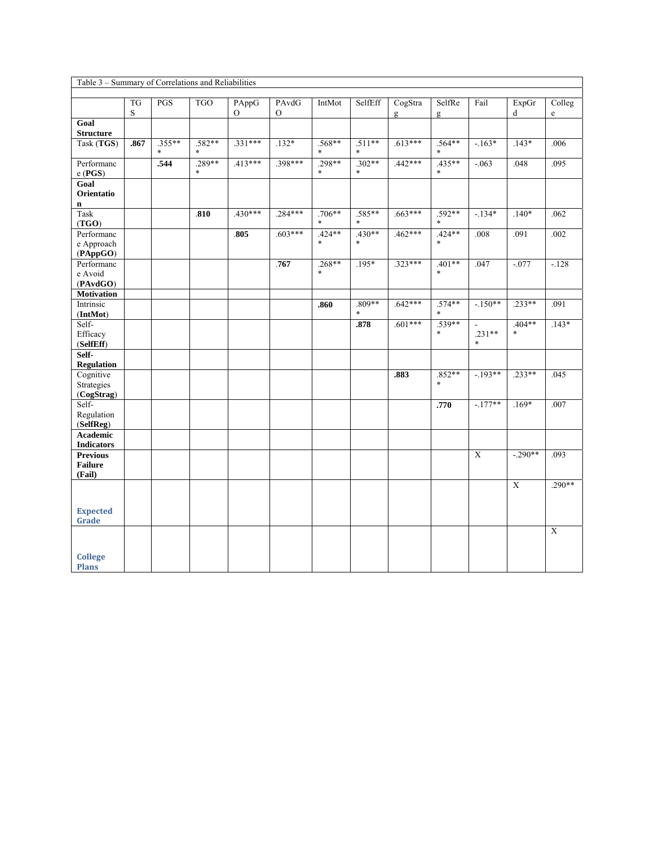| Table 3 - Summary of Correlations and Reliabilities |                          |            |                   |                         |                   |                    |                          |              |                    |                    |                    |                        |
|-----------------------------------------------------|--------------------------|------------|-------------------|-------------------------|-------------------|--------------------|--------------------------|--------------|--------------------|--------------------|--------------------|------------------------|
|                                                     |                          |            |                   |                         |                   |                    |                          |              |                    |                    |                    |                        |
|                                                     | <b>TG</b><br>$\mathbf S$ | <b>PGS</b> | <b>TGO</b>        | PAppG<br>$\overline{O}$ | PAvdG<br>$\Omega$ | IntMot             | SelfEff                  | CogStra<br>g | SelfRe<br>g        | Fail               | ExpGr<br>d         | Colleg<br>$\mathbf{e}$ |
| Goal<br><b>Structure</b>                            |                          |            |                   |                         |                   |                    |                          |              |                    |                    |                    |                        |
| Task (TGS)                                          | .867                     | $.355***$  | $.582**$          | $.331***$               | $.132*$           | $.568**$           | $.511**$                 | $.613***$    | $.564**$           | $-163*$            | $.143*$            | .006                   |
| Performanc<br>$e$ (PGS)                             |                          | .544       | .289**<br>$\ast$  | $.413***$               | .398***           | .298**<br>$\ast$   | $.302**$<br>$\ast$       | .442***      | .435**<br>$\ast$   | $-063$             | .048               | .095                   |
| Goal<br>Orientatio<br>$\mathbf n$                   |                          |            |                   |                         |                   |                    |                          |              |                    |                    |                    |                        |
| Task<br>(TGO)                                       |                          |            | $\overline{.810}$ | $430***$                | $.284***$         | $.706**$           | $.585**$                 | $.663***$    | .592**             | $-134*$            | $.140*$            | .062                   |
| Performanc<br>e Approach<br>(PAppGO)                |                          |            |                   | .805                    | $.603***$         | $.424**$<br>$\ast$ | $.430**$<br>$\ast$       | $.462***$    | $.424**$<br>$\ast$ | .008               | .091               | .002                   |
| Performanc<br>e Avoid<br>(PAvdGO)                   |                          |            |                   |                         | .767              | $.268**$<br>$\ast$ | $.195*$                  | $.323***$    | $.401**$<br>$\ast$ | .047               | $-0.077$           | $-128$                 |
| <b>Motivation</b>                                   |                          |            |                   |                         |                   |                    |                          |              |                    |                    |                    |                        |
| Intrinsic<br>(IntMot)                               |                          |            |                   |                         |                   | .860               | $.809**$<br>$\mathbf{a}$ | $.642***$    | $.574**$           | $-150**$           | $.233**$           | .091                   |
| Self-<br>Efficacy<br>(SelfEff)                      |                          |            |                   |                         |                   |                    | .878                     | $.601***$    | $.539**$<br>$\ast$ | $.231**$<br>$\ast$ | $.404**$<br>$\ast$ | $.143*$                |
| Self-<br><b>Regulation</b>                          |                          |            |                   |                         |                   |                    |                          |              |                    |                    |                    |                        |
| Cognitive<br>Strategies<br>(CogStrag)               |                          |            |                   |                         |                   |                    |                          | .883         | .852**<br>$\ast$   | $-193**$           | $.233**$           | .045                   |
| Self-<br>Regulation<br>(SelfReg)                    |                          |            |                   |                         |                   |                    |                          |              | .770               | $-177**$           | $.169*$            | .007                   |
| Academic<br><b>Indicators</b>                       |                          |            |                   |                         |                   |                    |                          |              |                    |                    |                    |                        |
| <b>Previous</b><br><b>Failure</b><br>(Fail)         |                          |            |                   |                         |                   |                    |                          |              |                    | $\overline{X}$     | $-0.290**$         | .093                   |
| <b>Expected</b><br>Grade                            |                          |            |                   |                         |                   |                    |                          |              |                    |                    | $\overline{X}$     | $.290**$               |
| <b>College</b><br><b>Plans</b>                      |                          |            |                   |                         |                   |                    |                          |              |                    |                    |                    | $\overline{X}$         |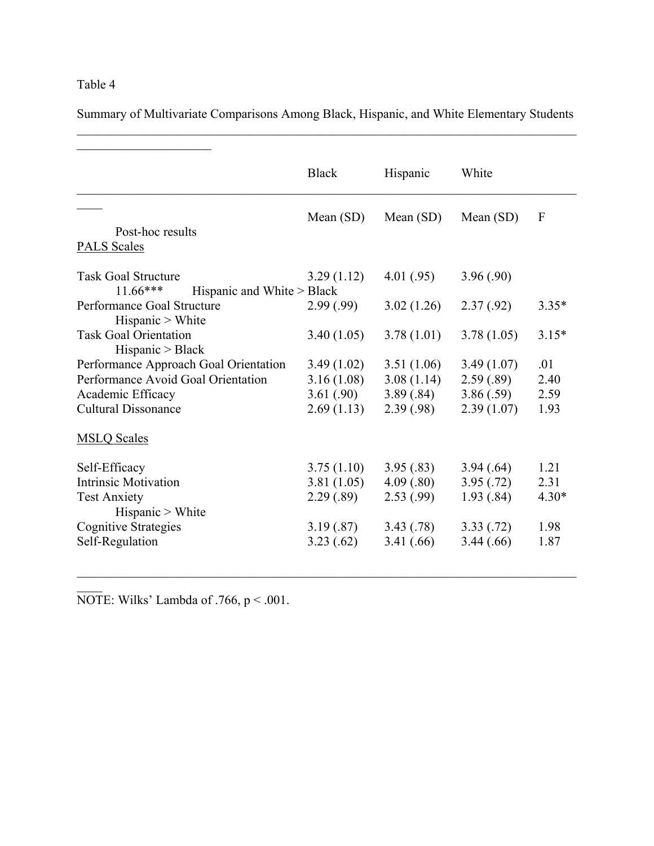# Table 4

Summary of Multivariate Comparisons Among Black, Hispanic, and White Elementary Students  $\mathcal{L}_\mathcal{L} = \{ \mathcal{L}_\mathcal{L} = \{ \mathcal{L}_\mathcal{L} = \{ \mathcal{L}_\mathcal{L} = \{ \mathcal{L}_\mathcal{L} = \{ \mathcal{L}_\mathcal{L} = \{ \mathcal{L}_\mathcal{L} = \{ \mathcal{L}_\mathcal{L} = \{ \mathcal{L}_\mathcal{L} = \{ \mathcal{L}_\mathcal{L} = \{ \mathcal{L}_\mathcal{L} = \{ \mathcal{L}_\mathcal{L} = \{ \mathcal{L}_\mathcal{L} = \{ \mathcal{L}_\mathcal{L} = \{ \mathcal{L}_\mathcal{$ 

|                                                  | <b>Black</b> | Hispanic    | White       |                  |
|--------------------------------------------------|--------------|-------------|-------------|------------------|
|                                                  | Mean $(SD)$  | Mean $(SD)$ | Mean $(SD)$ | $\boldsymbol{F}$ |
| Post-hoc results                                 |              |             |             |                  |
| <b>PALS Scales</b>                               |              |             |             |                  |
| <b>Task Goal Structure</b>                       | 3.29(1.12)   | 4.01(.95)   | 3.96(.90)   |                  |
| $11.66***$<br>Hispanic and White > Black         |              |             |             |                  |
| Performance Goal Structure                       | 2.99(.99)    | 3.02(1.26)  | 2.37(0.92)  | $3.35*$          |
| Hispanic > White                                 |              |             |             |                  |
| <b>Task Goal Orientation</b><br>Hispanic > Black | 3.40(1.05)   | 3.78(1.01)  | 3.78(1.05)  | $3.15*$          |
| Performance Approach Goal Orientation            | 3.49(1.02)   | 3.51(1.06)  | 3.49(1.07)  | .01              |
| Performance Avoid Goal Orientation               | 3.16(1.08)   | 3.08(1.14)  | 2.59(.89)   | 2.40             |
| Academic Efficacy                                | 3.61(.90)    | 3.89(.84)   | 3.86(.59)   | 2.59             |
| <b>Cultural Dissonance</b>                       | 2.69(1.13)   | 2.39(.98)   | 2.39(1.07)  | 1.93             |
| <b>MSLQ Scales</b>                               |              |             |             |                  |
| Self-Efficacy                                    | 3.75(1.10)   | 3.95(.83)   | 3.94(.64)   | 1.21             |
| <b>Intrinsic Motivation</b>                      | 3.81(1.05)   | 4.09(.80)   | 3.95(.72)   | 2.31             |
| <b>Test Anxiety</b>                              | 2.29(.89)    | 2.53(.99)   | 1.93(.84)   | $4.30*$          |
| Hispanic > White                                 |              |             |             |                  |
| <b>Cognitive Strategies</b>                      | 3.19(.87)    | 3.43(.78)   | 3.33(.72)   | 1.98             |
| Self-Regulation                                  | 3.23(.62)    | 3.41(.66)   | 3.44(.66)   | 1.87             |

 $\mathcal{L}_\mathcal{L} = \{ \mathcal{L}_\mathcal{L} = \{ \mathcal{L}_\mathcal{L} = \{ \mathcal{L}_\mathcal{L} = \{ \mathcal{L}_\mathcal{L} = \{ \mathcal{L}_\mathcal{L} = \{ \mathcal{L}_\mathcal{L} = \{ \mathcal{L}_\mathcal{L} = \{ \mathcal{L}_\mathcal{L} = \{ \mathcal{L}_\mathcal{L} = \{ \mathcal{L}_\mathcal{L} = \{ \mathcal{L}_\mathcal{L} = \{ \mathcal{L}_\mathcal{L} = \{ \mathcal{L}_\mathcal{L} = \{ \mathcal{L}_\mathcal{$ 

NOTE: Wilks' Lambda of  $.766$ ,  $p < .001$ .

 $\mathcal{L}$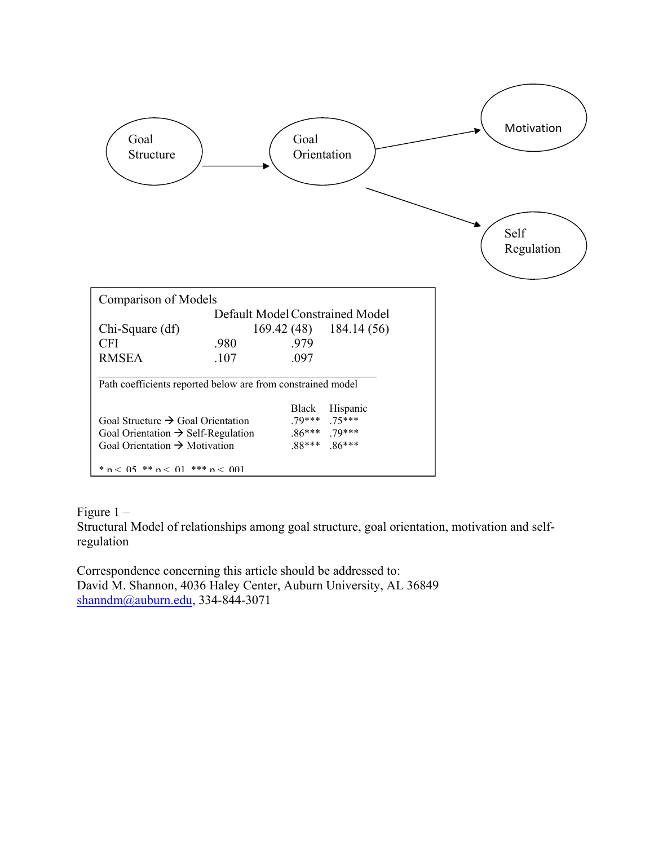

Figure 1 –

Structural Model of relationships among goal structure, goal orientation, motivation and selfregulation

Correspondence concerning this article should be addressed to: David M. Shannon, 4036 Haley Center, Auburn University, AL 36849 shanndm@auburn.edu, 334-844-3071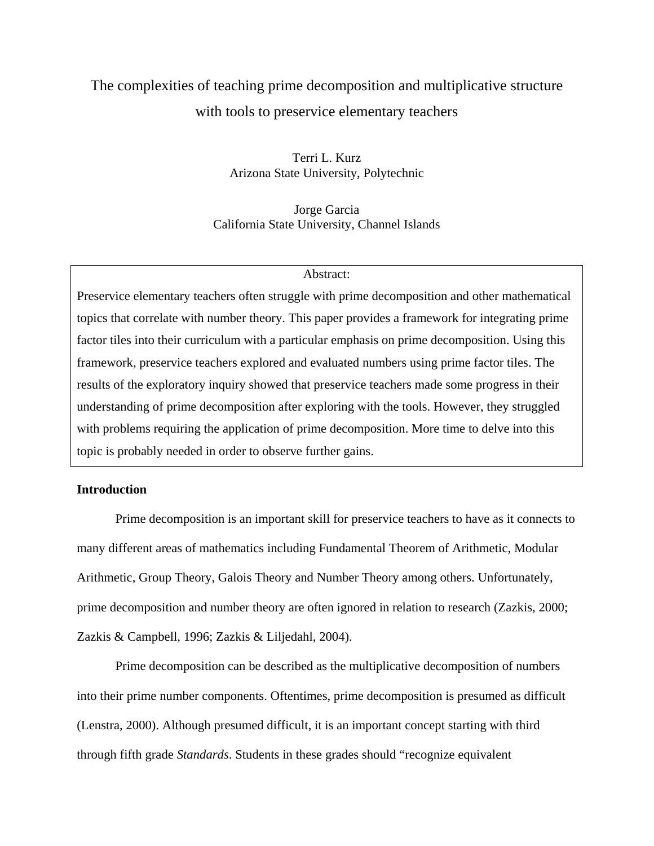# The complexities of teaching prime decomposition and multiplicative structure with tools to preservice elementary teachers

Terri L. Kurz Arizona State University, Polytechnic

Jorge Garcia California State University, Channel Islands

#### Abstract:

Preservice elementary teachers often struggle with prime decomposition and other mathematical topics that correlate with number theory. This paper provides a framework for integrating prime factor tiles into their curriculum with a particular emphasis on prime decomposition. Using this framework, preservice teachers explored and evaluated numbers using prime factor tiles. The results of the exploratory inquiry showed that preservice teachers made some progress in their understanding of prime decomposition after exploring with the tools. However, they struggled with problems requiring the application of prime decomposition. More time to delve into this topic is probably needed in order to observe further gains.

# **Introduction**

Prime decomposition is an important skill for preservice teachers to have as it connects to many different areas of mathematics including Fundamental Theorem of Arithmetic, Modular Arithmetic, Group Theory, Galois Theory and Number Theory among others. Unfortunately, prime decomposition and number theory are often ignored in relation to research (Zazkis, 2000; Zazkis & Campbell, 1996; Zazkis & Liljedahl, 2004).

Prime decomposition can be described as the multiplicative decomposition of numbers into their prime number components. Oftentimes, prime decomposition is presumed as difficult (Lenstra, 2000). Although presumed difficult, it is an important concept starting with third through fifth grade *Standards*. Students in these grades should "recognize equivalent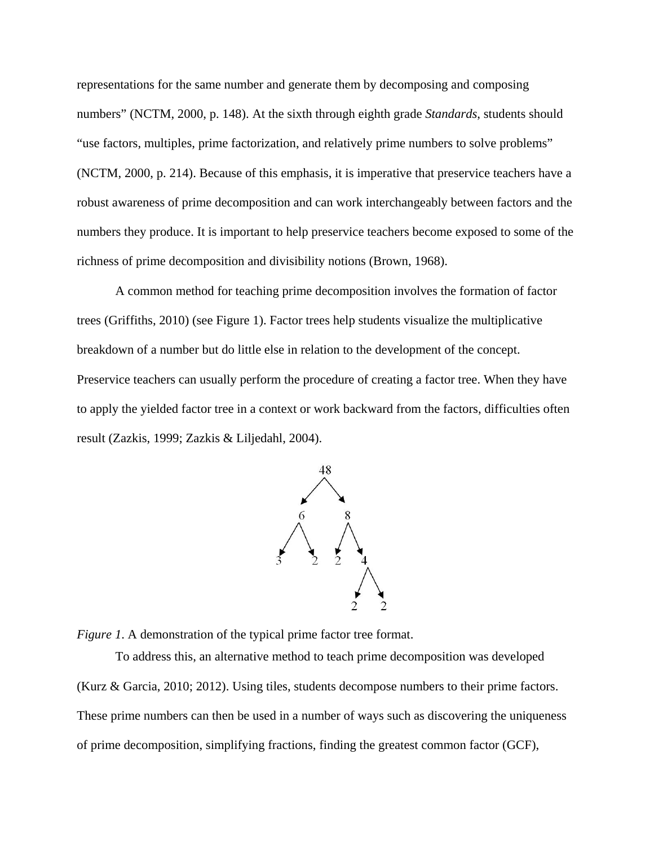representations for the same number and generate them by decomposing and composing numbers" (NCTM, 2000, p. 148). At the sixth through eighth grade *Standards*, students should "use factors, multiples, prime factorization, and relatively prime numbers to solve problems" (NCTM, 2000, p. 214). Because of this emphasis, it is imperative that preservice teachers have a robust awareness of prime decomposition and can work interchangeably between factors and the numbers they produce. It is important to help preservice teachers become exposed to some of the richness of prime decomposition and divisibility notions (Brown, 1968).

A common method for teaching prime decomposition involves the formation of factor trees (Griffiths, 2010) (see Figure 1). Factor trees help students visualize the multiplicative breakdown of a number but do little else in relation to the development of the concept. Preservice teachers can usually perform the procedure of creating a factor tree. When they have to apply the yielded factor tree in a context or work backward from the factors, difficulties often result (Zazkis, 1999; Zazkis & Liljedahl, 2004).



*Figure 1.* A demonstration of the typical prime factor tree format.

To address this, an alternative method to teach prime decomposition was developed (Kurz & Garcia, 2010; 2012). Using tiles, students decompose numbers to their prime factors. These prime numbers can then be used in a number of ways such as discovering the uniqueness of prime decomposition, simplifying fractions, finding the greatest common factor (GCF),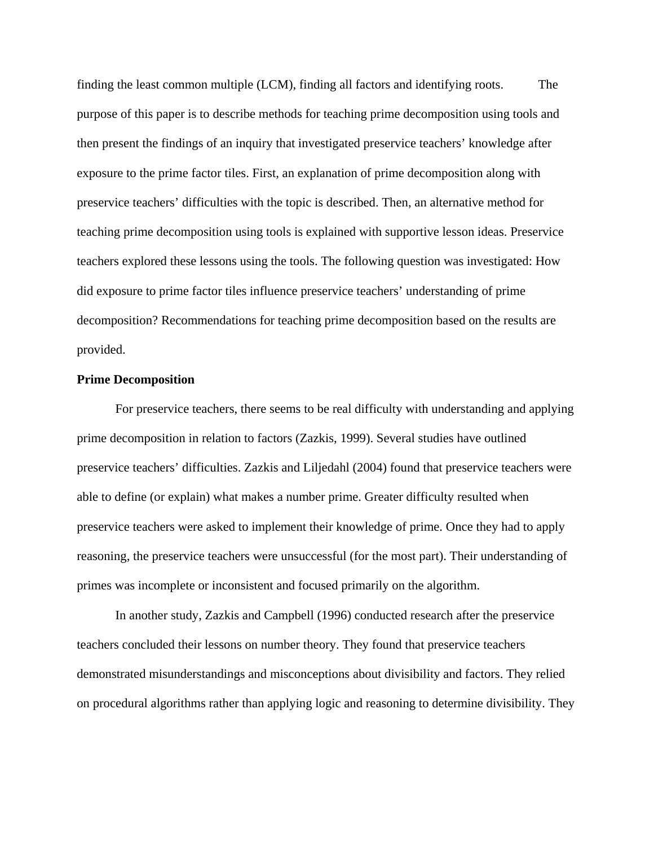finding the least common multiple (LCM), finding all factors and identifying roots. The purpose of this paper is to describe methods for teaching prime decomposition using tools and then present the findings of an inquiry that investigated preservice teachers' knowledge after exposure to the prime factor tiles. First, an explanation of prime decomposition along with preservice teachers' difficulties with the topic is described. Then, an alternative method for teaching prime decomposition using tools is explained with supportive lesson ideas. Preservice teachers explored these lessons using the tools. The following question was investigated: How did exposure to prime factor tiles influence preservice teachers' understanding of prime decomposition? Recommendations for teaching prime decomposition based on the results are provided.

#### **Prime Decomposition**

For preservice teachers, there seems to be real difficulty with understanding and applying prime decomposition in relation to factors (Zazkis, 1999). Several studies have outlined preservice teachers' difficulties. Zazkis and Liljedahl (2004) found that preservice teachers were able to define (or explain) what makes a number prime. Greater difficulty resulted when preservice teachers were asked to implement their knowledge of prime. Once they had to apply reasoning, the preservice teachers were unsuccessful (for the most part). Their understanding of primes was incomplete or inconsistent and focused primarily on the algorithm.

In another study, Zazkis and Campbell (1996) conducted research after the preservice teachers concluded their lessons on number theory. They found that preservice teachers demonstrated misunderstandings and misconceptions about divisibility and factors. They relied on procedural algorithms rather than applying logic and reasoning to determine divisibility. They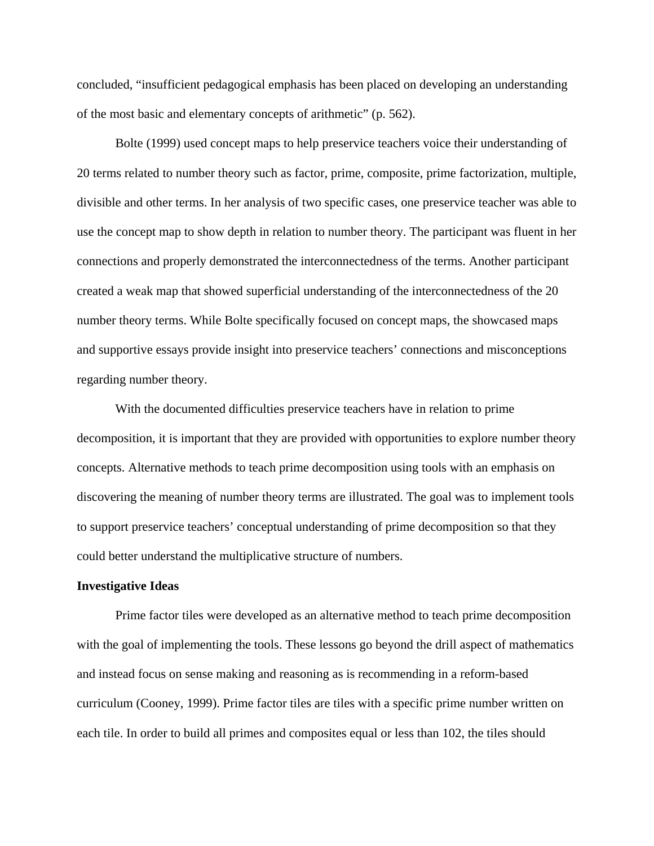concluded, "insufficient pedagogical emphasis has been placed on developing an understanding of the most basic and elementary concepts of arithmetic" (p. 562).

Bolte (1999) used concept maps to help preservice teachers voice their understanding of 20 terms related to number theory such as factor, prime, composite, prime factorization, multiple, divisible and other terms. In her analysis of two specific cases, one preservice teacher was able to use the concept map to show depth in relation to number theory. The participant was fluent in her connections and properly demonstrated the interconnectedness of the terms. Another participant created a weak map that showed superficial understanding of the interconnectedness of the 20 number theory terms. While Bolte specifically focused on concept maps, the showcased maps and supportive essays provide insight into preservice teachers' connections and misconceptions regarding number theory.

With the documented difficulties preservice teachers have in relation to prime decomposition, it is important that they are provided with opportunities to explore number theory concepts. Alternative methods to teach prime decomposition using tools with an emphasis on discovering the meaning of number theory terms are illustrated. The goal was to implement tools to support preservice teachers' conceptual understanding of prime decomposition so that they could better understand the multiplicative structure of numbers.

#### **Investigative Ideas**

Prime factor tiles were developed as an alternative method to teach prime decomposition with the goal of implementing the tools. These lessons go beyond the drill aspect of mathematics and instead focus on sense making and reasoning as is recommending in a reform-based curriculum (Cooney, 1999). Prime factor tiles are tiles with a specific prime number written on each tile. In order to build all primes and composites equal or less than 102, the tiles should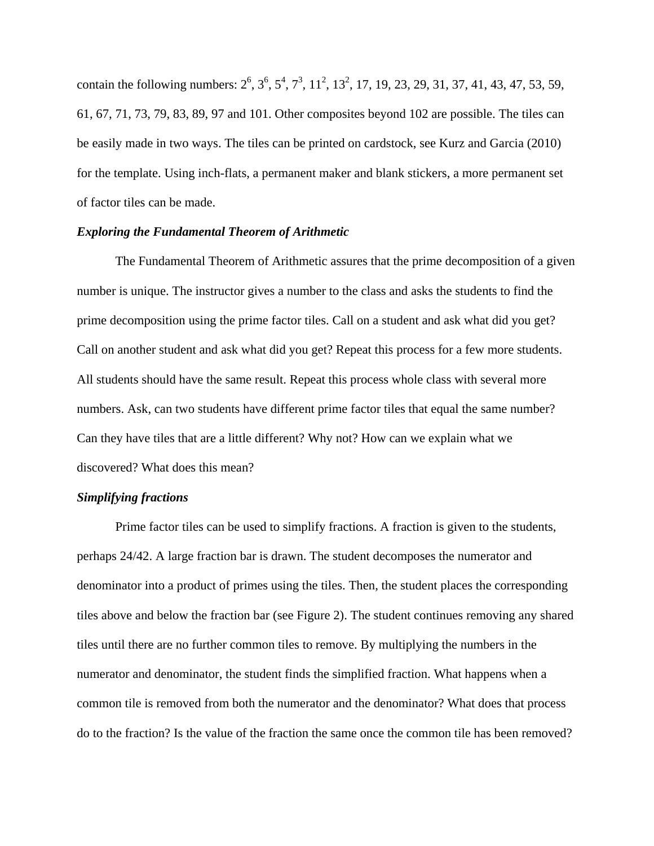contain the following numbers:  $2^6$ ,  $3^6$ ,  $5^4$ ,  $7^3$ ,  $11^2$ ,  $13^2$ , 17, 19, 23, 29, 31, 37, 41, 43, 47, 53, 59, 61, 67, 71, 73, 79, 83, 89, 97 and 101. Other composites beyond 102 are possible. The tiles can be easily made in two ways. The tiles can be printed on cardstock, see Kurz and Garcia (2010) for the template. Using inch-flats, a permanent maker and blank stickers, a more permanent set of factor tiles can be made.

#### *Exploring the Fundamental Theorem of Arithmetic*

The Fundamental Theorem of Arithmetic assures that the prime decomposition of a given number is unique. The instructor gives a number to the class and asks the students to find the prime decomposition using the prime factor tiles. Call on a student and ask what did you get? Call on another student and ask what did you get? Repeat this process for a few more students. All students should have the same result. Repeat this process whole class with several more numbers. Ask, can two students have different prime factor tiles that equal the same number? Can they have tiles that are a little different? Why not? How can we explain what we discovered? What does this mean?

# *Simplifying fractions*

Prime factor tiles can be used to simplify fractions. A fraction is given to the students, perhaps 24/42. A large fraction bar is drawn. The student decomposes the numerator and denominator into a product of primes using the tiles. Then, the student places the corresponding tiles above and below the fraction bar (see Figure 2). The student continues removing any shared tiles until there are no further common tiles to remove. By multiplying the numbers in the numerator and denominator, the student finds the simplified fraction. What happens when a common tile is removed from both the numerator and the denominator? What does that process do to the fraction? Is the value of the fraction the same once the common tile has been removed?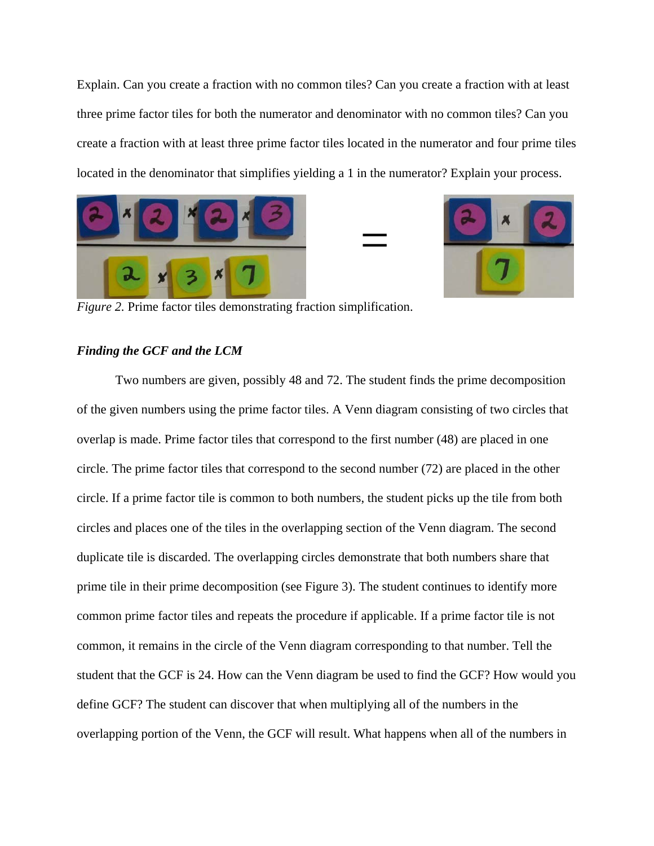Explain. Can you create a fraction with no common tiles? Can you create a fraction with at least three prime factor tiles for both the numerator and denominator with no common tiles? Can you create a fraction with at least three prime factor tiles located in the numerator and four prime tiles located in the denominator that simplifies yielding a 1 in the numerator? Explain your process.

=





*Figure 2.* Prime factor tiles demonstrating fraction simplification.

# *Finding the GCF and the LCM*

Two numbers are given, possibly 48 and 72. The student finds the prime decomposition of the given numbers using the prime factor tiles. A Venn diagram consisting of two circles that overlap is made. Prime factor tiles that correspond to the first number (48) are placed in one circle. The prime factor tiles that correspond to the second number (72) are placed in the other circle. If a prime factor tile is common to both numbers, the student picks up the tile from both circles and places one of the tiles in the overlapping section of the Venn diagram. The second duplicate tile is discarded. The overlapping circles demonstrate that both numbers share that prime tile in their prime decomposition (see Figure 3). The student continues to identify more common prime factor tiles and repeats the procedure if applicable. If a prime factor tile is not common, it remains in the circle of the Venn diagram corresponding to that number. Tell the student that the GCF is 24. How can the Venn diagram be used to find the GCF? How would you define GCF? The student can discover that when multiplying all of the numbers in the overlapping portion of the Venn, the GCF will result. What happens when all of the numbers in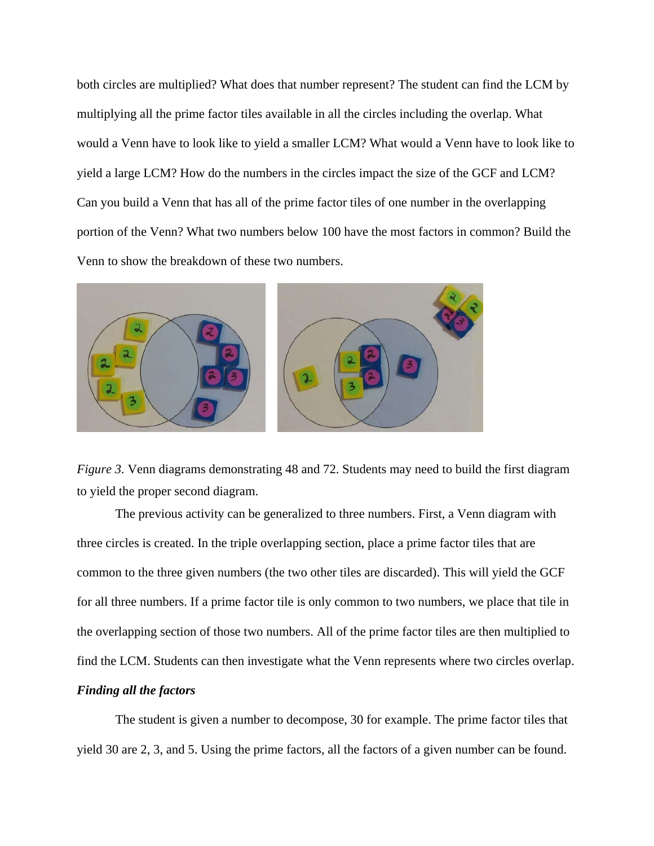both circles are multiplied? What does that number represent? The student can find the LCM by multiplying all the prime factor tiles available in all the circles including the overlap. What would a Venn have to look like to yield a smaller LCM? What would a Venn have to look like to yield a large LCM? How do the numbers in the circles impact the size of the GCF and LCM? Can you build a Venn that has all of the prime factor tiles of one number in the overlapping portion of the Venn? What two numbers below 100 have the most factors in common? Build the Venn to show the breakdown of these two numbers.



*Figure 3.* Venn diagrams demonstrating 48 and 72. Students may need to build the first diagram to yield the proper second diagram.

The previous activity can be generalized to three numbers. First, a Venn diagram with three circles is created. In the triple overlapping section, place a prime factor tiles that are common to the three given numbers (the two other tiles are discarded). This will yield the GCF for all three numbers. If a prime factor tile is only common to two numbers, we place that tile in the overlapping section of those two numbers. All of the prime factor tiles are then multiplied to find the LCM. Students can then investigate what the Venn represents where two circles overlap. *Finding all the factors* 

The student is given a number to decompose, 30 for example. The prime factor tiles that yield 30 are 2, 3, and 5. Using the prime factors, all the factors of a given number can be found.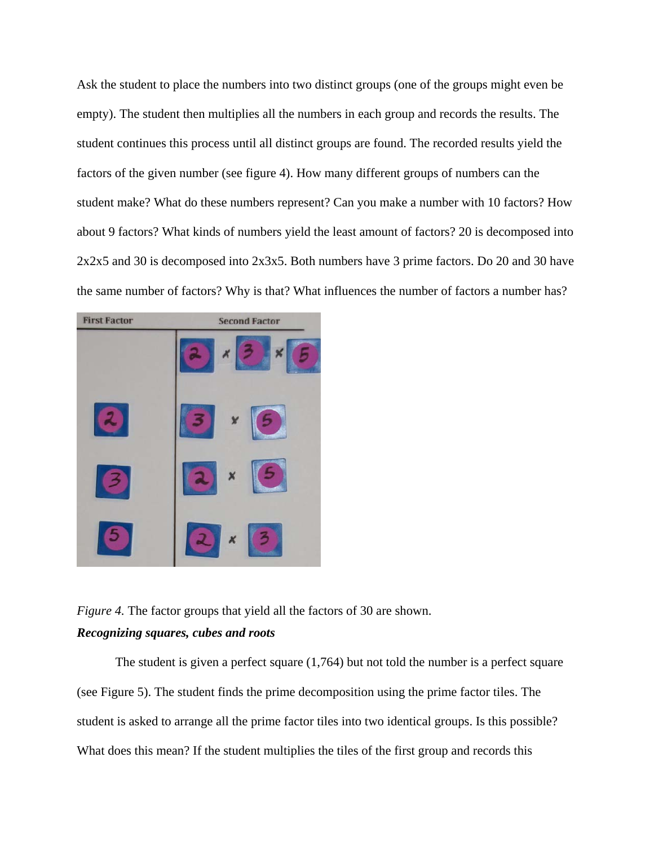Ask the student to place the numbers into two distinct groups (one of the groups might even be empty). The student then multiplies all the numbers in each group and records the results. The student continues this process until all distinct groups are found. The recorded results yield the factors of the given number (see figure 4). How many different groups of numbers can the student make? What do these numbers represent? Can you make a number with 10 factors? How about 9 factors? What kinds of numbers yield the least amount of factors? 20 is decomposed into 2x2x5 and 30 is decomposed into 2x3x5. Both numbers have 3 prime factors. Do 20 and 30 have the same number of factors? Why is that? What influences the number of factors a number has?



*Figure 4.* The factor groups that yield all the factors of 30 are shown. *Recognizing squares, cubes and roots* 

The student is given a perfect square (1,764) but not told the number is a perfect square (see Figure 5). The student finds the prime decomposition using the prime factor tiles. The student is asked to arrange all the prime factor tiles into two identical groups. Is this possible? What does this mean? If the student multiplies the tiles of the first group and records this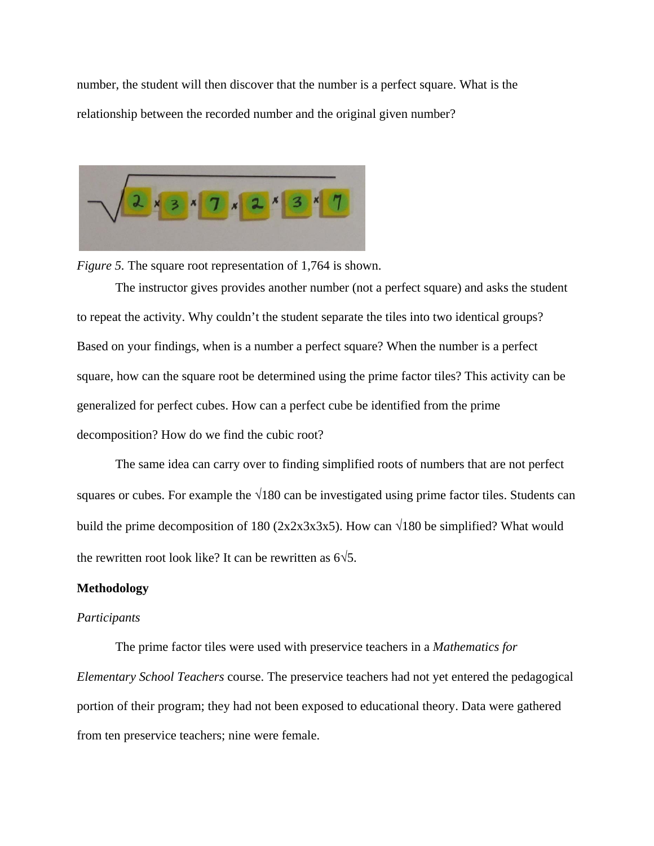number, the student will then discover that the number is a perfect square. What is the relationship between the recorded number and the original given number?



*Figure 5.* The square root representation of 1,764 is shown.

The instructor gives provides another number (not a perfect square) and asks the student to repeat the activity. Why couldn't the student separate the tiles into two identical groups? Based on your findings, when is a number a perfect square? When the number is a perfect square, how can the square root be determined using the prime factor tiles? This activity can be generalized for perfect cubes. How can a perfect cube be identified from the prime decomposition? How do we find the cubic root?

The same idea can carry over to finding simplified roots of numbers that are not perfect squares or cubes. For example the  $\sqrt{180}$  can be investigated using prime factor tiles. Students can build the prime decomposition of 180 (2x2x3x3x5). How can  $\sqrt{180}$  be simplified? What would the rewritten root look like? It can be rewritten as  $6\sqrt{5}$ .

# **Methodology**

## *Participants*

The prime factor tiles were used with preservice teachers in a *Mathematics for Elementary School Teachers* course. The preservice teachers had not yet entered the pedagogical portion of their program; they had not been exposed to educational theory. Data were gathered from ten preservice teachers; nine were female.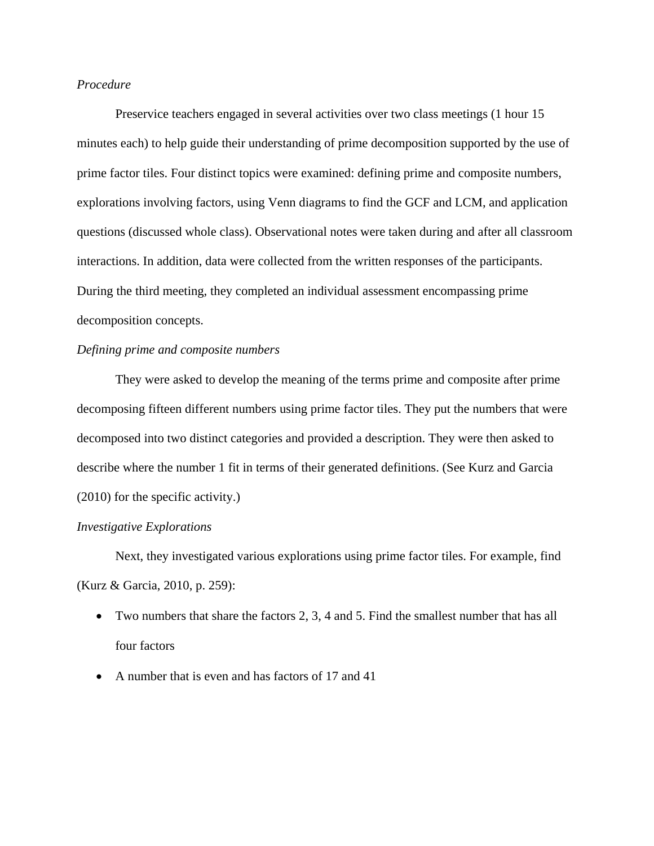# *Procedure*

Preservice teachers engaged in several activities over two class meetings (1 hour 15 minutes each) to help guide their understanding of prime decomposition supported by the use of prime factor tiles. Four distinct topics were examined: defining prime and composite numbers, explorations involving factors, using Venn diagrams to find the GCF and LCM, and application questions (discussed whole class). Observational notes were taken during and after all classroom interactions. In addition, data were collected from the written responses of the participants. During the third meeting, they completed an individual assessment encompassing prime decomposition concepts.

## *Defining prime and composite numbers*

They were asked to develop the meaning of the terms prime and composite after prime decomposing fifteen different numbers using prime factor tiles. They put the numbers that were decomposed into two distinct categories and provided a description. They were then asked to describe where the number 1 fit in terms of their generated definitions. (See Kurz and Garcia (2010) for the specific activity.)

### *Investigative Explorations*

Next, they investigated various explorations using prime factor tiles. For example, find (Kurz & Garcia, 2010, p. 259):

- Two numbers that share the factors 2, 3, 4 and 5. Find the smallest number that has all four factors
- A number that is even and has factors of 17 and 41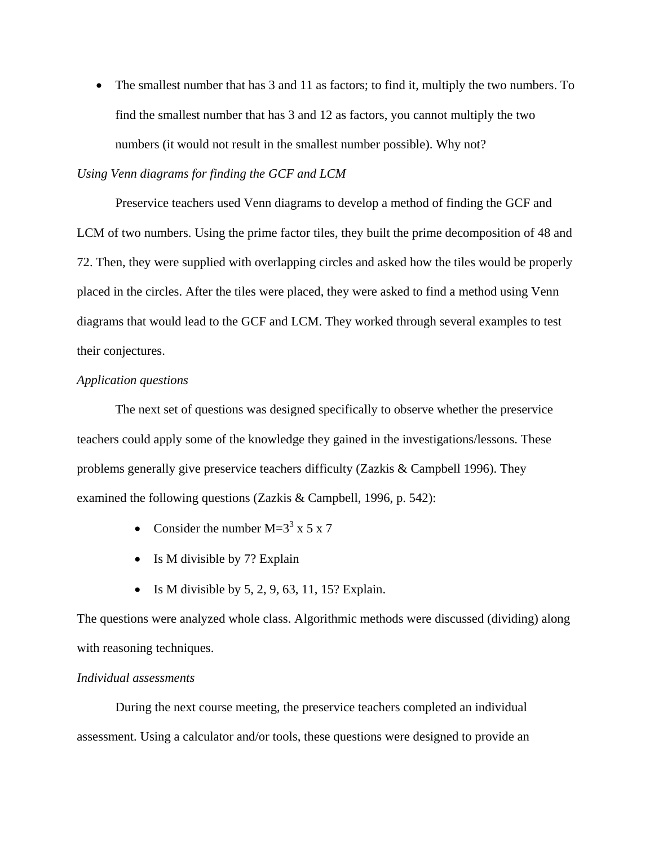• The smallest number that has 3 and 11 as factors; to find it, multiply the two numbers. To find the smallest number that has 3 and 12 as factors, you cannot multiply the two numbers (it would not result in the smallest number possible). Why not?

## *Using Venn diagrams for finding the GCF and LCM*

Preservice teachers used Venn diagrams to develop a method of finding the GCF and LCM of two numbers. Using the prime factor tiles, they built the prime decomposition of 48 and 72. Then, they were supplied with overlapping circles and asked how the tiles would be properly placed in the circles. After the tiles were placed, they were asked to find a method using Venn diagrams that would lead to the GCF and LCM. They worked through several examples to test their conjectures.

### *Application questions*

The next set of questions was designed specifically to observe whether the preservice teachers could apply some of the knowledge they gained in the investigations/lessons. These problems generally give preservice teachers difficulty (Zazkis & Campbell 1996). They examined the following questions (Zazkis & Campbell, 1996, p. 542):

- Consider the number  $M=3^3$  x 5 x 7
- Is M divisible by 7? Explain
- Is M divisible by  $5, 2, 9, 63, 11, 15$ ? Explain.

The questions were analyzed whole class. Algorithmic methods were discussed (dividing) along with reasoning techniques.

# *Individual assessments*

During the next course meeting, the preservice teachers completed an individual assessment. Using a calculator and/or tools, these questions were designed to provide an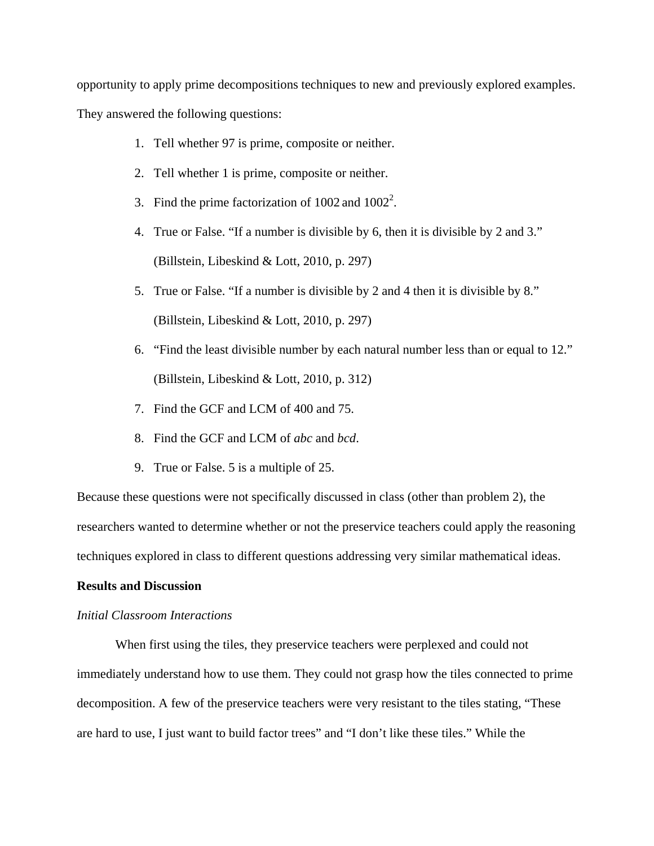opportunity to apply prime decompositions techniques to new and previously explored examples.

They answered the following questions:

- 1. Tell whether 97 is prime, composite or neither.
- 2. Tell whether 1 is prime, composite or neither.
- 3. Find the prime factorization of  $1002$  and  $1002^2$ .
- 4. True or False. "If a number is divisible by 6, then it is divisible by 2 and 3." (Billstein, Libeskind & Lott, 2010, p. 297)
- 5. True or False. "If a number is divisible by 2 and 4 then it is divisible by 8." (Billstein, Libeskind & Lott, 2010, p. 297)
- 6. "Find the least divisible number by each natural number less than or equal to 12." (Billstein, Libeskind & Lott, 2010, p. 312)
- 7. Find the GCF and LCM of 400 and 75.
- 8. Find the GCF and LCM of *abc* and *bcd*.
- 9. True or False. 5 is a multiple of 25.

Because these questions were not specifically discussed in class (other than problem 2), the researchers wanted to determine whether or not the preservice teachers could apply the reasoning techniques explored in class to different questions addressing very similar mathematical ideas.

### **Results and Discussion**

### *Initial Classroom Interactions*

When first using the tiles, they preservice teachers were perplexed and could not immediately understand how to use them. They could not grasp how the tiles connected to prime decomposition. A few of the preservice teachers were very resistant to the tiles stating, "These are hard to use, I just want to build factor trees" and "I don't like these tiles." While the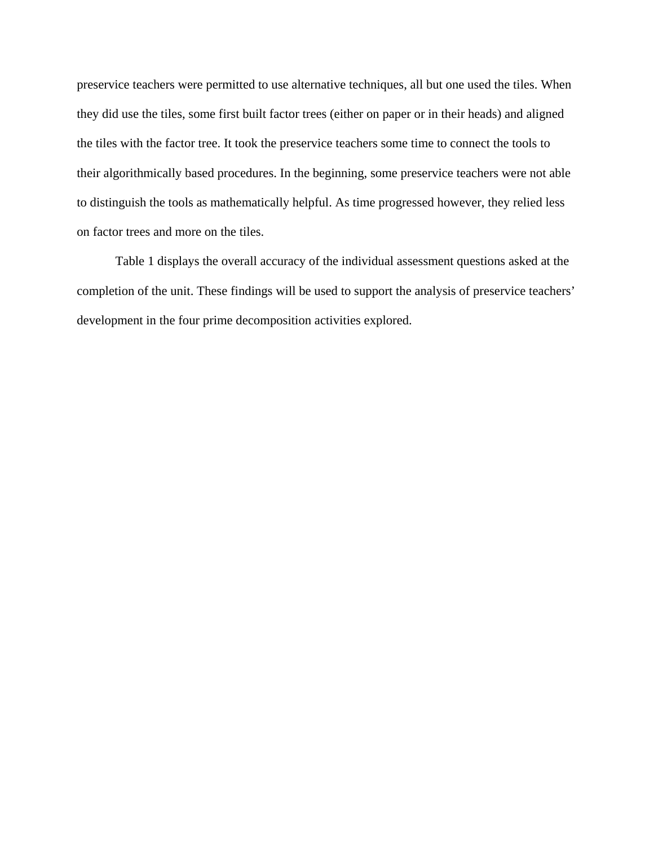preservice teachers were permitted to use alternative techniques, all but one used the tiles. When they did use the tiles, some first built factor trees (either on paper or in their heads) and aligned the tiles with the factor tree. It took the preservice teachers some time to connect the tools to their algorithmically based procedures. In the beginning, some preservice teachers were not able to distinguish the tools as mathematically helpful. As time progressed however, they relied less on factor trees and more on the tiles.

Table 1 displays the overall accuracy of the individual assessment questions asked at the completion of the unit. These findings will be used to support the analysis of preservice teachers' development in the four prime decomposition activities explored.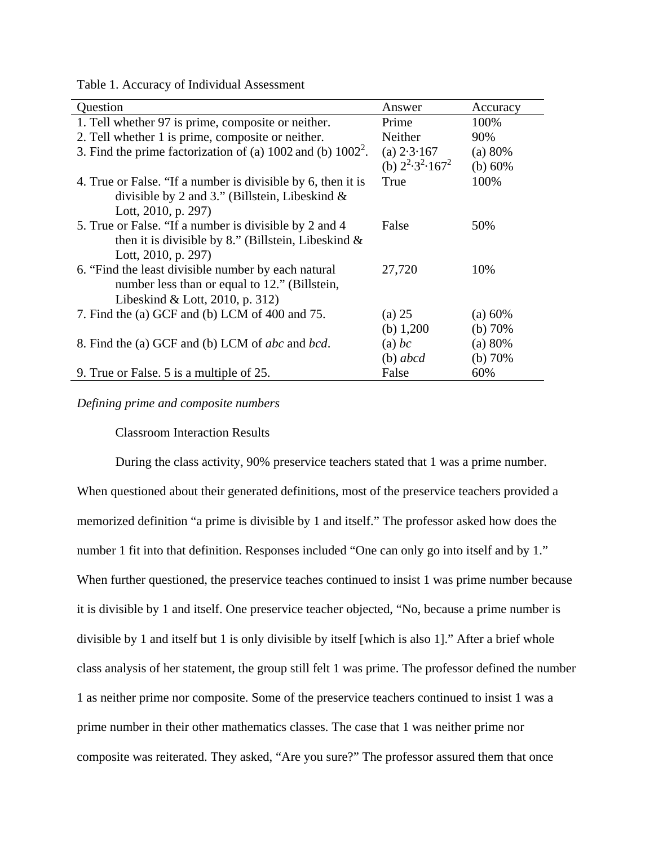Table 1. Accuracy of Individual Assessment

| Question                                                         | Answer                          | Accuracy  |
|------------------------------------------------------------------|---------------------------------|-----------|
| 1. Tell whether 97 is prime, composite or neither.               | Prime                           | 100%      |
| 2. Tell whether 1 is prime, composite or neither.                | Neither                         | 90%       |
| 3. Find the prime factorization of (a) $1002$ and (b) $1002^2$ . | (a) $2.3.167$                   | (a) 80%   |
|                                                                  | (b) $2^2 \cdot 3^2 \cdot 167^2$ | (b) $60%$ |
| 4. True or False. "If a number is divisible by 6, then it is     | True                            | 100%      |
| divisible by 2 and 3." (Billstein, Libeskind $\&$                |                                 |           |
| Lott, 2010, p. 297)                                              |                                 |           |
| 5. True or False. "If a number is divisible by 2 and 4           | False                           | 50%       |
| then it is divisible by 8." (Billstein, Libeskind $\&$           |                                 |           |
| Lott, 2010, p. 297)                                              |                                 |           |
| 6. "Find the least divisible number by each natural              | 27,720                          | 10%       |
| number less than or equal to 12." (Billstein,                    |                                 |           |
| Libeskind & Lott, 2010, p. 312)                                  |                                 |           |
| 7. Find the (a) GCF and (b) LCM of 400 and 75.                   | (a) 25                          | (a) 60%   |
|                                                                  | (b) $1,200$                     | (b) 70%   |
| 8. Find the (a) GCF and (b) LCM of <i>abc</i> and <i>bcd</i> .   | $(a)$ bc                        | (a) 80%   |
|                                                                  | $(b)$ abcd                      | (b) $70%$ |
| 9. True or False. 5 is a multiple of 25.                         | False                           | 60%       |

## *Defining prime and composite numbers*

Classroom Interaction Results

During the class activity, 90% preservice teachers stated that 1 was a prime number. When questioned about their generated definitions, most of the preservice teachers provided a memorized definition "a prime is divisible by 1 and itself." The professor asked how does the number 1 fit into that definition. Responses included "One can only go into itself and by 1." When further questioned, the preservice teaches continued to insist 1 was prime number because it is divisible by 1 and itself. One preservice teacher objected, "No, because a prime number is divisible by 1 and itself but 1 is only divisible by itself [which is also 1]." After a brief whole class analysis of her statement, the group still felt 1 was prime. The professor defined the number 1 as neither prime nor composite. Some of the preservice teachers continued to insist 1 was a prime number in their other mathematics classes. The case that 1 was neither prime nor composite was reiterated. They asked, "Are you sure?" The professor assured them that once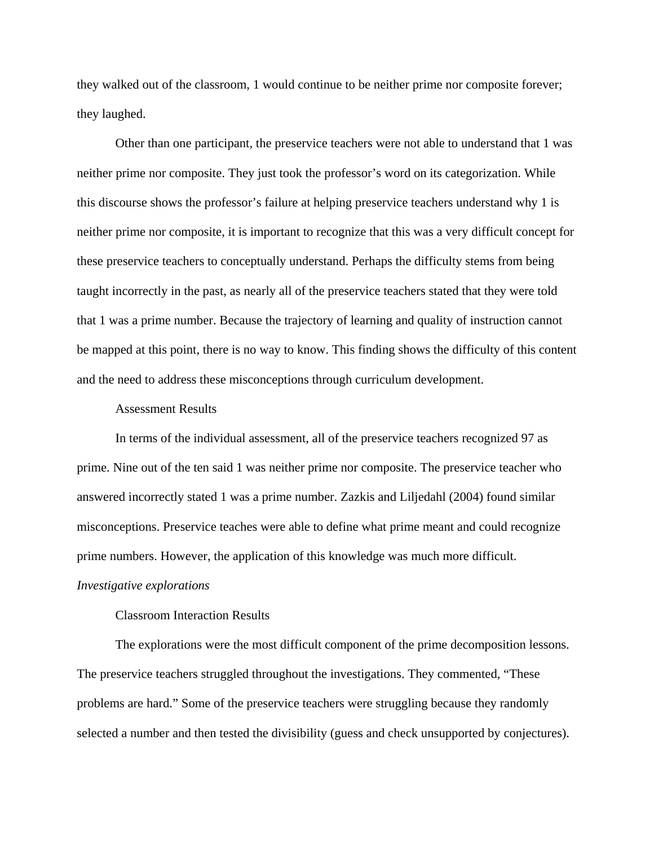they walked out of the classroom, 1 would continue to be neither prime nor composite forever; they laughed.

Other than one participant, the preservice teachers were not able to understand that 1 was neither prime nor composite. They just took the professor's word on its categorization. While this discourse shows the professor's failure at helping preservice teachers understand why 1 is neither prime nor composite, it is important to recognize that this was a very difficult concept for these preservice teachers to conceptually understand. Perhaps the difficulty stems from being taught incorrectly in the past, as nearly all of the preservice teachers stated that they were told that 1 was a prime number. Because the trajectory of learning and quality of instruction cannot be mapped at this point, there is no way to know. This finding shows the difficulty of this content and the need to address these misconceptions through curriculum development.

### Assessment Results

In terms of the individual assessment, all of the preservice teachers recognized 97 as prime. Nine out of the ten said 1 was neither prime nor composite. The preservice teacher who answered incorrectly stated 1 was a prime number. Zazkis and Liljedahl (2004) found similar misconceptions. Preservice teaches were able to define what prime meant and could recognize prime numbers. However, the application of this knowledge was much more difficult. *Investigative explorations* 

# Classroom Interaction Results

The explorations were the most difficult component of the prime decomposition lessons. The preservice teachers struggled throughout the investigations. They commented, "These problems are hard." Some of the preservice teachers were struggling because they randomly selected a number and then tested the divisibility (guess and check unsupported by conjectures).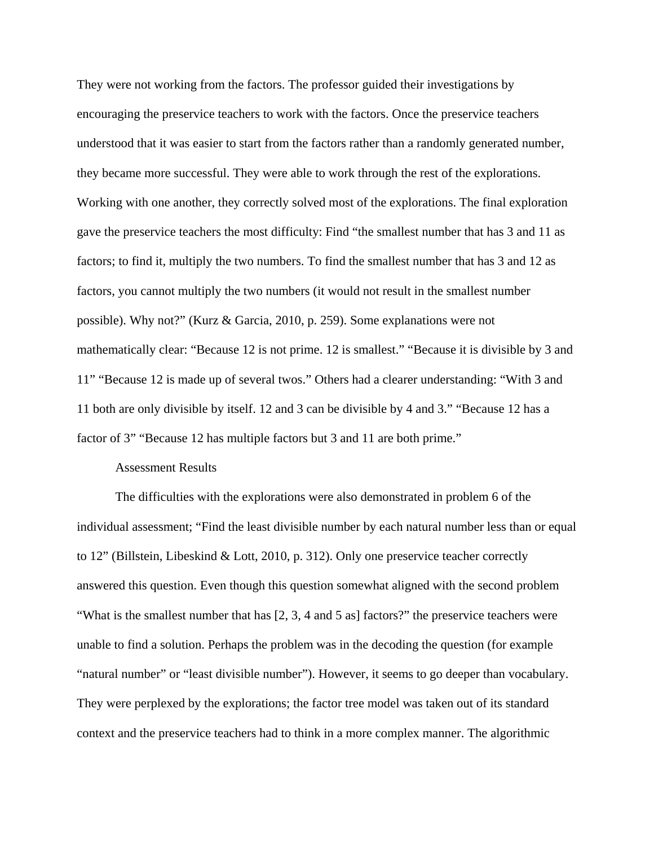They were not working from the factors. The professor guided their investigations by encouraging the preservice teachers to work with the factors. Once the preservice teachers understood that it was easier to start from the factors rather than a randomly generated number, they became more successful. They were able to work through the rest of the explorations. Working with one another, they correctly solved most of the explorations. The final exploration gave the preservice teachers the most difficulty: Find "the smallest number that has 3 and 11 as factors; to find it, multiply the two numbers. To find the smallest number that has 3 and 12 as factors, you cannot multiply the two numbers (it would not result in the smallest number possible). Why not?" (Kurz & Garcia, 2010, p. 259). Some explanations were not mathematically clear: "Because 12 is not prime. 12 is smallest." "Because it is divisible by 3 and 11" "Because 12 is made up of several twos." Others had a clearer understanding: "With 3 and 11 both are only divisible by itself. 12 and 3 can be divisible by 4 and 3." "Because 12 has a factor of 3" "Because 12 has multiple factors but 3 and 11 are both prime."

### Assessment Results

The difficulties with the explorations were also demonstrated in problem 6 of the individual assessment; "Find the least divisible number by each natural number less than or equal to 12" (Billstein, Libeskind & Lott, 2010, p. 312). Only one preservice teacher correctly answered this question. Even though this question somewhat aligned with the second problem "What is the smallest number that has [2, 3, 4 and 5 as] factors?" the preservice teachers were unable to find a solution. Perhaps the problem was in the decoding the question (for example "natural number" or "least divisible number"). However, it seems to go deeper than vocabulary. They were perplexed by the explorations; the factor tree model was taken out of its standard context and the preservice teachers had to think in a more complex manner. The algorithmic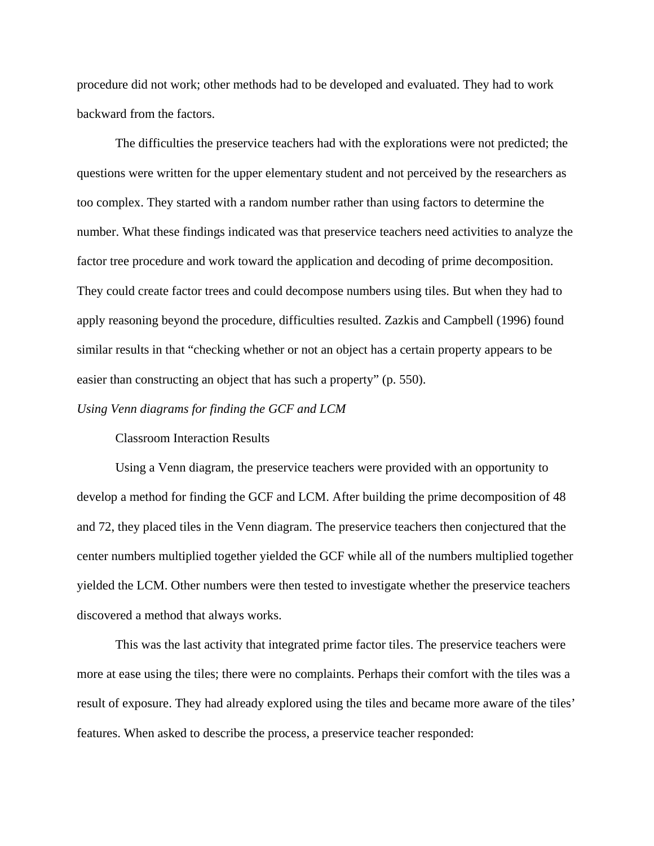procedure did not work; other methods had to be developed and evaluated. They had to work backward from the factors.

The difficulties the preservice teachers had with the explorations were not predicted; the questions were written for the upper elementary student and not perceived by the researchers as too complex. They started with a random number rather than using factors to determine the number. What these findings indicated was that preservice teachers need activities to analyze the factor tree procedure and work toward the application and decoding of prime decomposition. They could create factor trees and could decompose numbers using tiles. But when they had to apply reasoning beyond the procedure, difficulties resulted. Zazkis and Campbell (1996) found similar results in that "checking whether or not an object has a certain property appears to be easier than constructing an object that has such a property" (p. 550).

## *Using Venn diagrams for finding the GCF and LCM*

Classroom Interaction Results

Using a Venn diagram, the preservice teachers were provided with an opportunity to develop a method for finding the GCF and LCM. After building the prime decomposition of 48 and 72, they placed tiles in the Venn diagram. The preservice teachers then conjectured that the center numbers multiplied together yielded the GCF while all of the numbers multiplied together yielded the LCM. Other numbers were then tested to investigate whether the preservice teachers discovered a method that always works.

This was the last activity that integrated prime factor tiles. The preservice teachers were more at ease using the tiles; there were no complaints. Perhaps their comfort with the tiles was a result of exposure. They had already explored using the tiles and became more aware of the tiles' features. When asked to describe the process, a preservice teacher responded: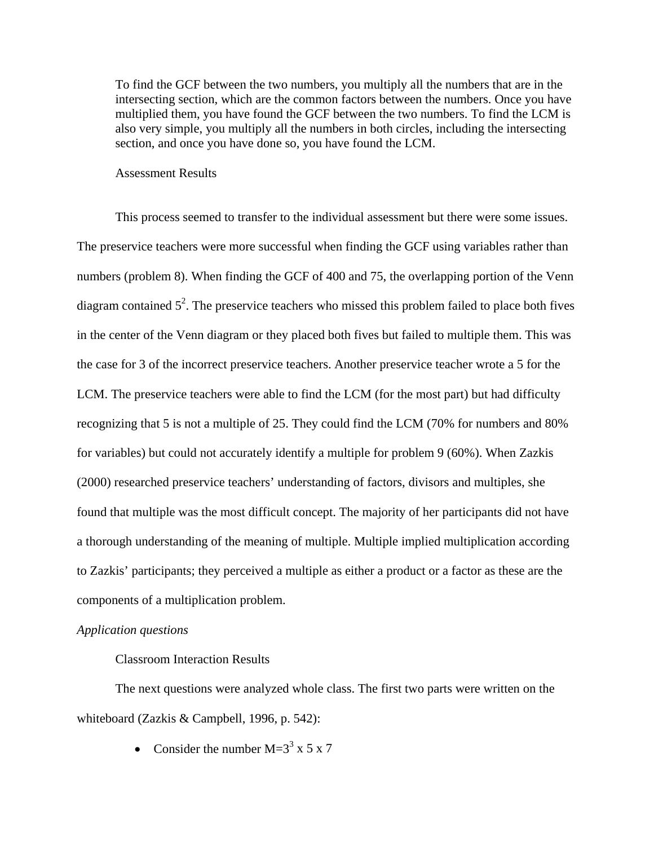To find the GCF between the two numbers, you multiply all the numbers that are in the intersecting section, which are the common factors between the numbers. Once you have multiplied them, you have found the GCF between the two numbers. To find the LCM is also very simple, you multiply all the numbers in both circles, including the intersecting section, and once you have done so, you have found the LCM.

### Assessment Results

This process seemed to transfer to the individual assessment but there were some issues. The preservice teachers were more successful when finding the GCF using variables rather than numbers (problem 8). When finding the GCF of 400 and 75, the overlapping portion of the Venn diagram contained  $5^2$ . The preservice teachers who missed this problem failed to place both fives in the center of the Venn diagram or they placed both fives but failed to multiple them. This was the case for 3 of the incorrect preservice teachers. Another preservice teacher wrote a 5 for the LCM. The preservice teachers were able to find the LCM (for the most part) but had difficulty recognizing that 5 is not a multiple of 25. They could find the LCM (70% for numbers and 80% for variables) but could not accurately identify a multiple for problem 9 (60%). When Zazkis (2000) researched preservice teachers' understanding of factors, divisors and multiples, she found that multiple was the most difficult concept. The majority of her participants did not have a thorough understanding of the meaning of multiple. Multiple implied multiplication according to Zazkis' participants; they perceived a multiple as either a product or a factor as these are the components of a multiplication problem.

## *Application questions*

## Classroom Interaction Results

The next questions were analyzed whole class. The first two parts were written on the whiteboard (Zazkis & Campbell, 1996, p. 542):

• Consider the number  $M=3^3$  x 5 x 7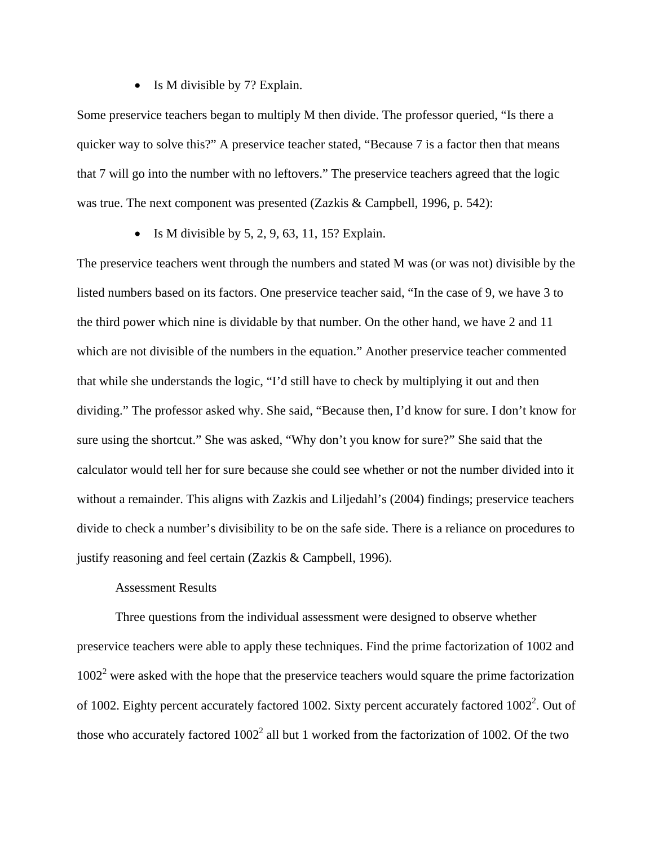• Is M divisible by 7? Explain.

Some preservice teachers began to multiply M then divide. The professor queried, "Is there a quicker way to solve this?" A preservice teacher stated, "Because 7 is a factor then that means that 7 will go into the number with no leftovers." The preservice teachers agreed that the logic was true. The next component was presented (Zazkis & Campbell, 1996, p. 542):

 $\bullet$  Is M divisible by 5, 2, 9, 63, 11, 15? Explain.

The preservice teachers went through the numbers and stated M was (or was not) divisible by the listed numbers based on its factors. One preservice teacher said, "In the case of 9, we have 3 to the third power which nine is dividable by that number. On the other hand, we have 2 and 11 which are not divisible of the numbers in the equation." Another preservice teacher commented that while she understands the logic, "I'd still have to check by multiplying it out and then dividing." The professor asked why. She said, "Because then, I'd know for sure. I don't know for sure using the shortcut." She was asked, "Why don't you know for sure?" She said that the calculator would tell her for sure because she could see whether or not the number divided into it without a remainder. This aligns with Zazkis and Liljedahl's (2004) findings; preservice teachers divide to check a number's divisibility to be on the safe side. There is a reliance on procedures to justify reasoning and feel certain (Zazkis & Campbell, 1996).

# Assessment Results

Three questions from the individual assessment were designed to observe whether preservice teachers were able to apply these techniques. Find the prime factorization of 1002 and  $1002<sup>2</sup>$  were asked with the hope that the preservice teachers would square the prime factorization of 1002. Eighty percent accurately factored 1002. Sixty percent accurately factored  $1002^2$ . Out of those who accurately factored  $1002<sup>2</sup>$  all but 1 worked from the factorization of 1002. Of the two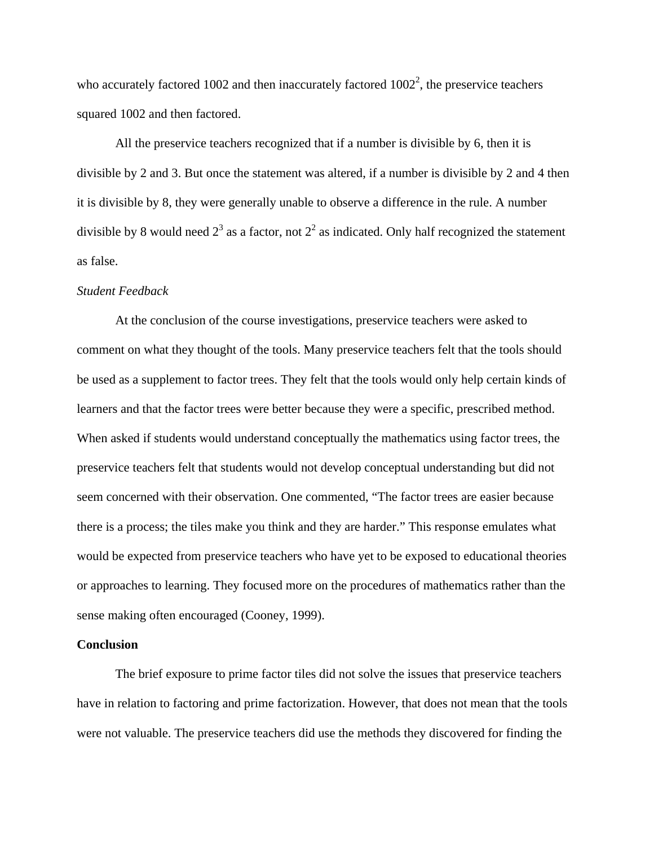who accurately factored 1002 and then inaccurately factored  $1002^2$ , the preservice teachers squared 1002 and then factored.

All the preservice teachers recognized that if a number is divisible by 6, then it is divisible by 2 and 3. But once the statement was altered, if a number is divisible by 2 and 4 then it is divisible by 8, they were generally unable to observe a difference in the rule. A number divisible by 8 would need  $2^3$  as a factor, not  $2^2$  as indicated. Only half recognized the statement as false.

### *Student Feedback*

At the conclusion of the course investigations, preservice teachers were asked to comment on what they thought of the tools. Many preservice teachers felt that the tools should be used as a supplement to factor trees. They felt that the tools would only help certain kinds of learners and that the factor trees were better because they were a specific, prescribed method. When asked if students would understand conceptually the mathematics using factor trees, the preservice teachers felt that students would not develop conceptual understanding but did not seem concerned with their observation. One commented, "The factor trees are easier because there is a process; the tiles make you think and they are harder." This response emulates what would be expected from preservice teachers who have yet to be exposed to educational theories or approaches to learning. They focused more on the procedures of mathematics rather than the sense making often encouraged (Cooney, 1999).

### **Conclusion**

The brief exposure to prime factor tiles did not solve the issues that preservice teachers have in relation to factoring and prime factorization. However, that does not mean that the tools were not valuable. The preservice teachers did use the methods they discovered for finding the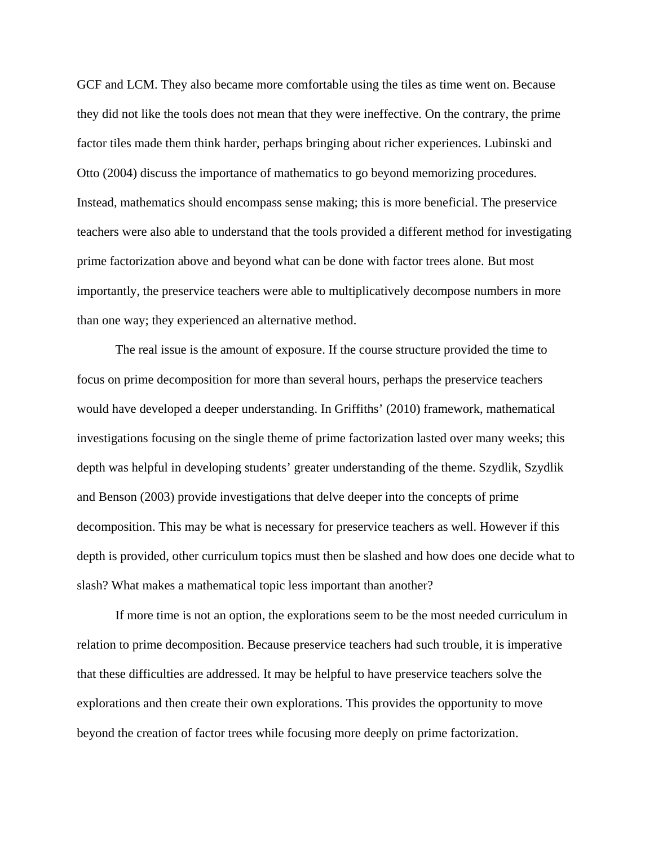GCF and LCM. They also became more comfortable using the tiles as time went on. Because they did not like the tools does not mean that they were ineffective. On the contrary, the prime factor tiles made them think harder, perhaps bringing about richer experiences. Lubinski and Otto (2004) discuss the importance of mathematics to go beyond memorizing procedures. Instead, mathematics should encompass sense making; this is more beneficial. The preservice teachers were also able to understand that the tools provided a different method for investigating prime factorization above and beyond what can be done with factor trees alone. But most importantly, the preservice teachers were able to multiplicatively decompose numbers in more than one way; they experienced an alternative method.

The real issue is the amount of exposure. If the course structure provided the time to focus on prime decomposition for more than several hours, perhaps the preservice teachers would have developed a deeper understanding. In Griffiths' (2010) framework, mathematical investigations focusing on the single theme of prime factorization lasted over many weeks; this depth was helpful in developing students' greater understanding of the theme. Szydlik, Szydlik and Benson (2003) provide investigations that delve deeper into the concepts of prime decomposition. This may be what is necessary for preservice teachers as well. However if this depth is provided, other curriculum topics must then be slashed and how does one decide what to slash? What makes a mathematical topic less important than another?

If more time is not an option, the explorations seem to be the most needed curriculum in relation to prime decomposition. Because preservice teachers had such trouble, it is imperative that these difficulties are addressed. It may be helpful to have preservice teachers solve the explorations and then create their own explorations. This provides the opportunity to move beyond the creation of factor trees while focusing more deeply on prime factorization.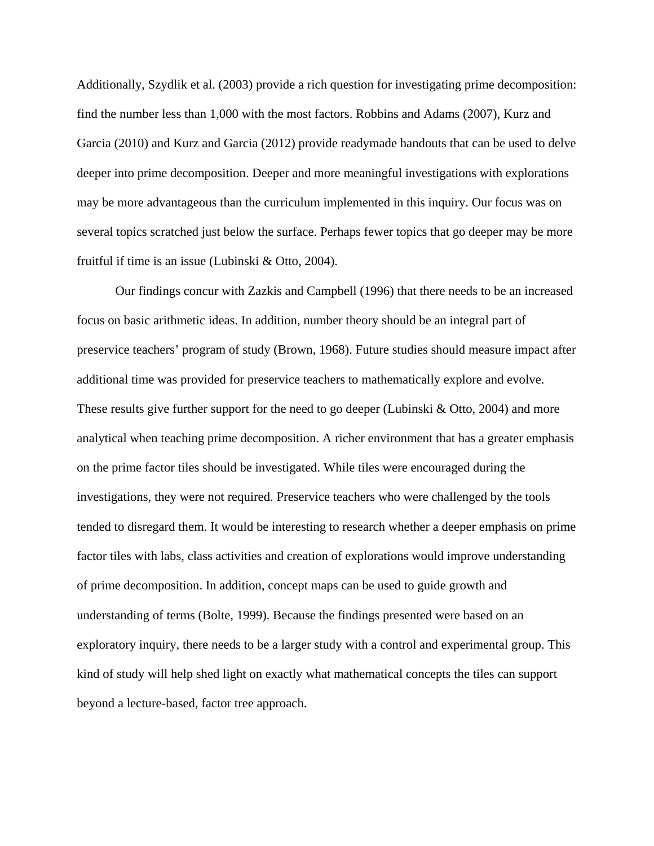Additionally, Szydlik et al. (2003) provide a rich question for investigating prime decomposition: find the number less than 1,000 with the most factors. Robbins and Adams (2007), Kurz and Garcia (2010) and Kurz and Garcia (2012) provide readymade handouts that can be used to delve deeper into prime decomposition. Deeper and more meaningful investigations with explorations may be more advantageous than the curriculum implemented in this inquiry. Our focus was on several topics scratched just below the surface. Perhaps fewer topics that go deeper may be more fruitful if time is an issue (Lubinski & Otto, 2004).

Our findings concur with Zazkis and Campbell (1996) that there needs to be an increased focus on basic arithmetic ideas. In addition, number theory should be an integral part of preservice teachers' program of study (Brown, 1968). Future studies should measure impact after additional time was provided for preservice teachers to mathematically explore and evolve. These results give further support for the need to go deeper (Lubinski & Otto, 2004) and more analytical when teaching prime decomposition. A richer environment that has a greater emphasis on the prime factor tiles should be investigated. While tiles were encouraged during the investigations, they were not required. Preservice teachers who were challenged by the tools tended to disregard them. It would be interesting to research whether a deeper emphasis on prime factor tiles with labs, class activities and creation of explorations would improve understanding of prime decomposition. In addition, concept maps can be used to guide growth and understanding of terms (Bolte, 1999). Because the findings presented were based on an exploratory inquiry, there needs to be a larger study with a control and experimental group. This kind of study will help shed light on exactly what mathematical concepts the tiles can support beyond a lecture-based, factor tree approach.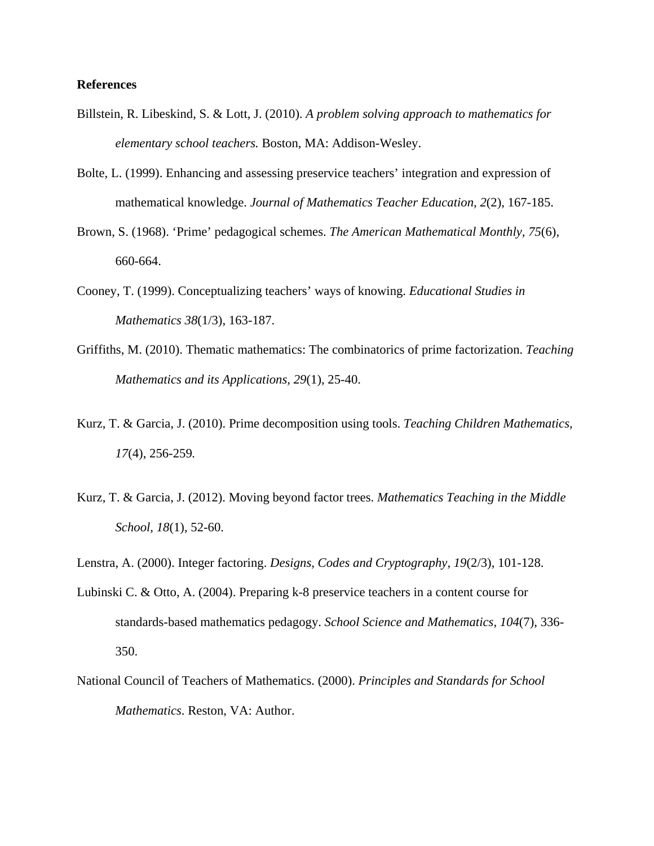### **References**

- Billstein, R. Libeskind, S. & Lott, J. (2010). *A problem solving approach to mathematics for elementary school teachers.* Boston, MA: Addison-Wesley.
- Bolte, L. (1999). Enhancing and assessing preservice teachers' integration and expression of mathematical knowledge. *Journal of Mathematics Teacher Education, 2*(2), 167-185.
- Brown, S. (1968). 'Prime' pedagogical schemes. *The American Mathematical Monthly, 75*(6), 660-664.
- Cooney, T. (1999). Conceptualizing teachers' ways of knowing. *Educational Studies in Mathematics 38*(1/3), 163-187.
- Griffiths, M. (2010). Thematic mathematics: The combinatorics of prime factorization. *Teaching Mathematics and its Applications, 29*(1)*,* 25-40.
- Kurz, T. & Garcia, J. (2010). Prime decomposition using tools. *Teaching Children Mathematics, 17*(4), 256-259*.*
- Kurz, T. & Garcia, J. (2012). Moving beyond factor trees. *Mathematics Teaching in the Middle School, 18*(1), 52-60.
- Lenstra, A. (2000). Integer factoring. *Designs, Codes and Cryptography, 19*(2/3), 101-128.
- Lubinski C. & Otto, A. (2004). Preparing k-8 preservice teachers in a content course for standards-based mathematics pedagogy. *School Science and Mathematics, 104*(7), 336- 350.
- National Council of Teachers of Mathematics. (2000). *Principles and Standards for School Mathematics*. Reston, VA: Author.